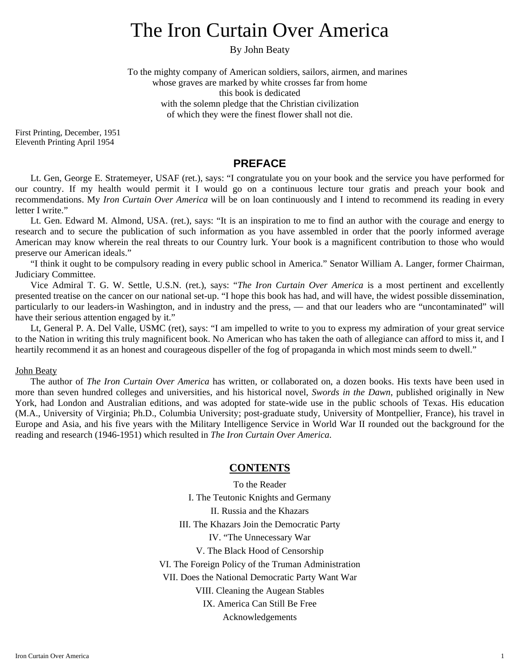# The Iron Curtain Over America

By John Beaty

To the mighty company of American soldiers, sailors, airmen, and marines whose graves are marked by white crosses far from home this book is dedicated with the solemn pledge that the Christian civilization of which they were the finest flower shall not die.

First Printing, December, 1951 Eleventh Printing April 1954

### **PREFACE**

Lt. Gen, George E. Stratemeyer, USAF (ret.), says: "I congratulate you on your book and the service you have performed for our country. If my health would permit it I would go on a continuous lecture tour gratis and preach your book and recommendations. My *Iron Curtain Over America* will be on loan continuously and I intend to recommend its reading in every letter I write."

Lt. Gen. Edward M. Almond, USA. (ret.), says: "It is an inspiration to me to find an author with the courage and energy to research and to secure the publication of such information as you have assembled in order that the poorly informed average American may know wherein the real threats to our Country lurk. Your book is a magnificent contribution to those who would preserve our American ideals."

"I think it ought to be compulsory reading in every public school in America." Senator William A. Langer, former Chairman, Judiciary Committee.

Vice Admiral T. G. W. Settle, U.S.N. (ret.), says: "*The Iron Curtain Over America* is a most pertinent and excellently presented treatise on the cancer on our national set-up. "I hope this book has had, and will have, the widest possible dissemination, particularly to our leaders-in Washington, and in industry and the press, — and that our leaders who are "uncontaminated" will have their serious attention engaged by it."

Lt, General P. A. Del Valle, USMC (ret), says: "I am impelled to write to you to express my admiration of your great service to the Nation in writing this truly magnificent book. No American who has taken the oath of allegiance can afford to miss it, and I heartily recommend it as an honest and courageous dispeller of the fog of propaganda in which most minds seem to dwell."

#### John Beaty

The author of *The Iron Curtain Over America* has written, or collaborated on, a dozen books. His texts have been used in more than seven hundred colleges and universities, and his historical novel, *Swords in the Dawn*, published originally in New York, had London and Australian editions, and was adopted for state-wide use in the public schools of Texas. His education (M.A., University of Virginia; Ph.D., Columbia University; post-graduate study, University of Montpellier, France), his travel in Europe and Asia, and his five years with the Military Intelligence Service in World War II rounded out the background for the reading and research (1946-1951) which resulted in *The Iron Curtain Over America*.

### **CONTENTS**

To the Reader I. The Teutonic Knights and Germany II. Russia and the Khazars III. The Khazars Join the Democratic Party IV. "The Unnecessary War V. The Black Hood of Censorship VI. The Foreign Policy of the Truman Administration VII. Does the National Democratic Party Want War VIII. Cleaning the Augean Stables IX. America Can Still Be Free Acknowledgements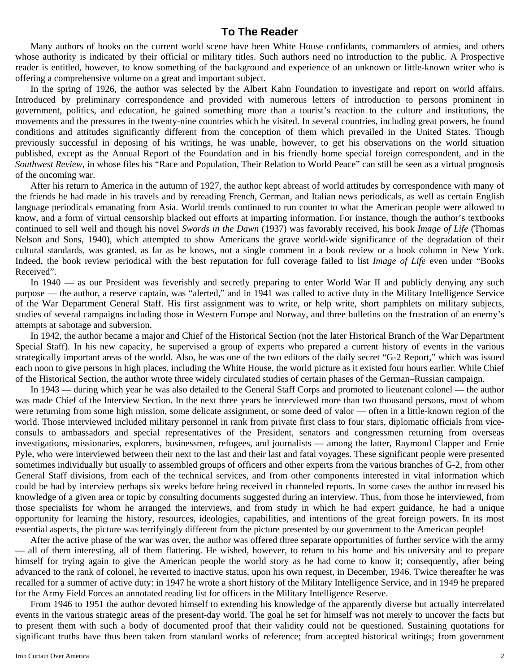### **To The Reader**

Many authors of books on the current world scene have been White House confidants, commanders of armies, and others whose authority is indicated by their official or military titles. Such authors need no introduction to the public. A Prospective reader is entitled, however, to know something of the background and experience of an unknown or little-known writer who is offering a comprehensive volume on a great and important subject.

In the spring of 1926, the author was selected by the Albert Kahn Foundation to investigate and report on world affairs. Introduced by preliminary correspondence and provided with numerous letters of introduction to persons prominent in government, politics, and education, he gained something more than a tourist's reaction to the culture and institutions, the movements and the pressures in the twenty-nine countries which he visited. In several countries, including great powers, he found conditions and attitudes significantly different from the conception of them which prevailed in the United States. Though previously successful in deposing of his writings, he was unable, however, to get his observations on the world situation published, except as the Annual Report of the Foundation and in his friendly home special foreign correspondent, and in the *Southwest Review*, in whose files his "Race and Population, Their Relation to World Peace" can still be seen as a virtual prognosis of the oncoming war.

After his return to America in the autumn of 1927, the author kept abreast of world attitudes by correspondence with many of the friends he had made in his travels and by rereading French, German, and Italian news periodicals, as well as certain English language periodicals emanating from Asia. World trends continued to run counter to what the American people were allowed to know, and a form of virtual censorship blacked out efforts at imparting information. For instance, though the author's textbooks continued to sell well and though his novel *Swords in the Dawn* (1937) was favorably received, his book *Image of Life* (Thomas Nelson and Sons, 1940), which attempted to show Americans the grave world-wide significance of the degradation of their cultural standards, was granted, as far as he knows, not a single comment in a book review or a book column in New York. Indeed, the book review periodical with the best reputation for full coverage failed to list *Image of Life* even under "Books Received".

In 1940 — as our President was feverishly and secretly preparing to enter World War II and publicly denying any such purpose — the author, a reserve captain, was "alerted," and in 1941 was called to active duty in the Military Intelligence Service of the War Department General Staff. His first assignment was to write, or help write, short pamphlets on military subjects, studies of several campaigns including those in Western Europe and Norway, and three bulletins on the frustration of an enemy's attempts at sabotage and subversion.

In 1942, the author became a major and Chief of the Historical Section (not the later Historical Branch of the War Department Special Staff). In his new capacity, he supervised a group of experts who prepared a current history of events in the various strategically important areas of the world. Also, he was one of the two editors of the daily secret "G-2 Report," which was issued each noon to give persons in high places, including the White House, the world picture as it existed four hours earlier. While Chief of the Historical Section, the author wrote three widely circulated studies of certain phases of the German–Russian campaign.

In 1943 — during which year he was also detailed to the General Staff Corps and promoted to lieutenant colonel — the author was made Chief of the Interview Section. In the next three years he interviewed more than two thousand persons, most of whom were returning from some high mission, some delicate assignment, or some deed of valor — often in a little-known region of the world. Those interviewed included military personnel in rank from private first class to four stars, diplomatic officials from viceconsuls to ambassadors and special representatives of the President, senators and congressmen returning from overseas investigations, missionaries, explorers, businessmen, refugees, and journalists — among the latter, Raymond Clapper and Ernie Pyle, who were interviewed between their next to the last and their last and fatal voyages. These significant people were presented sometimes individually but usually to assembled groups of officers and other experts from the various branches of G-2, from other General Staff divisions, from each of the technical services, and from other components interested in vital information which could be had by interview perhaps six weeks before being received in channeled reports. In some cases the author increased his knowledge of a given area or topic by consulting documents suggested during an interview. Thus, from those he interviewed, from those specialists for whom he arranged the interviews, and from study in which he had expert guidance, he had a unique opportunity for learning the history, resources, ideologies, capabilities, and intentions of the great foreign powers. In its most essential aspects, the picture was terrifyingly different from the picture presented by our government to the American people!

After the active phase of the war was over, the author was offered three separate opportunities of further service with the army — all of them interesting, all of them flattering. He wished, however, to return to his home and his university and to prepare himself for trying again to give the American people the world story as he had come to know it; consequently, after being advanced to the rank of colonel, he reverted to inactive status, upon his own request, in December, 1946. Twice thereafter he was recalled for a summer of active duty: in 1947 he wrote a short history of the Military Intelligence Service, and in 1949 he prepared for the Army Field Forces an annotated reading list for officers in the Military Intelligence Reserve.

From 1946 to 1951 the author devoted himself to extending his knowledge of the apparently diverse but actually interrelated events in the various strategic areas of the present-day world. The goal he set for himself was not merely to uncover the facts but to present them with such a body of documented proof that their validity could not be questioned. Sustaining quotations for significant truths have thus been taken from standard works of reference; from accepted historical writings; from government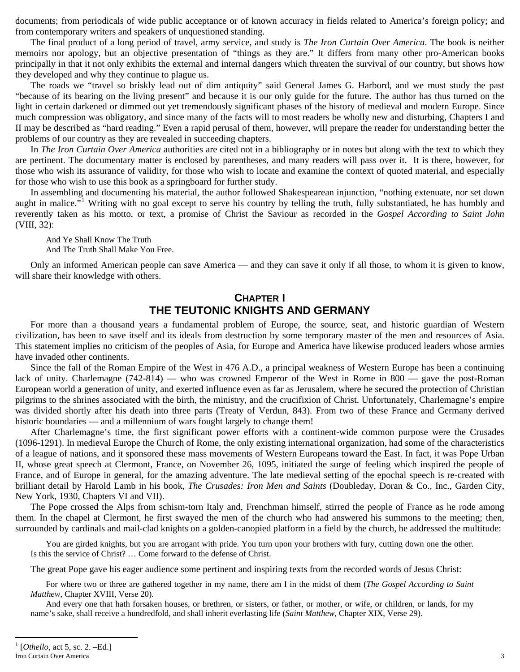documents; from periodicals of wide public acceptance or of known accuracy in fields related to America's foreign policy; and from contemporary writers and speakers of unquestioned standing.

The final product of a long period of travel, army service, and study is *The Iron Curtain Over America*. The book is neither memoirs nor apology, but an objective presentation of "things as they are." It differs from many other pro-American books principally in that it not only exhibits the external and internal dangers which threaten the survival of our country, but shows how they developed and why they continue to plague us.

The roads we "travel so briskly lead out of dim antiquity" said General James G. Harbord, and we must study the past "because of its bearing on the living present" and because it is our only guide for the future. The author has thus turned on the light in certain darkened or dimmed out yet tremendously significant phases of the history of medieval and modern Europe. Since much compression was obligatory, and since many of the facts will to most readers be wholly new and disturbing, Chapters I and II may be described as "hard reading." Even a rapid perusal of them, however, will prepare the reader for understanding better the problems of our country as they are revealed in succeeding chapters.

In *The Iron Curtain Over America* authorities are cited not in a bibliography or in notes but along with the text to which they are pertinent. The documentary matter is enclosed by parentheses, and many readers will pass over it. It is there, however, for those who wish its assurance of validity, for those who wish to locate and examine the context of quoted material, and especially for those who wish to use this book as a springboard for further study.

In assembling and documenting his material, the author followed Shakespearean injunction, "nothing extenuate, nor set down aught in malice."<sup>[1](#page-2-0)</sup> Writing with no goal except to serve his country by telling the truth, fully substantiated, he has humbly and reverently taken as his motto, or text, a promise of Christ the Saviour as recorded in the *Gospel According to Saint John*  (VIII, 32):

And Ye Shall Know The Truth And The Truth Shall Make You Free.

Only an informed American people can save America — and they can save it only if all those, to whom it is given to know, will share their knowledge with others.

# **CHAPTER I THE TEUTONIC KNIGHTS AND GERMANY**

For more than a thousand years a fundamental problem of Europe, the source, seat, and historic guardian of Western civilization, has been to save itself and its ideals from destruction by some temporary master of the men and resources of Asia. This statement implies no criticism of the peoples of Asia, for Europe and America have likewise produced leaders whose armies have invaded other continents.

Since the fall of the Roman Empire of the West in 476 A.D., a principal weakness of Western Europe has been a continuing lack of unity. Charlemagne (742-814) — who was crowned Emperor of the West in Rome in 800 — gave the post-Roman European world a generation of unity, and exerted influence even as far as Jerusalem, where he secured the protection of Christian pilgrims to the shrines associated with the birth, the ministry, and the crucifixion of Christ. Unfortunately, Charlemagne's empire was divided shortly after his death into three parts (Treaty of Verdun, 843). From two of these France and Germany derived historic boundaries — and a millennium of wars fought largely to change them!

After Charlemagne's time, the first significant power efforts with a continent-wide common purpose were the Crusades (1096-1291). In medieval Europe the Church of Rome, the only existing international organization, had some of the characteristics of a league of nations, and it sponsored these mass movements of Western Europeans toward the East. In fact, it was Pope Urban II, whose great speech at Clermont, France, on November 26, 1095, initiated the surge of feeling which inspired the people of France, and of Europe in general, for the amazing adventure. The late medieval setting of the epochal speech is re-created with brilliant detail by Harold Lamb in his book, *The Crusades: Iron Men and Saints* (Doubleday, Doran & Co., Inc., Garden City, New York, 1930, Chapters VI and VII).

The Pope crossed the Alps from schism-torn Italy and, Frenchman himself, stirred the people of France as he rode among them. In the chapel at Clermont, he first swayed the men of the church who had answered his summons to the meeting; then, surrounded by cardinals and mail-clad knights on a golden-canopied platform in a field by the church, he addressed the multitude:

You are girded knights, but you are arrogant with pride. You turn upon your brothers with fury, cutting down one the other. Is this the service of Christ? … Come forward to the defense of Christ.

The great Pope gave his eager audience some pertinent and inspiring texts from the recorded words of Jesus Christ:

For where two or three are gathered together in my name, there am I in the midst of them (*The Gospel According to Saint Matthew*, Chapter XVIII, Verse 20).

And every one that hath forsaken houses, or brethren, or sisters, or father, or mother, or wife, or children, or lands, for my name's sake, shall receive a hundredfold, and shall inherit everlasting life (*Saint Matthew*, Chapter XIX, Verse 29).

<span id="page-2-0"></span> $\overline{a}$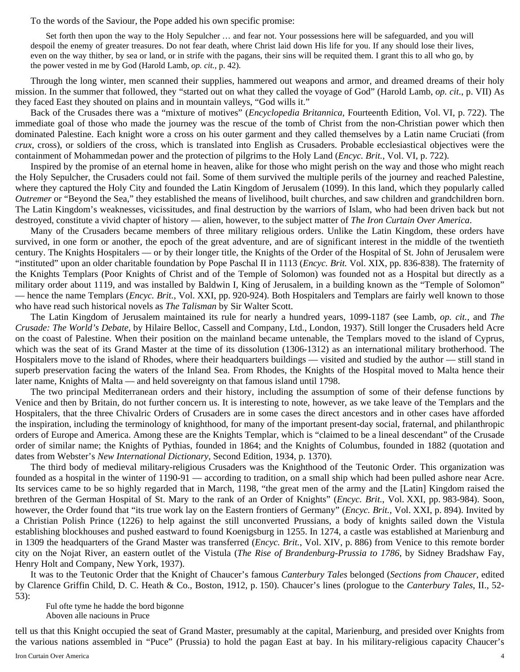To the words of the Saviour, the Pope added his own specific promise:

Set forth then upon the way to the Holy Sepulcher … and fear not. Your possessions here will be safeguarded, and you will despoil the enemy of greater treasures. Do not fear death, where Christ laid down His life for you. If any should lose their lives, even on the way thither, by sea or land, or in strife with the pagans, their sins will be requited them. I grant this to all who go, by the power vested in me by God (Harold Lamb, *op. cit.*, p. 42).

Through the long winter, men scanned their supplies, hammered out weapons and armor, and dreamed dreams of their holy mission. In the summer that followed, they "started out on what they called the voyage of God" (Harold Lamb, *op. cit.*, p. VII) As they faced East they shouted on plains and in mountain valleys, "God wills it."

Back of the Crusades there was a "mixture of motives" (*Encyclopedia Britannica*, Fourteenth Edition, Vol. VI, p. 722). The immediate goal of those who made the journey was the rescue of the tomb of Christ from the non-Christian power which then dominated Palestine. Each knight wore a cross on his outer garment and they called themselves by a Latin name Cruciati (from *crux*, cross), or soldiers of the cross, which is translated into English as Crusaders. Probable ecclesiastical objectives were the containment of Mohammedan power and the protection of pilgrims to the Holy Land (*Encyc. Brit.*, Vol. VI, p. 722).

Inspired by the promise of an eternal home in heaven, alike for those who might perish on the way and those who might reach the Holy Sepulcher, the Crusaders could not fail. Some of them survived the multiple perils of the journey and reached Palestine, where they captured the Holy City and founded the Latin Kingdom of Jerusalem (1099). In this land, which they popularly called *Outremer* or "Beyond the Sea," they established the means of livelihood, built churches, and saw children and grandchildren born. The Latin Kingdom's weaknesses, vicissitudes, and final destruction by the warriors of Islam, who had been driven back but not destroyed, constitute a vivid chapter of history — alien, however, to the subject matter of *The Iron Curtain Over America*.

Many of the Crusaders became members of three military religious orders. Unlike the Latin Kingdom, these orders have survived, in one form or another, the epoch of the great adventure, and are of significant interest in the middle of the twentieth century. The Knights Hospitalers — or by their longer title, the Knights of the Order of the Hospital of St. John of Jerusalem were "instituted" upon an older charitable foundation by Pope Paschal II in 1113 (*Encyc. Brit.* Vol. XIX, pp. 836-838). The fraternity of the Knights Templars (Poor Knights of Christ and of the Temple of Solomon) was founded not as a Hospital but directly as a military order about 1119, and was installed by Baldwin I, King of Jerusalem, in a building known as the "Temple of Solomon" — hence the name Templars (*Encyc. Brit.*, Vol. XXI, pp. 920-924). Both Hospitalers and Templars are fairly well known to those who have read such historical novels as *The Talisman* by Sir Walter Scott.

The Latin Kingdom of Jerusalem maintained its rule for nearly a hundred years, 1099-1187 (see Lamb, *op. cit.*, and *The Crusade: The World's Debate*, by Hilaire Belloc, Cassell and Company, Ltd., London, 1937). Still longer the Crusaders held Acre on the coast of Palestine. When their position on the mainland became untenable, the Templars moved to the island of Cyprus, which was the seat of its Grand Master at the time of its dissolution (1306-1312) as an international military brotherhood. The Hospitalers move to the island of Rhodes, where their headquarters buildings — visited and studied by the author — still stand in superb preservation facing the waters of the Inland Sea. From Rhodes, the Knights of the Hospital moved to Malta hence their later name, Knights of Malta — and held sovereignty on that famous island until 1798.

The two principal Mediterranean orders and their history, including the assumption of some of their defense functions by Venice and then by Britain, do not further concern us. It is interesting to note, however, as we take leave of the Templars and the Hospitalers, that the three Chivalric Orders of Crusaders are in some cases the direct ancestors and in other cases have afforded the inspiration, including the terminology of knighthood, for many of the important present-day social, fraternal, and philanthropic orders of Europe and America. Among these are the Knights Templar, which is "claimed to be a lineal descendant" of the Crusade order of similar name; the Knights of Pythias, founded in 1864; and the Knights of Columbus, founded in 1882 (quotation and dates from Webster's *New International Dictionary*, Second Edition, 1934, p. 1370).

The third body of medieval military-religious Crusaders was the Knighthood of the Teutonic Order. This organization was founded as a hospital in the winter of 1190-91 — according to tradition, on a small ship which had been pulled ashore near Acre. Its services came to be so highly regarded that in March, 1198, "the great men of the army and the [Latin] Kingdom raised the brethren of the German Hospital of St. Mary to the rank of an Order of Knights" (*Encyc. Brit.*, Vol. XXI, pp. 983-984). Soon, however, the Order found that "its true work lay on the Eastern frontiers of Germany" (*Encyc. Brit.*, Vol. XXI, p. 894). Invited by a Christian Polish Prince (1226) to help against the still unconverted Prussians, a body of knights sailed down the Vistula establishing blockhouses and pushed eastward to found Koenigsburg in 1255. In 1274, a castle was established at Marienburg and in 1309 the headquarters of the Grand Master was transferred (*Encyc. Brit.*, Vol. XIV, p. 886) from Venice to this remote border city on the Nojat River, an eastern outlet of the Vistula (*The Rise of Brandenburg-Prussia to 1786*, by Sidney Bradshaw Fay, Henry Holt and Company, New York, 1937).

It was to the Teutonic Order that the Knight of Chaucer's famous *Canterbury Tales* belonged (*Sections from Chaucer*, edited by Clarence Griffin Child, D. C. Heath & Co., Boston, 1912, p. 150). Chaucer's lines (prologue to the *Canterbury Tales*, II., 52- 53):

Ful ofte tyme he hadde the bord bigonne Aboven alle naciouns in Pruce

tell us that this Knight occupied the seat of Grand Master, presumably at the capital, Marienburg, and presided over Knights from the various nations assembled in "Puce" (Prussia) to hold the pagan East at bay. In his military-religious capacity Chaucer's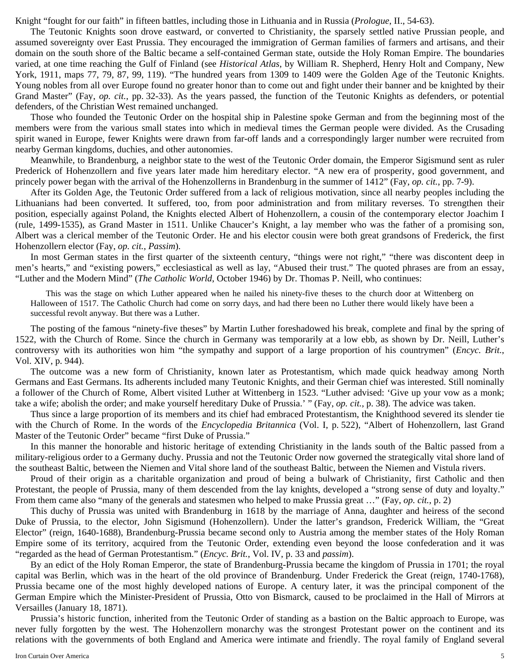Knight "fought for our faith" in fifteen battles, including those in Lithuania and in Russia (*Prologue*, II., 54-63).

The Teutonic Knights soon drove eastward, or converted to Christianity, the sparsely settled native Prussian people, and assumed sovereignty over East Prussia. They encouraged the immigration of German families of farmers and artisans, and their domain on the south shore of the Baltic became a self-contained German state, outside the Holy Roman Empire. The boundaries varied, at one time reaching the Gulf of Finland (see *Historical Atlas*, by William R. Shepherd, Henry Holt and Company, New York, 1911, maps 77, 79, 87, 99, 119). "The hundred years from 1309 to 1409 were the Golden Age of the Teutonic Knights. Young nobles from all over Europe found no greater honor than to come out and fight under their banner and be knighted by their Grand Master" (Fay, *op. cit.*, pp. 32-33). As the years passed, the function of the Teutonic Knights as defenders, or potential defenders, of the Christian West remained unchanged.

Those who founded the Teutonic Order on the hospital ship in Palestine spoke German and from the beginning most of the members were from the various small states into which in medieval times the German people were divided. As the Crusading spirit waned in Europe, fewer Knights were drawn from far-off lands and a correspondingly larger number were recruited from nearby German kingdoms, duchies, and other autonomies.

Meanwhile, to Brandenburg, a neighbor state to the west of the Teutonic Order domain, the Emperor Sigismund sent as ruler Prederick of Hohenzollern and five years later made him hereditary elector. "A new era of prosperity, good government, and princely power began with the arrival of the Hohenzollerns in Brandenburg in the summer of 1412" (Fay, *op. cit.*, pp. 7-9).

After its Golden Age, the Teutonic Order suffered from a lack of religious motivation, since all nearby peoples including the Lithuanians had been converted. It suffered, too, from poor administration and from military reverses. To strengthen their position, especially against Poland, the Knights elected Albert of Hohenzollern, a cousin of the contemporary elector Joachim I (rule, 1499-1535), as Grand Master in 1511. Unlike Chaucer's Knight, a lay member who was the father of a promising son, Albert was a clerical member of the Teutonic Order. He and his elector cousin were both great grandsons of Frederick, the first Hohenzollern elector (Fay, *op. cit.*, *Passim*).

In most German states in the first quarter of the sixteenth century, "things were not right," "there was discontent deep in men's hearts," and "existing powers," ecclesiastical as well as lay, "Abused their trust." The quoted phrases are from an essay, "Luther and the Modern Mind" (*The Catholic World*, October 1946) by Dr. Thomas P. Neill, who continues:

This was the stage on which Luther appeared when he nailed his ninety-five theses to the church door at Wittenberg on Halloween of 1517. The Catholic Church had come on sorry days, and had there been no Luther there would likely have been a successful revolt anyway. But there was a Luther.

The posting of the famous "ninety-five theses" by Martin Luther foreshadowed his break, complete and final by the spring of 1522, with the Church of Rome. Since the church in Germany was temporarily at a low ebb, as shown by Dr. Neill, Luther's controversy with its authorities won him "the sympathy and support of a large proportion of his countrymen" (*Encyc. Brit.*, Vol. XIV, p. 944).

The outcome was a new form of Christianity, known later as Protestantism, which made quick headway among North Germans and East Germans. Its adherents included many Teutonic Knights, and their German chief was interested. Still nominally a follower of the Church of Rome, Albert visited Luther at Wittenberg in 1523. "Luther advised: 'Give up your vow as a monk; take a wife; abolish the order; and make yourself hereditary Duke of Prussia.' " (Fay, *op. cit.*, p. 38). The advice was taken.

Thus since a large proportion of its members and its chief had embraced Protestantism, the Knighthood severed its slender tie with the Church of Rome. In the words of the *Encyclopedia Britannica* (Vol. I, p. 522), "Albert of Hohenzollern, last Grand Master of the Teutonic Order" became "first Duke of Prussia."

In this manner the honorable and historic heritage of extending Christianity in the lands south of the Baltic passed from a military-religious order to a Germany duchy. Prussia and not the Teutonic Order now governed the strategically vital shore land of the southeast Baltic, between the Niemen and Vital shore land of the southeast Baltic, between the Niemen and Vistula rivers.

Proud of their origin as a charitable organization and proud of being a bulwark of Christianity, first Catholic and then Protestant, the people of Prussia, many of them descended from the lay knights, developed a "strong sense of duty and loyalty." From them came also "many of the generals and statesmen who helped to make Prussia great …" (Fay, *op. cit.*, p. 2)

This duchy of Prussia was united with Brandenburg in 1618 by the marriage of Anna, daughter and heiress of the second Duke of Prussia, to the elector, John Sigismund (Hohenzollern). Under the latter's grandson, Frederick William, the "Great Elector" (reign, 1640-1688), Brandenburg-Prussia became second only to Austria among the member states of the Holy Roman Empire some of its territory, acquired from the Teutonic Order, extending even beyond the loose confederation and it was "regarded as the head of German Protestantism." (*Encyc. Brit.*, Vol. IV, p. 33 and *passim*).

By an edict of the Holy Roman Emperor, the state of Brandenburg-Prussia became the kingdom of Prussia in 1701; the royal capital was Berlin, which was in the heart of the old province of Brandenburg. Under Frederick the Great (reign, 1740-1768), Prussia became one of the most highly developed nations of Europe. A century later, it was the principal component of the German Empire which the Minister-President of Prussia, Otto von Bismarck, caused to be proclaimed in the Hall of Mirrors at Versailles (January 18, 1871).

Prussia's historic function, inherited from the Teutonic Order of standing as a bastion on the Baltic approach to Europe, was never fully forgotten by the west. The Hohenzollern monarchy was the strongest Protestant power on the continent and its relations with the governments of both England and America were intimate and friendly. The royal family of England several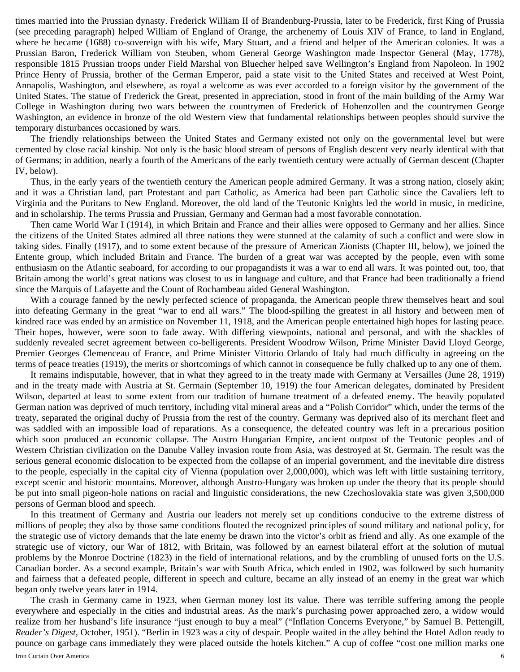times married into the Prussian dynasty. Frederick William II of Brandenburg-Prussia, later to be Frederick, first King of Prussia (see preceding paragraph) helped William of England of Orange, the archenemy of Louis XIV of France, to land in England, where he became (1688) co-sovereign with his wife, Mary Stuart, and a friend and helper of the American colonies. It was a Prussian Baron, Frederick William von Steuben, whom General George Washington made Inspector General (May, 1778), responsible 1815 Prussian troops under Field Marshal von Bluecher helped save Wellington's England from Napoleon. In 1902 Prince Henry of Prussia, brother of the German Emperor, paid a state visit to the United States and received at West Point, Annapolis, Washington, and elsewhere, as royal a welcome as was ever accorded to a foreign visitor by the government of the United States. The statue of Frederick the Great, presented in appreciation, stood in front of the main building of the Army War College in Washington during two wars between the countrymen of Frederick of Hohenzollen and the countrymen George Washington, an evidence in bronze of the old Western view that fundamental relationships between peoples should survive the temporary disturbances occasioned by wars.

The friendly relationships between the United States and Germany existed not only on the governmental level but were cemented by close racial kinship. Not only is the basic blood stream of persons of English descent very nearly identical with that of Germans; in addition, nearly a fourth of the Americans of the early twentieth century were actually of German descent (Chapter IV, below).

Thus, in the early years of the twentieth century the American people admired Germany. It was a strong nation, closely akin; and it was a Christian land, part Protestant and part Catholic, as America had been part Catholic since the Cavaliers left to Virginia and the Puritans to New England. Moreover, the old land of the Teutonic Knights led the world in music, in medicine, and in scholarship. The terms Prussia and Prussian, Germany and German had a most favorable connotation.

Then came World War I (1914), in which Britain and France and their allies were opposed to Germany and her allies. Since the citizens of the United States admired all three nations they were stunned at the calamity of such a conflict and were slow in taking sides. Finally (1917), and to some extent because of the pressure of American Zionists (Chapter III, below), we joined the Entente group, which included Britain and France. The burden of a great war was accepted by the people, even with some enthusiasm on the Atlantic seaboard, for according to our propagandists it was a war to end all wars. It was pointed out, too, that Britain among the world's great nations was closest to us in language and culture, and that France had been traditionally a friend since the Marquis of Lafayette and the Count of Rochambeau aided General Washington.

With a courage fanned by the newly perfected science of propaganda, the American people threw themselves heart and soul into defeating Germany in the great "war to end all wars." The blood-spilling the greatest in all history and between men of kindred race was ended by an armistice on November 11, 1918, and the American people entertained high hopes for lasting peace. Their hopes, however, were soon to fade away. With differing viewpoints, national and personal, and with the shackles of suddenly revealed secret agreement between co-belligerents. President Woodrow Wilson, Prime Minister David Lloyd George, Premier Georges Clemenceau of France, and Prime Minister Vittorio Orlando of Italy had much difficulty in agreeing on the terms of peace treaties (1919), the merits or shortcomings of which cannot in consequence be fully chalked up to any one of them.

It remains indisputable, however, that in what they agreed to in the treaty made with Germany at Versailles (June 28, 1919) and in the treaty made with Austria at St. Germain (September 10, 1919) the four American delegates, dominated by President Wilson, departed at least to some extent from our tradition of humane treatment of a defeated enemy. The heavily populated German nation was deprived of much territory, including vital mineral areas and a "Polish Corridor" which, under the terms of the treaty, separated the original duchy of Prussia from the rest of the country. Germany was deprived also of its merchant fleet and was saddled with an impossible load of reparations. As a consequence, the defeated country was left in a precarious position which soon produced an economic collapse. The Austro Hungarian Empire, ancient outpost of the Teutonic peoples and of Western Christian civilization on the Danube Valley invasion route from Asia, was destroyed at St. Germain. The result was the serious general economic dislocation to be expected from the collapse of an imperial government, and the inevitable dire distress to the people, especially in the capital city of Vienna (population over 2,000,000), which was left with little sustaining territory, except scenic and historic mountains. Moreover, although Austro-Hungary was broken up under the theory that its people should be put into small pigeon-hole nations on racial and linguistic considerations, the new Czechoslovakia state was given 3,500,000 persons of German blood and speech.

In this treatment of Germany and Austria our leaders not merely set up conditions conducive to the extreme distress of millions of people; they also by those same conditions flouted the recognized principles of sound military and national policy, for the strategic use of victory demands that the late enemy be drawn into the victor's orbit as friend and ally. As one example of the strategic use of victory, our War of 1812, with Britain, was followed by an earnest bilateral effort at the solution of mutual problems by the Monroe Doctrine (1823) in the field of international relations, and by the crumbling of unused forts on the U.S. Canadian border. As a second example, Britain's war with South Africa, which ended in 1902, was followed by such humanity and fairness that a defeated people, different in speech and culture, became an ally instead of an enemy in the great war which began only twelve years later in 1914.

Iron Curtain Over America 6 The crash in Germany came in 1923, when German money lost its value. There was terrible suffering among the people everywhere and especially in the cities and industrial areas. As the mark's purchasing power approached zero, a widow would realize from her husband's life insurance "just enough to buy a meal" ("Inflation Concerns Everyone," by Samuel B. Pettengill, *Reader's Digest*, October, 1951). "Berlin in 1923 was a city of despair. People waited in the alley behind the Hotel Adlon ready to pounce on garbage cans immediately they were placed outside the hotels kitchen." A cup of coffee "cost one million marks one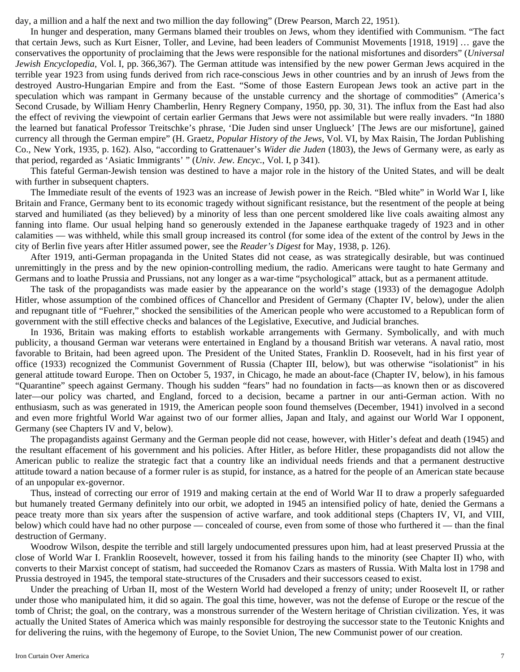day, a million and a half the next and two million the day following" (Drew Pearson, March 22, 1951).

In hunger and desperation, many Germans blamed their troubles on Jews, whom they identified with Communism. "The fact that certain Jews, such as Kurt Eisner, Toller, and Levine, had been leaders of Communist Movements [1918, 1919] … gave the conservatives the opportunity of proclaiming that the Jews were responsible for the national misfortunes and disorders" (*Universal Jewish Encyclopedia*, Vol. I, pp. 366,367). The German attitude was intensified by the new power German Jews acquired in the terrible year 1923 from using funds derived from rich race-conscious Jews in other countries and by an inrush of Jews from the destroyed Austro-Hungarian Empire and from the East. "Some of those Eastern European Jews took an active part in the speculation which was rampant in Germany because of the unstable currency and the shortage of commodities" (America's Second Crusade, by William Henry Chamberlin, Henry Regnery Company, 1950, pp. 30, 31). The influx from the East had also the effect of reviving the viewpoint of certain earlier Germans that Jews were not assimilable but were really invaders. "In 1880 the learned but fanatical Professor Treitschke's phrase, 'Die Juden sind unser Unglueck' [The Jews are our misfortune], gained currency all through the German empire" (H. Graetz, *Popular History of the Jews*, Vol. VI, by Max Raisin, The Jordan Publishing Co., New York, 1935, p. 162). Also, "according to Grattenauer's *Wider die Juden* (1803), the Jews of Germany were, as early as that period, regarded as 'Asiatic Immigrants' " (*Univ. Jew. Encyc.*, Vol. I, p 341).

This fateful German-Jewish tension was destined to have a major role in the history of the United States, and will be dealt with further in subsequent chapters.

The Immediate result of the events of 1923 was an increase of Jewish power in the Reich. "Bled white" in World War I, like Britain and France, Germany bent to its economic tragedy without significant resistance, but the resentment of the people at being starved and humiliated (as they believed) by a minority of less than one percent smoldered like live coals awaiting almost any fanning into flame. Our usual helping hand so generously extended in the Japanese earthquake tragedy of 1923 and in other calamities — was withheld, while this small group increased its control (for some idea of the extent of the control by Jews in the city of Berlin five years after Hitler assumed power, see the *Reader's Digest* for May, 1938, p. 126).

After 1919, anti-German propaganda in the United States did not cease, as was strategically desirable, but was continued unremittingly in the press and by the new opinion-controlling medium, the radio. Americans were taught to hate Germany and Germans and to loathe Prussia and Prussians, not any longer as a war-time "psychological" attack, but as a permanent attitude.

The task of the propagandists was made easier by the appearance on the world's stage (1933) of the demagogue Adolph Hitler, whose assumption of the combined offices of Chancellor and President of Germany (Chapter IV, below), under the alien and repugnant title of "Fuehrer," shocked the sensibilities of the American people who were accustomed to a Republican form of government with the still effective checks and balances of the Legislative, Executive, and Judicial branches.

In 1936, Britain was making efforts to establish workable arrangements with Germany. Symbolically, and with much publicity, a thousand German war veterans were entertained in England by a thousand British war veterans. A naval ratio, most favorable to Britain, had been agreed upon. The President of the United States, Franklin D. Roosevelt, had in his first year of office (1933) recognized the Communist Government of Russia (Chapter III, below), but was otherwise "isolationist" in his general attitude toward Europe. Then on October 5, 1937, in Chicago, he made an about-face (Chapter IV, below), in his famous "Quarantine" speech against Germany. Though his sudden "fears" had no foundation in facts—as known then or as discovered later—our policy was charted, and England, forced to a decision, became a partner in our anti-German action. With no enthusiasm, such as was generated in 1919, the American people soon found themselves (December, 1941) involved in a second and even more frightful World War against two of our former allies, Japan and Italy, and against our World War I opponent, Germany (see Chapters IV and V, below).

The propagandists against Germany and the German people did not cease, however, with Hitler's defeat and death (1945) and the resultant effacement of his government and his policies. After Hitler, as before Hitler, these propagandists did not allow the American public to realize the strategic fact that a country like an individual needs friends and that a permanent destructive attitude toward a nation because of a former ruler is as stupid, for instance, as a hatred for the people of an American state because of an unpopular ex-governor.

Thus, instead of correcting our error of 1919 and making certain at the end of World War II to draw a properly safeguarded but humanely treated Germany definitely into our orbit, we adopted in 1945 an intensified policy of hate, denied the Germans a peace treaty more than six years after the suspension of active warfare, and took additional steps (Chapters IV, VI, and VIII, below) which could have had no other purpose — concealed of course, even from some of those who furthered it — than the final destruction of Germany.

Woodrow Wilson, despite the terrible and still largely undocumented pressures upon him, had at least preserved Prussia at the close of World War I. Franklin Roosevelt, however, tossed it from his failing hands to the minority (see Chapter II) who, with converts to their Marxist concept of statism, had succeeded the Romanov Czars as masters of Russia. With Malta lost in 1798 and Prussia destroyed in 1945, the temporal state-structures of the Crusaders and their successors ceased to exist.

Under the preaching of Urban II, most of the Western World had developed a frenzy of unity; under Roosevelt II, or rather under those who manipulated him, it did so again. The goal this time, however, was not the defense of Europe or the rescue of the tomb of Christ; the goal, on the contrary, was a monstrous surrender of the Western heritage of Christian civilization. Yes, it was actually the United States of America which was mainly responsible for destroying the successor state to the Teutonic Knights and for delivering the ruins, with the hegemony of Europe, to the Soviet Union, The new Communist power of our creation.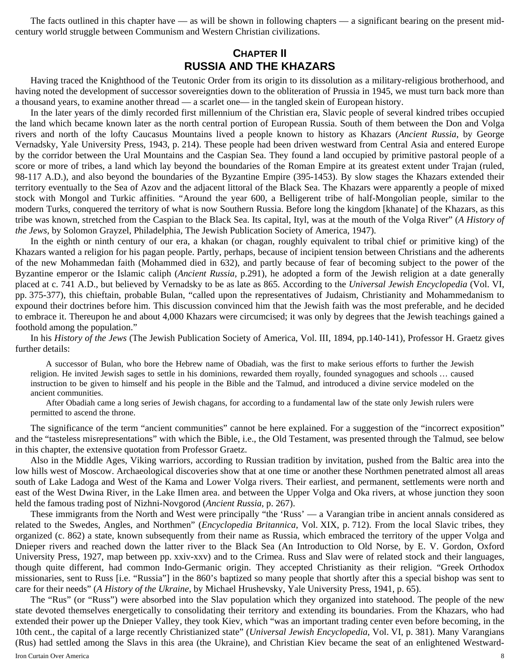The facts outlined in this chapter have — as will be shown in following chapters — a significant bearing on the present midcentury world struggle between Communism and Western Christian civilizations.

# **CHAPTER II RUSSIA AND THE KHAZARS**

Having traced the Knighthood of the Teutonic Order from its origin to its dissolution as a military-religious brotherhood, and having noted the development of successor sovereignties down to the obliteration of Prussia in 1945, we must turn back more than a thousand years, to examine another thread — a scarlet one— in the tangled skein of European history.

In the later years of the dimly recorded first millennium of the Christian era, Slavic people of several kindred tribes occupied the land which became known later as the north central portion of European Russia. South of them between the Don and Volga rivers and north of the lofty Caucasus Mountains lived a people known to history as Khazars (*Ancient Russia*, by George Vernadsky, Yale University Press, 1943, p. 214). These people had been driven westward from Central Asia and entered Europe by the corridor between the Ural Mountains and the Caspian Sea. They found a land occupied by primitive pastoral people of a score or more of tribes, a land which lay beyond the boundaries of the Roman Empire at its greatest extent under Trajan (ruled, 98-117 A.D.), and also beyond the boundaries of the Byzantine Empire (395-1453). By slow stages the Khazars extended their territory eventually to the Sea of Azov and the adjacent littoral of the Black Sea. The Khazars were apparently a people of mixed stock with Mongol and Turkic affinities. "Around the year 600, a Belligerent tribe of half-Mongolian people, similar to the modern Turks, conquered the territory of what is now Southern Russia. Before long the kingdom [khanate] of the Khazars, as this tribe was known, stretched from the Caspian to the Black Sea. Its capital, Ityl, was at the mouth of the Volga River" (*A History of the Jews*, by Solomon Grayzel, Philadelphia, The Jewish Publication Society of America, 1947).

In the eighth or ninth century of our era, a khakan (or chagan, roughly equivalent to tribal chief or primitive king) of the Khazars wanted a religion for his pagan people. Partly, perhaps, because of incipient tension between Christians and the adherents of the new Mohammedan faith (Mohammed died in 632), and partly because of fear of becoming subject to the power of the Byzantine emperor or the Islamic caliph (*Ancient Russia*, p.291), he adopted a form of the Jewish religion at a date generally placed at c. 741 A.D., but believed by Vernadsky to be as late as 865. According to the *Universal Jewish Encyclopedia* (Vol. VI, pp. 375-377), this chieftain, probable Bulan, "called upon the representatives of Judaism, Christianity and Mohammedanism to expound their doctrines before him. This discussion convinced him that the Jewish faith was the most preferable, and he decided to embrace it. Thereupon he and about 4,000 Khazars were circumcised; it was only by degrees that the Jewish teachings gained a foothold among the population."

In his *History of the Jews* (The Jewish Publication Society of America, Vol. III, 1894, pp.140-141), Professor H. Graetz gives further details:

A successor of Bulan, who bore the Hebrew name of Obadiah, was the first to make serious efforts to further the Jewish religion. He invited Jewish sages to settle in his dominions, rewarded them royally, founded synagogues and schools … caused instruction to be given to himself and his people in the Bible and the Talmud, and introduced a divine service modeled on the ancient communities.

After Obadiah came a long series of Jewish chagans, for according to a fundamental law of the state only Jewish rulers were permitted to ascend the throne.

The significance of the term "ancient communities" cannot be here explained. For a suggestion of the "incorrect exposition" and the "tasteless misrepresentations" with which the Bible, i.e., the Old Testament, was presented through the Talmud, see below in this chapter, the extensive quotation from Professor Graetz.

Also in the Middle Ages, Viking warriors, according to Russian tradition by invitation, pushed from the Baltic area into the low hills west of Moscow. Archaeological discoveries show that at one time or another these Northmen penetrated almost all areas south of Lake Ladoga and West of the Kama and Lower Volga rivers. Their earliest, and permanent, settlements were north and east of the West Dwina River, in the Lake Ilmen area. and between the Upper Volga and Oka rivers, at whose junction they soon held the famous trading post of Nizhni-Novgorod (*Ancient Russia*, p. 267).

These immigrants from the North and West were principally "the 'Russ' — a Varangian tribe in ancient annals considered as related to the Swedes, Angles, and Northmen" (*Encyclopedia Britannica*, Vol. XIX, p. 712). From the local Slavic tribes, they organized (c. 862) a state, known subsequently from their name as Russia, which embraced the territory of the upper Volga and Dnieper rivers and reached down the latter river to the Black Sea (An Introduction to Old Norse, by E. V. Gordon, Oxford University Press, 1927, map between pp. xxiv-xxv) and to the Crimea. Russ and Slav were of related stock and their languages, though quite different, had common Indo-Germanic origin. They accepted Christianity as their religion. "Greek Orthodox missionaries, sent to Russ [i.e. "Russia"] in the 860's baptized so many people that shortly after this a special bishop was sent to care for their needs" (*A History of the Ukraine*, by Michael Hrushevsky, Yale University Press, 1941, p. 65).

Iron Curtain Over America 8 The "Rus" (or "Russ") were absorbed into the Slav population which they organized into statehood. The people of the new state devoted themselves energetically to consolidating their territory and extending its boundaries. From the Khazars, who had extended their power up the Dnieper Valley, they took Kiev, which "was an important trading center even before becoming, in the 10th cent., the capital of a large recently Christianized state" (*Universal Jewish Encyclopedia*, Vol. VI, p. 381). Many Varangians (Rus) had settled among the Slavs in this area (the Ukraine), and Christian Kiev became the seat of an enlightened Westward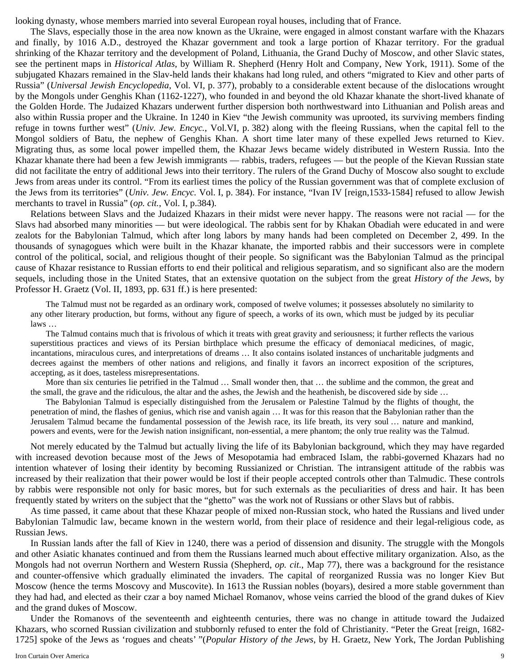looking dynasty, whose members married into several European royal houses, including that of France.

The Slavs, especially those in the area now known as the Ukraine, were engaged in almost constant warfare with the Khazars and finally, by 1016 A.D., destroyed the Khazar government and took a large portion of Khazar territory. For the gradual shrinking of the Khazar territory and the development of Poland, Lithuania, the Grand Duchy of Moscow, and other Slavic states, see the pertinent maps in *Historical Atlas*, by William R. Shepherd (Henry Holt and Company, New York, 1911). Some of the subjugated Khazars remained in the Slav-held lands their khakans had long ruled, and others "migrated to Kiev and other parts of Russia" (*Universal Jewish Encyclopedia*, Vol. VI, p. 377), probably to a considerable extent because of the dislocations wrought by the Mongols under Genghis Khan (1162-1227), who founded in and beyond the old Khazar khanate the short-lived khanate of the Golden Horde. The Judaized Khazars underwent further dispersion both northwestward into Lithuanian and Polish areas and also within Russia proper and the Ukraine. In 1240 in Kiev "the Jewish community was uprooted, its surviving members finding refuge in towns further west" (*Univ. Jew. Encyc.*, Vol.VI, p. 382) along with the fleeing Russians, when the capital fell to the Mongol soldiers of Batu, the nephew of Genghis Khan. A short time later many of these expelled Jews returned to Kiev. Migrating thus, as some local power impelled them, the Khazar Jews became widely distributed in Western Russia. Into the Khazar khanate there had been a few Jewish immigrants — rabbis, traders, refugees — but the people of the Kievan Russian state did not facilitate the entry of additional Jews into their territory. The rulers of the Grand Duchy of Moscow also sought to exclude Jews from areas under its control. "From its earliest times the policy of the Russian government was that of complete exclusion of the Jews from its territories" (*Univ. Jew. Encyc.* Vol. I, p. 384). For instance, "Ivan IV [reign,1533-1584] refused to allow Jewish merchants to travel in Russia" (*op. cit.*, Vol. I, p.384).

Relations between Slavs and the Judaized Khazars in their midst were never happy. The reasons were not racial — for the Slavs had absorbed many minorities — but were ideological. The rabbis sent for by Khakan Obadiah were educated in and were zealots for the Babylonian Talmud, which after long labors by many hands had been completed on December 2, 499. In the thousands of synagogues which were built in the Khazar khanate, the imported rabbis and their successors were in complete control of the political, social, and religious thought of their people. So significant was the Babylonian Talmud as the principal cause of Khazar resistance to Russian efforts to end their political and religious separatism, and so significant also are the modern sequels, including those in the United States, that an extensive quotation on the subject from the great *History of the Jews*, by Professor H. Graetz (Vol. II, 1893, pp. 631 ff.) is here presented:

The Talmud must not be regarded as an ordinary work, composed of twelve volumes; it possesses absolutely no similarity to any other literary production, but forms, without any figure of speech, a works of its own, which must be judged by its peculiar laws …

The Talmud contains much that is frivolous of which it treats with great gravity and seriousness; it further reflects the various superstitious practices and views of its Persian birthplace which presume the efficacy of demoniacal medicines, of magic, incantations, miraculous cures, and interpretations of dreams … It also contains isolated instances of uncharitable judgments and decrees against the members of other nations and religions, and finally it favors an incorrect exposition of the scriptures, accepting, as it does, tasteless misrepresentations.

More than six centuries lie petrified in the Talmud ... Small wonder then, that ... the sublime and the common, the great and the small, the grave and the ridiculous, the altar and the ashes, the Jewish and the heathenish, be discovered side by side …

The Babylonian Talmud is especially distinguished from the Jerusalem or Palestine Talmud by the flights of thought, the penetration of mind, the flashes of genius, which rise and vanish again … It was for this reason that the Babylonian rather than the Jerusalem Talmud became the fundamental possession of the Jewish race, its life breath, its very soul … nature and mankind, powers and events, were for the Jewish nation insignificant, non-essential, a mere phantom; the only true reality was the Talmud.

Not merely educated by the Talmud but actually living the life of its Babylonian background, which they may have regarded with increased devotion because most of the Jews of Mesopotamia had embraced Islam, the rabbi-governed Khazars had no intention whatever of losing their identity by becoming Russianized or Christian. The intransigent attitude of the rabbis was increased by their realization that their power would be lost if their people accepted controls other than Talmudic. These controls by rabbis were responsible not only for basic mores, but for such externals as the peculiarities of dress and hair. It has been frequently stated by writers on the subject that the "ghetto" was the work not of Russians or other Slavs but of rabbis.

As time passed, it came about that these Khazar people of mixed non-Russian stock, who hated the Russians and lived under Babylonian Talmudic law, became known in the western world, from their place of residence and their legal-religious code, as Russian Jews.

In Russian lands after the fall of Kiev in 1240, there was a period of dissension and disunity. The struggle with the Mongols and other Asiatic khanates continued and from them the Russians learned much about effective military organization. Also, as the Mongols had not overrun Northern and Western Russia (Shepherd, *op. cit.*, Map 77), there was a background for the resistance and counter-offensive which gradually eliminated the invaders. The capital of reorganized Russia was no longer Kiev But Moscow (hence the terms Moscovy and Muscovite). In 1613 the Russian nobles (boyars), desired a more stable government than they had had, and elected as their czar a boy named Michael Romanov, whose veins carried the blood of the grand dukes of Kiev and the grand dukes of Moscow.

Under the Romanovs of the seventeenth and eighteenth centuries, there was no change in attitude toward the Judaized Khazars, who scorned Russian civilization and stubbornly refused to enter the fold of Christianity. "Peter the Great [reign, 1682- 1725] spoke of the Jews as 'rogues and cheats' "(*Popular History of the Jews*, by H. Graetz, New York, The Jordan Publishing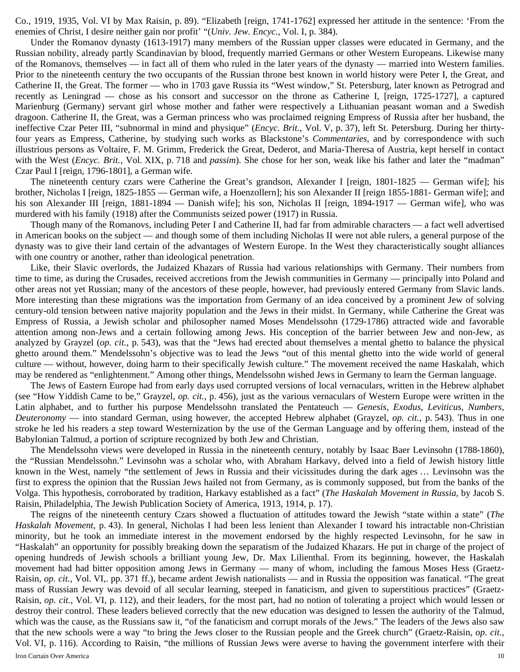Co., 1919, 1935, Vol. VI by Max Raisin, p. 89). "Elizabeth [reign, 1741-1762] expressed her attitude in the sentence: 'From the enemies of Christ, I desire neither gain nor profit' "(*Univ. Jew. Encyc.*, Vol. I, p. 384).

Under the Romanov dynasty (1613-1917) many members of the Russian upper classes were educated in Germany, and the Russian nobility, already partly Scandinavian by blood, frequently married Germans or other Western Europeans. Likewise many of the Romanovs, themselves — in fact all of them who ruled in the later years of the dynasty — married into Western families. Prior to the nineteenth century the two occupants of the Russian throne best known in world history were Peter I, the Great, and Catherine II, the Great. The former — who in 1703 gave Russia its "West window," St. Petersburg, later known as Petrograd and recently as Leningrad — chose as his consort and successor on the throne as Catherine I, [reign, 1725-1727], a captured Marienburg (Germany) servant girl whose mother and father were respectively a Lithuanian peasant woman and a Swedish dragoon. Catherine II, the Great, was a German princess who was proclaimed reigning Empress of Russia after her husband, the ineffective Czar Peter III, "subnormal in mind and physique" (*Encyc. Brit.*, Vol. V, p. 37), left St. Petersburg. During her thirtyfour years as Empress, Catherine, by studying such works as Blackstone's *Commentaries*, and by correspondence with such illustrious persons as Voltaire, F. M. Grimm, Frederick the Great, Dederot, and Maria-Theresa of Austria, kept herself in contact with the West (*Encyc. Brit.*, Vol. XIX, p. 718 and *passim*). She chose for her son, weak like his father and later the "madman" Czar Paul I [reign, 1796-1801], a German wife.

The nineteenth century czars were Catherine the Great's grandson, Alexander I [reign, 1801-1825 — German wife]; his brother, Nicholas I [reign, 1825-1855 — German wife, a Hoenzollern]; his son Alexander II [reign 1855-1881- German wife]; and his son Alexander III [reign, 1881-1894 — Danish wife]; his son, Nicholas II [reign, 1894-1917 — German wife], who was murdered with his family (1918) after the Communists seized power (1917) in Russia.

Though many of the Romanovs, including Peter I and Catherine II, had far from admirable characters — a fact well advertised in American books on the subject — and though some of them including Nicholas II were not able rulers, a general purpose of the dynasty was to give their land certain of the advantages of Western Europe. In the West they characteristically sought alliances with one country or another, rather than ideological penetration.

Like, their Slavic overlords, the Judaized Khazars of Russia had various relationships with Germany. Their numbers from time to time, as during the Crusades, received accretions from the Jewish communities in Germany — principally into Poland and other areas not yet Russian; many of the ancestors of these people, however, had previously entered Germany from Slavic lands. More interesting than these migrations was the importation from Germany of an idea conceived by a prominent Jew of solving century-old tension between native majority population and the Jews in their midst. In Germany, while Catherine the Great was Empress of Russia, a Jewish scholar and philosopher named Moses Mendelssohn (1729-1786) attracted wide and favorable attention among non-Jews and a certain following among Jews. His conception of the barrier between Jew and non-Jew, as analyzed by Grayzel (*op. cit.*, p. 543), was that the "Jews had erected about themselves a mental ghetto to balance the physical ghetto around them." Mendelssohn's objective was to lead the Jews "out of this mental ghetto into the wide world of general culture — without, however, doing harm to their specifically Jewish culture." The movement received the name Haskalah, which may be rendered as "enlightenment." Among other things, Mendelssohn wished Jews in Germany to learn the German language.

The Jews of Eastern Europe had from early days used corrupted versions of local vernaculars, written in the Hebrew alphabet (see "How Yiddish Came to be," Grayzel, *op. cit.*, p. 456), just as the various vernaculars of Western Europe were written in the Latin alphabet, and to further his purpose Mendelssohn translated the Pentateuch — *Genesis*, *Exodus*, *Leviticus*, *Numbers*, *Deuteronomy* — into standard German, using however, the accepted Hebrew alphabet (Grayzel, *op. cit.*, p. 543). Thus in one stroke he led his readers a step toward Westernization by the use of the German Language and by offering them, instead of the Babylonian Talmud, a portion of scripture recognized by both Jew and Christian.

The Mendelssohn views were developed in Russia in the nineteenth century, notably by Isaac Baer Levinsohn (1788-1860), the "Russian Mendelssohn." Levinsohn was a scholar who, with Abraham Harkavy, delved into a field of Jewish history little known in the West, namely "the settlement of Jews in Russia and their vicissitudes during the dark ages … Levinsohn was the first to express the opinion that the Russian Jews hailed not from Germany, as is commonly supposed, but from the banks of the Volga. This hypothesis, corroborated by tradition, Harkavy established as a fact" (*The Haskalah Movement in Russia*, by Jacob S. Raisin, Philadelphia, The Jewish Publication Society of America, 1913, 1914, p. 17).

Iron Curtain Over America 10 The reigns of the nineteenth century Czars showed a fluctuation of attitudes toward the Jewish "state within a state" (*The Haskalah Movement*, p. 43). In general, Nicholas I had been less lenient than Alexander I toward his intractable non-Christian minority, but he took an immediate interest in the movement endorsed by the highly respected Levinsohn, for he saw in "Haskalah" an opportunity for possibly breaking down the separatism of the Judaized Khazars. He put in charge of the project of opening hundreds of Jewish schools a brilliant young Jew, Dr. Max Lilienthal. From its beginning, however, the Haskalah movement had had bitter opposition among Jews in Germany — many of whom, including the famous Moses Hess (Graetz-Raisin, *op. cit.*, Vol. VI,. pp. 371 ff.), became ardent Jewish nationalists — and in Russia the opposition was fanatical. "The great mass of Russian Jewry was devoid of all secular learning, steeped in fanaticism, and given to superstitious practices" (Graetz-Raisin, *op. cit.*, Vol. VI, p. 112), and their leaders, for the most part, had no notion of tolerating a project which would lessen or destroy their control. These leaders believed correctly that the new education was designed to lessen the authority of the Talmud, which was the cause, as the Russians saw it, "of the fanaticism and corrupt morals of the Jews." The leaders of the Jews also saw that the new schools were a way "to bring the Jews closer to the Russian people and the Greek church" (Graetz-Raisin, *op. cit.*, Vol. VI, p. 116). According to Raisin, "the millions of Russian Jews were averse to having the government interfere with their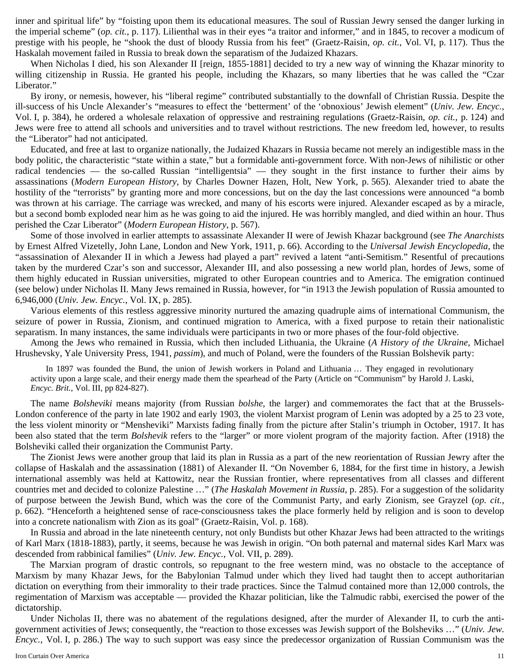inner and spiritual life" by "foisting upon them its educational measures. The soul of Russian Jewry sensed the danger lurking in the imperial scheme" (*op. cit.*, p. 117). Lilienthal was in their eyes "a traitor and informer," and in 1845, to recover a modicum of prestige with his people, he "shook the dust of bloody Russia from his feet" (Graetz-Raisin, *op. cit.*, Vol. VI, p. 117). Thus the Haskalah movement failed in Russia to break down the separatism of the Judaized Khazars.

When Nicholas I died, his son Alexander II [reign, 1855-1881] decided to try a new way of winning the Khazar minority to willing citizenship in Russia. He granted his people, including the Khazars, so many liberties that he was called the "Czar Liberator."

By irony, or nemesis, however, his "liberal regime" contributed substantially to the downfall of Christian Russia. Despite the ill-success of his Uncle Alexander's "measures to effect the 'betterment' of the 'obnoxious' Jewish element" (*Univ. Jew. Encyc.*, Vol. I, p. 384), he ordered a wholesale relaxation of oppressive and restraining regulations (Graetz-Raisin, *op. cit.*, p. 124) and Jews were free to attend all schools and universities and to travel without restrictions. The new freedom led, however, to results the "Liberator" had not anticipated.

Educated, and free at last to organize nationally, the Judaized Khazars in Russia became not merely an indigestible mass in the body politic, the characteristic "state within a state," but a formidable anti-government force. With non-Jews of nihilistic or other radical tendencies — the so-called Russian "intelligentsia" — they sought in the first instance to further their aims by assassinations (*Modern European History*, by Charles Downer Hazen, Holt, New York, p. 565). Alexander tried to abate the hostility of the "terrorists" by granting more and more concessions, but on the day the last concessions were announced "a bomb was thrown at his carriage. The carriage was wrecked, and many of his escorts were injured. Alexander escaped as by a miracle, but a second bomb exploded near him as he was going to aid the injured. He was horribly mangled, and died within an hour. Thus perished the Czar Liberator" (*Modern European History*, p. 567).

Some of those involved in earlier attempts to assassinate Alexander II were of Jewish Khazar background (see *The Anarchists* by Ernest Alfred Vizetelly, John Lane, London and New York, 1911, p. 66). According to the *Universal Jewish Encyclopedia*, the "assassination of Alexander II in which a Jewess had played a part" revived a latent "anti-Semitism." Resentful of precautions taken by the murdered Czar's son and successor, Alexander III, and also possessing a new world plan, hordes of Jews, some of them highly educated in Russian universities, migrated to other European countries and to America. The emigration continued (see below) under Nicholas II. Many Jews remained in Russia, however, for "in 1913 the Jewish population of Russia amounted to 6,946,000 (*Univ. Jew. Encyc.*, Vol. IX, p. 285).

Various elements of this restless aggressive minority nurtured the amazing quadruple aims of international Communism, the seizure of power in Russia, Zionism, and continued migration to America, with a fixed purpose to retain their nationalistic separatism. In many instances, the same individuals were participants in two or more phases of the four-fold objective.

Among the Jews who remained in Russia, which then included Lithuania, the Ukraine (*A History of the Ukraine*, Michael Hrushevsky, Yale University Press, 1941, *passim*), and much of Poland, were the founders of the Russian Bolshevik party:

In 1897 was founded the Bund, the union of Jewish workers in Poland and Lithuania ... They engaged in revolutionary activity upon a large scale, and their energy made them the spearhead of the Party (Article on "Communism" by Harold J. Laski, *Encyc. Brit.*, Vol. III, pp 824-827).

The name *Bolsheviki* means majority (from Russian *bolshe*, the larger) and commemorates the fact that at the Brussels-London conference of the party in late 1902 and early 1903, the violent Marxist program of Lenin was adopted by a 25 to 23 vote, the less violent minority or "Mensheviki" Marxists fading finally from the picture after Stalin's triumph in October, 1917. It has been also stated that the term *Bolshevik* refers to the "larger" or more violent program of the majority faction. After (1918) the Bolsheviki called their organization the Communist Party.

The Zionist Jews were another group that laid its plan in Russia as a part of the new reorientation of Russian Jewry after the collapse of Haskalah and the assassination (1881) of Alexander II. "On November 6, 1884, for the first time in history, a Jewish international assembly was held at Kattowitz, near the Russian frontier, where representatives from all classes and different countries met and decided to colonize Palestine …" (*The Haskalah Movement in Russia*, p. 285). For a suggestion of the solidarity of purpose between the Jewish Bund, which was the core of the Communist Party, and early Zionism, see Grayzel (*op. cit.*, p. 662). "Henceforth a heightened sense of race-consciousness takes the place formerly held by religion and is soon to develop into a concrete nationalism with Zion as its goal" (Graetz-Raisin, Vol. p. 168).

In Russia and abroad in the late nineteenth century, not only Bundists but other Khazar Jews had been attracted to the writings of Karl Marx (1818-1883), partly, it seems, because he was Jewish in origin. "On both paternal and maternal sides Karl Marx was descended from rabbinical families" (*Univ. Jew. Encyc.*, Vol. VII, p. 289).

The Marxian program of drastic controls, so repugnant to the free western mind, was no obstacle to the acceptance of Marxism by many Khazar Jews, for the Babylonian Talmud under which they lived had taught then to accept authoritarian dictation on everything from their immorality to their trade practices. Since the Talmud contained more than 12,000 controls, the regimentation of Marxism was acceptable — provided the Khazar politician, like the Talmudic rabbi, exercised the power of the dictatorship.

Under Nicholas II, there was no abatement of the regulations designed, after the murder of Alexander II, to curb the antigovernment activities of Jews; consequently, the "reaction to those excesses was Jewish support of the Bolsheviks …" (*Univ. Jew. Encyc.*, Vol. I, p. 286.) The way to such support was easy since the predecessor organization of Russian Communism was the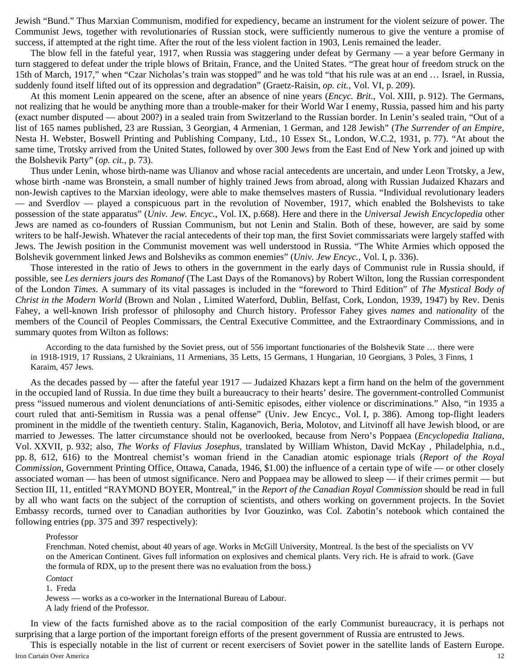Jewish "Bund." Thus Marxian Communism, modified for expediency, became an instrument for the violent seizure of power. The Communist Jews, together with revolutionaries of Russian stock, were sufficiently numerous to give the venture a promise of success, if attempted at the right time. After the rout of the less violent faction in 1903, Lenis remained the leader.

The blow fell in the fateful year, 1917, when Russia was staggering under defeat by Germany — a year before Germany in turn staggered to defeat under the triple blows of Britain, France, and the United States. "The great hour of freedom struck on the 15th of March, 1917," when "Czar Nicholas's train was stopped" and he was told "that his rule was at an end … Israel, in Russia, suddenly found itself lifted out of its oppression and degradation" (Graetz-Raisin, *op. cit.*, Vol. VI, p. 209).

At this moment Lenin appeared on the scene, after an absence of nine years (*Encyc. Brit.*, Vol. XIII, p. 912). The Germans, not realizing that he would be anything more than a trouble-maker for their World War I enemy, Russia, passed him and his party (exact number disputed — about 200?) in a sealed train from Switzerland to the Russian border. In Lenin's sealed train, "Out of a list of 165 names published, 23 are Russian, 3 Georgian, 4 Armenian, 1 German, and 128 Jewish" (*The Surrender of an Empire*, Nesta H. Webster, Boswell Printing and Publishing Company, Ltd., 10 Essex St., London, W.C.2, 1931, p. 77). "At about the same time, Trotsky arrived from the United States, followed by over 300 Jews from the East End of New York and joined up with the Bolshevik Party" (*op. cit.*, p. 73).

Thus under Lenin, whose birth-name was Ulianov and whose racial antecedents are uncertain, and under Leon Trotsky, a Jew, whose birth -name was Bronstein, a small number of highly trained Jews from abroad, along with Russian Judaized Khazars and non-Jewish captives to the Marxian ideology, were able to make themselves masters of Russia. "Individual revolutionary leaders — and Sverdlov — played a conspicuous part in the revolution of November, 1917, which enabled the Bolshevists to take possession of the state apparatus" (*Univ. Jew. Encyc.*, Vol. IX, p.668). Here and there in the *Universal Jewish Encyclopedia* other Jews are named as co-founders of Russian Communism, but not Lenin and Stalin. Both of these, however, are said by some writers to be half-Jewish. Whatever the racial antecedents of their top man, the first Soviet commissariats were largely staffed with Jews. The Jewish position in the Communist movement was well understood in Russia. "The White Armies which opposed the Bolshevik government linked Jews and Bolsheviks as common enemies" (*Univ. Jew Encyc.*, Vol. I, p. 336).

Those interested in the ratio of Jews to others in the government in the early days of Communist rule in Russia should, if possible, see *Les derniers jours des Romanof* (The Last Days of the Romanovs) by Robert Wilton, long the Russian correspondent of the London *Times*. A summary of its vital passages is included in the "foreword to Third Edition" of *The Mystical Body of Christ in the Modern World* (Brown and Nolan , Limited Waterford, Dublin, Belfast, Cork, London, 1939, 1947) by Rev. Denis Fahey, a well-known Irish professor of philosophy and Church history. Professor Fahey gives *names* and *nationality* of the members of the Council of Peoples Commissars, the Central Executive Committee, and the Extraordinary Commissions, and in summary quotes from Wilton as follows:

According to the data furnished by the Soviet press, out of 556 important functionaries of the Bolshevik State … there were in 1918-1919, 17 Russians, 2 Ukrainians, 11 Armenians, 35 Letts, 15 Germans, 1 Hungarian, 10 Georgians, 3 Poles, 3 Finns, 1 Karaim, 457 Jews.

As the decades passed by — after the fateful year 1917 — Judaized Khazars kept a firm hand on the helm of the government in the occupied land of Russia. In due time they built a bureaucracy to their hearts' desire. The government-controlled Communist press "issued numerous and violent denunciations of anti-Semitic episodes, either violence or discriminations." Also, "in 1935 a court ruled that anti-Semitism in Russia was a penal offense" (Univ. Jew Encyc., Vol. I, p. 386). Among top-flight leaders prominent in the middle of the twentieth century. Stalin, Kaganovich, Beria, Molotov, and Litvinoff all have Jewish blood, or are married to Jewesses. The latter circumstance should not be overlooked, because from Nero's Poppaea (*Encyclopedia Italiana*, Vol. XXVII, p. 932; also, *The Works of Flavius Josephus*, translated by William Whiston, David McKay , Philadelphia, n.d., pp. 8, 612, 616) to the Montreal chemist's woman friend in the Canadian atomic espionage trials (*Report of the Royal Commission*, Government Printing Office, Ottawa, Canada, 1946, \$1.00) the influence of a certain type of wife — or other closely associated woman — has been of utmost significance. Nero and Poppaea may be allowed to sleep — if their crimes permit — but Section III, 11, entitled "RAYMOND BOYER, Montreal," in the *Report of the Canadian Royal Commission* should be read in full by all who want facts on the subject of the corruption of scientists, and others working on government projects. In the Soviet Embassy records, turned over to Canadian authorities by Ivor Gouzinko, was Col. Zabotin's notebook which contained the following entries (pp. 375 and 397 respectively):

#### Professor

Frenchman. Noted chemist, about 40 years of age. Works in McGill University, Montreal. Is the best of the specialists on VV on the American Continent. Gives full information on explosives and chemical plants. Very rich. He is afraid to work. (Gave the formula of RDX, up to the present there was no evaluation from the boss.)

#### *Contact*

1. Freda

Jewess — works as a co-worker in the International Bureau of Labour.

A lady friend of the Professor.

In view of the facts furnished above as to the racial composition of the early Communist bureaucracy, it is perhaps not surprising that a large portion of the important foreign efforts of the present government of Russia are entrusted to Jews.

Iron Curtain Over America 12 This is especially notable in the list of current or recent exercisers of Soviet power in the satellite lands of Eastern Europe.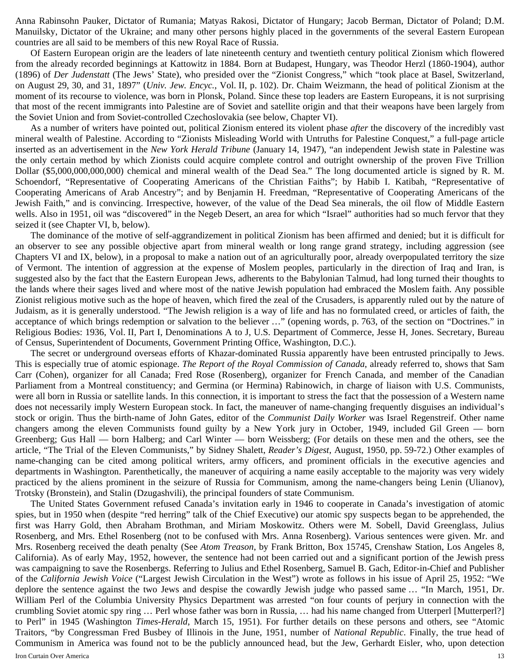Anna Rabinsohn Pauker, Dictator of Rumania; Matyas Rakosi, Dictator of Hungary; Jacob Berman, Dictator of Poland; D.M. Manuilsky, Dictator of the Ukraine; and many other persons highly placed in the governments of the several Eastern European countries are all said to be members of this new Royal Race of Russia.

Of Eastern European origin are the leaders of late nineteenth century and twentieth century political Zionism which flowered from the already recorded beginnings at Kattowitz in 1884. Born at Budapest, Hungary, was Theodor Herzl (1860-1904), author (1896) of *Der Judenstatt* (The Jews' State), who presided over the "Zionist Congress," which "took place at Basel, Switzerland, on August 29, 30, and 31, 1897" (*Univ. Jew. Encyc.*, Vol. II, p. 102). Dr. Chaim Weizmann, the head of political Zionism at the moment of its recourse to violence, was born in Plonsk, Poland. Since these top leaders are Eastern Europeans, it is not surprising that most of the recent immigrants into Palestine are of Soviet and satellite origin and that their weapons have been largely from the Soviet Union and from Soviet-controlled Czechoslovakia (see below, Chapter VI).

As a number of writers have pointed out, political Zionism entered its violent phase *after* the discovery of the incredibly vast mineral wealth of Palestine. According to "Zionists Misleading World with Untruths for Palestine Conquest," a full-page article inserted as an advertisement in the *New York Herald Tribune* (January 14, 1947), "an independent Jewish state in Palestine was the only certain method by which Zionists could acquire complete control and outright ownership of the proven Five Trillion Dollar (\$5,000,000,000,000) chemical and mineral wealth of the Dead Sea." The long documented article is signed by R. M. Schoendorf, "Representative of Cooperating Americans of the Christian Faiths"; by Habib I. Katibah, "Representative of Cooperating Americans of Arab Ancestry"; and by Benjamin H. Freedman, "Representative of Cooperating Americans of the Jewish Faith," and is convincing. Irrespective, however, of the value of the Dead Sea minerals, the oil flow of Middle Eastern wells. Also in 1951, oil was "discovered" in the Negeb Desert, an area for which "Israel" authorities had so much fervor that they seized it (see Chapter VI, b, below).

The dominance of the motive of self-aggrandizement in political Zionism has been affirmed and denied; but it is difficult for an observer to see any possible objective apart from mineral wealth or long range grand strategy, including aggression (see Chapters VI and IX, below), in a proposal to make a nation out of an agriculturally poor, already overpopulated territory the size of Vermont. The intention of aggression at the expense of Moslem peoples, particularly in the direction of Iraq and Iran, is suggested also by the fact that the Eastern European Jews, adherents to the Babylonian Talmud, had long turned their thoughts to the lands where their sages lived and where most of the native Jewish population had embraced the Moslem faith. Any possible Zionist religious motive such as the hope of heaven, which fired the zeal of the Crusaders, is apparently ruled out by the nature of Judaism, as it is generally understood. "The Jewish religion is a way of life and has no formulated creed, or articles of faith, the acceptance of which brings redemption or salvation to the believer …" (opening words, p. 763, of the section on "Doctrines." in Religious Bodies: 1936, Vol. II, Part I, Denominations A to J, U.S. Department of Commerce, Jesse H, Jones. Secretary, Bureau of Census, Superintendent of Documents, Government Printing Office, Washington, D.C.).

The secret or underground overseas efforts of Khazar-dominated Russia apparently have been entrusted principally to Jews. This is especially true of atomic espionage. *The Report of the Royal Commission of Canada*, already referred to, shows that Sam Carr (Cohen), organizer for all Canada; Fred Rose (Rosenberg), organizer for French Canada, and member of the Canadian Parliament from a Montreal constituency; and Germina (or Hermina) Rabinowich, in charge of liaison with U.S. Communists, were all born in Russia or satellite lands. In this connection, it is important to stress the fact that the possession of a Western name does not necessarily imply Western European stock. In fact, the maneuver of name-changing frequently disguises an individual's stock or origin. Thus the birth-name of John Gates, editor of the *Communist Daily Worker* was Israel Regenstreif. Other name changers among the eleven Communists found guilty by a New York jury in October, 1949, included Gil Green — born Greenberg; Gus Hall — born Halberg; and Carl Winter — born Weissberg; (For details on these men and the others, see the article, "The Trial of the Eleven Communists," by Sidney Shalett, *Reader's Digest*, August, 1950, pp. 59-72.) Other examples of name-changing can be cited among political writers, army officers, and prominent officials in the executive agencies and departments in Washington. Parenthetically, the maneuver of acquiring a name easily acceptable to the majority was very widely practiced by the aliens prominent in the seizure of Russia for Communism, among the name-changers being Lenin (Ulianov), Trotsky (Bronstein), and Stalin (Dzugashvili), the principal founders of state Communism.

Iron Curtain Over America 13 The United States Government refused Canada's invitation early in 1946 to cooperate in Canada's investigation of atomic spies, but in 1950 when (despite "red herring" talk of the Chief Executive) our atomic spy suspects began to be apprehended, the first was Harry Gold, then Abraham Brothman, and Miriam Moskowitz. Others were M. Sobell, David Greenglass, Julius Rosenberg, and Mrs. Ethel Rosenberg (not to be confused with Mrs. Anna Rosenberg). Various sentences were given. Mr. and Mrs. Rosenberg received the death penalty (See *Atom Treason*, by Frank Britton, Box 15745, Crenshaw Station, Los Angeles 8, California). As of early May, 1952, however, the sentence had not been carried out and a significant portion of the Jewish press was campaigning to save the Rosenbergs. Referring to Julius and Ethel Rosenberg, Samuel B. Gach, Editor-in-Chief and Publisher of the *California Jewish Voice* ("Largest Jewish Circulation in the West") wrote as follows in his issue of April 25, 1952: "We deplore the sentence against the two Jews and despise the cowardly Jewish judge who passed same … "In March, 1951, Dr. William Perl of the Columbia University Physics Department was arrested "on four counts of perjury in connection with the crumbling Soviet atomic spy ring … Perl whose father was born in Russia, … had his name changed from Utterperl [Mutterperl?] to Perl" in 1945 (Washington *Times-Herald*, March 15, 1951). For further details on these persons and others, see "Atomic Traitors, "by Congressman Fred Busbey of Illinois in the June, 1951, number of *National Republic*. Finally, the true head of Communism in America was found not to be the publicly announced head, but the Jew, Gerhardt Eisler, who, upon detection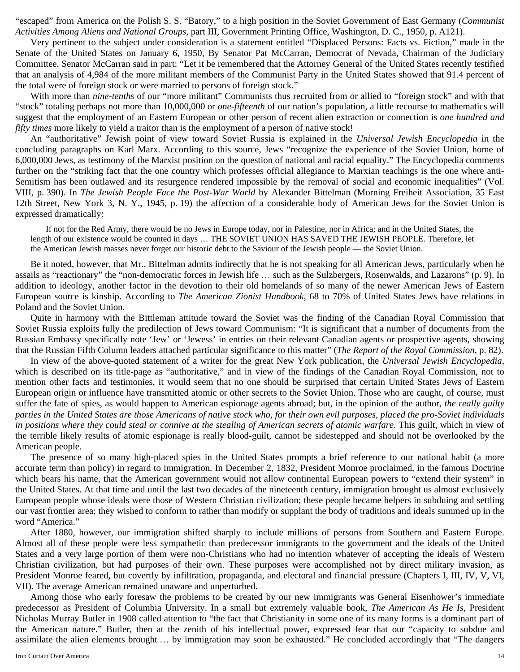"escaped" from America on the Polish S. S. "Batory," to a high position in the Soviet Government of East Germany (*Communist Activities Among Aliens and National Groups*, part III, Government Printing Office, Washington, D. C., 1950, p. A121).

Very pertinent to the subject under consideration is a statement entitled "Displaced Persons: Facts vs. Fiction," made in the Senate of the United States on January 6, 1950, By Senator Pat McCarran, Democrat of Nevada, Chairman of the Judiciary Committee. Senator McCarran said in part: "Let it be remembered that the Attorney General of the United States recently testified that an analysis of 4,984 of the more militant members of the Communist Party in the United States showed that 91.4 percent of the total were of foreign stock or were married to persons of foreign stock."

With more than *nine-tenths* of our "more militant" Communists thus recruited from or allied to "foreign stock" and with that "stock" totaling perhaps not more than 10,000,000 or *one-fifteenth* of our nation's population, a little recourse to mathematics will suggest that the employment of an Eastern European or other person of recent alien extraction or connection is *one hundred and fifty times* more likely to yield a traitor than is the employment of a person of native stock!

An "authoritative" Jewish point of view toward Soviet Russia is explained in the *Universal Jewish Encyclopedia* in the concluding paragraphs on Karl Marx. According to this source, Jews "recognize the experience of the Soviet Union, home of 6,000,000 Jews, as testimony of the Marxist position on the question of national and racial equality." The Encyclopedia comments further on the "striking fact that the one country which professes official allegiance to Marxian teachings is the one where anti-Semitism has been outlawed and its resurgence rendered impossible by the removal of social and economic inequalities" (Vol. VIII, p. 390). In *The Jewish People Face the Post-War World* by Alexander Bittelman (Morning Freiheit Association, 35 East 12th Street, New York 3, N. Y., 1945, p. 19) the affection of a considerable body of American Jews for the Soviet Union is expressed dramatically:

If not for the Red Army, there would be no Jews in Europe today, nor in Palestine, nor in Africa; and in the United States, the length of our existence would be counted in days … THE SOVIET UNION HAS SAVED THE JEWISH PEOPLE. Therefore, let the American Jewish masses never forget our historic debt to the Saviour of the Jewish people — the Soviet Union.

Be it noted, however, that Mr.. Bittelman admits indirectly that he is not speaking for all American Jews, particularly when he assails as "reactionary" the "non-democratic forces in Jewish life … such as the Sulzbergers, Rosenwalds, and Lazarons" (p. 9). In addition to ideology, another factor in the devotion to their old homelands of so many of the newer American Jews of Eastern European source is kinship. According to *The American Zionist Handbook*, 68 to 70% of United States Jews have relations in Poland and the Soviet Union.

Quite in harmony with the Bittleman attitude toward the Soviet was the finding of the Canadian Royal Commission that Soviet Russia exploits fully the predilection of Jews toward Communism: "It is significant that a number of documents from the Russian Embassy specifically note 'Jew' or 'Jewess' in entries on their relevant Canadian agents or prospective agents, showing that the Russian Fifth Column leaders attached particular significance to this matter" (*The Report of the Royal Commission*, p. 82).

In view of the above-quoted statement of a writer for the great New York publication, the *Universal Jewish Encyclopedia*, which is described on its title-page as "authoritative," and in view of the findings of the Canadian Royal Commission, not to mention other facts and testimonies, it would seem that no one should be surprised that certain United States Jews of Eastern European origin or influence have transmitted atomic or other secrets to the Soviet Union. Those who are caught, of course, must suffer the fate of spies, as would happen to American espionage agents abroad; but, in the opinion of the author, *the really guilty parties in the United States are those Americans of native stock who, for their own evil purposes, placed the pro-Soviet individuals in positions where they could steal or connive at the stealing of American secrets of atomic warfare*. This guilt, which in view of the terrible likely results of atomic espionage is really blood-guilt, cannot be sidestepped and should not be overlooked by the American people.

The presence of so many high-placed spies in the United States prompts a brief reference to our national habit (a more accurate term than policy) in regard to immigration. In December 2, 1832, President Monroe proclaimed, in the famous Doctrine which bears his name, that the American government would not allow continental European powers to "extend their system" in the United States. At that time and until the last two decades of the nineteenth century, immigration brought us almost exclusively European people whose ideals were those of Western Christian civilization; these people became helpers in subduing and settling our vast frontier area; they wished to conform to rather than modify or supplant the body of traditions and ideals summed up in the word "America."

After 1880, however, our immigration shifted sharply to include millions of persons from Southern and Eastern Europe. Almost all of these people were less sympathetic than predecessor immigrants to the government and the ideals of the United States and a very large portion of them were non-Christians who had no intention whatever of accepting the ideals of Western Christian civilization, but had purposes of their own. These purposes were accomplished not by direct military invasion, as President Monroe feared, but covertly by infiltration, propaganda, and electoral and financial pressure (Chapters I, III, IV, V, VI, VII). The average American remained unaware and unperturbed.

Among those who early foresaw the problems to be created by our new immigrants was General Eisenhower's immediate predecessor as President of Columbia University. In a small but extremely valuable book, *The American As He Is*, President Nicholas Murray Butler in 1908 called attention to "the fact that Christianity in some one of its many forms is a dominant part of the American nature." Butler, then at the zenith of his intellectual power, expressed fear that our "capacity to subdue and assimilate the alien elements brought … by immigration may soon be exhausted." He concluded accordingly that "The dangers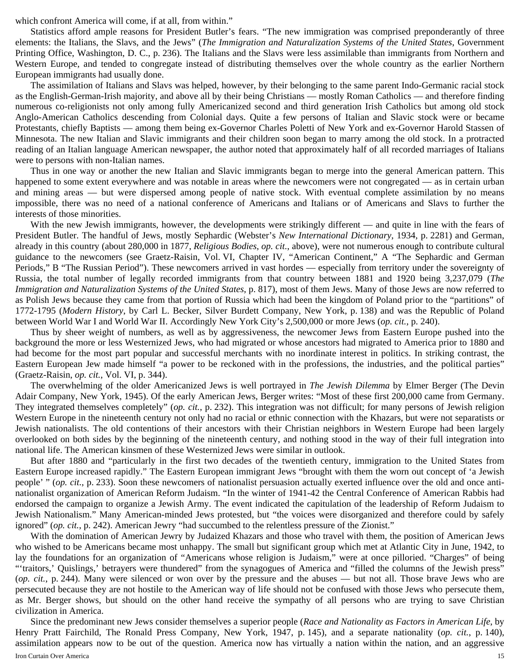which confront America will come, if at all, from within."

Statistics afford ample reasons for President Butler's fears. "The new immigration was comprised preponderantly of three elements: the Italians, the Slavs, and the Jews" (*The Immigration and Naturalization Systems of the United States*, Government Printing Office, Washington, D. C., p. 236). The Italians and the Slavs were less assimilable than immigrants from Northern and Western Europe, and tended to congregate instead of distributing themselves over the whole country as the earlier Northern European immigrants had usually done.

The assimilation of Italians and Slavs was helped, however, by their belonging to the same parent Indo-Germanic racial stock as the English-German-Irish majority, and above all by their being Christians — mostly Roman Catholics — and therefore finding numerous co-religionists not only among fully Americanized second and third generation Irish Catholics but among old stock Anglo-American Catholics descending from Colonial days. Quite a few persons of Italian and Slavic stock were or became Protestants, chiefly Baptists — among them being ex-Governor Charles Poletti of New York and ex-Governor Harold Stassen of Minnesota. The new Italian and Slavic immigrants and their children soon began to marry among the old stock. In a protracted reading of an Italian language American newspaper, the author noted that approximately half of all recorded marriages of Italians were to persons with non-Italian names.

Thus in one way or another the new Italian and Slavic immigrants began to merge into the general American pattern. This happened to some extent everywhere and was notable in areas where the newcomers were not congregated — as in certain urban and mining areas — but were dispersed among people of native stock. With eventual complete assimilation by no means impossible, there was no need of a national conference of Americans and Italians or of Americans and Slavs to further the interests of those minorities.

With the new Jewish immigrants, however, the developments were strikingly different — and quite in line with the fears of President Butler. The handful of Jews, mostly Sephardic (Webster's *New International Dictionary*, 1934, p. 2281) and German, already in this country (about 280,000 in 1877, *Religious Bodies*, *op. cit.*, above), were not numerous enough to contribute cultural guidance to the newcomers (see Graetz-Raisin, Vol. VI, Chapter IV, "American Continent," A "The Sephardic and German Periods," B "The Russian Period"). These newcomers arrived in vast hordes — especially from territory under the sovereignty of Russia, the total number of legally recorded immigrants from that country between 1881 and 1920 being 3,237,079 (*The Immigration and Naturalization Systems of the United States*, p. 817), most of them Jews. Many of those Jews are now referred to as Polish Jews because they came from that portion of Russia which had been the kingdom of Poland prior to the "partitions" of 1772-1795 (*Modern History*, by Carl L. Becker, Silver Burdett Company, New York, p. 138) and was the Republic of Poland between World War I and World War II. Accordingly New York City's 2,500,000 or more Jews (*op. cit.*, p. 240).

Thus by sheer weight of numbers, as well as by aggressiveness, the newcomer Jews from Eastern Europe pushed into the background the more or less Westernized Jews, who had migrated or whose ancestors had migrated to America prior to 1880 and had become for the most part popular and successful merchants with no inordinate interest in politics. In striking contrast, the Eastern European Jew made himself "a power to be reckoned with in the professions, the industries, and the political parties" (Graetz-Raisin, *op. cit.*, Vol. VI, p. 344).

The overwhelming of the older Americanized Jews is well portrayed in *The Jewish Dilemma* by Elmer Berger (The Devin Adair Company, New York, 1945). Of the early American Jews, Berger writes: "Most of these first 200,000 came from Germany. They integrated themselves completely" (*op. cit.*, p. 232). This integration was not difficult; for many persons of Jewish religion Western Europe in the nineteenth century not only had no racial or ethnic connection with the Khazars, but were not separatists or Jewish nationalists. The old contentions of their ancestors with their Christian neighbors in Western Europe had been largely overlooked on both sides by the beginning of the nineteenth century, and nothing stood in the way of their full integration into national life. The American kinsmen of these Westernized Jews were similar in outlook.

But after 1880 and "particularly in the first two decades of the twentieth century, immigration to the United States from Eastern Europe increased rapidly." The Eastern European immigrant Jews "brought with them the worn out concept of 'a Jewish people' " (*op. cit.*, p. 233). Soon these newcomers of nationalist persuasion actually exerted influence over the old and once antinationalist organization of American Reform Judaism. "In the winter of 1941-42 the Central Conference of American Rabbis had endorsed the campaign to organize a Jewish Army. The event indicated the capitulation of the leadership of Reform Judaism to Jewish Nationalism." Many American-minded Jews protested, but "the voices were disorganized and therefore could by safely ignored" (*op. cit.*, p. 242). American Jewry "had succumbed to the relentless pressure of the Zionist."

With the domination of American Jewry by Judaized Khazars and those who travel with them, the position of American Jews who wished to be Americans became most unhappy. The small but significant group which met at Atlantic City in June, 1942, to lay the foundations for an organization of "Americans whose religion is Judaism," were at once pilloried. "Charges" of being "'traitors,' Quislings,' betrayers were thundered" from the synagogues of America and "filled the columns of the Jewish press" (*op. cit.*, p. 244). Many were silenced or won over by the pressure and the abuses — but not all. Those brave Jews who are persecuted because they are not hostile to the American way of life should not be confused with those Jews who persecute them, as Mr. Berger shows, but should on the other hand receive the sympathy of all persons who are trying to save Christian civilization in America.

Iron Curtain Over America 15 Since the predominant new Jews consider themselves a superior people (*Race and Nationality as Factors in American Life*, by Henry Pratt Fairchild, The Ronald Press Company, New York, 1947, p. 145), and a separate nationality (*op. cit.*, p. 140), assimilation appears now to be out of the question. America now has virtually a nation within the nation, and an aggressive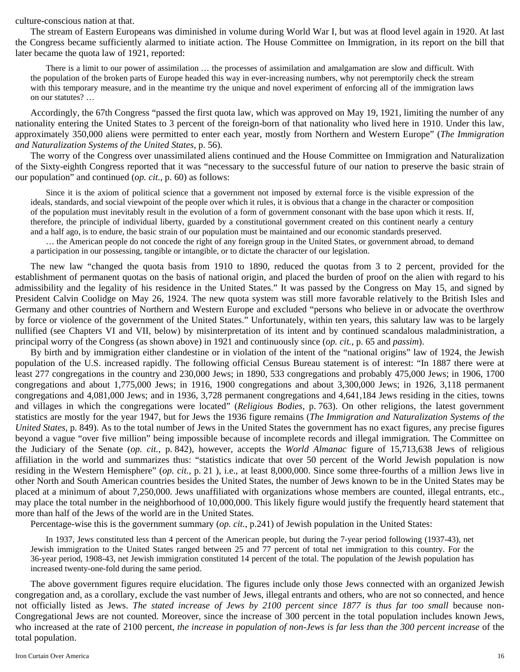culture-conscious nation at that.

The stream of Eastern Europeans was diminished in volume during World War I, but was at flood level again in 1920. At last the Congress became sufficiently alarmed to initiate action. The House Committee on Immigration, in its report on the bill that later became the quota law of 1921, reported:

There is a limit to our power of assimilation … the processes of assimilation and amalgamation are slow and difficult. With the population of the broken parts of Europe headed this way in ever-increasing numbers, why not peremptorily check the stream with this temporary measure, and in the meantime try the unique and novel experiment of enforcing all of the immigration laws on our statutes? …

Accordingly, the 67th Congress "passed the first quota law, which was approved on May 19, 1921, limiting the number of any nationality entering the United States to 3 percent of the foreign-born of that nationality who lived here in 1910. Under this law, approximately 350,000 aliens were permitted to enter each year, mostly from Northern and Western Europe" (*The Immigration and Naturalization Systems of the United States*, p. 56).

The worry of the Congress over unassimilated aliens continued and the House Committee on Immigration and Naturalization of the Sixty-eighth Congress reported that it was "necessary to the successful future of our nation to preserve the basic strain of our population" and continued (*op. cit.*, p. 60) as follows:

Since it is the axiom of political science that a government not imposed by external force is the visible expression of the ideals, standards, and social viewpoint of the people over which it rules, it is obvious that a change in the character or composition of the population must inevitably result in the evolution of a form of government consonant with the base upon which it rests. If, therefore, the principle of individual liberty, guarded by a constitutional government created on this continent nearly a century and a half ago, is to endure, the basic strain of our population must be maintained and our economic standards preserved.

… the American people do not concede the right of any foreign group in the United States, or government abroad, to demand a participation in our possessing, tangible or intangible, or to dictate the character of our legislation.

The new law "changed the quota basis from 1910 to 1890, reduced the quotas from 3 to 2 percent, provided for the establishment of permanent quotas on the basis of national origin, and placed the burden of proof on the alien with regard to his admissibility and the legality of his residence in the United States." It was passed by the Congress on May 15, and signed by President Calvin Coolidge on May 26, 1924. The new quota system was still more favorable relatively to the British Isles and Germany and other countries of Northern and Western Europe and excluded "persons who believe in or advocate the overthrow by force or violence of the government of the United States." Unfortunately, within ten years, this salutary law was to be largely nullified (see Chapters VI and VII, below) by misinterpretation of its intent and by continued scandalous maladministration, a principal worry of the Congress (as shown above) in 1921 and continuously since (*op. cit.*, p. 65 and *passim*).

By birth and by immigration either clandestine or in violation of the intent of the "national origins" law of 1924, the Jewish population of the U.S. increased rapidly. The following official Census Bureau statement is of interest: "In 1887 there were at least 277 congregations in the country and 230,000 Jews; in 1890, 533 congregations and probably 475,000 Jews; in 1906, 1700 congregations and about 1,775,000 Jews; in 1916, 1900 congregations and about 3,300,000 Jews; in 1926, 3,118 permanent congregations and 4,081,000 Jews; and in 1936, 3,728 permanent congregations and 4,641,184 Jews residing in the cities, towns and villages in which the congregations were located" (*Religious Bodies*, p. 763). On other religions, the latest government statistics are mostly for the year 1947, but for Jews the 1936 figure remains (*The Immigration and Naturalization Systems of the United States*, p. 849). As to the total number of Jews in the United States the government has no exact figures, any precise figures beyond a vague "over five million" being impossible because of incomplete records and illegal immigration. The Committee on the Judiciary of the Senate (*op. cit.*, p. 842), however, accepts the *World Almanac* figure of 15,713,638 Jews of religious affiliation in the world and summarizes thus: "statistics indicate that over 50 percent of the World Jewish population is now residing in the Western Hemisphere" (*op. cit.*, p. 21 ), i.e., at least 8,000,000. Since some three-fourths of a million Jews live in other North and South American countries besides the United States, the number of Jews known to be in the United States may be placed at a minimum of about 7,250,000. Jews unaffiliated with organizations whose members are counted, illegal entrants, etc., may place the total number in the neighborhood of 10,000,000. This likely figure would justify the frequently heard statement that more than half of the Jews of the world are in the United States.

Percentage-wise this is the government summary (*op. cit.*, p.241) of Jewish population in the United States:

In 1937, Jews constituted less than 4 percent of the American people, but during the 7-year period following (1937-43), net Jewish immigration to the United States ranged between 25 and 77 percent of total net immigration to this country. For the 36-year period, 1908-43, net Jewish immigration constituted 14 percent of the total. The population of the Jewish population has increased twenty-one-fold during the same period.

The above government figures require elucidation. The figures include only those Jews connected with an organized Jewish congregation and, as a corollary, exclude the vast number of Jews, illegal entrants and others, who are not so connected, and hence not officially listed as Jews. *The stated increase of Jews by 2100 percent since 1877 is thus far too small* because non-Congregational Jews are not counted. Moreover, since the increase of 300 percent in the total population includes known Jews, who increased at the rate of 2100 percent, *the increase in population of non-Jews is far less than the 300 percent increase* of the total population.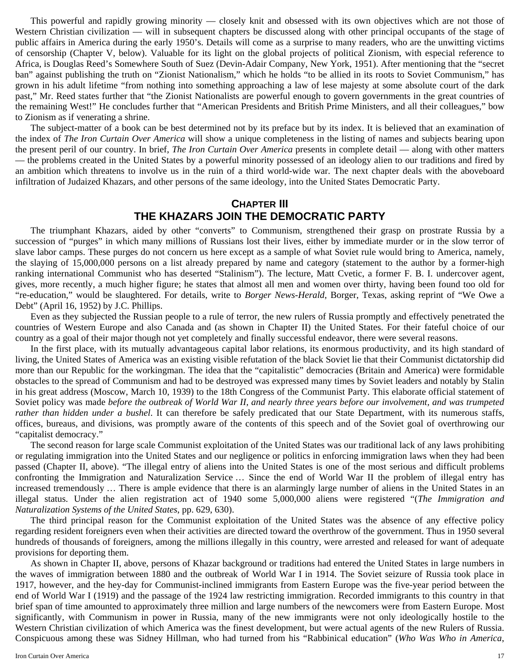This powerful and rapidly growing minority — closely knit and obsessed with its own objectives which are not those of Western Christian civilization — will in subsequent chapters be discussed along with other principal occupants of the stage of public affairs in America during the early 1950's. Details will come as a surprise to many readers, who are the unwitting victims of censorship (Chapter V, below). Valuable for its light on the global projects of political Zionism, with especial reference to Africa, is Douglas Reed's Somewhere South of Suez (Devin-Adair Company, New York, 1951). After mentioning that the "secret ban" against publishing the truth on "Zionist Nationalism," which he holds "to be allied in its roots to Soviet Communism," has grown in his adult lifetime "from nothing into something approaching a law of lese majesty at some absolute court of the dark past," Mr. Reed states further that "the Zionist Nationalists are powerful enough to govern governments in the great countries of the remaining West!" He concludes further that "American Presidents and British Prime Ministers, and all their colleagues," bow to Zionism as if venerating a shrine.

The subject-matter of a book can be best determined not by its preface but by its index. It is believed that an examination of the index of *The Iron Curtain Over America* will show a unique completeness in the listing of names and subjects bearing upon the present peril of our country. In brief, *The Iron Curtain Over America* presents in complete detail — along with other matters — the problems created in the United States by a powerful minority possessed of an ideology alien to our traditions and fired by an ambition which threatens to involve us in the ruin of a third world-wide war. The next chapter deals with the aboveboard infiltration of Judaized Khazars, and other persons of the same ideology, into the United States Democratic Party.

## **CHAPTER III THE KHAZARS JOIN THE DEMOCRATIC PARTY**

The triumphant Khazars, aided by other "converts" to Communism, strengthened their grasp on prostrate Russia by a succession of "purges" in which many millions of Russians lost their lives, either by immediate murder or in the slow terror of slave labor camps. These purges do not concern us here except as a sample of what Soviet rule would bring to America, namely, the slaying of 15,000,000 persons on a list already prepared by name and category (statement to the author by a former-high ranking international Communist who has deserted "Stalinism"). The lecture, Matt Cvetic, a former F. B. I. undercover agent, gives, more recently, a much higher figure; he states that almost all men and women over thirty, having been found too old for "re-education," would be slaughtered. For details, write to *Borger News-Herald*, Borger, Texas, asking reprint of "We Owe a Debt" (April 16, 1952) by J.C. Phillips.

Even as they subjected the Russian people to a rule of terror, the new rulers of Russia promptly and effectively penetrated the countries of Western Europe and also Canada and (as shown in Chapter II) the United States. For their fateful choice of our country as a goal of their major though not yet completely and finally successful endeavor, there were several reasons.

In the first place, with its mutually advantageous capital labor relations, its enormous productivity, and its high standard of living, the United States of America was an existing visible refutation of the black Soviet lie that their Communist dictatorship did more than our Republic for the workingman. The idea that the "capitalistic" democracies (Britain and America) were formidable obstacles to the spread of Communism and had to be destroyed was expressed many times by Soviet leaders and notably by Stalin in his great address (Moscow, March 10, 1939) to the 18th Congress of the Communist Party. This elaborate official statement of Soviet policy was made *before the outbreak of World War II, and nearly three years before our involvement, and was trumpeted rather than hidden under a bushel*. It can therefore be safely predicated that our State Department, with its numerous staffs, offices, bureaus, and divisions, was promptly aware of the contents of this speech and of the Soviet goal of overthrowing our "capitalist democracy."

The second reason for large scale Communist exploitation of the United States was our traditional lack of any laws prohibiting or regulating immigration into the United States and our negligence or politics in enforcing immigration laws when they had been passed (Chapter II, above). "The illegal entry of aliens into the United States is one of the most serious and difficult problems confronting the Immigration and Naturalization Service … Since the end of World War II the problem of illegal entry has increased tremendously … There is ample evidence that there is an alarmingly large number of aliens in the United States in an illegal status. Under the alien registration act of 1940 some 5,000,000 aliens were registered "(*The Immigration and Naturalization Systems of the United States*, pp. 629, 630).

The third principal reason for the Communist exploitation of the United States was the absence of any effective policy regarding resident foreigners even when their activities are directed toward the overthrow of the government. Thus in 1950 several hundreds of thousands of foreigners, among the millions illegally in this country, were arrested and released for want of adequate provisions for deporting them.

As shown in Chapter II, above, persons of Khazar background or traditions had entered the United States in large numbers in the waves of immigration between 1880 and the outbreak of World War I in 1914. The Soviet seizure of Russia took place in 1917, however, and the hey-day for Communist-inclined immigrants from Eastern Europe was the five-year period between the end of World War I (1919) and the passage of the 1924 law restricting immigration. Recorded immigrants to this country in that brief span of time amounted to approximately three million and large numbers of the newcomers were from Eastern Europe. Most significantly, with Communism in power in Russia, many of the new immigrants were not only ideologically hostile to the Western Christian civilization of which America was the finest development, but were actual agents of the new Rulers of Russia. Conspicuous among these was Sidney Hillman, who had turned from his "Rabbinical education" (*Who Was Who in America*,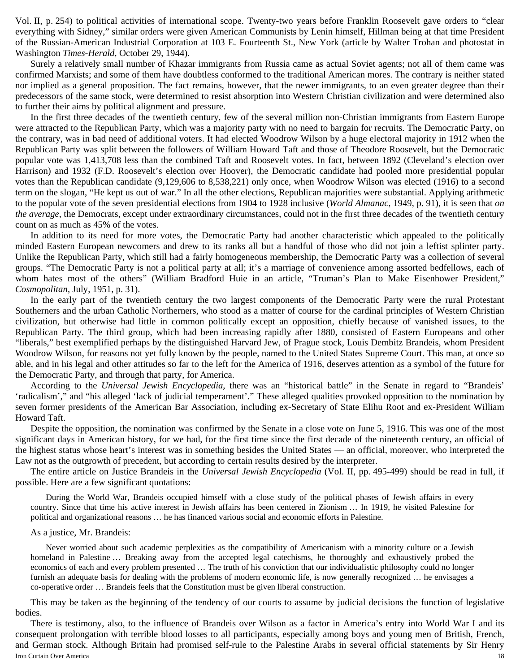Vol. II, p. 254) to political activities of international scope. Twenty-two years before Franklin Roosevelt gave orders to "clear everything with Sidney," similar orders were given American Communists by Lenin himself, Hillman being at that time President of the Russian-American Industrial Corporation at 103 E. Fourteenth St., New York (article by Walter Trohan and photostat in Washington *Times-Herald*, October 29, 1944).

Surely a relatively small number of Khazar immigrants from Russia came as actual Soviet agents; not all of them came was confirmed Marxists; and some of them have doubtless conformed to the traditional American mores. The contrary is neither stated nor implied as a general proposition. The fact remains, however, that the newer immigrants, to an even greater degree than their predecessors of the same stock, were determined to resist absorption into Western Christian civilization and were determined also to further their aims by political alignment and pressure.

In the first three decades of the twentieth century, few of the several million non-Christian immigrants from Eastern Europe were attracted to the Republican Party, which was a majority party with no need to bargain for recruits. The Democratic Party, on the contrary, was in bad need of additional voters. It had elected Woodrow Wilson by a huge electoral majority in 1912 when the Republican Party was split between the followers of William Howard Taft and those of Theodore Roosevelt, but the Democratic popular vote was 1,413,708 less than the combined Taft and Roosevelt votes. In fact, between 1892 (Cleveland's election over Harrison) and 1932 (F.D. Roosevelt's election over Hoover), the Democratic candidate had pooled more presidential popular votes than the Republican candidate (9,129,606 to 8,538,221) only once, when Woodrow Wilson was elected (1916) to a second term on the slogan, "He kept us out of war." In all the other elections, Republican majorities were substantial. Applying arithmetic to the popular vote of the seven presidential elections from 1904 to 1928 inclusive (*World Almanac*, 1949, p. 91), it is seen that *on the average*, the Democrats, except under extraordinary circumstances, could not in the first three decades of the twentieth century count on as much as 45% of the votes.

In addition to its need for more votes, the Democratic Party had another characteristic which appealed to the politically minded Eastern European newcomers and drew to its ranks all but a handful of those who did not join a leftist splinter party. Unlike the Republican Party, which still had a fairly homogeneous membership, the Democratic Party was a collection of several groups. "The Democratic Party is not a political party at all; it's a marriage of convenience among assorted bedfellows, each of whom hates most of the others" (William Bradford Huie in an article, "Truman's Plan to Make Eisenhower President," *Cosmopolitan*, July, 1951, p. 31).

In the early part of the twentieth century the two largest components of the Democratic Party were the rural Protestant Southerners and the urban Catholic Northerners, who stood as a matter of course for the cardinal principles of Western Christian civilization, but otherwise had little in common politically except an opposition, chiefly because of vanished issues, to the Republican Party. The third group, which had been increasing rapidly after 1880, consisted of Eastern Europeans and other "liberals," best exemplified perhaps by the distinguished Harvard Jew, of Prague stock, Louis Dembitz Brandeis, whom President Woodrow Wilson, for reasons not yet fully known by the people, named to the United States Supreme Court. This man, at once so able, and in his legal and other attitudes so far to the left for the America of 1916, deserves attention as a symbol of the future for the Democratic Party, and through that party, for America.

According to the *Universal Jewish Encyclopedia*, there was an "historical battle" in the Senate in regard to "Brandeis' 'radicalism'," and "his alleged 'lack of judicial temperament'." These alleged qualities provoked opposition to the nomination by seven former presidents of the American Bar Association, including ex-Secretary of State Elihu Root and ex-President William Howard Taft.

Despite the opposition, the nomination was confirmed by the Senate in a close vote on June 5, 1916. This was one of the most significant days in American history, for we had, for the first time since the first decade of the nineteenth century, an official of the highest status whose heart's interest was in something besides the United States — an official, moreover, who interpreted the Law not as the outgrowth of precedent, but according to certain results desired by the interpreter.

The entire article on Justice Brandeis in the *Universal Jewish Encyclopedia* (Vol. II, pp. 495-499) should be read in full, if possible. Here are a few significant quotations:

During the World War, Brandeis occupied himself with a close study of the political phases of Jewish affairs in every country. Since that time his active interest in Jewish affairs has been centered in Zionism … In 1919, he visited Palestine for political and organizational reasons … he has financed various social and economic efforts in Palestine.

#### As a justice, Mr. Brandeis:

Never worried about such academic perplexities as the compatibility of Americanism with a minority culture or a Jewish homeland in Palestine … Breaking away from the accepted legal catechisms, he thoroughly and exhaustively probed the economics of each and every problem presented … The truth of his conviction that our individualistic philosophy could no longer furnish an adequate basis for dealing with the problems of modern economic life, is now generally recognized … he envisages a co-operative order … Brandeis feels that the Constitution must be given liberal construction.

This may be taken as the beginning of the tendency of our courts to assume by judicial decisions the function of legislative bodies.

Iron Curtain Over America 18 There is testimony, also, to the influence of Brandeis over Wilson as a factor in America's entry into World War I and its consequent prolongation with terrible blood losses to all participants, especially among boys and young men of British, French, and German stock. Although Britain had promised self-rule to the Palestine Arabs in several official statements by Sir Henry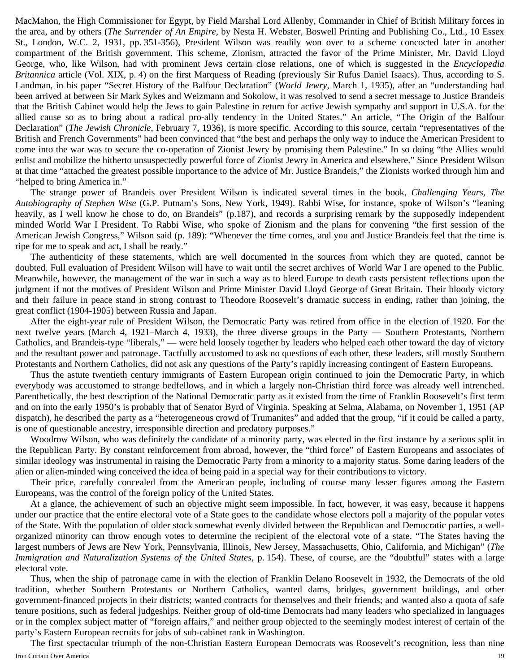MacMahon, the High Commissioner for Egypt, by Field Marshal Lord Allenby, Commander in Chief of British Military forces in the area, and by others (*The Surrender of An Empire*, by Nesta H. Webster, Boswell Printing and Publishing Co., Ltd., 10 Essex St., London, W.C. 2, 1931, pp. 351-356), President Wilson was readily won over to a scheme concocted later in another compartment of the British government. This scheme, Zionism, attracted the favor of the Prime Minister, Mr. David Lloyd George, who, like Wilson, had with prominent Jews certain close relations, one of which is suggested in the *Encyclopedia Britannica* article (Vol. XIX, p. 4) on the first Marquess of Reading (previously Sir Rufus Daniel Isaacs). Thus, according to S. Landman, in his paper "Secret History of the Balfour Declaration" (*World Jewry*, March 1, 1935), after an "understanding had been arrived at between Sir Mark Sykes and Weizmann and Sokolow, it was resolved to send a secret message to Justice Brandeis that the British Cabinet would help the Jews to gain Palestine in return for active Jewish sympathy and support in U.S.A. for the allied cause so as to bring about a radical pro-ally tendency in the United States." An article, "The Origin of the Balfour Declaration" (*The Jewish Chronicle*, February 7, 1936), is more specific. According to this source, certain "representatives of the British and French Governments" had been convinced that "the best and perhaps the only way to induce the American President to come into the war was to secure the co-operation of Zionist Jewry by promising them Palestine." In so doing "the Allies would enlist and mobilize the hitherto unsuspectedly powerful force of Zionist Jewry in America and elsewhere." Since President Wilson at that time "attached the greatest possible importance to the advice of Mr. Justice Brandeis," the Zionists worked through him and "helped to bring America in."

The strange power of Brandeis over President Wilson is indicated several times in the book, *Challenging Years, The Autobiography of Stephen Wise* (G.P. Putnam's Sons, New York, 1949). Rabbi Wise, for instance, spoke of Wilson's "leaning heavily, as I well know he chose to do, on Brandeis" (p.187), and records a surprising remark by the supposedly independent minded World War I President. To Rabbi Wise, who spoke of Zionism and the plans for convening "the first session of the American Jewish Congress," Wilson said (p. 189): "Whenever the time comes, and you and Justice Brandeis feel that the time is ripe for me to speak and act, I shall be ready."

The authenticity of these statements, which are well documented in the sources from which they are quoted, cannot be doubted. Full evaluation of President Wilson will have to wait until the secret archives of World War I are opened to the Public. Meanwhile, however, the management of the war in such a way as to bleed Europe to death casts persistent reflections upon the judgment if not the motives of President Wilson and Prime Minister David Lloyd George of Great Britain. Their bloody victory and their failure in peace stand in strong contrast to Theodore Roosevelt's dramatic success in ending, rather than joining, the great conflict (1904-1905) between Russia and Japan.

After the eight-year rule of President Wilson, the Democratic Party was retired from office in the election of 1920. For the next twelve years (March 4, 1921–March 4, 1933), the three diverse groups in the Party — Southern Protestants, Northern Catholics, and Brandeis-type "liberals," — were held loosely together by leaders who helped each other toward the day of victory and the resultant power and patronage. Tactfully accustomed to ask no questions of each other, these leaders, still mostly Southern Protestants and Northern Catholics, did not ask any questions of the Party's rapidly increasing contingent of Eastern Europeans.

Thus the astute twentieth century immigrants of Eastern European origin continued to join the Democratic Party, in which everybody was accustomed to strange bedfellows, and in which a largely non-Christian third force was already well intrenched. Parenthetically, the best description of the National Democratic party as it existed from the time of Franklin Roosevelt's first term and on into the early 1950's is probably that of Senator Byrd of Virginia. Speaking at Selma, Alabama, on November 1, 1951 (AP dispatch), he described the party as a "heterogeneous crowd of Trumanites" and added that the group, "if it could be called a party, is one of questionable ancestry, irresponsible direction and predatory purposes."

Woodrow Wilson, who was definitely the candidate of a minority party, was elected in the first instance by a serious split in the Republican Party. By constant reinforcement from abroad, however, the "third force" of Eastern Europeans and associates of similar ideology was instrumental in raising the Democratic Party from a minority to a majority status. Some daring leaders of the alien or alien-minded wing conceived the idea of being paid in a special way for their contributions to victory.

Their price, carefully concealed from the American people, including of course many lesser figures among the Eastern Europeans, was the control of the foreign policy of the United States.

At a glance, the achievement of such an objective might seem impossible. In fact, however, it was easy, because it happens under our practice that the entire electoral vote of a State goes to the candidate whose electors poll a majority of the popular votes of the State. With the population of older stock somewhat evenly divided between the Republican and Democratic parties, a wellorganized minority can throw enough votes to determine the recipient of the electoral vote of a state. "The States having the largest numbers of Jews are New York, Pennsylvania, Illinois, New Jersey, Massachusetts, Ohio, California, and Michigan" (*The Immigration and Naturalization Systems of the United States*, p. 154). These, of course, are the "doubtful" states with a large electoral vote.

Thus, when the ship of patronage came in with the election of Franklin Delano Roosevelt in 1932, the Democrats of the old tradition, whether Southern Protestants or Northern Catholics, wanted dams, bridges, government buildings, and other government-financed projects in their districts; wanted contracts for themselves and their friends; and wanted also a quota of safe tenure positions, such as federal judgeships. Neither group of old-time Democrats had many leaders who specialized in languages or in the complex subject matter of "foreign affairs," and neither group objected to the seemingly modest interest of certain of the party's Eastern European recruits for jobs of sub-cabinet rank in Washington.

Iron Curtain Over America 19 The first spectacular triumph of the non-Christian Eastern European Democrats was Roosevelt's recognition, less than nine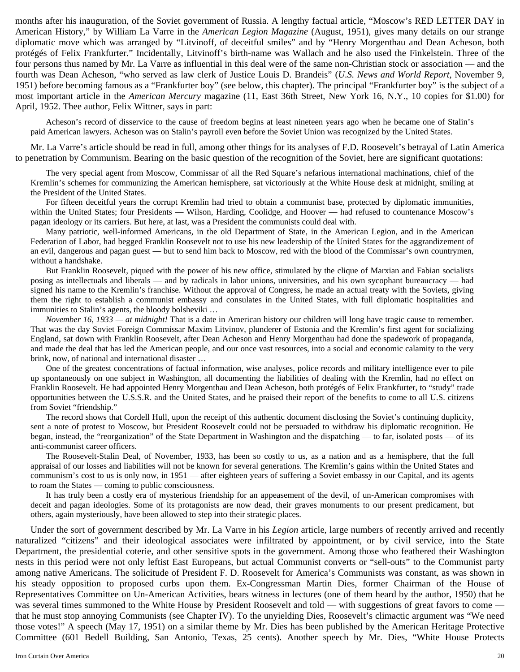months after his inauguration, of the Soviet government of Russia. A lengthy factual article, "Moscow's RED LETTER DAY in American History," by William La Varre in the *American Legion Magazine* (August, 1951), gives many details on our strange diplomatic move which was arranged by "Litvinoff, of deceitful smiles" and by "Henry Morgenthau and Dean Acheson, both protégés of Felix Frankfurter." Incidentally, Litvinoff's birth-name was Wallach and he also used the Finkelstein. Three of the four persons thus named by Mr. La Varre as influential in this deal were of the same non-Christian stock or association — and the fourth was Dean Acheson, "who served as law clerk of Justice Louis D. Brandeis" (*U.S. News and World Report*, November 9, 1951) before becoming famous as a "Frankfurter boy" (see below, this chapter). The principal "Frankfurter boy" is the subject of a most important article in the *American Mercury* magazine (11, East 36th Street, New York 16, N.Y., 10 copies for \$1.00) for April, 1952. Thee author, Felix Wittner, says in part:

Acheson's record of disservice to the cause of freedom begins at least nineteen years ago when he became one of Stalin's paid American lawyers. Acheson was on Stalin's payroll even before the Soviet Union was recognized by the United States.

Mr. La Varre's article should be read in full, among other things for its analyses of F.D. Roosevelt's betrayal of Latin America to penetration by Communism. Bearing on the basic question of the recognition of the Soviet, here are significant quotations:

The very special agent from Moscow, Commissar of all the Red Square's nefarious international machinations, chief of the Kremlin's schemes for communizing the American hemisphere, sat victoriously at the White House desk at midnight, smiling at the President of the United States.

For fifteen deceitful years the corrupt Kremlin had tried to obtain a communist base, protected by diplomatic immunities, within the United States; four Presidents — Wilson, Harding, Coolidge, and Hoover — had refused to countenance Moscow's pagan ideology or its carriers. But here, at last, was a President the communists could deal with.

Many patriotic, well-informed Americans, in the old Department of State, in the American Legion, and in the American Federation of Labor, had begged Franklin Roosevelt not to use his new leadership of the United States for the aggrandizement of an evil, dangerous and pagan guest — but to send him back to Moscow, red with the blood of the Commissar's own countrymen, without a handshake.

But Franklin Roosevelt, piqued with the power of his new office, stimulated by the clique of Marxian and Fabian socialists posing as intellectuals and liberals — and by radicals in labor unions, universities, and his own sycophant bureaucracy — had signed his name to the Kremlin's franchise. Without the approval of Congress, he made an actual treaty with the Soviets, giving them the right to establish a communist embassy and consulates in the United States, with full diplomatic hospitalities and immunities to Stalin's agents, the bloody bolsheviki …

*November 16, 1933 — at midnight!* That is a date in American history our children will long have tragic cause to remember. That was the day Soviet Foreign Commissar Maxim Litvinov, plunderer of Estonia and the Kremlin's first agent for socializing England, sat down with Franklin Roosevelt, after Dean Acheson and Henry Morgenthau had done the spadework of propaganda, and made the deal that has led the American people, and our once vast resources, into a social and economic calamity to the very brink, now, of national and international disaster …

One of the greatest concentrations of factual information, wise analyses, police records and military intelligence ever to pile up spontaneously on one subject in Washington, all documenting the liabilities of dealing with the Kremlin, had no effect on Franklin Roosevelt. He had appointed Henry Morgenthau and Dean Acheson, both protégés of Felix Frankfurter, to "study" trade opportunities between the U.S.S.R. and the United States, and he praised their report of the benefits to come to all U.S. citizens from Soviet "friendship."

The record shows that Cordell Hull, upon the receipt of this authentic document disclosing the Soviet's continuing duplicity, sent a note of protest to Moscow, but President Roosevelt could not be persuaded to withdraw his diplomatic recognition. He began, instead, the "reorganization" of the State Department in Washington and the dispatching — to far, isolated posts — of its anti-communist career officers.

The Roosevelt-Stalin Deal, of November, 1933, has been so costly to us, as a nation and as a hemisphere, that the full appraisal of our losses and liabilities will not be known for several generations. The Kremlin's gains within the United States and communism's cost to us is only now, in 1951 — after eighteen years of suffering a Soviet embassy in our Capital, and its agents to roam the States — coming to public consciousness.

It has truly been a costly era of mysterious friendship for an appeasement of the devil, of un-American compromises with deceit and pagan ideologies. Some of its protagonists are now dead, their graves monuments to our present predicament, but others, again mysteriously, have been allowed to step into their strategic places.

Under the sort of government described by Mr. La Varre in his *Legion* article, large numbers of recently arrived and recently naturalized "citizens" and their ideological associates were infiltrated by appointment, or by civil service, into the State Department, the presidential coterie, and other sensitive spots in the government. Among those who feathered their Washington nests in this period were not only leftist East Europeans, but actual Communist converts or "sell-outs" to the Communist party among native Americans. The solicitude of President F. D. Roosevelt for America's Communists was constant, as was shown in his steady opposition to proposed curbs upon them. Ex-Congressman Martin Dies, former Chairman of the House of Representatives Committee on Un-American Activities, bears witness in lectures (one of them heard by the author, 1950) that he was several times summoned to the White House by President Roosevelt and told — with suggestions of great favors to come that he must stop annoying Communists (see Chapter IV). To the unyielding Dies, Roosevelt's climactic argument was "We need those votes!" A speech (May 17, 1951) on a similar theme by Mr. Dies has been published by the American Heritage Protective Committee (601 Bedell Building, San Antonio, Texas, 25 cents). Another speech by Mr. Dies, "White House Protects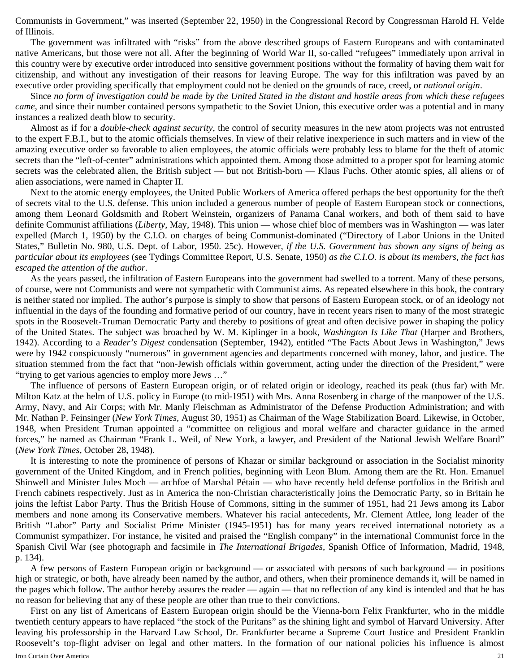Communists in Government," was inserted (September 22, 1950) in the Congressional Record by Congressman Harold H. Velde of Illinois.

The government was infiltrated with "risks" from the above described groups of Eastern Europeans and with contaminated native Americans, but those were not all. After the beginning of World War II, so-called "refugees" immediately upon arrival in this country were by executive order introduced into sensitive government positions without the formality of having them wait for citizenship, and without any investigation of their reasons for leaving Europe. The way for this infiltration was paved by an executive order providing specifically that employment could not be denied on the grounds of race, creed, or *national origin*.

Since *no form of investigation could be made by the United Stated in the distant and hostile areas from which these refugees came*, and since their number contained persons sympathetic to the Soviet Union, this executive order was a potential and in many instances a realized death blow to security.

Almost as if for a *double-check against security*, the control of security measures in the new atom projects was not entrusted to the expert F.B.I., but to the atomic officials themselves. In view of their relative inexperience in such matters and in view of the amazing executive order so favorable to alien employees, the atomic officials were probably less to blame for the theft of atomic secrets than the "left-of-center" administrations which appointed them. Among those admitted to a proper spot for learning atomic secrets was the celebrated alien, the British subject — but not British-born — Klaus Fuchs. Other atomic spies, all aliens or of alien associations, were named in Chapter II.

Next to the atomic energy employees, the United Public Workers of America offered perhaps the best opportunity for the theft of secrets vital to the U.S. defense. This union included a generous number of people of Eastern European stock or connections, among them Leonard Goldsmith and Robert Weinstein, organizers of Panama Canal workers, and both of them said to have definite Communist affiliations (*Liberty*, May, 1948). This union — whose chief bloc of members was in Washington — was later expelled (March 1, 1950) by the C.I.O. on charges of being Communist-dominated ("Directory of Labor Unions in the United States," Bulletin No. 980, U.S. Dept. of Labor, 1950. 25c). However, *if the U.S. Government has shown any signs of being as particular about its employees* (see Tydings Committee Report, U.S. Senate, 1950) *as the C.I.O. is about its members, the fact has escaped the attention of the author*.

As the years passed, the infiltration of Eastern Europeans into the government had swelled to a torrent. Many of these persons, of course, were not Communists and were not sympathetic with Communist aims. As repeated elsewhere in this book, the contrary is neither stated nor implied. The author's purpose is simply to show that persons of Eastern European stock, or of an ideology not influential in the days of the founding and formative period of our country, have in recent years risen to many of the most strategic spots in the Roosevelt-Truman Democratic Party and thereby to positions of great and often decisive power in shaping the policy of the United States. The subject was broached by W. M. Kiplinger in a book, *Washington Is Like That* (Harper and Brothers, 1942). According to a *Reader's Digest* condensation (September, 1942), entitled "The Facts About Jews in Washington," Jews were by 1942 conspicuously "numerous" in government agencies and departments concerned with money, labor, and justice. The situation stemmed from the fact that "non-Jewish officials within government, acting under the direction of the President," were "trying to get various agencies to employ more Jews …"

The influence of persons of Eastern European origin, or of related origin or ideology, reached its peak (thus far) with Mr. Milton Katz at the helm of U.S. policy in Europe (to mid-1951) with Mrs. Anna Rosenberg in charge of the manpower of the U.S. Army, Navy, and Air Corps; with Mr. Manly Fleischman as Administrator of the Defense Production Administration; and with Mr. Nathan P. Feinsinger (*New York Times*, August 30, 1951) as Chairman of the Wage Stabilization Board. Likewise, in October, 1948, when President Truman appointed a "committee on religious and moral welfare and character guidance in the armed forces," he named as Chairman "Frank L. Weil, of New York, a lawyer, and President of the National Jewish Welfare Board" (*New York Times*, October 28, 1948).

It is interesting to note the prominence of persons of Khazar or similar background or association in the Socialist minority government of the United Kingdom, and in French polities, beginning with Leon Blum. Among them are the Rt. Hon. Emanuel Shinwell and Minister Jules Moch — archfoe of Marshal Pétain — who have recently held defense portfolios in the British and French cabinets respectively. Just as in America the non-Christian characteristically joins the Democratic Party, so in Britain he joins the leftist Labor Party. Thus the British House of Commons, sitting in the summer of 1951, had 21 Jews among its Labor members and none among its Conservative members. Whatever his racial antecedents, Mr. Clement Attlee, long leader of the British "Labor" Party and Socialist Prime Minister (1945-1951) has for many years received international notoriety as a Communist sympathizer. For instance, he visited and praised the "English company" in the international Communist force in the Spanish Civil War (see photograph and facsimile in *The International Brigades*, Spanish Office of Information, Madrid, 1948, p. 134).

A few persons of Eastern European origin or background — or associated with persons of such background — in positions high or strategic, or both, have already been named by the author, and others, when their prominence demands it, will be named in the pages which follow. The author hereby assures the reader — again — that no reflection of any kind is intended and that he has no reason for believing that any of these people are other than true to their convictions.

Iron Curtain Over America 21 First on any list of Americans of Eastern European origin should be the Vienna-born Felix Frankfurter, who in the middle twentieth century appears to have replaced "the stock of the Puritans" as the shining light and symbol of Harvard University. After leaving his professorship in the Harvard Law School, Dr. Frankfurter became a Supreme Court Justice and President Franklin Roosevelt's top-flight adviser on legal and other matters. In the formation of our national policies his influence is almost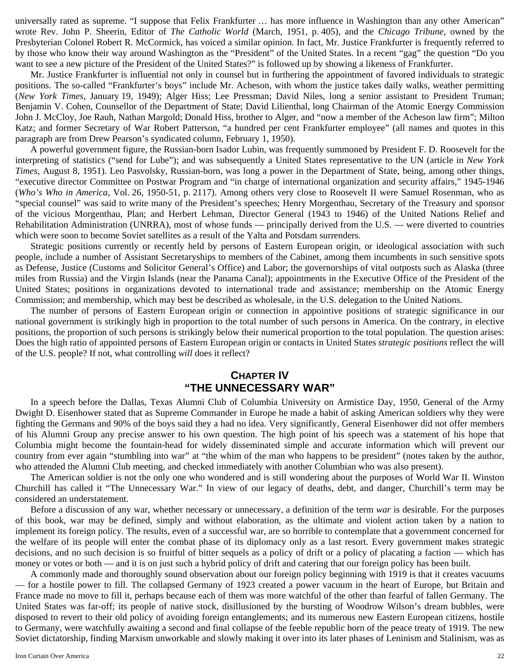universally rated as supreme. "I suppose that Felix Frankfurter … has more influence in Washington than any other American" wrote Rev. John P. Sheerin, Editor of *The Catholic World* (March, 1951, p. 405), and the *Chicago Tribune*, owned by the Presbyterian Colonel Robert R. McCormick, has voiced a similar opinion. In fact, Mr. Justice Frankfurter is frequently referred to by those who know their way around Washington as the "President" of the United States. In a recent "gag" the question "Do you want to see a new picture of the President of the United States?" is followed up by showing a likeness of Frankfurter.

Mr. Justice Frankfurter is influential not only in counsel but in furthering the appointment of favored individuals to strategic positions. The so-called "Frankfurter's boys" include Mr. Acheson, with whom the justice takes daily walks, weather permitting (*New York Times*, January 19, 1949); Alger Hiss; Lee Pressman; David Niles, long a senior assistant to President Truman; Benjamin V. Cohen, Counsellor of the Department of State; David Lilienthal, long Chairman of the Atomic Energy Commission John J. McCloy, Joe Rauh, Nathan Margold; Donald Hiss, brother to Alger, and "now a member of the Acheson law firm"; Milton Katz; and former Secretary of War Robert Patterson, "a hundred per cent Frankfurter employee" (all names and quotes in this paragraph are from Drew Pearson's syndicated column, February 1, 1950).

A powerful government figure, the Russian-born Isador Lubin, was frequently summoned by President F. D. Roosevelt for the interpreting of statistics ("send for Lube"); and was subsequently a United States representative to the UN (article in *New York Times*, August 8, 1951). Leo Pasvolsky, Russian-born, was long a power in the Department of State, being, among other things, "executive director Committee on Postwar Program and "in charge of international organization and security affairs," 1945-1946 (*Who's Who in America*, Vol. 26, 1950-51, p. 2117). Among others very close to Roosevelt II were Samuel Rosenman, who as "special counsel" was said to write many of the President's speeches; Henry Morgenthau, Secretary of the Treasury and sponsor of the vicious Morgenthau, Plan; and Herbert Lehman, Director General (1943 to 1946) of the United Nations Relief and Rehabilitation Administration (UNRRA), most of whose funds — principally derived from the U.S. — were diverted to countries which were soon to become Soviet satellites as a result of the Yalta and Potsdam surrenders.

Strategic positions currently or recently held by persons of Eastern European origin, or ideological association with such people, include a number of Assistant Secretaryships to members of the Cabinet, among them incumbents in such sensitive spots as Defense, Justice (Customs and Solicitor General's Office) and Labor; the governorships of vital outposts such as Alaska (three miles from Russia) and the Virgin Islands (near the Panama Canal); appointments in the Executive Office of the President of the United States; positions in organizations devoted to international trade and assistance; membership on the Atomic Energy Commission; and membership, which may best be described as wholesale, in the U.S. delegation to the United Nations.

The number of persons of Eastern European origin or connection in appointive positions of strategic significance in our national government is strikingly high in proportion to the total number of such persons in America. On the contrary, in elective positions, the proportion of such persons is strikingly below their numerical proportion to the total population. The question arises: Does the high ratio of appointed persons of Eastern European origin or contacts in United States *strategic positions* reflect the will of the U.S. people? If not, what controlling *will* does it reflect?

# **CHAPTER IV "THE UNNECESSARY WAR"**

In a speech before the Dallas, Texas Alumni Club of Columbia University on Armistice Day, 1950, General of the Army Dwight D. Eisenhower stated that as Supreme Commander in Europe he made a habit of asking American soldiers why they were fighting the Germans and 90% of the boys said they a had no idea. Very significantly, General Eisenhower did not offer members of his Alumni Group any precise answer to his own question. The high point of his speech was a statement of his hope that Columbia might become the fountain-head for widely disseminated simple and accurate information which will prevent our country from ever again "stumbling into war" at "the whim of the man who happens to be president" (notes taken by the author, who attended the Alumni Club meeting, and checked immediately with another Columbian who was also present).

The American soldier is not the only one who wondered and is still wondering about the purposes of World War II. Winston Churchill has called it "The Unnecessary War." In view of our legacy of deaths, debt, and danger, Churchill's term may be considered an understatement.

Before a discussion of any war, whether necessary or unnecessary, a definition of the term *war* is desirable. For the purposes of this book, war may be defined, simply and without elaboration, as the ultimate and violent action taken by a nation to implement its foreign policy. The results, even of a successful war, are so horrible to contemplate that a government concerned for the welfare of its people will enter the combat phase of its diplomacy only as a last resort. Every government makes strategic decisions, and no such decision is so fruitful of bitter sequels as a policy of drift or a policy of placating a faction — which has money or votes or both — and it is on just such a hybrid policy of drift and catering that our foreign policy has been built.

A commonly made and thoroughly sound observation about our foreign policy beginning with 1919 is that it creates vacuums — for a hostile power to fill. The collapsed Germany of 1923 created a power vacuum in the heart of Europe, but Britain and France made no move to fill it, perhaps because each of them was more watchful of the other than fearful of fallen Germany. The United States was far-off; its people of native stock, disillusioned by the bursting of Woodrow Wilson's dream bubbles, were disposed to revert to their old policy of avoiding foreign entanglements; and its numerous new Eastern European citizens, hostile to Germany, were watchfully awaiting a second and final collapse of the feeble republic born of the peace treaty of 1919. The new Soviet dictatorship, finding Marxism unworkable and slowly making it over into its later phases of Leninism and Stalinism, was as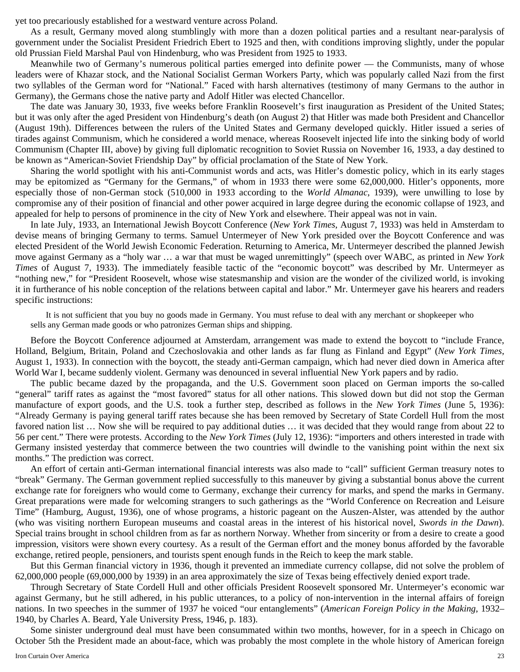yet too precariously established for a westward venture across Poland.

As a result, Germany moved along stumblingly with more than a dozen political parties and a resultant near-paralysis of government under the Socialist President Friedrich Ebert to 1925 and then, with conditions improving slightly, under the popular old Prussian Field Marshal Paul von Hindenburg, who was President from 1925 to 1933.

Meanwhile two of Germany's numerous political parties emerged into definite power — the Communists, many of whose leaders were of Khazar stock, and the National Socialist German Workers Party, which was popularly called Nazi from the first two syllables of the German word for "National." Faced with harsh alternatives (testimony of many Germans to the author in Germany), the Germans chose the native party and Adolf Hitler was elected Chancellor.

The date was January 30, 1933, five weeks before Franklin Roosevelt's first inauguration as President of the United States; but it was only after the aged President von Hindenburg's death (on August 2) that Hitler was made both President and Chancellor (August 19th). Differences between the rulers of the United States and Germany developed quickly. Hitler issued a series of tirades against Communism, which he considered a world menace, whereas Roosevelt injected life into the sinking body of world Communism (Chapter III, above) by giving full diplomatic recognition to Soviet Russia on November 16, 1933, a day destined to be known as "American-Soviet Friendship Day" by official proclamation of the State of New York.

Sharing the world spotlight with his anti-Communist words and acts, was Hitler's domestic policy, which in its early stages may be epitomized as "Germany for the Germans," of whom in 1933 there were some 62,000,000. Hitler's opponents, more especially those of non-German stock (510,000 in 1933 according to the *World Almanac*, 1939), were unwilling to lose by compromise any of their position of financial and other power acquired in large degree during the economic collapse of 1923, and appealed for help to persons of prominence in the city of New York and elsewhere. Their appeal was not in vain.

In late July, 1933, an International Jewish Boycott Conference (*New York Times*, August 7, 1933) was held in Amsterdam to devise means of bringing Germany to terms. Samuel Untermeyer of New York presided over the Boycott Conference and was elected President of the World Jewish Economic Federation. Returning to America, Mr. Untermeyer described the planned Jewish move against Germany as a "holy war … a war that must be waged unremittingly" (speech over WABC, as printed in *New York Times* of August 7, 1933). The immediately feasible tactic of the "economic boycott" was described by Mr. Untermeyer as "nothing new," for "President Roosevelt, whose wise statesmanship and vision are the wonder of the civilized world, is invoking it in furtherance of his noble conception of the relations between capital and labor." Mr. Untermeyer gave his hearers and readers specific instructions:

It is not sufficient that you buy no goods made in Germany. You must refuse to deal with any merchant or shopkeeper who sells any German made goods or who patronizes German ships and shipping.

Before the Boycott Conference adjourned at Amsterdam, arrangement was made to extend the boycott to "include France, Holland, Belgium, Britain, Poland and Czechoslovakia and other lands as far flung as Finland and Egypt" (*New York Times*, August 1, 1933). In connection with the boycott, the steady anti-German campaign, which had never died down in America after World War I, became suddenly violent. Germany was denounced in several influential New York papers and by radio.

The public became dazed by the propaganda, and the U.S. Government soon placed on German imports the so-called "general" tariff rates as against the "most favored" status for all other nations. This slowed down but did not stop the German manufacture of export goods, and the U.S. took a further step, described as follows in the *New York Times* (June 5, 1936): "Already Germany is paying general tariff rates because she has been removed by Secretary of State Cordell Hull from the most favored nation list … Now she will be required to pay additional duties … it was decided that they would range from about 22 to 56 per cent." There were protests. According to the *New York Times* (July 12, 1936): "importers and others interested in trade with Germany insisted yesterday that commerce between the two countries will dwindle to the vanishing point within the next six months." The prediction was correct.

An effort of certain anti-German international financial interests was also made to "call" sufficient German treasury notes to "break" Germany. The German government replied successfully to this maneuver by giving a substantial bonus above the current exchange rate for foreigners who would come to Germany, exchange their currency for marks, and spend the marks in Germany. Great preparations were made for welcoming strangers to such gatherings as the "World Conference on Recreation and Leisure Time" (Hamburg, August, 1936), one of whose programs, a historic pageant on the Auszen-Alster, was attended by the author (who was visiting northern European museums and coastal areas in the interest of his historical novel, *Swords in the Dawn*). Special trains brought in school children from as far as northern Norway. Whether from sincerity or from a desire to create a good impression, visitors were shown every courtesy. As a result of the German effort and the money bonus afforded by the favorable exchange, retired people, pensioners, and tourists spent enough funds in the Reich to keep the mark stable.

But this German financial victory in 1936, though it prevented an immediate currency collapse, did not solve the problem of 62,000,000 people (69,000,000 by 1939) in an area approximately the size of Texas being effectively denied export trade.

Through Secretary of State Cordell Hull and other officials President Roosevelt sponsored Mr. Untermeyer's economic war against Germany, but he still adhered, in his public utterances, to a policy of non-intervention in the internal affairs of foreign nations. In two speeches in the summer of 1937 he voiced "our entanglements" (*American Foreign Policy in the Making*, 1932– 1940, by Charles A. Beard, Yale University Press, 1946, p. 183).

Some sinister underground deal must have been consummated within two months, however, for in a speech in Chicago on October 5th the President made an about-face, which was probably the most complete in the whole history of American foreign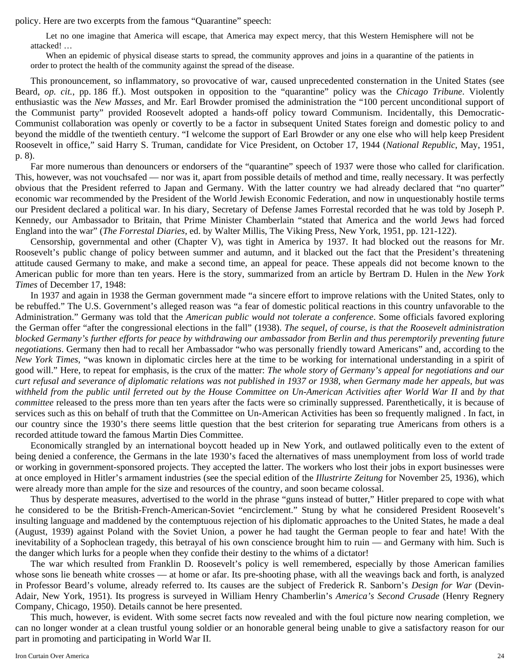policy. Here are two excerpts from the famous "Quarantine" speech:

Let no one imagine that America will escape, that America may expect mercy, that this Western Hemisphere will not be attacked! …

When an epidemic of physical disease starts to spread, the community approves and joins in a quarantine of the patients in order to protect the health of the community against the spread of the disease.

This pronouncement, so inflammatory, so provocative of war, caused unprecedented consternation in the United States (see Beard, *op. cit.*, pp. 186 ff.). Most outspoken in opposition to the "quarantine" policy was the *Chicago Tribune*. Violently enthusiastic was the *New Masses*, and Mr. Earl Browder promised the administration the "100 percent unconditional support of the Communist party" provided Roosevelt adopted a hands-off policy toward Communism. Incidentally, this Democratic-Communist collaboration was openly or covertly to be a factor in subsequent United States foreign and domestic policy to and beyond the middle of the twentieth century. "I welcome the support of Earl Browder or any one else who will help keep President Roosevelt in office," said Harry S. Truman, candidate for Vice President, on October 17, 1944 (*National Republic*, May, 1951, p. 8).

Far more numerous than denouncers or endorsers of the "quarantine" speech of 1937 were those who called for clarification. This, however, was not vouchsafed — nor was it, apart from possible details of method and time, really necessary. It was perfectly obvious that the President referred to Japan and Germany. With the latter country we had already declared that "no quarter" economic war recommended by the President of the World Jewish Economic Federation, and now in unquestionably hostile terms our President declared a political war. In his diary, Secretary of Defense James Forrestal recorded that he was told by Joseph P. Kennedy, our Ambassador to Britain, that Prime Minister Chamberlain "stated that America and the world Jews had forced England into the war" (*The Forrestal Diaries*, ed. by Walter Millis, The Viking Press, New York, 1951, pp. 121-122).

Censorship, governmental and other (Chapter V), was tight in America by 1937. It had blocked out the reasons for Mr. Roosevelt's public change of policy between summer and autumn, and it blacked out the fact that the President's threatening attitude caused Germany to make, and make a second time, an appeal for peace. These appeals did not become known to the American public for more than ten years. Here is the story, summarized from an article by Bertram D. Hulen in the *New York Times* of December 17, 1948:

In 1937 and again in 1938 the German government made "a sincere effort to improve relations with the United States, only to be rebuffed." The U.S. Government's alleged reason was "a fear of domestic political reactions in this country unfavorable to the Administration." Germany was told that the *American public would not tolerate a conference*. Some officials favored exploring the German offer "after the congressional elections in the fall" (1938). *The sequel, of course, is that the Roosevelt administration blocked Germany's further efforts for peace by withdrawing our ambassador from Berlin and thus peremptorily preventing future negotiations*. Germany then had to recall her Ambassador "who was personally friendly toward Americans" and, according to the *New York Times*, "was known in diplomatic circles here at the time to be working for international understanding in a spirit of good will." Here, to repeat for emphasis, is the crux of the matter: *The whole story of Germany's appeal for negotiations and our curt refusal and severance of diplomatic relations was not published in 1937 or 1938, when Germany made her appeals, but was withheld from the public until ferreted out by the House Committee on Un-American Activities after World War II* and *by that committee* released to the press more than ten years after the facts were so criminally suppressed. Parenthetically, it is because of services such as this on behalf of truth that the Committee on Un-American Activities has been so frequently maligned . In fact, in our country since the 1930's there seems little question that the best criterion for separating true Americans from others is a recorded attitude toward the famous Martin Dies Committee.

Economically strangled by an international boycott headed up in New York, and outlawed politically even to the extent of being denied a conference, the Germans in the late 1930's faced the alternatives of mass unemployment from loss of world trade or working in government-sponsored projects. They accepted the latter. The workers who lost their jobs in export businesses were at once employed in Hitler's armament industries (see the special edition of the *Illustrirte Zeitung* for November 25, 1936), which were already more than ample for the size and resources of the country, and soon became colossal.

Thus by desperate measures, advertised to the world in the phrase "guns instead of butter," Hitler prepared to cope with what he considered to be the British-French-American-Soviet "encirclement." Stung by what he considered President Roosevelt's insulting language and maddened by the contemptuous rejection of his diplomatic approaches to the United States, he made a deal (August, 1939) against Poland with the Soviet Union, a power he had taught the German people to fear and hate! With the inevitability of a Sophoclean tragedy, this betrayal of his own conscience brought him to ruin — and Germany with him. Such is the danger which lurks for a people when they confide their destiny to the whims of a dictator!

The war which resulted from Franklin D. Roosevelt's policy is well remembered, especially by those American families whose sons lie beneath white crosses — at home or afar. Its pre-shooting phase, with all the weavings back and forth, is analyzed in Professor Beard's volume, already referred to. Its causes are the subject of Frederick R. Sanborn's *Design for War* (Devin-Adair, New York, 1951). Its progress is surveyed in William Henry Chamberlin's *America's Second Crusade* (Henry Regnery Company, Chicago, 1950). Details cannot be here presented.

This much, however, is evident. With some secret facts now revealed and with the foul picture now nearing completion, we can no longer wonder at a clean trustful young soldier or an honorable general being unable to give a satisfactory reason for our part in promoting and participating in World War II.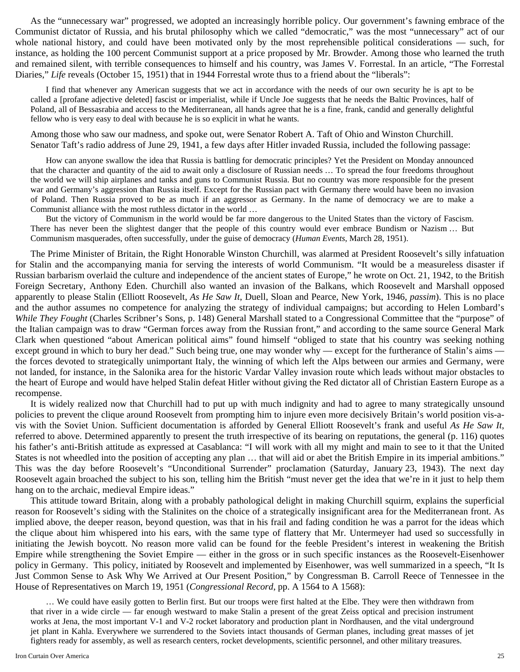As the "unnecessary war" progressed, we adopted an increasingly horrible policy. Our government's fawning embrace of the Communist dictator of Russia, and his brutal philosophy which we called "democratic," was the most "unnecessary" act of our whole national history, and could have been motivated only by the most reprehensible political considerations — such, for instance, as holding the 100 percent Communist support at a price proposed by Mr. Browder. Among those who learned the truth and remained silent, with terrible consequences to himself and his country, was James V. Forrestal. In an article, "The Forrestal Diaries," *Life* reveals (October 15, 1951) that in 1944 Forrestal wrote thus to a friend about the "liberals":

I find that whenever any American suggests that we act in accordance with the needs of our own security he is apt to be called a [profane adjective deleted] fascist or imperialist, while if Uncle Joe suggests that he needs the Baltic Provinces, half of Poland, all of Bessasrabia and access to the Mediterranean, all hands agree that he is a fine, frank, candid and generally delightful fellow who is very easy to deal with because he is so explicit in what he wants.

Among those who saw our madness, and spoke out, were Senator Robert A. Taft of Ohio and Winston Churchill. Senator Taft's radio address of June 29, 1941, a few days after Hitler invaded Russia, included the following passage:

How can anyone swallow the idea that Russia is battling for democratic principles? Yet the President on Monday announced that the character and quantity of the aid to await only a disclosure of Russian needs … To spread the four freedoms throughout the world we will ship airplanes and tanks and guns to Communist Russia. But no country was more responsible for the present war and Germany's aggression than Russia itself. Except for the Russian pact with Germany there would have been no invasion of Poland. Then Russia proved to be as much if an aggressor as Germany. In the name of democracy we are to make a Communist alliance with the most ruthless dictator in the world …

But the victory of Communism in the world would be far more dangerous to the United States than the victory of Fascism. There has never been the slightest danger that the people of this country would ever embrace Bundism or Nazism … But Communism masquerades, often successfully, under the guise of democracy (*Human Events*, March 28, 1951).

The Prime Minister of Britain, the Right Honorable Winston Churchill, was alarmed at President Roosevelt's silly infatuation for Stalin and the accompanying mania for serving the interests of world Communism. "It would be a measureless disaster if Russian barbarism overlaid the culture and independence of the ancient states of Europe," he wrote on Oct. 21, 1942, to the British Foreign Secretary, Anthony Eden. Churchill also wanted an invasion of the Balkans, which Roosevelt and Marshall opposed apparently to please Stalin (Elliott Roosevelt, *As He Saw It*, Duell, Sloan and Pearce, New York, 1946, *passim*). This is no place and the author assumes no competence for analyzing the strategy of individual campaigns; but according to Helen Lombard's *While They Fought* (Charles Scribner's Sons, p. 148) General Marshall stated to a Congressional Committee that the "purpose" of the Italian campaign was to draw "German forces away from the Russian front," and according to the same source General Mark Clark when questioned "about American political aims" found himself "obliged to state that his country was seeking nothing except ground in which to bury her dead." Such being true, one may wonder why — except for the furtherance of Stalin's aims the forces devoted to strategically unimportant Italy, the winning of which left the Alps between our armies and Germany, were not landed, for instance, in the Salonika area for the historic Vardar Valley invasion route which leads without major obstacles to the heart of Europe and would have helped Stalin defeat Hitler without giving the Red dictator all of Christian Eastern Europe as a recompense.

It is widely realized now that Churchill had to put up with much indignity and had to agree to many strategically unsound policies to prevent the clique around Roosevelt from prompting him to injure even more decisively Britain's world position vis-avis with the Soviet Union. Sufficient documentation is afforded by General Elliott Roosevelt's frank and useful *As He Saw It*, referred to above. Determined apparently to present the truth irrespective of its bearing on reputations, the general (p. 116) quotes his father's anti-British attitude as expressed at Casablanca: "I will work with all my might and main to see to it that the United States is not wheedled into the position of accepting any plan … that will aid or abet the British Empire in its imperial ambitions." This was the day before Roosevelt's "Unconditional Surrender" proclamation (Saturday, January 23, 1943). The next day Roosevelt again broached the subject to his son, telling him the British "must never get the idea that we're in it just to help them hang on to the archaic, medieval Empire ideas."

This attitude toward Britain, along with a probably pathological delight in making Churchill squirm, explains the superficial reason for Roosevelt's siding with the Stalinites on the choice of a strategically insignificant area for the Mediterranean front. As implied above, the deeper reason, beyond question, was that in his frail and fading condition he was a parrot for the ideas which the clique about him whispered into his ears, with the same type of flattery that Mr. Untermeyer had used so successfully in initiating the Jewish boycott. No reason more valid can be found for the feeble President's interest in weakening the British Empire while strengthening the Soviet Empire — either in the gross or in such specific instances as the Roosevelt-Eisenhower policy in Germany. This policy, initiated by Roosevelt and implemented by Eisenhower, was well summarized in a speech, "It Is Just Common Sense to Ask Why We Arrived at Our Present Position," by Congressman B. Carroll Reece of Tennessee in the House of Representatives on March 19, 1951 (*Congressional Record*, pp. A 1564 to A 1568):

… We could have easily gotten to Berlin first. But our troops were first halted at the Elbe. They were then withdrawn from that river in a wide circle — far enough westward to make Stalin a present of the great Zeiss optical and precision instrument works at Jena, the most important V-1 and V-2 rocket laboratory and production plant in Nordhausen, and the vital underground jet plant in Kahla. Everywhere we surrendered to the Soviets intact thousands of German planes, including great masses of jet fighters ready for assembly, as well as research centers, rocket developments, scientific personnel, and other military treasures.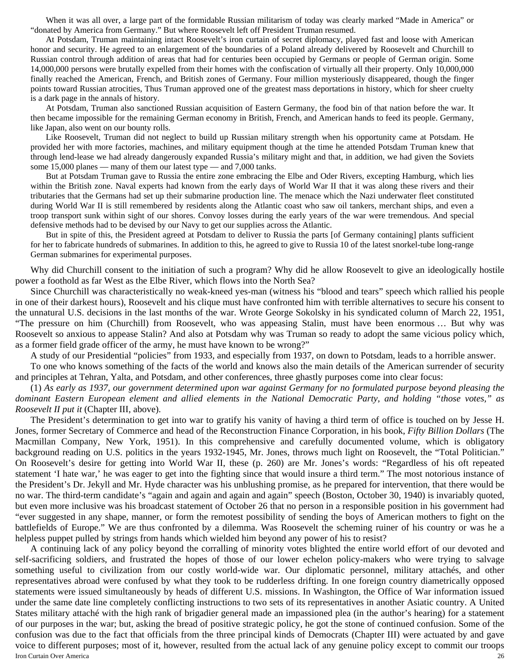When it was all over, a large part of the formidable Russian militarism of today was clearly marked "Made in America" or "donated by America from Germany." But where Roosevelt left off President Truman resumed.

At Potsdam, Truman maintaining intact Roosevelt's iron curtain of secret diplomacy, played fast and loose with American honor and security. He agreed to an enlargement of the boundaries of a Poland already delivered by Roosevelt and Churchill to Russian control through addition of areas that had for centuries been occupied by Germans or people of German origin. Some 14,000,000 persons were brutally expelled from their homes with the confiscation of virtually all their property. Only 10,000,000 finally reached the American, French, and British zones of Germany. Four million mysteriously disappeared, though the finger points toward Russian atrocities, Thus Truman approved one of the greatest mass deportations in history, which for sheer cruelty is a dark page in the annals of history.

At Potsdam, Truman also sanctioned Russian acquisition of Eastern Germany, the food bin of that nation before the war. It then became impossible for the remaining German economy in British, French, and American hands to feed its people. Germany, like Japan, also went on our bounty rolls.

Like Roosevelt, Truman did not neglect to build up Russian military strength when his opportunity came at Potsdam. He provided her with more factories, machines, and military equipment though at the time he attended Potsdam Truman knew that through lend-lease we had already dangerously expanded Russia's military might and that, in addition, we had given the Soviets some 15,000 planes — many of them our latest type — and 7,000 tanks.

But at Potsdam Truman gave to Russia the entire zone embracing the Elbe and Oder Rivers, excepting Hamburg, which lies within the British zone. Naval experts had known from the early days of World War II that it was along these rivers and their tributaries that the Germans had set up their submarine production line. The menace which the Nazi underwater fleet constituted during World War II is still remembered by residents along the Atlantic coast who saw oil tankers, merchant ships, and even a troop transport sunk within sight of our shores. Convoy losses during the early years of the war were tremendous. And special defensive methods had to be devised by our Navy to get our supplies across the Atlantic.

But in spite of this, the President agreed at Potsdam to deliver to Russia the parts [of Germany containing] plants sufficient for her to fabricate hundreds of submarines. In addition to this, he agreed to give to Russia 10 of the latest snorkel-tube long-range German submarines for experimental purposes.

Why did Churchill consent to the initiation of such a program? Why did he allow Roosevelt to give an ideologically hostile power a foothold as far West as the Elbe River, which flows into the North Sea?

Since Churchill was characteristically no weak-kneed yes-man (witness his "blood and tears" speech which rallied his people in one of their darkest hours), Roosevelt and his clique must have confronted him with terrible alternatives to secure his consent to the unnatural U.S. decisions in the last months of the war. Wrote George Sokolsky in his syndicated column of March 22, 1951, "The pressure on him (Churchill) from Roosevelt, who was appeasing Stalin, must have been enormous … But why was Roosevelt so anxious to appease Stalin? And also at Potsdam why was Truman so ready to adopt the same vicious policy which, as a former field grade officer of the army, he must have known to be wrong?"

A study of our Presidential "policies" from 1933, and especially from 1937, on down to Potsdam, leads to a horrible answer.

To one who knows something of the facts of the world and knows also the main details of the American surrender of security and principles at Tehran, Yalta, and Potsdam, and other conferences, three ghastly purposes come into clear focus:

(1) *As early as 1937, our government determined upon war against Germany for no formulated purpose beyond pleasing the dominant Eastern European element and allied elements in the National Democratic Party, and holding "those votes," as Roosevelt II put it* (Chapter III, above).

The President's determination to get into war to gratify his vanity of having a third term of office is touched on by Jesse H. Jones, former Secretary of Commerce and head of the Reconstruction Finance Corporation, in his book, *Fifty Billion Dollars* (The Macmillan Company, New York, 1951). In this comprehensive and carefully documented volume, which is obligatory background reading on U.S. politics in the years 1932-1945, Mr. Jones, throws much light on Roosevelt, the "Total Politician." On Roosevelt's desire for getting into World War II, these (p. 260) are Mr. Jones's words: "Regardless of his oft repeated statement 'I hate war,' he was eager to get into the fighting since that would insure a third term." The most notorious instance of the President's Dr. Jekyll and Mr. Hyde character was his unblushing promise, as he prepared for intervention, that there would be no war. The third-term candidate's "again and again and again and again" speech (Boston, October 30, 1940) is invariably quoted, but even more inclusive was his broadcast statement of October 26 that no person in a responsible position in his government had "ever suggested in any shape, manner, or form the remotest possibility of sending the boys of American mothers to fight on the battlefields of Europe." We are thus confronted by a dilemma. Was Roosevelt the scheming ruiner of his country or was he a helpless puppet pulled by strings from hands which wielded him beyond any power of his to resist?

Iron Curtain Over America 26 A continuing lack of any policy beyond the corralling of minority votes blighted the entire world effort of our devoted and self-sacrificing soldiers, and frustrated the hopes of those of our lower echelon policy-makers who were trying to salvage something useful to civilization from our costly world-wide war. Our diplomatic personnel, military attachés, and other representatives abroad were confused by what they took to be rudderless drifting. In one foreign country diametrically opposed statements were issued simultaneously by heads of different U.S. missions. In Washington, the Office of War information issued under the same date line completely conflicting instructions to two sets of its representatives in another Asiatic country. A United States military attaché with the high rank of brigadier general made an impassioned plea (in the author's hearing) for a statement of our purposes in the war; but, asking the bread of positive strategic policy, he got the stone of continued confusion. Some of the confusion was due to the fact that officials from the three principal kinds of Democrats (Chapter III) were actuated by and gave voice to different purposes; most of it, however, resulted from the actual lack of any genuine policy except to commit our troops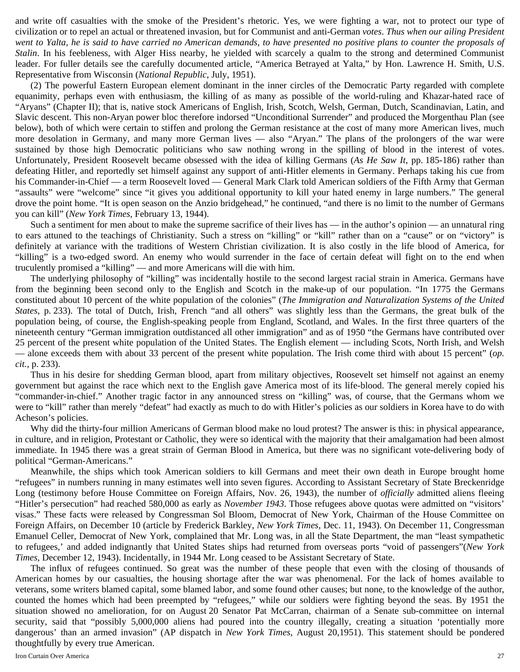and write off casualties with the smoke of the President's rhetoric. Yes, we were fighting a war, not to protect our type of civilization or to repel an actual or threatened invasion, but for Communist and anti-German *votes*. *Thus when our ailing President went to Yalta, he is said to have carried no American demands, to have presented no positive plans to counter the proposals of Stalin*. In his feebleness, with Alger Hiss nearby, he yielded with scarcely a qualm to the strong and determined Communist leader. For fuller details see the carefully documented article, "America Betrayed at Yalta," by Hon. Lawrence H. Smith, U.S. Representative from Wisconsin (*National Republic*, July, 1951).

(2) The powerful Eastern European element dominant in the inner circles of the Democratic Party regarded with complete equanimity, perhaps even with enthusiasm, the killing of as many as possible of the world-ruling and Khazar-hated race of "Aryans" (Chapter II); that is, native stock Americans of English, Irish, Scotch, Welsh, German, Dutch, Scandinavian, Latin, and Slavic descent. This non-Aryan power bloc therefore indorsed "Unconditional Surrender" and produced the Morgenthau Plan (see below), both of which were certain to stiffen and prolong the German resistance at the cost of many more American lives, much more desolation in Germany, and many more German lives — also "Aryan." The plans of the prolongers of the war were sustained by those high Democratic politicians who saw nothing wrong in the spilling of blood in the interest of votes. Unfortunately, President Roosevelt became obsessed with the idea of killing Germans (*As He Saw It*, pp. 185-186) rather than defeating Hitler, and reportedly set himself against any support of anti-Hitler elements in Germany. Perhaps taking his cue from his Commander-in-Chief — a term Roosevelt loved — General Mark Clark told American soldiers of the Fifth Army that German "assaults" were "welcome" since "it gives you additional opportunity to kill your hated enemy in large numbers." The general drove the point home. "It is open season on the Anzio bridgehead," he continued, "and there is no limit to the number of Germans you can kill" (*New York Times*, February 13, 1944).

Such a sentiment for men about to make the supreme sacrifice of their lives has — in the author's opinion — an unnatural ring to ears attuned to the teachings of Christianity. Such a stress on "killing" or "kill" rather than on a "cause" or on "victory" is definitely at variance with the traditions of Western Christian civilization. It is also costly in the life blood of America, for "killing" is a two-edged sword. An enemy who would surrender in the face of certain defeat will fight on to the end when truculently promised a "killing" — and more Americans will die with him.

The underlying philosophy of "killing" was incidentally hostile to the second largest racial strain in America. Germans have from the beginning been second only to the English and Scotch in the make-up of our population. "In 1775 the Germans constituted about 10 percent of the white population of the colonies" (*The Immigration and Naturalization Systems of the United States*, p. 233). The total of Dutch, Irish, French "and all others" was slightly less than the Germans, the great bulk of the population being, of course, the English-speaking people from England, Scotland, and Wales. In the first three quarters of the nineteenth century "German immigration outdistanced all other immigration" and as of 1950 "the Germans have contributed over 25 percent of the present white population of the United States. The English element — including Scots, North Irish, and Welsh — alone exceeds them with about 33 percent of the present white population. The Irish come third with about 15 percent" (*op. cit.*, p. 233).

Thus in his desire for shedding German blood, apart from military objectives, Roosevelt set himself not against an enemy government but against the race which next to the English gave America most of its life-blood. The general merely copied his "commander-in-chief." Another tragic factor in any announced stress on "killing" was, of course, that the Germans whom we were to "kill" rather than merely "defeat" had exactly as much to do with Hitler's policies as our soldiers in Korea have to do with Acheson's policies.

Why did the thirty-four million Americans of German blood make no loud protest? The answer is this: in physical appearance, in culture, and in religion, Protestant or Catholic, they were so identical with the majority that their amalgamation had been almost immediate. In 1945 there was a great strain of German Blood in America, but there was no significant vote-delivering body of political "German-Americans."

Meanwhile, the ships which took American soldiers to kill Germans and meet their own death in Europe brought home "refugees" in numbers running in many estimates well into seven figures. According to Assistant Secretary of State Breckenridge Long (testimony before House Committee on Foreign Affairs, Nov. 26, 1943), the number of *officially* admitted aliens fleeing "Hitler's persecution" had reached 580,000 as early as *November 1943*. Those refugees above quotas were admitted on "visitors' visas." These facts were released by Congressman Sol Bloom, Democrat of New York, Chairman of the House Committee on Foreign Affairs, on December 10 (article by Frederick Barkley, *New York Times*, Dec. 11, 1943). On December 11, Congressman Emanuel Celler, Democrat of New York, complained that Mr. Long was, in all the State Department, the man "least sympathetic to refugees,' and added indignantly that United States ships had returned from overseas ports "void of passengers"(*New York Times*, December 12, 1943). Incidentally, in 1944 Mr. Long ceased to be Assistant Secretary of State.

The influx of refugees continued. So great was the number of these people that even with the closing of thousands of American homes by our casualties, the housing shortage after the war was phenomenal. For the lack of homes available to veterans, some writers blamed capital, some blamed labor, and some found other causes; but none, to the knowledge of the author, counted the homes which had been preempted by "refugees," while our soldiers were fighting beyond the seas. By 1951 the situation showed no amelioration, for on August 20 Senator Pat McCarran, chairman of a Senate sub-committee on internal security, said that "possibly 5,000,000 aliens had poured into the country illegally, creating a situation 'potentially more dangerous' than an armed invasion" (AP dispatch in *New York Times*, August 20,1951). This statement should be pondered thoughtfully by every true American.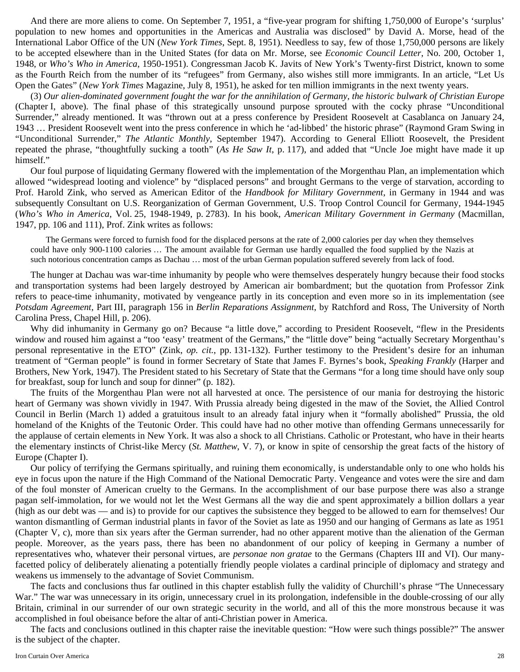And there are more aliens to come. On September 7, 1951, a "five-year program for shifting 1,750,000 of Europe's 'surplus' population to new homes and opportunities in the Americas and Australia was disclosed" by David A. Morse, head of the International Labor Office of the UN (*New York Times*, Sept. 8, 1951). Needless to say, few of those 1,750,000 persons are likely to be accepted elsewhere than in the United States (for data on Mr. Morse, see *Economic Council Letter*, No. 200, October 1, 1948, or *Who's Who in America*, 1950-1951). Congressman Jacob K. Javits of New York's Twenty-first District, known to some as the Fourth Reich from the number of its "refugees" from Germany, also wishes still more immigrants. In an article, "Let Us Open the Gates" (*New York Times* Magazine, July 8, 1951), he asked for ten million immigrants in the next twenty years.

(3) *Our alien-dominated government fought the war for the annihilation of Germany, the historic bulwark of Christian Europe* (Chapter I, above). The final phase of this strategically unsound purpose sprouted with the cocky phrase "Unconditional Surrender," already mentioned. It was "thrown out at a press conference by President Roosevelt at Casablanca on January 24, 1943 … President Roosevelt went into the press conference in which he 'ad-libbed' the historic phrase" (Raymond Gram Swing in "Unconditional Surrender," *The Atlantic Monthly*, September 1947). According to General Elliott Roosevelt, the President repeated the phrase, "thoughtfully sucking a tooth" (*As He Saw It*, p. 117), and added that "Uncle Joe might have made it up himself."

Our foul purpose of liquidating Germany flowered with the implementation of the Morgenthau Plan, an implementation which allowed "widespread looting and violence" by "displaced persons" and brought Germans to the verge of starvation, according to Prof. Harold Zink, who served as American Editor of the *Handbook for Military Government*, in Germany in 1944 and was subsequently Consultant on U.S. Reorganization of German Government, U.S. Troop Control Council for Germany, 1944-1945 (*Who's Who in America*, Vol. 25, 1948-1949, p. 2783). In his book, *American Military Government in Germany* (Macmillan, 1947, pp. 106 and 111), Prof. Zink writes as follows:

The Germans were forced to furnish food for the displaced persons at the rate of 2,000 calories per day when they themselves could have only 900-1100 calories … The amount available for German use hardly equalled the food supplied by the Nazis at such notorious concentration camps as Dachau … most of the urban German population suffered severely from lack of food.

The hunger at Dachau was war-time inhumanity by people who were themselves desperately hungry because their food stocks and transportation systems had been largely destroyed by American air bombardment; but the quotation from Professor Zink refers to peace-time inhumanity, motivated by vengeance partly in its conception and even more so in its implementation (see *Potsdam Agreement*, Part III, paragraph 156 in *Berlin Reparations Assignment*, by Ratchford and Ross, The University of North Carolina Press, Chapel Hill, p. 206).

Why did inhumanity in Germany go on? Because "a little dove," according to President Roosevelt, "flew in the Presidents window and roused him against a "too 'easy' treatment of the Germans," the "little dove" being "actually Secretary Morgenthau's personal representative in the ETO" (Zink, *op. cit.*, pp. 131-132). Further testimony to the President's desire for an inhuman treatment of "German people" is found in former Secretary of State that James F. Byrnes's book, *Speaking Frankly* (Harper and Brothers, New York, 1947). The President stated to his Secretary of State that the Germans "for a long time should have only soup for breakfast, soup for lunch and soup for dinner" (p. 182).

The fruits of the Morgenthau Plan were not all harvested at once. The persistence of our mania for destroying the historic heart of Germany was shown vividly in 1947. With Prussia already being digested in the maw of the Soviet, the Allied Control Council in Berlin (March 1) added a gratuitous insult to an already fatal injury when it "formally abolished" Prussia, the old homeland of the Knights of the Teutonic Order. This could have had no other motive than offending Germans unnecessarily for the applause of certain elements in New York. It was also a shock to all Christians. Catholic or Protestant, who have in their hearts the elementary instincts of Christ-like Mercy (*St. Matthew*, V. 7), or know in spite of censorship the great facts of the history of Europe (Chapter I).

Our policy of terrifying the Germans spiritually, and ruining them economically, is understandable only to one who holds his eye in focus upon the nature if the High Command of the National Democratic Party. Vengeance and votes were the sire and dam of the foul monster of American cruelty to the Germans. In the accomplishment of our base purpose there was also a strange pagan self-immolation, for we would not let the West Germans all the way die and spent approximately a billion dollars a year (high as our debt was — and is) to provide for our captives the subsistence they begged to be allowed to earn for themselves! Our wanton dismantling of German industrial plants in favor of the Soviet as late as 1950 and our hanging of Germans as late as 1951 (Chapter V, c), more than six years after the German surrender, had no other apparent motive than the alienation of the German people. Moreover, as the years pass, there has been no abandonment of our policy of keeping in Germany a number of representatives who, whatever their personal virtues, are *personae non gratae* to the Germans (Chapters III and VI). Our manyfacetted policy of deliberately alienating a potentially friendly people violates a cardinal principle of diplomacy and strategy and weakens us immensely to the advantage of Soviet Communism.

The facts and conclusions thus far outlined in this chapter establish fully the validity of Churchill's phrase "The Unnecessary War." The war was unnecessary in its origin, unnecessary cruel in its prolongation, indefensible in the double-crossing of our ally Britain, criminal in our surrender of our own strategic security in the world, and all of this the more monstrous because it was accomplished in foul obeisance before the altar of anti-Christian power in America.

The facts and conclusions outlined in this chapter raise the inevitable question: "How were such things possible?" The answer is the subject of the chapter.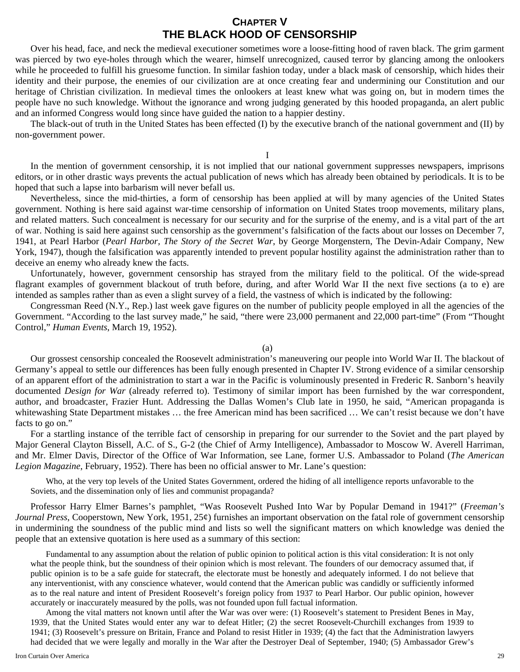### **CHAPTER V THE BLACK HOOD OF CENSORSHIP**

Over his head, face, and neck the medieval executioner sometimes wore a loose-fitting hood of raven black. The grim garment was pierced by two eye-holes through which the wearer, himself unrecognized, caused terror by glancing among the onlookers while he proceeded to fulfill his gruesome function. In similar fashion today, under a black mask of censorship, which hides their identity and their purpose, the enemies of our civilization are at once creating fear and undermining our Constitution and our heritage of Christian civilization. In medieval times the onlookers at least knew what was going on, but in modern times the people have no such knowledge. Without the ignorance and wrong judging generated by this hooded propaganda, an alert public and an informed Congress would long since have guided the nation to a happier destiny.

The black-out of truth in the United States has been effected (I) by the executive branch of the national government and (II) by non-government power.

I

In the mention of government censorship, it is not implied that our national government suppresses newspapers, imprisons editors, or in other drastic ways prevents the actual publication of news which has already been obtained by periodicals. It is to be hoped that such a lapse into barbarism will never befall us.

Nevertheless, since the mid-thirties, a form of censorship has been applied at will by many agencies of the United States government. Nothing is here said against war-time censorship of information on United States troop movements, military plans, and related matters. Such concealment is necessary for our security and for the surprise of the enemy, and is a vital part of the art of war. Nothing is said here against such censorship as the government's falsification of the facts about our losses on December 7, 1941, at Pearl Harbor (*Pearl Harbor, The Story of the Secret War*, by George Morgenstern, The Devin-Adair Company, New York, 1947), though the falsification was apparently intended to prevent popular hostility against the administration rather than to deceive an enemy who already knew the facts.

Unfortunately, however, government censorship has strayed from the military field to the political. Of the wide-spread flagrant examples of government blackout of truth before, during, and after World War II the next five sections (a to e) are intended as samples rather than as even a slight survey of a field, the vastness of which is indicated by the following:

Congressman Reed (N.Y., Rep.) last week gave figures on the number of publicity people employed in all the agencies of the Government. "According to the last survey made," he said, "there were 23,000 permanent and 22,000 part-time" (From "Thought Control," *Human Events*, March 19, 1952).

#### (a)

Our grossest censorship concealed the Roosevelt administration's maneuvering our people into World War II. The blackout of Germany's appeal to settle our differences has been fully enough presented in Chapter IV. Strong evidence of a similar censorship of an apparent effort of the administration to start a war in the Pacific is voluminously presented in Frederic R. Sanborn's heavily documented *Design for War* (already referred to). Testimony of similar import has been furnished by the war correspondent, author, and broadcaster, Frazier Hunt. Addressing the Dallas Women's Club late in 1950, he said, "American propaganda is whitewashing State Department mistakes ... the free American mind has been sacrificed ... We can't resist because we don't have facts to go on."

For a startling instance of the terrible fact of censorship in preparing for our surrender to the Soviet and the part played by Major General Clayton Bissell, A.C. of S., G-2 (the Chief of Army Intelligence), Ambassador to Moscow W. Averell Harriman, and Mr. Elmer Davis, Director of the Office of War Information, see Lane, former U.S. Ambassador to Poland (*The American Legion Magazine*, February, 1952). There has been no official answer to Mr. Lane's question:

Who, at the very top levels of the United States Government, ordered the hiding of all intelligence reports unfavorable to the Soviets, and the dissemination only of lies and communist propaganda?

Professor Harry Elmer Barnes's pamphlet, "Was Roosevelt Pushed Into War by Popular Demand in 1941?" (*Freeman's Journal Press*, Cooperstown, New York, 1951, 25¢) furnishes an important observation on the fatal role of government censorship in undermining the soundness of the public mind and lists so well the significant matters on which knowledge was denied the people that an extensive quotation is here used as a summary of this section:

Fundamental to any assumption about the relation of public opinion to political action is this vital consideration: It is not only what the people think, but the soundness of their opinion which is most relevant. The founders of our democracy assumed that, if public opinion is to be a safe guide for statecraft, the electorate must be honestly and adequately informed. I do not believe that any interventionist, with any conscience whatever, would contend that the American public was candidly or sufficiently informed as to the real nature and intent of President Roosevelt's foreign policy from 1937 to Pearl Harbor. Our public opinion, however accurately or inaccurately measured by the polls, was not founded upon full factual information.

Among the vital matters not known until after the War was over were: (1) Roosevelt's statement to President Benes in May, 1939, that the United States would enter any war to defeat Hitler; (2) the secret Roosevelt-Churchill exchanges from 1939 to 1941; (3) Roosevelt's pressure on Britain, France and Poland to resist Hitler in 1939; (4) the fact that the Administration lawyers had decided that we were legally and morally in the War after the Destroyer Deal of September, 1940; (5) Ambassador Grew's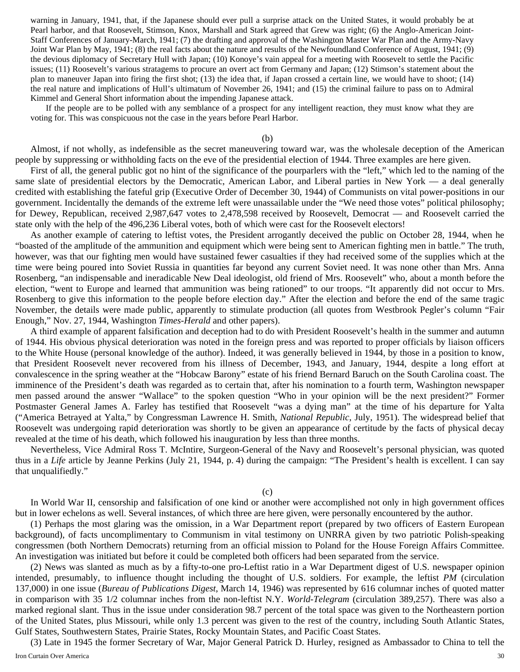warning in January, 1941, that, if the Japanese should ever pull a surprise attack on the United States, it would probably be at Pearl harbor, and that Roosevelt, Stimson, Knox, Marshall and Stark agreed that Grew was right; (6) the Anglo-American Joint-Staff Conferences of January-March, 1941; (7) the drafting and approval of the Washington Master War Plan and the Army-Navy Joint War Plan by May, 1941; (8) the real facts about the nature and results of the Newfoundland Conference of August, 1941; (9) the devious diplomacy of Secretary Hull with Japan; (10) Konoye's vain appeal for a meeting with Roosevelt to settle the Pacific issues; (11) Roosevelt's various stratagems to procure an overt act from Germany and Japan; (12) Stimson's statement about the plan to maneuver Japan into firing the first shot; (13) the idea that, if Japan crossed a certain line, we would have to shoot; (14) the real nature and implications of Hull's ultimatum of November 26, 1941; and (15) the criminal failure to pass on to Admiral Kimmel and General Short information about the impending Japanese attack.

If the people are to be polled with any semblance of a prospect for any intelligent reaction, they must know what they are voting for. This was conspicuous not the case in the years before Pearl Harbor.

#### (b)

Almost, if not wholly, as indefensible as the secret maneuvering toward war, was the wholesale deception of the American people by suppressing or withholding facts on the eve of the presidential election of 1944. Three examples are here given.

First of all, the general public got no hint of the significance of the pourparlers with the "left," which led to the naming of the same slate of presidential electors by the Democratic, American Labor, and Liberal parties in New York — a deal generally credited with establishing the fateful grip (Executive Order of December 30, 1944) of Communists on vital power-positions in our government. Incidentally the demands of the extreme left were unassailable under the "We need those votes" political philosophy; for Dewey, Republican, received 2,987,647 votes to 2,478,598 received by Roosevelt, Democrat — and Roosevelt carried the state only with the help of the 496,236 Liberal votes, both of which were cast for the Roosevelt electors!

As another example of catering to leftist votes, the President arrogantly deceived the public on October 28, 1944, when he "boasted of the amplitude of the ammunition and equipment which were being sent to American fighting men in battle." The truth, however, was that our fighting men would have sustained fewer casualties if they had received some of the supplies which at the time were being poured into Soviet Russia in quantities far beyond any current Soviet need. It was none other than Mrs. Anna Rosenberg, "an indispensable and ineradicable New Deal ideologist, old friend of Mrs. Roosevelt" who, about a month before the election, "went to Europe and learned that ammunition was being rationed" to our troops. "It apparently did not occur to Mrs. Rosenberg to give this information to the people before election day." After the election and before the end of the same tragic November, the details were made public, apparently to stimulate production (all quotes from Westbrook Pegler's column "Fair Enough," Nov. 27, 1944, Washington *Times-Herald* and other papers).

A third example of apparent falsification and deception had to do with President Roosevelt's health in the summer and autumn of 1944. His obvious physical deterioration was noted in the foreign press and was reported to proper officials by liaison officers to the White House (personal knowledge of the author). Indeed, it was generally believed in 1944, by those in a position to know, that President Roosevelt never recovered from his illness of December, 1943, and January, 1944, despite a long effort at convalescence in the spring weather at the "Hobcaw Barony" estate of his friend Bernard Baruch on the South Carolina coast. The imminence of the President's death was regarded as to certain that, after his nomination to a fourth term, Washington newspaper men passed around the answer "Wallace" to the spoken question "Who in your opinion will be the next president?" Former Postmaster General James A. Farley has testified that Roosevelt "was a dying man" at the time of his departure for Yalta ("America Betrayed at Yalta," by Congressman Lawrence H. Smith, *National Republic*, July, 1951). The widespread belief that Roosevelt was undergoing rapid deterioration was shortly to be given an appearance of certitude by the facts of physical decay revealed at the time of his death, which followed his inauguration by less than three months.

Nevertheless, Vice Admiral Ross T. McIntire, Surgeon-General of the Navy and Roosevelt's personal physician, was quoted thus in a *Life* article by Jeanne Perkins (July 21, 1944, p. 4) during the campaign: "The President's health is excellent. I can say that unqualifiedly."

(c)

In World War II, censorship and falsification of one kind or another were accomplished not only in high government offices but in lower echelons as well. Several instances, of which three are here given, were personally encountered by the author.

(1) Perhaps the most glaring was the omission, in a War Department report (prepared by two officers of Eastern European background), of facts uncomplimentary to Communism in vital testimony on UNRRA given by two patriotic Polish-speaking congressmen (both Northern Democrats) returning from an official mission to Poland for the House Foreign Affairs Committee. An investigation was initiated but before it could be completed both officers had been separated from the service.

(2) News was slanted as much as by a fifty-to-one pro-Leftist ratio in a War Department digest of U.S. newspaper opinion intended, presumably, to influence thought including the thought of U.S. soldiers. For example, the leftist *PM* (circulation 137,000) in one issue (*Bureau of Publications Digest*, March 14, 1946) was represented by 616 columnar inches of quoted matter in comparison with 35 1/2 columnar inches from the non-leftist N.Y. *World-Telegram* (circulation 389,257). There was also a marked regional slant. Thus in the issue under consideration 98.7 percent of the total space was given to the Northeastern portion of the United States, plus Missouri, while only 1.3 percent was given to the rest of the country, including South Atlantic States, Gulf States, Southwestern States, Prairie States, Rocky Mountain States, and Pacific Coast States.

Iron Curtain Over America 30 (3) Late in 1945 the former Secretary of War, Major General Patrick D. Hurley, resigned as Ambassador to China to tell the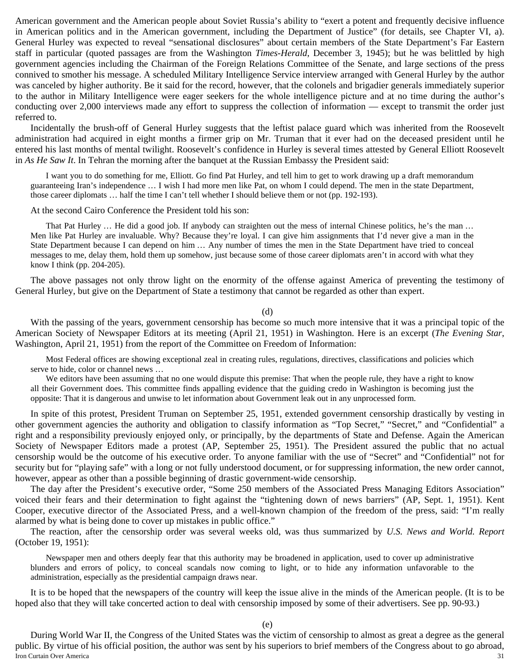American government and the American people about Soviet Russia's ability to "exert a potent and frequently decisive influence in American politics and in the American government, including the Department of Justice" (for details, see Chapter VI, a). General Hurley was expected to reveal "sensational disclosures" about certain members of the State Department's Far Eastern staff in particular (quoted passages are from the Washington *Times-Herald*, December 3, 1945); but he was belittled by high government agencies including the Chairman of the Foreign Relations Committee of the Senate, and large sections of the press connived to smother his message. A scheduled Military Intelligence Service interview arranged with General Hurley by the author was canceled by higher authority. Be it said for the record, however, that the colonels and brigadier generals immediately superior to the author in Military Intelligence were eager seekers for the whole intelligence picture and at no time during the author's conducting over 2,000 interviews made any effort to suppress the collection of information — except to transmit the order just referred to.

Incidentally the brush-off of General Hurley suggests that the leftist palace guard which was inherited from the Roosevelt administration had acquired in eight months a firmer grip on Mr. Truman that it ever had on the deceased president until he entered his last months of mental twilight. Roosevelt's confidence in Hurley is several times attested by General Elliott Roosevelt in *As He Saw It*. In Tehran the morning after the banquet at the Russian Embassy the President said:

I want you to do something for me, Elliott. Go find Pat Hurley, and tell him to get to work drawing up a draft memorandum guaranteeing Iran's independence … I wish I had more men like Pat, on whom I could depend. The men in the state Department, those career diplomats … half the time I can't tell whether I should believe them or not (pp. 192-193).

At the second Cairo Conference the President told his son:

That Pat Hurley … He did a good job. If anybody can straighten out the mess of internal Chinese politics, he's the man … Men like Pat Hurley are invaluable. Why? Because they're loyal. I can give him assignments that I'd never give a man in the State Department because I can depend on him … Any number of times the men in the State Department have tried to conceal messages to me, delay them, hold them up somehow, just because some of those career diplomats aren't in accord with what they know I think (pp. 204-205).

The above passages not only throw light on the enormity of the offense against America of preventing the testimony of General Hurley, but give on the Department of State a testimony that cannot be regarded as other than expert.

#### (d)

With the passing of the years, government censorship has become so much more intensive that it was a principal topic of the American Society of Newspaper Editors at its meeting (April 21, 1951) in Washington. Here is an excerpt (*The Evening Star*, Washington, April 21, 1951) from the report of the Committee on Freedom of Information:

Most Federal offices are showing exceptional zeal in creating rules, regulations, directives, classifications and policies which serve to hide, color or channel news …

We editors have been assuming that no one would dispute this premise: That when the people rule, they have a right to know all their Government does. This committee finds appalling evidence that the guiding credo in Washington is becoming just the opposite: That it is dangerous and unwise to let information about Government leak out in any unprocessed form.

In spite of this protest, President Truman on September 25, 1951, extended government censorship drastically by vesting in other government agencies the authority and obligation to classify information as "Top Secret," "Secret," and "Confidential" a right and a responsibility previously enjoyed only, or principally, by the departments of State and Defense. Again the American Society of Newspaper Editors made a protest (AP, September 25, 1951). The President assured the public that no actual censorship would be the outcome of his executive order. To anyone familiar with the use of "Secret" and "Confidential" not for security but for "playing safe" with a long or not fully understood document, or for suppressing information, the new order cannot, however, appear as other than a possible beginning of drastic government-wide censorship.

The day after the President's executive order, "Some 250 members of the Associated Press Managing Editors Association" voiced their fears and their determination to fight against the "tightening down of news barriers" (AP, Sept. 1, 1951). Kent Cooper, executive director of the Associated Press, and a well-known champion of the freedom of the press, said: "I'm really alarmed by what is being done to cover up mistakes in public office."

The reaction, after the censorship order was several weeks old, was thus summarized by *U.S. News and World. Report* (October 19, 1951):

Newspaper men and others deeply fear that this authority may be broadened in application, used to cover up administrative blunders and errors of policy, to conceal scandals now coming to light, or to hide any information unfavorable to the administration, especially as the presidential campaign draws near.

It is to be hoped that the newspapers of the country will keep the issue alive in the minds of the American people. (It is to be hoped also that they will take concerted action to deal with censorship imposed by some of their advertisers. See pp. 90-93.)

(e)

Iron Curtain Over America 31 During World War II, the Congress of the United States was the victim of censorship to almost as great a degree as the general public. By virtue of his official position, the author was sent by his superiors to brief members of the Congress about to go abroad,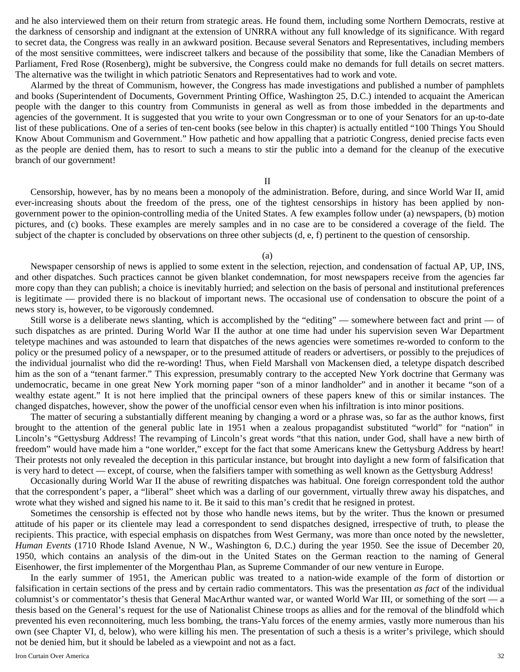and he also interviewed them on their return from strategic areas. He found them, including some Northern Democrats, restive at the darkness of censorship and indignant at the extension of UNRRA without any full knowledge of its significance. With regard to secret data, the Congress was really in an awkward position. Because several Senators and Representatives, including members of the most sensitive committees, were indiscreet talkers and because of the possibility that some, like the Canadian Members of Parliament, Fred Rose (Rosenberg), might be subversive, the Congress could make no demands for full details on secret matters. The alternative was the twilight in which patriotic Senators and Representatives had to work and vote.

Alarmed by the threat of Communism, however, the Congress has made investigations and published a number of pamphlets and books (Superintendent of Documents, Government Printing Office, Washington 25, D.C.) intended to acquaint the American people with the danger to this country from Communists in general as well as from those imbedded in the departments and agencies of the government. It is suggested that you write to your own Congressman or to one of your Senators for an up-to-date list of these publications. One of a series of ten-cent books (see below in this chapter) is actually entitled "100 Things You Should Know About Communism and Government." How pathetic and how appalling that a patriotic Congress, denied precise facts even as the people are denied them, has to resort to such a means to stir the public into a demand for the cleanup of the executive branch of our government!

II

Censorship, however, has by no means been a monopoly of the administration. Before, during, and since World War II, amid ever-increasing shouts about the freedom of the press, one of the tightest censorships in history has been applied by nongovernment power to the opinion-controlling media of the United States. A few examples follow under (a) newspapers, (b) motion pictures, and (c) books. These examples are merely samples and in no case are to be considered a coverage of the field. The subject of the chapter is concluded by observations on three other subjects (d, e, f) pertinent to the question of censorship.

#### (a)

Newspaper censorship of news is applied to some extent in the selection, rejection, and condensation of factual AP, UP, INS, and other dispatches. Such practices cannot be given blanket condemnation, for most newspapers receive from the agencies far more copy than they can publish; a choice is inevitably hurried; and selection on the basis of personal and institutional preferences is legitimate — provided there is no blackout of important news. The occasional use of condensation to obscure the point of a news story is, however, to be vigorously condemned.

Still worse is a deliberate news slanting, which is accomplished by the "editing" — somewhere between fact and print — of such dispatches as are printed. During World War II the author at one time had under his supervision seven War Department teletype machines and was astounded to learn that dispatches of the news agencies were sometimes re-worded to conform to the policy or the presumed policy of a newspaper, or to the presumed attitude of readers or advertisers, or possibly to the prejudices of the individual journalist who did the re-wording! Thus, when Field Marshall von Mackensen died, a teletype dispatch described him as the son of a "tenant farmer." This expression, presumably contrary to the accepted New York doctrine that Germany was undemocratic, became in one great New York morning paper "son of a minor landholder" and in another it became "son of a wealthy estate agent." It is not here implied that the principal owners of these papers knew of this or similar instances. The changed dispatches, however, show the power of the unofficial censor even when his infiltration is into minor positions.

The matter of securing a substantially different meaning by changing a word or a phrase was, so far as the author knows, first brought to the attention of the general public late in 1951 when a zealous propagandist substituted "world" for "nation" in Lincoln's "Gettysburg Address! The revamping of Lincoln's great words "that this nation, under God, shall have a new birth of freedom" would have made him a "one worlder," except for the fact that some Americans knew the Gettysburg Address by heart! Their protests not only revealed the deception in this particular instance, but brought into daylight a new form of falsification that is very hard to detect — except, of course, when the falsifiers tamper with something as well known as the Gettysburg Address!

Occasionally during World War II the abuse of rewriting dispatches was habitual. One foreign correspondent told the author that the correspondent's paper, a "liberal" sheet which was a darling of our government, virtually threw away his dispatches, and wrote what they wished and signed his name to it. Be it said to this man's credit that he resigned in protest.

Sometimes the censorship is effected not by those who handle news items, but by the writer. Thus the known or presumed attitude of his paper or its clientele may lead a correspondent to send dispatches designed, irrespective of truth, to please the recipients. This practice, with especial emphasis on dispatches from West Germany, was more than once noted by the newsletter, *Human Events* (1710 Rhode Island Avenue, N W., Washington 6, D.C.) during the year 1950. See the issue of December 20, 1950, which contains an analysis of the dim-out in the United States on the German reaction to the naming of General Eisenhower, the first implementer of the Morgenthau Plan, as Supreme Commander of our new venture in Europe.

In the early summer of 1951, the American public was treated to a nation-wide example of the form of distortion or falsification in certain sections of the press and by certain radio commentators. This was the presentation *as fact* of the individual columnist's or commentator's thesis that General MacArthur wanted war, or wanted World War III, or something of the sort — a thesis based on the General's request for the use of Nationalist Chinese troops as allies and for the removal of the blindfold which prevented his even reconnoitering, much less bombing, the trans-Yalu forces of the enemy armies, vastly more numerous than his own (see Chapter VI, d, below), who were killing his men. The presentation of such a thesis is a writer's privilege, which should not be denied him, but it should be labeled as a viewpoint and not as a fact.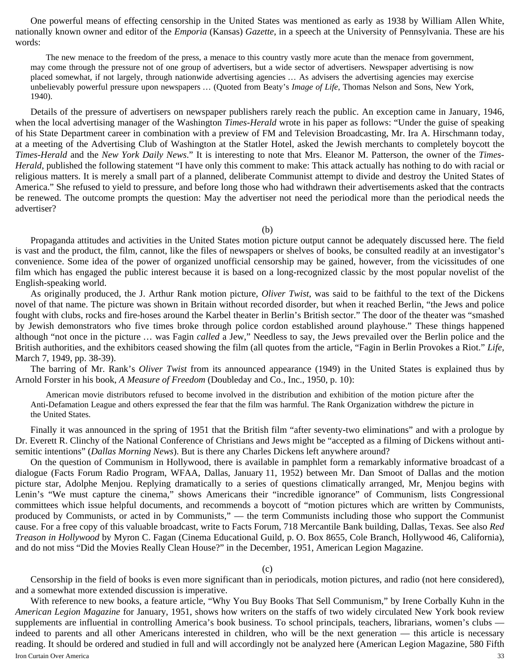One powerful means of effecting censorship in the United States was mentioned as early as 1938 by William Allen White, nationally known owner and editor of the *Emporia* (Kansas) *Gazette*, in a speech at the University of Pennsylvania. These are his words:

The new menace to the freedom of the press, a menace to this country vastly more acute than the menace from government, may come through the pressure not of one group of advertisers, but a wide sector of advertisers. Newspaper advertising is now placed somewhat, if not largely, through nationwide advertising agencies … As advisers the advertising agencies may exercise unbelievably powerful pressure upon newspapers … (Quoted from Beaty's *Image of Life*, Thomas Nelson and Sons, New York, 1940).

Details of the pressure of advertisers on newspaper publishers rarely reach the public. An exception came in January, 1946, when the local advertising manager of the Washington *Times-Herald* wrote in his paper as follows: "Under the guise of speaking of his State Department career in combination with a preview of FM and Television Broadcasting, Mr. Ira A. Hirschmann today, at a meeting of the Advertising Club of Washington at the Statler Hotel, asked the Jewish merchants to completely boycott the *Times-Herald* and the *New York Daily News*." It is interesting to note that Mrs. Eleanor M. Patterson, the owner of the *Times-Herald*, published the following statement "I have only this comment to make: This attack actually has nothing to do with racial or religious matters. It is merely a small part of a planned, deliberate Communist attempt to divide and destroy the United States of America." She refused to yield to pressure, and before long those who had withdrawn their advertisements asked that the contracts be renewed. The outcome prompts the question: May the advertiser not need the periodical more than the periodical needs the advertiser?

(b)

Propaganda attitudes and activities in the United States motion picture output cannot be adequately discussed here. The field is vast and the product, the film, cannot, like the files of newspapers or shelves of books, be consulted readily at an investigator's convenience. Some idea of the power of organized unofficial censorship may be gained, however, from the vicissitudes of one film which has engaged the public interest because it is based on a long-recognized classic by the most popular novelist of the English-speaking world.

As originally produced, the J. Arthur Rank motion picture, *Oliver Twist*, was said to be faithful to the text of the Dickens novel of that name. The picture was shown in Britain without recorded disorder, but when it reached Berlin, "the Jews and police fought with clubs, rocks and fire-hoses around the Karbel theater in Berlin's British sector." The door of the theater was "smashed by Jewish demonstrators who five times broke through police cordon established around playhouse." These things happened although "not once in the picture … was Fagin *called* a Jew," Needless to say, the Jews prevailed over the Berlin police and the British authorities, and the exhibitors ceased showing the film (all quotes from the article, "Fagin in Berlin Provokes a Riot." *Life*, March 7, 1949, pp. 38-39).

The barring of Mr. Rank's *Oliver Twist* from its announced appearance (1949) in the United States is explained thus by Arnold Forster in his book, *A Measure of Freedom* (Doubleday and Co., Inc., 1950, p. 10):

American movie distributors refused to become involved in the distribution and exhibition of the motion picture after the Anti-Defamation League and others expressed the fear that the film was harmful. The Rank Organization withdrew the picture in the United States.

Finally it was announced in the spring of 1951 that the British film "after seventy-two eliminations" and with a prologue by Dr. Everett R. Clinchy of the National Conference of Christians and Jews might be "accepted as a filming of Dickens without antisemitic intentions" (*Dallas Morning News*). But is there any Charles Dickens left anywhere around?

On the question of Communism in Hollywood, there is available in pamphlet form a remarkably informative broadcast of a dialogue (Facts Forum Radio Program, WFAA, Dallas, January 11, 1952) between Mr. Dan Smoot of Dallas and the motion picture star, Adolphe Menjou. Replying dramatically to a series of questions climatically arranged, Mr, Menjou begins with Lenin's "We must capture the cinema," shows Americans their "incredible ignorance" of Communism, lists Congressional committees which issue helpful documents, and recommends a boycott of "motion pictures which are written by Communists, produced by Communists, or acted in by Communists," — the term Communists including those who support the Communist cause. For a free copy of this valuable broadcast, write to Facts Forum, 718 Mercantile Bank building, Dallas, Texas. See also *Red Treason in Hollywood* by Myron C. Fagan (Cinema Educational Guild, p. O. Box 8655, Cole Branch, Hollywood 46, California), and do not miss "Did the Movies Really Clean House?" in the December, 1951, American Legion Magazine.

#### (c)

Censorship in the field of books is even more significant than in periodicals, motion pictures, and radio (not here considered), and a somewhat more extended discussion is imperative.

Iron Curtain Over America 33 With reference to new books, a feature article, "Why You Buy Books That Sell Communism," by Irene Corbally Kuhn in the *American Legion Magazine* for January, 1951, shows how writers on the staffs of two widely circulated New York book review supplements are influential in controlling America's book business. To school principals, teachers, librarians, women's clubs indeed to parents and all other Americans interested in children, who will be the next generation — this article is necessary reading. It should be ordered and studied in full and will accordingly not be analyzed here (American Legion Magazine, 580 Fifth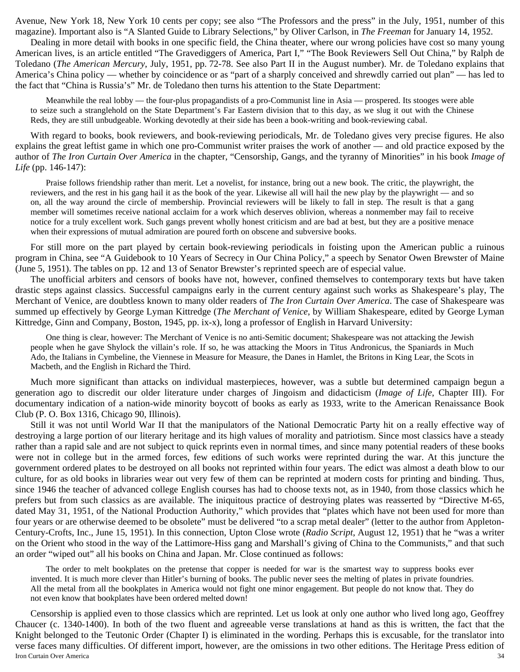Avenue, New York 18, New York 10 cents per copy; see also "The Professors and the press" in the July, 1951, number of this magazine). Important also is "A Slanted Guide to Library Selections," by Oliver Carlson, in *The Freeman* for January 14, 1952.

Dealing in more detail with books in one specific field, the China theater, where our wrong policies have cost so many young American lives, is an article entitled "The Gravediggers of America, Part I," "The Book Reviewers Sell Out China," by Ralph de Toledano (*The American Mercury*, July, 1951, pp. 72-78. See also Part II in the August number). Mr. de Toledano explains that America's China policy — whether by coincidence or as "part of a sharply conceived and shrewdly carried out plan" — has led to the fact that "China is Russia's" Mr. de Toledano then turns his attention to the State Department:

Meanwhile the real lobby — the four-plus propagandists of a pro-Communist line in Asia — prospered. Its stooges were able to seize such a stranglehold on the State Department's Far Eastern division that to this day, as we slug it out with the Chinese Reds, they are still unbudgeable. Working devotedly at their side has been a book-writing and book-reviewing cabal.

With regard to books, book reviewers, and book-reviewing periodicals, Mr. de Toledano gives very precise figures. He also explains the great leftist game in which one pro-Communist writer praises the work of another — and old practice exposed by the author of *The Iron Curtain Over America* in the chapter, "Censorship, Gangs, and the tyranny of Minorities" in his book *Image of Life* (pp. 146-147):

Praise follows friendship rather than merit. Let a novelist, for instance, bring out a new book. The critic, the playwright, the reviewers, and the rest in his gang hail it as the book of the year. Likewise all will hail the new play by the playwright — and so on, all the way around the circle of membership. Provincial reviewers will be likely to fall in step. The result is that a gang member will sometimes receive national acclaim for a work which deserves oblivion, whereas a nonmember may fail to receive notice for a truly excellent work. Such gangs prevent wholly honest criticism and are bad at best, but they are a positive menace when their expressions of mutual admiration are poured forth on obscene and subversive books.

For still more on the part played by certain book-reviewing periodicals in foisting upon the American public a ruinous program in China, see "A Guidebook to 10 Years of Secrecy in Our China Policy," a speech by Senator Owen Brewster of Maine (June 5, 1951). The tables on pp. 12 and 13 of Senator Brewster's reprinted speech are of especial value.

The unofficial arbiters and censors of books have not, however, confined themselves to contemporary texts but have taken drastic steps against classics. Successful campaigns early in the current century against such works as Shakespeare's play, The Merchant of Venice, are doubtless known to many older readers of *The Iron Curtain Over America*. The case of Shakespeare was summed up effectively by George Lyman Kittredge (*The Merchant of Venice*, by William Shakespeare, edited by George Lyman Kittredge, Ginn and Company, Boston, 1945, pp. ix-x), long a professor of English in Harvard University:

One thing is clear, however: The Merchant of Venice is no anti-Semitic document; Shakespeare was not attacking the Jewish people when he gave Shylock the villain's role. If so, he was attacking the Moors in Titus Andronicus, the Spaniards in Much Ado, the Italians in Cymbeline, the Viennese in Measure for Measure, the Danes in Hamlet, the Britons in King Lear, the Scots in Macbeth, and the English in Richard the Third.

Much more significant than attacks on individual masterpieces, however, was a subtle but determined campaign begun a generation ago to discredit our older literature under charges of Jingoism and didacticism (*Image of Life*, Chapter III). For documentary indication of a nation-wide minority boycott of books as early as 1933, write to the American Renaissance Book Club (P. O. Box 1316, Chicago 90, Illinois).

Still it was not until World War II that the manipulators of the National Democratic Party hit on a really effective way of destroying a large portion of our literary heritage and its high values of morality and patriotism. Since most classics have a steady rather than a rapid sale and are not subject to quick reprints even in normal times, and since many potential readers of these books were not in college but in the armed forces, few editions of such works were reprinted during the war. At this juncture the government ordered plates to be destroyed on all books not reprinted within four years. The edict was almost a death blow to our culture, for as old books in libraries wear out very few of them can be reprinted at modern costs for printing and binding. Thus, since 1946 the teacher of advanced college English courses has had to choose texts not, as in 1940, from those classics which he prefers but from such classics as are available. The iniquitous practice of destroying plates was reasserted by "Directive M-65, dated May 31, 1951, of the National Production Authority," which provides that "plates which have not been used for more than four years or are otherwise deemed to be obsolete" must be delivered "to a scrap metal dealer" (letter to the author from Appleton-Century-Crofts, Inc., June 15, 1951). In this connection, Upton Close wrote (*Radio Script*, August 12, 1951) that he "was a writer on the Orient who stood in the way of the Lattimore-Hiss gang and Marshall's giving of China to the Communists," and that such an order "wiped out" all his books on China and Japan. Mr. Close continued as follows:

The order to melt bookplates on the pretense that copper is needed for war is the smartest way to suppress books ever invented. It is much more clever than Hitler's burning of books. The public never sees the melting of plates in private foundries. All the metal from all the bookplates in America would not fight one minor engagement. But people do not know that. They do not even know that bookplates have been ordered melted down!

Iron Curtain Over America 34 Censorship is applied even to those classics which are reprinted. Let us look at only one author who lived long ago, Geoffrey Chaucer (c. 1340-1400). In both of the two fluent and agreeable verse translations at hand as this is written, the fact that the Knight belonged to the Teutonic Order (Chapter I) is eliminated in the wording. Perhaps this is excusable, for the translator into verse faces many difficulties. Of different import, however, are the omissions in two other editions. The Heritage Press edition of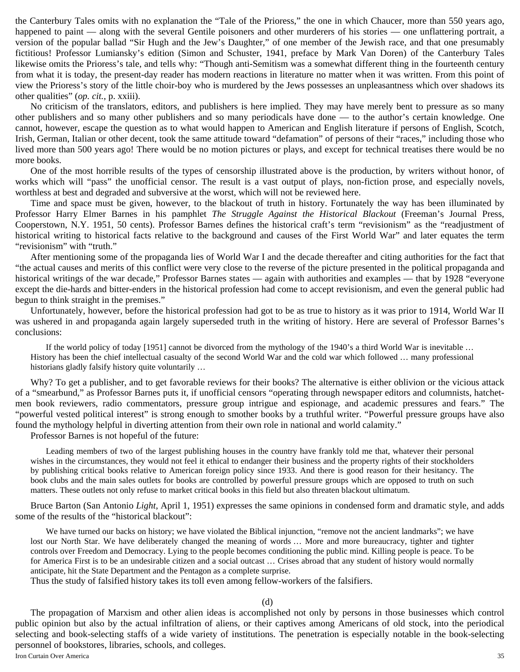the Canterbury Tales omits with no explanation the "Tale of the Prioress," the one in which Chaucer, more than 550 years ago, happened to paint — along with the several Gentile poisoners and other murderers of his stories — one unflattering portrait, a version of the popular ballad "Sir Hugh and the Jew's Daughter," of one member of the Jewish race, and that one presumably fictitious! Professor Lumiansky's edition (Simon and Schuster, 1941, preface by Mark Van Doren) of the Canterbury Tales likewise omits the Prioress's tale, and tells why: "Though anti-Semitism was a somewhat different thing in the fourteenth century from what it is today, the present-day reader has modern reactions in literature no matter when it was written. From this point of view the Prioress's story of the little choir-boy who is murdered by the Jews possesses an unpleasantness which over shadows its other qualities" (*op. cit.*, p. xxiii).

No criticism of the translators, editors, and publishers is here implied. They may have merely bent to pressure as so many other publishers and so many other publishers and so many periodicals have done — to the author's certain knowledge. One cannot, however, escape the question as to what would happen to American and English literature if persons of English, Scotch, Irish, German, Italian or other decent, took the same attitude toward "defamation" of persons of their "races," including those who lived more than 500 years ago! There would be no motion pictures or plays, and except for technical treatises there would be no more books.

One of the most horrible results of the types of censorship illustrated above is the production, by writers without honor, of works which will "pass" the unofficial censor. The result is a vast output of plays, non-fiction prose, and especially novels, worthless at best and degraded and subversive at the worst, which will not be reviewed here.

Time and space must be given, however, to the blackout of truth in history. Fortunately the way has been illuminated by Professor Harry Elmer Barnes in his pamphlet *The Struggle Against the Historical Blackout* (Freeman's Journal Press, Cooperstown, N.Y. 1951, 50 cents). Professor Barnes defines the historical craft's term "revisionism" as the "readjustment of historical writing to historical facts relative to the background and causes of the First World War" and later equates the term "revisionism" with "truth."

After mentioning some of the propaganda lies of World War I and the decade thereafter and citing authorities for the fact that "the actual causes and merits of this conflict were very close to the reverse of the picture presented in the political propaganda and historical writings of the war decade," Professor Barnes states — again with authorities and examples — that by 1928 "everyone except the die-hards and bitter-enders in the historical profession had come to accept revisionism, and even the general public had begun to think straight in the premises."

Unfortunately, however, before the historical profession had got to be as true to history as it was prior to 1914, World War II was ushered in and propaganda again largely superseded truth in the writing of history. Here are several of Professor Barnes's conclusions:

If the world policy of today [1951] cannot be divorced from the mythology of the 1940's a third World War is inevitable … History has been the chief intellectual casualty of the second World War and the cold war which followed … many professional historians gladly falsify history quite voluntarily ...

Why? To get a publisher, and to get favorable reviews for their books? The alternative is either oblivion or the vicious attack of a "smearbund," as Professor Barnes puts it, if unofficial censors "operating through newspaper editors and columnists, hatchetmen book reviewers, radio commentators, pressure group intrigue and espionage, and academic pressures and fears." The "powerful vested political interest" is strong enough to smother books by a truthful writer. "Powerful pressure groups have also found the mythology helpful in diverting attention from their own role in national and world calamity."

Professor Barnes is not hopeful of the future:

Leading members of two of the largest publishing houses in the country have frankly told me that, whatever their personal wishes in the circumstances, they would not feel it ethical to endanger their business and the property rights of their stockholders by publishing critical books relative to American foreign policy since 1933. And there is good reason for their hesitancy. The book clubs and the main sales outlets for books are controlled by powerful pressure groups which are opposed to truth on such matters. These outlets not only refuse to market critical books in this field but also threaten blackout ultimatum.

Bruce Barton (San Antonio *Light*, April 1, 1951) expresses the same opinions in condensed form and dramatic style, and adds some of the results of the "historical blackout":

We have turned our backs on history; we have violated the Biblical injunction, "remove not the ancient landmarks"; we have lost our North Star. We have deliberately changed the meaning of words … More and more bureaucracy, tighter and tighter controls over Freedom and Democracy. Lying to the people becomes conditioning the public mind. Killing people is peace. To be for America First is to be an undesirable citizen and a social outcast ... Crises abroad that any student of history would normally anticipate, hit the State Department and the Pentagon as a complete surprise.

Thus the study of falsified history takes its toll even among fellow-workers of the falsifiers.

#### (d)

Iron Curtain Over America 35 The propagation of Marxism and other alien ideas is accomplished not only by persons in those businesses which control public opinion but also by the actual infiltration of aliens, or their captives among Americans of old stock, into the periodical selecting and book-selecting staffs of a wide variety of institutions. The penetration is especially notable in the book-selecting personnel of bookstores, libraries, schools, and colleges.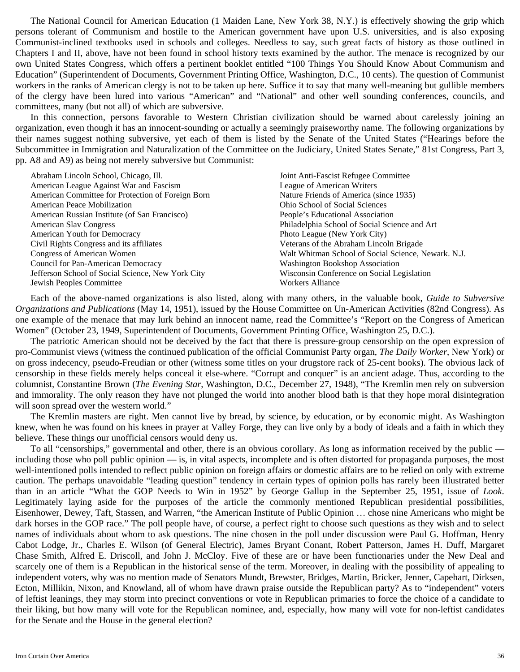The National Council for American Education (1 Maiden Lane, New York 38, N.Y.) is effectively showing the grip which persons tolerant of Communism and hostile to the American government have upon U.S. universities, and is also exposing Communist-inclined textbooks used in schools and colleges. Needless to say, such great facts of history as those outlined in Chapters I and II, above, have not been found in school history texts examined by the author. The menace is recognized by our own United States Congress, which offers a pertinent booklet entitled "100 Things You Should Know About Communism and Education" (Superintendent of Documents, Government Printing Office, Washington, D.C., 10 cents). The question of Communist workers in the ranks of American clergy is not to be taken up here. Suffice it to say that many well-meaning but gullible members of the clergy have been lured into various "American" and "National" and other well sounding conferences, councils, and committees, many (but not all) of which are subversive.

In this connection, persons favorable to Western Christian civilization should be warned about carelessly joining an organization, even though it has an innocent-sounding or actually a seemingly praiseworthy name. The following organizations by their names suggest nothing subversive, yet each of them is listed by the Senate of the United States ("Hearings before the Subcommittee in Immigration and Naturalization of the Committee on the Judiciary, United States Senate," 81st Congress, Part 3, pp. A8 and A9) as being not merely subversive but Communist:

| Abraham Lincoln School, Chicago, Ill.             | Joint Anti-Fascist Refugee Committee                |
|---------------------------------------------------|-----------------------------------------------------|
| American League Against War and Fascism           | League of American Writers                          |
| American Committee for Protection of Foreign Born | Nature Friends of America (since 1935)              |
| <b>American Peace Mobilization</b>                | <b>Ohio School of Social Sciences</b>               |
| American Russian Institute (of San Francisco)     | People's Educational Association                    |
| <b>American Slav Congress</b>                     | Philadelphia School of Social Science and Art       |
| American Youth for Democracy                      | Photo League (New York City)                        |
| Civil Rights Congress and its affiliates          | Veterans of the Abraham Lincoln Brigade             |
| Congress of American Women                        | Walt Whitman School of Social Science, Newark. N.J. |
| Council for Pan-American Democracy                | <b>Washington Bookshop Association</b>              |
| Jefferson School of Social Science, New York City | Wisconsin Conference on Social Legislation          |
| Jewish Peoples Committee                          | Workers Alliance                                    |

Each of the above-named organizations is also listed, along with many others, in the valuable book, *Guide to Subversive Organizations and Publications* (May 14, 1951), issued by the House Committee on Un-American Activities (82nd Congress). As one example of the menace that may lurk behind an innocent name, read the Committee's "Report on the Congress of American Women" (October 23, 1949, Superintendent of Documents, Government Printing Office, Washington 25, D.C.).

The patriotic American should not be deceived by the fact that there is pressure-group censorship on the open expression of pro-Communist views (witness the continued publication of the official Communist Party organ, *The Daily Worker*, New York) or on gross indecency, pseudo-Freudian or other (witness some titles on your drugstore rack of 25-cent books). The obvious lack of censorship in these fields merely helps conceal it else-where. "Corrupt and conquer" is an ancient adage. Thus, according to the columnist, Constantine Brown (*The Evening Star*, Washington, D.C., December 27, 1948), "The Kremlin men rely on subversion and immorality. The only reason they have not plunged the world into another blood bath is that they hope moral disintegration will soon spread over the western world."

The Kremlin masters are right. Men cannot live by bread, by science, by education, or by economic might. As Washington knew, when he was found on his knees in prayer at Valley Forge, they can live only by a body of ideals and a faith in which they believe. These things our unofficial censors would deny us.

To all "censorships," governmental and other, there is an obvious corollary. As long as information received by the public including those who poll public opinion — is, in vital aspects, incomplete and is often distorted for propaganda purposes, the most well-intentioned polls intended to reflect public opinion on foreign affairs or domestic affairs are to be relied on only with extreme caution. The perhaps unavoidable "leading question" tendency in certain types of opinion polls has rarely been illustrated better than in an article "What the GOP Needs to Win in 1952" by George Gallup in the September 25, 1951, issue of *Look*. Legitimately laying aside for the purposes of the article the commonly mentioned Republican presidential possibilities, Eisenhower, Dewey, Taft, Stassen, and Warren, "the American Institute of Public Opinion … chose nine Americans who might be dark horses in the GOP race." The poll people have, of course, a perfect right to choose such questions as they wish and to select names of individuals about whom to ask questions. The nine chosen in the poll under discussion were Paul G. Hoffman, Henry Cabot Lodge, Jr., Charles E. Wilson (of General Electric), James Bryant Conant, Robert Patterson, James H. Duff, Margaret Chase Smith, Alfred E. Driscoll, and John J. McCloy. Five of these are or have been functionaries under the New Deal and scarcely one of them is a Republican in the historical sense of the term. Moreover, in dealing with the possibility of appealing to independent voters, why was no mention made of Senators Mundt, Brewster, Bridges, Martin, Bricker, Jenner, Capehart, Dirksen, Ecton, Millikin, Nixon, and Knowland, all of whom have drawn praise outside the Republican party? As to "independent" voters of leftist leanings, they may storm into precinct conventions or vote in Republican primaries to force the choice of a candidate to their liking, but how many will vote for the Republican nominee, and, especially, how many will vote for non-leftist candidates for the Senate and the House in the general election?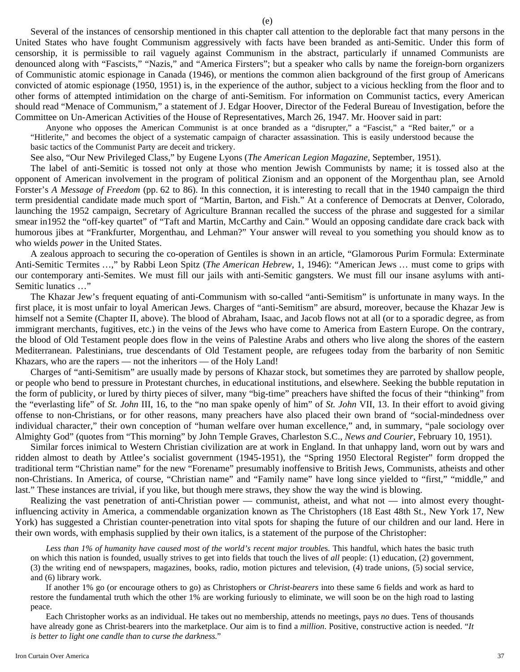Several of the instances of censorship mentioned in this chapter call attention to the deplorable fact that many persons in the United States who have fought Communism aggressively with facts have been branded as anti-Semitic. Under this form of censorship, it is permissible to rail vaguely against Communism in the abstract, particularly if unnamed Communists are denounced along with "Fascists," "Nazis," and "America Firsters"; but a speaker who calls by name the foreign-born organizers of Communistic atomic espionage in Canada (1946), or mentions the common alien background of the first group of Americans convicted of atomic espionage (1950, 1951) is, in the experience of the author, subject to a vicious heckling from the floor and to other forms of attempted intimidation on the charge of anti-Semitism. For information on Communist tactics, every American should read "Menace of Communism," a statement of J. Edgar Hoover, Director of the Federal Bureau of Investigation, before the Committee on Un-American Activities of the House of Representatives, March 26, 1947. Mr. Hoover said in part:

Anyone who opposes the American Communist is at once branded as a "disrupter," a "Fascist," a "Red baiter," or a "Hitlerite," and becomes the object of a systematic campaign of character assassination. This is easily understood because the basic tactics of the Communist Party are deceit and trickery.

See also, "Our New Privileged Class," by Eugene Lyons (*The American Legion Magazine*, September, 1951).

The label of anti-Semitic is tossed not only at those who mention Jewish Communists by name; it is tossed also at the opponent of American involvement in the program of political Zionism and an opponent of the Morgenthau plan, see Arnold Forster's *A Message of Freedom* (pp. 62 to 86). In this connection, it is interesting to recall that in the 1940 campaign the third term presidential candidate made much sport of "Martin, Barton, and Fish." At a conference of Democrats at Denver, Colorado, launching the 1952 campaign, Secretary of Agriculture Brannan recalled the success of the phrase and suggested for a similar smear in1952 the "off-key quartet" of "Taft and Martin, McCarthy and Cain." Would an opposing candidate dare crack back with humorous jibes at "Frankfurter, Morgenthau, and Lehman?" Your answer will reveal to you something you should know as to who wields *power* in the United States.

A zealous approach to securing the co-operation of Gentiles is shown in an article, "Glamorous Purim Formula: Exterminate Anti-Semitic Termites …," by Rabbi Leon Spitz (*The American Hebrew*, 1, 1946): "American Jews … must come to grips with our contemporary anti-Semites. We must fill our jails with anti-Semitic gangsters. We must fill our insane asylums with anti-Semitic lunatics …"

The Khazar Jew's frequent equating of anti-Communism with so-called "anti-Semitism" is unfortunate in many ways. In the first place, it is most unfair to loyal American Jews. Charges of "anti-Semitism" are absurd, moreover, because the Khazar Jew is himself not a Semite (Chapter II, above). The blood of Abraham, Isaac, and Jacob flows not at all (or to a sporadic degree, as from immigrant merchants, fugitives, etc.) in the veins of the Jews who have come to America from Eastern Europe. On the contrary, the blood of Old Testament people does flow in the veins of Palestine Arabs and others who live along the shores of the eastern Mediterranean. Palestinians, true descendants of Old Testament people, are refugees today from the barbarity of non Semitic Khazars, who are the rapers — not the inheritors — of the Holy Land!

Charges of "anti-Semitism" are usually made by persons of Khazar stock, but sometimes they are parroted by shallow people, or people who bend to pressure in Protestant churches, in educational institutions, and elsewhere. Seeking the bubble reputation in the form of publicity, or lured by thirty pieces of silver, many "big-time" preachers have shifted the focus of their "thinking" from the "everlasting life" of *St. John* III, 16, to the "no man spake openly of him" of *St. John* VII, 13. In their effort to avoid giving offense to non-Christians, or for other reasons, many preachers have also placed their own brand of "social-mindedness over individual character," their own conception of "human welfare over human excellence," and, in summary, "pale sociology over Almighty God" (quotes from "This morning" by John Temple Graves, Charleston S.C., *News and Courier*, February 10, 1951).

Similar forces inimical to Western Christian civilization are at work in England. In that unhappy land, worn out by wars and ridden almost to death by Attlee's socialist government (1945-1951), the "Spring 1950 Electoral Register" form dropped the traditional term "Christian name" for the new "Forename" presumably inoffensive to British Jews, Communists, atheists and other non-Christians. In America, of course, "Christian name" and "Family name" have long since yielded to "first," "middle," and last." These instances are trivial, if you like, but though mere straws, they show the way the wind is blowing.

Realizing the vast penetration of anti-Christian power — communist, atheist, and what not — into almost every thoughtinfluencing activity in America, a commendable organization known as The Christophers (18 East 48th St., New York 17, New York) has suggested a Christian counter-penetration into vital spots for shaping the future of our children and our land. Here in their own words, with emphasis supplied by their own italics, is a statement of the purpose of the Christopher:

Less than 1% of humanity have caused most of the world's recent major troubles. This handful, which hates the basic truth on which this nation is founded, usually strives to get into fields that touch the lives of *all* people: (1) education, (2) government, (3) the writing end of newspapers, magazines, books, radio, motion pictures and television, (4) trade unions, (5) social service, and (6) library work.

If another 1% go (or encourage others to go) as Christophers or *Christ-bearers* into these same 6 fields and work as hard to restore the fundamental truth which the other 1% are working furiously to eliminate, we will soon be on the high road to lasting peace.

Each Christopher works as an individual. He takes out no membership, attends no meetings, pays *no* dues. Tens of thousands have already gone as Christ-bearers into the marketplace. Our aim is to find a *million*. Positive, constructive action is needed. "*It is better to light one candle than to curse the darkness.*"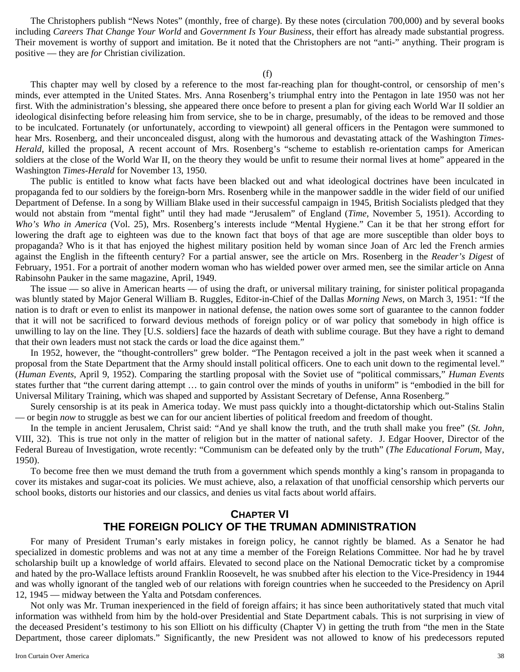The Christophers publish "News Notes" (monthly, free of charge). By these notes (circulation 700,000) and by several books including *Careers That Change Your World* and *Government Is Your Business*, their effort has already made substantial progress. Their movement is worthy of support and imitation. Be it noted that the Christophers are not "anti-" anything. Their program is positive — they are *for* Christian civilization.

### (f)

This chapter may well by closed by a reference to the most far-reaching plan for thought-control, or censorship of men's minds, ever attempted in the United States. Mrs. Anna Rosenberg's triumphal entry into the Pentagon in late 1950 was not her first. With the administration's blessing, she appeared there once before to present a plan for giving each World War II soldier an ideological disinfecting before releasing him from service, she to be in charge, presumably, of the ideas to be removed and those to be inculcated. Fortunately (or unfortunately, according to viewpoint) all general officers in the Pentagon were summoned to hear Mrs. Rosenberg, and their unconcealed disgust, along with the humorous and devastating attack of the Washington *Times-Herald*, killed the proposal, A recent account of Mrs. Rosenberg's "scheme to establish re-orientation camps for American soldiers at the close of the World War II, on the theory they would be unfit to resume their normal lives at home" appeared in the Washington *Times-Herald* for November 13, 1950.

The public is entitled to know what facts have been blacked out and what ideological doctrines have been inculcated in propaganda fed to our soldiers by the foreign-born Mrs. Rosenberg while in the manpower saddle in the wider field of our unified Department of Defense. In a song by William Blake used in their successful campaign in 1945, British Socialists pledged that they would not abstain from "mental fight" until they had made "Jerusalem" of England (*Time*, November 5, 1951). According to *Who's Who in America* (Vol. 25), Mrs. Rosenberg's interests include "Mental Hygiene." Can it be that her strong effort for lowering the draft age to eighteen was due to the known fact that boys of that age are more susceptible than older boys to propaganda? Who is it that has enjoyed the highest military position held by woman since Joan of Arc led the French armies against the English in the fifteenth century? For a partial answer, see the article on Mrs. Rosenberg in the *Reader's Digest* of February, 1951. For a portrait of another modern woman who has wielded power over armed men, see the similar article on Anna Rabinsohn Pauker in the same magazine, April, 1949.

The issue — so alive in American hearts — of using the draft, or universal military training, for sinister political propaganda was bluntly stated by Major General William B. Ruggles, Editor-in-Chief of the Dallas *Morning News*, on March 3, 1951: "If the nation is to draft or even to enlist its manpower in national defense, the nation owes some sort of guarantee to the cannon fodder that it will not be sacrificed to forward devious methods of foreign policy or of war policy that somebody in high office is unwilling to lay on the line. They [U.S. soldiers] face the hazards of death with sublime courage. But they have a right to demand that their own leaders must not stack the cards or load the dice against them."

In 1952, however, the "thought-controllers" grew bolder. "The Pentagon received a jolt in the past week when it scanned a proposal from the State Department that the Army should install political officers. One to each unit down to the regimental level." (*Human Events*, April 9, 1952). Comparing the startling proposal with the Soviet use of "political commissars," *Human Events* states further that "the current daring attempt … to gain control over the minds of youths in uniform" is "embodied in the bill for Universal Military Training, which was shaped and supported by Assistant Secretary of Defense, Anna Rosenberg."

Surely censorship is at its peak in America today. We must pass quickly into a thought-dictatorship which out-Stalins Stalin — or begin *now* to struggle as best we can for our ancient liberties of political freedom and freedom of thought.

In the temple in ancient Jerusalem, Christ said: "And ye shall know the truth, and the truth shall make you free" (*St. John*, VIII, 32). This is true not only in the matter of religion but in the matter of national safety. J. Edgar Hoover, Director of the Federal Bureau of Investigation, wrote recently: "Communism can be defeated only by the truth" (*The Educational Forum*, May, 1950).

To become free then we must demand the truth from a government which spends monthly a king's ransom in propaganda to cover its mistakes and sugar-coat its policies. We must achieve, also, a relaxation of that unofficial censorship which perverts our school books, distorts our histories and our classics, and denies us vital facts about world affairs.

## **CHAPTER VI THE FOREIGN POLICY OF THE TRUMAN ADMINISTRATION**

For many of President Truman's early mistakes in foreign policy, he cannot rightly be blamed. As a Senator he had specialized in domestic problems and was not at any time a member of the Foreign Relations Committee. Nor had he by travel scholarship built up a knowledge of world affairs. Elevated to second place on the National Democratic ticket by a compromise and hated by the pro-Wallace leftists around Franklin Roosevelt, he was snubbed after his election to the Vice-Presidency in 1944 and was wholly ignorant of the tangled web of our relations with foreign countries when he succeeded to the Presidency on April 12, 1945 — midway between the Yalta and Potsdam conferences.

Not only was Mr. Truman inexperienced in the field of foreign affairs; it has since been authoritatively stated that much vital information was withheld from him by the hold-over Presidential and State Department cabals. This is not surprising in view of the deceased President's testimony to his son Elliott on his difficulty (Chapter V) in getting the truth from "the men in the State Department, those career diplomats." Significantly, the new President was not allowed to know of his predecessors reputed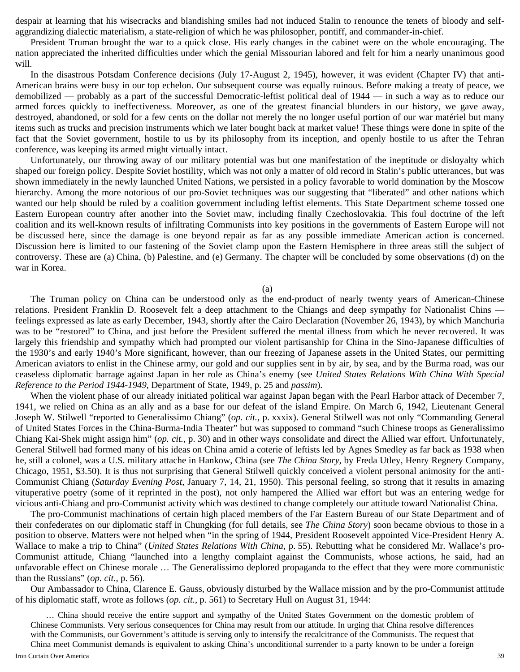despair at learning that his wisecracks and blandishing smiles had not induced Stalin to renounce the tenets of bloody and selfaggrandizing dialectic materialism, a state-religion of which he was philosopher, pontiff, and commander-in-chief.

President Truman brought the war to a quick close. His early changes in the cabinet were on the whole encouraging. The nation appreciated the inherited difficulties under which the genial Missourian labored and felt for him a nearly unanimous good will.

In the disastrous Potsdam Conference decisions (July 17-August 2, 1945), however, it was evident (Chapter IV) that anti-American brains were busy in our top echelon. Our subsequent course was equally ruinous. Before making a treaty of peace, we demobilized — probably as a part of the successful Democratic-leftist political deal of 1944 — in such a way as to reduce our armed forces quickly to ineffectiveness. Moreover, as one of the greatest financial blunders in our history, we gave away, destroyed, abandoned, or sold for a few cents on the dollar not merely the no longer useful portion of our war matériel but many items such as trucks and precision instruments which we later bought back at market value! These things were done in spite of the fact that the Soviet government, hostile to us by its philosophy from its inception, and openly hostile to us after the Tehran conference, was keeping its armed might virtually intact.

Unfortunately, our throwing away of our military potential was but one manifestation of the ineptitude or disloyalty which shaped our foreign policy. Despite Soviet hostility, which was not only a matter of old record in Stalin's public utterances, but was shown immediately in the newly launched United Nations, we persisted in a policy favorable to world domination by the Moscow hierarchy. Among the more notorious of our pro-Soviet techniques was our suggesting that "liberated" and other nations which wanted our help should be ruled by a coalition government including leftist elements. This State Department scheme tossed one Eastern European country after another into the Soviet maw, including finally Czechoslovakia. This foul doctrine of the left coalition and its well-known results of infiltrating Communists into key positions in the governments of Eastern Europe will not be discussed here, since the damage is one beyond repair as far as any possible immediate American action is concerned. Discussion here is limited to our fastening of the Soviet clamp upon the Eastern Hemisphere in three areas still the subject of controversy. These are (a) China, (b) Palestine, and (e) Germany. The chapter will be concluded by some observations (d) on the war in Korea.

(a)

The Truman policy on China can be understood only as the end-product of nearly twenty years of American-Chinese relations. President Franklin D. Roosevelt felt a deep attachment to the Chiangs and deep sympathy for Nationalist Chins feelings expressed as late as early December, 1943, shortly after the Cairo Declaration (November 26, 1943), by which Manchuria was to be "restored" to China, and just before the President suffered the mental illness from which he never recovered. It was largely this friendship and sympathy which had prompted our violent partisanship for China in the Sino-Japanese difficulties of the 1930's and early 1940's More significant, however, than our freezing of Japanese assets in the United States, our permitting American aviators to enlist in the Chinese army, our gold and our supplies sent in by air, by sea, and by the Burma road, was our ceaseless diplomatic barrage against Japan in her role as China's enemy (see *United States Relations With China With Special Reference to the Period 1944-1949*, Department of State, 1949, p. 25 and *passim*).

When the violent phase of our already initiated political war against Japan began with the Pearl Harbor attack of December 7, 1941, we relied on China as an ally and as a base for our defeat of the island Empire. On March 6, 1942, Lieutenant General Joseph W. Stilwell "reported to Generalissimo Chiang" (*op. cit.*, p. xxxix). General Stilwell was not only "Commanding General of United States Forces in the China-Burma-India Theater" but was supposed to command "such Chinese troops as Generalissimo Chiang Kai-Shek might assign him" (*op. cit.*, p. 30) and in other ways consolidate and direct the Allied war effort. Unfortunately, General Stilwell had formed many of his ideas on China amid a coterie of leftists led by Agnes Smedley as far back as 1938 when he, still a colonel, was a U.S. military attache in Hankow, China (see *The China Story*, by Freda Utley, Henry Regnery Company, Chicago, 1951, \$3.50). It is thus not surprising that General Stilwell quickly conceived a violent personal animosity for the anti-Communist Chiang (*Saturday Evening Post*, January 7, 14, 21, 1950). This personal feeling, so strong that it results in amazing vituperative poetry (some of it reprinted in the post), not only hampered the Allied war effort but was an entering wedge for vicious anti-Chiang and pro-Communist activity which was destined to change completely our attitude toward Nationalist China.

The pro-Communist machinations of certain high placed members of the Far Eastern Bureau of our State Department and of their confederates on our diplomatic staff in Chungking (for full details, see *The China Story*) soon became obvious to those in a position to observe. Matters were not helped when "in the spring of 1944, President Roosevelt appointed Vice-President Henry A. Wallace to make a trip to China" (*United States Relations With China*, p. 55). Rebutting what he considered Mr. Wallace's pro-Communist attitude, Chiang "launched into a lengthy complaint against the Communists, whose actions, he said, had an unfavorable effect on Chinese morale … The Generalissimo deplored propaganda to the effect that they were more communistic than the Russians" (*op. cit.*, p. 56).

Our Ambassador to China, Clarence E. Gauss, obviously disturbed by the Wallace mission and by the pro-Communist attitude of his diplomatic staff, wrote as follows (*op. cit.*, p. 561) to Secretary Hull on August 31, 1944:

Iron Curtain Over America 39 … China should receive the entire support and sympathy of the United States Government on the domestic problem of Chinese Communists. Very serious consequences for China may result from our attitude. In urging that China resolve differences with the Communists, our Government's attitude is serving only to intensify the recalcitrance of the Communists. The request that China meet Communist demands is equivalent to asking China's unconditional surrender to a party known to be under a foreign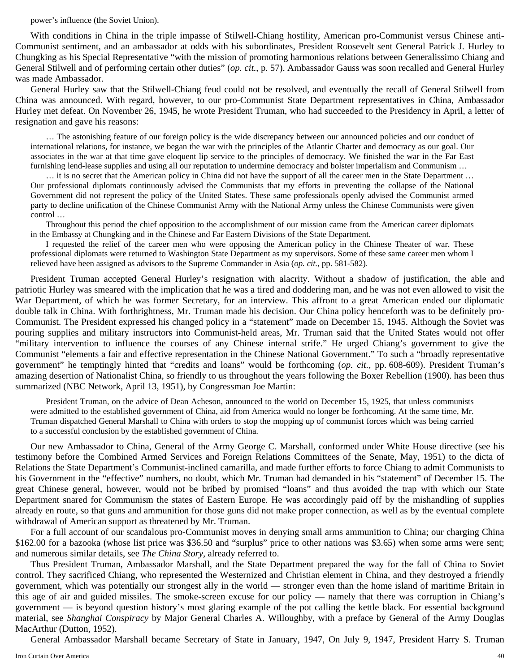power's influence (the Soviet Union).

With conditions in China in the triple impasse of Stilwell-Chiang hostility, American pro-Communist versus Chinese anti-Communist sentiment, and an ambassador at odds with his subordinates, President Roosevelt sent General Patrick J. Hurley to Chungking as his Special Representative "with the mission of promoting harmonious relations between Generalissimo Chiang and General Stilwell and of performing certain other duties" (*op. cit.*, p. 57). Ambassador Gauss was soon recalled and General Hurley was made Ambassador.

General Hurley saw that the Stilwell-Chiang feud could not be resolved, and eventually the recall of General Stilwell from China was announced. With regard, however, to our pro-Communist State Department representatives in China, Ambassador Hurley met defeat. On November 26, 1945, he wrote President Truman, who had succeeded to the Presidency in April, a letter of resignation and gave his reasons:

… The astonishing feature of our foreign policy is the wide discrepancy between our announced policies and our conduct of international relations, for instance, we began the war with the principles of the Atlantic Charter and democracy as our goal. Our associates in the war at that time gave eloquent lip service to the principles of democracy. We finished the war in the Far East furnishing lend-lease supplies and using all our reputation to undermine democracy and bolster imperialism and Communism …

… it is no secret that the American policy in China did not have the support of all the career men in the State Department … Our professional diplomats continuously advised the Communists that my efforts in preventing the collapse of the National Government did not represent the policy of the United States. These same professionals openly advised the Communist armed party to decline unification of the Chinese Communist Army with the National Army unless the Chinese Communists were given control …

Throughout this period the chief opposition to the accomplishment of our mission came from the American career diplomats in the Embassy at Chungking and in the Chinese and Far Eastern Divisions of the State Department.

I requested the relief of the career men who were opposing the American policy in the Chinese Theater of war. These professional diplomats were returned to Washington State Department as my supervisors. Some of these same career men whom I relieved have been assigned as advisors to the Supreme Commander in Asia (*op. cit.*, pp. 581-582).

President Truman accepted General Hurley's resignation with alacrity. Without a shadow of justification, the able and patriotic Hurley was smeared with the implication that he was a tired and doddering man, and he was not even allowed to visit the War Department, of which he was former Secretary, for an interview. This affront to a great American ended our diplomatic double talk in China. With forthrightness, Mr. Truman made his decision. Our China policy henceforth was to be definitely pro-Communist. The President expressed his changed policy in a "statement" made on December 15, 1945. Although the Soviet was pouring supplies and military instructors into Communist-held areas, Mr. Truman said that the United States would not offer "military intervention to influence the courses of any Chinese internal strife." He urged Chiang's government to give the Communist "elements a fair and effective representation in the Chinese National Government." To such a "broadly representative government" he temptingly hinted that "credits and loans" would be forthcoming (*op. cit.*, pp. 608-609). President Truman's amazing desertion of Nationalist China, so friendly to us throughout the years following the Boxer Rebellion (1900). has been thus summarized (NBC Network, April 13, 1951), by Congressman Joe Martin:

President Truman, on the advice of Dean Acheson, announced to the world on December 15, 1925, that unless communists were admitted to the established government of China, aid from America would no longer be forthcoming. At the same time, Mr. Truman dispatched General Marshall to China with orders to stop the mopping up of communist forces which was being carried to a successful conclusion by the established government of China.

Our new Ambassador to China, General of the Army George C. Marshall, conformed under White House directive (see his testimony before the Combined Armed Services and Foreign Relations Committees of the Senate, May, 1951) to the dicta of Relations the State Department's Communist-inclined camarilla, and made further efforts to force Chiang to admit Communists to his Government in the "effective" numbers, no doubt, which Mr. Truman had demanded in his "statement" of December 15. The great Chinese general, however, would not be bribed by promised "loans" and thus avoided the trap with which our State Department snared for Communism the states of Eastern Europe. He was accordingly paid off by the mishandling of supplies already en route, so that guns and ammunition for those guns did not make proper connection, as well as by the eventual complete withdrawal of American support as threatened by Mr. Truman.

For a full account of our scandalous pro-Communist moves in denying small arms ammunition to China; our charging China \$162.00 for a bazooka (whose list price was \$36.50 and "surplus" price to other nations was \$3.65) when some arms were sent; and numerous similar details, see *The China Story*, already referred to.

Thus President Truman, Ambassador Marshall, and the State Department prepared the way for the fall of China to Soviet control. They sacrificed Chiang, who represented the Westernized and Christian element in China, and they destroyed a friendly government, which was potentially our strongest ally in the world — stronger even than the home island of maritime Britain in this age of air and guided missiles. The smoke-screen excuse for our policy — namely that there was corruption in Chiang's government — is beyond question history's most glaring example of the pot calling the kettle black. For essential background material, see *Shanghai Conspiracy* by Major General Charles A. Willoughby, with a preface by General of the Army Douglas MacArthur (Dutton, 1952).

General Ambassador Marshall became Secretary of State in January, 1947, On July 9, 1947, President Harry S. Truman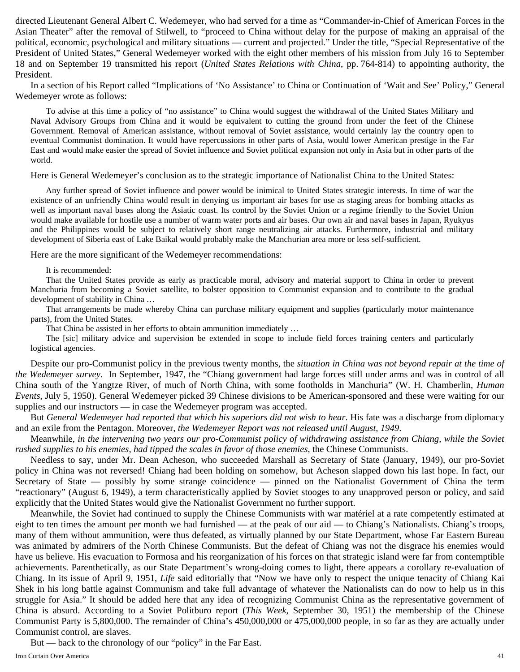directed Lieutenant General Albert C. Wedemeyer, who had served for a time as "Commander-in-Chief of American Forces in the Asian Theater" after the removal of Stilwell, to "proceed to China without delay for the purpose of making an appraisal of the political, economic, psychological and military situations — current and projected." Under the title, "Special Representative of the President of United States," General Wedemeyer worked with the eight other members of his mission from July 16 to September 18 and on September 19 transmitted his report (*United States Relations with China*, pp. 764-814) to appointing authority, the President.

In a section of his Report called "Implications of 'No Assistance' to China or Continuation of 'Wait and See' Policy," General Wedemeyer wrote as follows:

To advise at this time a policy of "no assistance" to China would suggest the withdrawal of the United States Military and Naval Advisory Groups from China and it would be equivalent to cutting the ground from under the feet of the Chinese Government. Removal of American assistance, without removal of Soviet assistance, would certainly lay the country open to eventual Communist domination. It would have repercussions in other parts of Asia, would lower American prestige in the Far East and would make easier the spread of Soviet influence and Soviet political expansion not only in Asia but in other parts of the world.

Here is General Wedemeyer's conclusion as to the strategic importance of Nationalist China to the United States:

Any further spread of Soviet influence and power would be inimical to United States strategic interests. In time of war the existence of an unfriendly China would result in denying us important air bases for use as staging areas for bombing attacks as well as important naval bases along the Asiatic coast. Its control by the Soviet Union or a regime friendly to the Soviet Union would make available for hostile use a number of warm water ports and air bases. Our own air and naval bases in Japan, Ryukyus and the Philippines would be subject to relatively short range neutralizing air attacks. Furthermore, industrial and military development of Siberia east of Lake Baikal would probably make the Manchurian area more or less self-sufficient.

Here are the more significant of the Wedemeyer recommendations:

It is recommended:

That the United States provide as early as practicable moral, advisory and material support to China in order to prevent Manchuria from becoming a Soviet satellite, to bolster opposition to Communist expansion and to contribute to the gradual development of stability in China …

That arrangements be made whereby China can purchase military equipment and supplies (particularly motor maintenance parts), from the United States.

That China be assisted in her efforts to obtain ammunition immediately …

The [sic] military advice and supervision be extended in scope to include field forces training centers and particularly logistical agencies.

Despite our pro-Communist policy in the previous twenty months, the *situation in China was not beyond repair at the time of the Wedemeyer survey*. In September, 1947, the "Chiang government had large forces still under arms and was in control of all China south of the Yangtze River, of much of North China, with some footholds in Manchuria" (W. H. Chamberlin, *Human Events*, July 5, 1950). General Wedemeyer picked 39 Chinese divisions to be American-sponsored and these were waiting for our supplies and our instructors — in case the Wedemeyer program was accepted.

But *General Wedemeyer had reported that which his superiors did not wish to hear*. His fate was a discharge from diplomacy and an exile from the Pentagon. Moreover, *the Wedemeyer Report was not released until August, 1949*.

Meanwhile, *in the intervening two years our pro-Communist policy of withdrawing assistance from Chiang, while the Soviet rushed supplies to his enemies, had tipped the scales in favor of those enemies*, the Chinese Communists.

Needless to say, under Mr. Dean Acheson, who succeeded Marshall as Secretary of State (January, 1949), our pro-Soviet policy in China was not reversed! Chiang had been holding on somehow, but Acheson slapped down his last hope. In fact, our Secretary of State — possibly by some strange coincidence — pinned on the Nationalist Government of China the term "reactionary" (August 6, 1949), a term characteristically applied by Soviet stooges to any unapproved person or policy, and said explicitly that the United States would give the Nationalist Government no further support.

Meanwhile, the Soviet had continued to supply the Chinese Communists with war matériel at a rate competently estimated at eight to ten times the amount per month we had furnished — at the peak of our aid — to Chiang's Nationalists. Chiang's troops, many of them without ammunition, were thus defeated, as virtually planned by our State Department, whose Far Eastern Bureau was animated by admirers of the North Chinese Communists. But the defeat of Chiang was not the disgrace his enemies would have us believe. His evacuation to Formosa and his reorganization of his forces on that strategic island were far from contemptible achievements. Parenthetically, as our State Department's wrong-doing comes to light, there appears a corollary re-evaluation of Chiang. In its issue of April 9, 1951, *Life* said editorially that "Now we have only to respect the unique tenacity of Chiang Kai Shek in his long battle against Communism and take full advantage of whatever the Nationalists can do now to help us in this struggle for Asia." It should be added here that any idea of recognizing Communist China as the representative government of China is absurd. According to a Soviet Politburo report (*This Week*, September 30, 1951) the membership of the Chinese Communist Party is 5,800,000. The remainder of China's 450,000,000 or 475,000,000 people, in so far as they are actually under Communist control, are slaves.

But — back to the chronology of our "policy" in the Far East.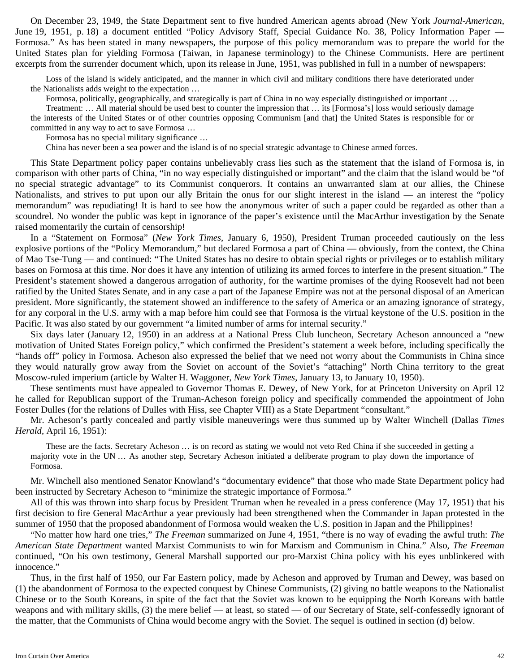On December 23, 1949, the State Department sent to five hundred American agents abroad (New York *Journal-American*, June 19, 1951, p. 18) a document entitled "Policy Advisory Staff, Special Guidance No. 38, Policy Information Paper — Formosa." As has been stated in many newspapers, the purpose of this policy memorandum was to prepare the world for the United States plan for yielding Formosa (Taiwan, in Japanese terminology) to the Chinese Communists. Here are pertinent excerpts from the surrender document which, upon its release in June, 1951, was published in full in a number of newspapers:

Loss of the island is widely anticipated, and the manner in which civil and military conditions there have deteriorated under the Nationalists adds weight to the expectation …

Formosa, politically, geographically, and strategically is part of China in no way especially distinguished or important …

Treatment: … All material should be used best to counter the impression that … its [Formosa's] loss would seriously damage the interests of the United States or of other countries opposing Communism [and that] the United States is responsible for or committed in any way to act to save Formosa …

Formosa has no special military significance …

China has never been a sea power and the island is of no special strategic advantage to Chinese armed forces.

This State Department policy paper contains unbelievably crass lies such as the statement that the island of Formosa is, in comparison with other parts of China, "in no way especially distinguished or important" and the claim that the island would be "of no special strategic advantage" to its Communist conquerors. It contains an unwarranted slam at our allies, the Chinese Nationalists, and strives to put upon our ally Britain the onus for our slight interest in the island — an interest the "policy memorandum" was repudiating! It is hard to see how the anonymous writer of such a paper could be regarded as other than a scoundrel. No wonder the public was kept in ignorance of the paper's existence until the MacArthur investigation by the Senate raised momentarily the curtain of censorship!

In a "Statement on Formosa" (*New York Times*, January 6, 1950), President Truman proceeded cautiously on the less explosive portions of the "Policy Memorandum," but declared Formosa a part of China — obviously, from the context, the China of Mao Tse-Tung — and continued: "The United States has no desire to obtain special rights or privileges or to establish military bases on Formosa at this time. Nor does it have any intention of utilizing its armed forces to interfere in the present situation." The President's statement showed a dangerous arrogation of authority, for the wartime promises of the dying Roosevelt had not been ratified by the United States Senate, and in any case a part of the Japanese Empire was not at the personal disposal of an American president. More significantly, the statement showed an indifference to the safety of America or an amazing ignorance of strategy, for any corporal in the U.S. army with a map before him could see that Formosa is the virtual keystone of the U.S. position in the Pacific. It was also stated by our government "a limited number of arms for internal security."

Six days later (January 12, 1950) in an address at a National Press Club luncheon, Secretary Acheson announced a "new motivation of United States Foreign policy," which confirmed the President's statement a week before, including specifically the "hands off" policy in Formosa. Acheson also expressed the belief that we need not worry about the Communists in China since they would naturally grow away from the Soviet on account of the Soviet's "attaching" North China territory to the great Moscow-ruled imperium (article by Walter H. Waggoner, *New York Times*, January 13, to January 10, 1950).

These sentiments must have appealed to Governor Thomas E. Dewey, of New York, for at Princeton University on April 12 he called for Republican support of the Truman-Acheson foreign policy and specifically commended the appointment of John Foster Dulles (for the relations of Dulles with Hiss, see Chapter VIII) as a State Department "consultant."

Mr. Acheson's partly concealed and partly visible maneuverings were thus summed up by Walter Winchell (Dallas *Times Herald*, April 16, 1951):

These are the facts. Secretary Acheson … is on record as stating we would not veto Red China if she succeeded in getting a majority vote in the UN … As another step, Secretary Acheson initiated a deliberate program to play down the importance of Formosa.

Mr. Winchell also mentioned Senator Knowland's "documentary evidence" that those who made State Department policy had been instructed by Secretary Acheson to "minimize the strategic importance of Formosa."

All of this was thrown into sharp focus by President Truman when he revealed in a press conference (May 17, 1951) that his first decision to fire General MacArthur a year previously had been strengthened when the Commander in Japan protested in the summer of 1950 that the proposed abandonment of Formosa would weaken the U.S. position in Japan and the Philippines!

"No matter how hard one tries," *The Freeman* summarized on June 4, 1951, "there is no way of evading the awful truth: *The American State Department* wanted Marxist Communists to win for Marxism and Communism in China." Also, *The Freeman* continued, "On his own testimony, General Marshall supported our pro-Marxist China policy with his eyes unblinkered with innocence."

Thus, in the first half of 1950, our Far Eastern policy, made by Acheson and approved by Truman and Dewey, was based on (1) the abandonment of Formosa to the expected conquest by Chinese Communists, (2) giving no battle weapons to the Nationalist Chinese or to the South Koreans, in spite of the fact that the Soviet was known to be equipping the North Koreans with battle weapons and with military skills, (3) the mere belief — at least, so stated — of our Secretary of State, self-confessedly ignorant of the matter, that the Communists of China would become angry with the Soviet. The sequel is outlined in section (d) below.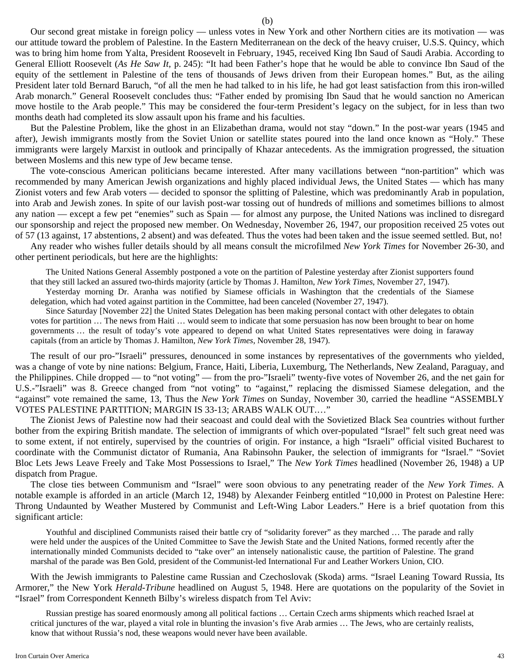Our second great mistake in foreign policy — unless votes in New York and other Northern cities are its motivation — was our attitude toward the problem of Palestine. In the Eastern Mediterranean on the deck of the heavy cruiser, U.S.S. Quincy, which was to bring him home from Yalta, President Roosevelt in February, 1945, received King Ibn Saud of Saudi Arabia. According to General Elliott Roosevelt (*As He Saw It*, p. 245): "It had been Father's hope that he would be able to convince Ibn Saud of the equity of the settlement in Palestine of the tens of thousands of Jews driven from their European homes." But, as the ailing President later told Bernard Baruch, "of all the men he had talked to in his life, he had got least satisfaction from this iron-willed Arab monarch." General Roosevelt concludes thus: "Father ended by promising Ibn Saud that he would sanction no American move hostile to the Arab people." This may be considered the four-term President's legacy on the subject, for in less than two months death had completed its slow assault upon his frame and his faculties.

But the Palestine Problem, like the ghost in an Elizabethan drama, would not stay "down." In the post-war years (1945 and after), Jewish immigrants mostly from the Soviet Union or satellite states poured into the land once known as "Holy." These immigrants were largely Marxist in outlook and principally of Khazar antecedents. As the immigration progressed, the situation between Moslems and this new type of Jew became tense.

The vote-conscious American politicians became interested. After many vacillations between "non-partition" which was recommended by many American Jewish organizations and highly placed individual Jews, the United States — which has many Zionist voters and few Arab voters — decided to sponsor the splitting of Palestine, which was predominantly Arab in population, into Arab and Jewish zones. In spite of our lavish post-war tossing out of hundreds of millions and sometimes billions to almost any nation — except a few pet "enemies" such as Spain — for almost any purpose, the United Nations was inclined to disregard our sponsorship and reject the proposed new member. On Wednesday, November 26, 1947, our proposition received 25 votes out of 57 (13 against, 17 abstentions, 2 absent) and was defeated. Thus the votes had been taken and the issue seemed settled. But, no!

Any reader who wishes fuller details should by all means consult the microfilmed *New York Times* for November 26-30, and other pertinent periodicals, but here are the highlights:

The United Nations General Assembly postponed a vote on the partition of Palestine yesterday after Zionist supporters found that they still lacked an assured two-thirds majority (article by Thomas J. Hamilton, *New York Times*, November 27, 1947).

Yesterday morning Dr. Aranha was notified by Siamese officials in Washington that the credentials of the Siamese delegation, which had voted against partition in the Committee, had been canceled (November 27, 1947).

Since Saturday [November 22] the United States Delegation has been making personal contact with other delegates to obtain votes for partition ... The news from Haiti ... would seem to indicate that some persuasion has now been brought to bear on home governments … the result of today's vote appeared to depend on what United States representatives were doing in faraway capitals (from an article by Thomas J. Hamilton, *New York Times*, November 28, 1947).

The result of our pro-"Israeli" pressures, denounced in some instances by representatives of the governments who yielded, was a change of vote by nine nations: Belgium, France, Haiti, Liberia, Luxemburg, The Netherlands, New Zealand, Paraguay, and the Philippines. Chile dropped — to "not voting" — from the pro-"Israeli" twenty-five votes of November 26, and the net gain for U.S.-"Israeli" was 8. Greece changed from "not voting" to "against," replacing the dismissed Siamese delegation, and the "against" vote remained the same, 13, Thus the *New York Times* on Sunday, November 30, carried the headline "ASSEMBLY VOTES PALESTINE PARTITION; MARGIN IS 33-13; ARABS WALK OUT.…"

The Zionist Jews of Palestine now had their seacoast and could deal with the Sovietized Black Sea countries without further bother from the expiring British mandate. The selection of immigrants of which over-populated "Israel" felt such great need was to some extent, if not entirely, supervised by the countries of origin. For instance, a high "Israeli" official visited Bucharest to coordinate with the Communist dictator of Rumania, Ana Rabinsohn Pauker, the selection of immigrants for "Israel." "Soviet Bloc Lets Jews Leave Freely and Take Most Possessions to Israel," The *New York Times* headlined (November 26, 1948) a UP dispatch from Prague.

The close ties between Communism and "Israel" were soon obvious to any penetrating reader of the *New York Times*. A notable example is afforded in an article (March 12, 1948) by Alexander Feinberg entitled "10,000 in Protest on Palestine Here: Throng Undaunted by Weather Mustered by Communist and Left-Wing Labor Leaders." Here is a brief quotation from this significant article:

Youthful and disciplined Communists raised their battle cry of "solidarity forever" as they marched … The parade and rally were held under the auspices of the United Committee to Save the Jewish State and the United Nations, formed recently after the internationally minded Communists decided to "take over" an intensely nationalistic cause, the partition of Palestine. The grand marshal of the parade was Ben Gold, president of the Communist-led International Fur and Leather Workers Union, CIO.

With the Jewish immigrants to Palestine came Russian and Czechoslovak (Skoda) arms. "Israel Leaning Toward Russia, Its Armorer," the New York *Herald-Tribune* headlined on August 5, 1948. Here are quotations on the popularity of the Soviet in "Israel" from Correspondent Kenneth Bilby's wireless dispatch from Tel Aviv:

Russian prestige has soared enormously among all political factions … Certain Czech arms shipments which reached Israel at critical junctures of the war, played a vital role in blunting the invasion's five Arab armies … The Jews, who are certainly realists, know that without Russia's nod, these weapons would never have been available.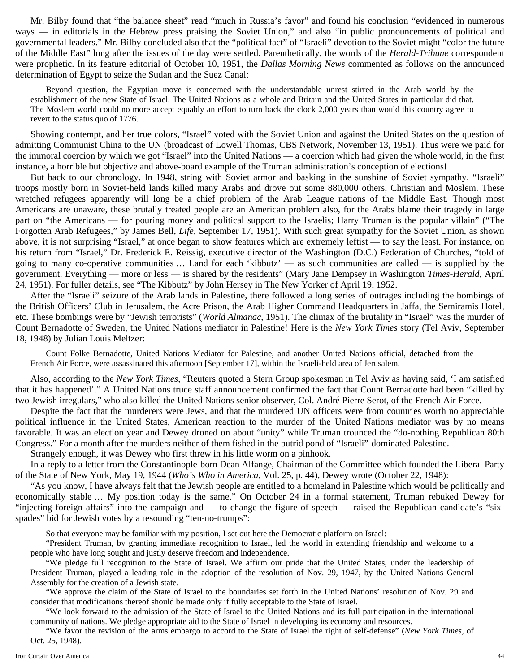Mr. Bilby found that "the balance sheet" read "much in Russia's favor" and found his conclusion "evidenced in numerous ways — in editorials in the Hebrew press praising the Soviet Union," and also "in public pronouncements of political and governmental leaders." Mr. Bilby concluded also that the "political fact" of "Israeli" devotion to the Soviet might "color the future of the Middle East" long after the issues of the day were settled. Parenthetically, the words of the *Herald-Tribune* correspondent were prophetic. In its feature editorial of October 10, 1951, the *Dallas Morning News* commented as follows on the announced determination of Egypt to seize the Sudan and the Suez Canal:

Beyond question, the Egyptian move is concerned with the understandable unrest stirred in the Arab world by the establishment of the new State of Israel. The United Nations as a whole and Britain and the United States in particular did that. The Moslem world could no more accept equably an effort to turn back the clock 2,000 years than would this country agree to revert to the status quo of 1776.

Showing contempt, and her true colors, "Israel" voted with the Soviet Union and against the United States on the question of admitting Communist China to the UN (broadcast of Lowell Thomas, CBS Network, November 13, 1951). Thus were we paid for the immoral coercion by which we got "Israel" into the United Nations — a coercion which had given the whole world, in the first instance, a horrible but objective and above-board example of the Truman administration's conception of elections!

But back to our chronology. In 1948, string with Soviet armor and basking in the sunshine of Soviet sympathy, "Israeli" troops mostly born in Soviet-held lands killed many Arabs and drove out some 880,000 others, Christian and Moslem. These wretched refugees apparently will long be a chief problem of the Arab League nations of the Middle East. Though most Americans are unaware, these brutally treated people are an American problem also, for the Arabs blame their tragedy in large part on "the Americans — for pouring money and political support to the Israelis; Harry Truman is the popular villain" ("The Forgotten Arab Refugees," by James Bell, *Life*, September 17, 1951). With such great sympathy for the Soviet Union, as shown above, it is not surprising "Israel," at once began to show features which are extremely leftist — to say the least. For instance, on his return from "Israel," Dr. Frederick E. Reissig, executive director of the Washington (D.C.) Federation of Churches, "told of going to many co-operative communities … Land for each 'kibbutz' — as such communities are called — is supplied by the government. Everything — more or less — is shared by the residents" (Mary Jane Dempsey in Washington *Times-Herald*, April 24, 1951). For fuller details, see "The Kibbutz" by John Hersey in The New Yorker of April 19, 1952.

After the "Israeli" seizure of the Arab lands in Palestine, there followed a long series of outrages including the bombings of the British Officers' Club in Jerusalem, the Acre Prison, the Arab Higher Command Headquarters in Jaffa, the Semiramis Hotel, etc. These bombings were by "Jewish terrorists" (*World Almanac*, 1951). The climax of the brutality in "Israel" was the murder of Count Bernadotte of Sweden, the United Nations mediator in Palestine! Here is the *New York Times* story (Tel Aviv, September 18, 1948) by Julian Louis Meltzer:

Count Folke Bernadotte, United Nations Mediator for Palestine, and another United Nations official, detached from the French Air Force, were assassinated this afternoon [September 17], within the Israeli-held area of Jerusalem.

Also, according to the *New York Times*, "Reuters quoted a Stern Group spokesman in Tel Aviv as having said, 'I am satisfied that it has happened'." A United Nations truce staff announcement confirmed the fact that Count Bernadotte had been "killed by two Jewish irregulars," who also killed the United Nations senior observer, Col. André Pierre Serot, of the French Air Force.

Despite the fact that the murderers were Jews, and that the murdered UN officers were from countries worth no appreciable political influence in the United States, American reaction to the murder of the United Nations mediator was by no means favorable. It was an election year and Dewey droned on about "unity" while Truman trounced the "do-nothing Republican 80th Congress." For a month after the murders neither of them fished in the putrid pond of "Israeli"-dominated Palestine.

Strangely enough, it was Dewey who first threw in his little worm on a pinhook.

In a reply to a letter from the Constantinople-born Dean Alfange, Chairman of the Committee which founded the Liberal Party of the State of New York, May 19, 1944 (*Who's Who in America*, Vol. 25, p. 44), Dewey wrote (October 22, 1948):

"As you know, I have always felt that the Jewish people are entitled to a homeland in Palestine which would be politically and economically stable … My position today is the same." On October 24 in a formal statement, Truman rebuked Dewey for "injecting foreign affairs" into the campaign and — to change the figure of speech — raised the Republican candidate's "sixspades" bid for Jewish votes by a resounding "ten-no-trumps":

So that everyone may be familiar with my position, I set out here the Democratic platform on Israel:

"President Truman, by granting immediate recognition to Israel, led the world in extending friendship and welcome to a people who have long sought and justly deserve freedom and independence.

"We pledge full recognition to the State of Israel. We affirm our pride that the United States, under the leadership of President Truman, played a leading role in the adoption of the resolution of Nov. 29, 1947, by the United Nations General Assembly for the creation of a Jewish state.

"We approve the claim of the State of Israel to the boundaries set forth in the United Nations' resolution of Nov. 29 and consider that modifications thereof should be made only if fully acceptable to the State of Israel.

"We look forward to the admission of the State of Israel to the United Nations and its full participation in the international community of nations. We pledge appropriate aid to the State of Israel in developing its economy and resources.

"We favor the revision of the arms embargo to accord to the State of Israel the right of self-defense" (*New York Times*, of Oct. 25, 1948).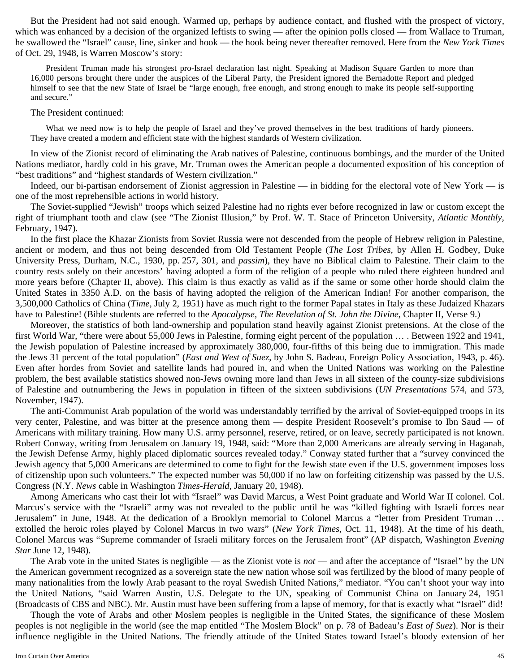But the President had not said enough. Warmed up, perhaps by audience contact, and flushed with the prospect of victory, which was enhanced by a decision of the organized leftists to swing — after the opinion polls closed — from Wallace to Truman, he swallowed the "Israel" cause, line, sinker and hook — the hook being never thereafter removed. Here from the *New York Times* of Oct. 29, 1948, is Warren Moscow's story:

President Truman made his strongest pro-Israel declaration last night. Speaking at Madison Square Garden to more than 16,000 persons brought there under the auspices of the Liberal Party, the President ignored the Bernadotte Report and pledged himself to see that the new State of Israel be "large enough, free enough, and strong enough to make its people self-supporting and secure."

### The President continued:

What we need now is to help the people of Israel and they've proved themselves in the best traditions of hardy pioneers. They have created a modern and efficient state with the highest standards of Western civilization.

In view of the Zionist record of eliminating the Arab natives of Palestine, continuous bombings, and the murder of the United Nations mediator, hardly cold in his grave, Mr. Truman owes the American people a documented exposition of his conception of "best traditions" and "highest standards of Western civilization."

Indeed, our bi-partisan endorsement of Zionist aggression in Palestine — in bidding for the electoral vote of New York — is one of the most reprehensible actions in world history.

The Soviet-supplied "Jewish" troops which seized Palestine had no rights ever before recognized in law or custom except the right of triumphant tooth and claw (see "The Zionist Illusion," by Prof. W. T. Stace of Princeton University, *Atlantic Monthly*, February, 1947).

In the first place the Khazar Zionists from Soviet Russia were not descended from the people of Hebrew religion in Palestine, ancient or modern, and thus not being descended from Old Testament People (*The Lost Tribes*, by Allen H. Godbey, Duke University Press, Durham, N.C., 1930, pp. 257, 301, and *passim*), they have no Biblical claim to Palestine. Their claim to the country rests solely on their ancestors' having adopted a form of the religion of a people who ruled there eighteen hundred and more years before (Chapter II, above). This claim is thus exactly as valid as if the same or some other horde should claim the United States in 3350 A.D. on the basis of having adopted the religion of the American Indian! For another comparison, the 3,500,000 Catholics of China (*Time*, July 2, 1951) have as much right to the former Papal states in Italy as these Judaized Khazars have to Palestine! (Bible students are referred to the *Apocalypse, The Revelation of St. John the Divine*, Chapter II, Verse 9.)

Moreover, the statistics of both land-ownership and population stand heavily against Zionist pretensions. At the close of the first World War, "there were about 55,000 Jews in Palestine, forming eight percent of the population … . Between 1922 and 1941, the Jewish population of Palestine increased by approximately 380,000, four-fifths of this being due to immigration. This made the Jews 31 percent of the total population" (*East and West of Suez*, by John S. Badeau, Foreign Policy Association, 1943, p. 46). Even after hordes from Soviet and satellite lands had poured in, and when the United Nations was working on the Palestine problem, the best available statistics showed non-Jews owning more land than Jews in all sixteen of the county-size subdivisions of Palestine and outnumbering the Jews in population in fifteen of the sixteen subdivisions (*UN Presentations* 574, and 573, November, 1947).

The anti-Communist Arab population of the world was understandably terrified by the arrival of Soviet-equipped troops in its very center, Palestine, and was bitter at the presence among them — despite President Roosevelt's promise to Ibn Saud — of Americans with military training. How many U.S. army personnel, reserve, retired, or on leave, secretly participated is not known. Robert Conway, writing from Jerusalem on January 19, 1948, said: "More than 2,000 Americans are already serving in Haganah, the Jewish Defense Army, highly placed diplomatic sources revealed today." Conway stated further that a "survey convinced the Jewish agency that 5,000 Americans are determined to come to fight for the Jewish state even if the U.S. government imposes loss of citizenship upon such volunteers." The expected number was 50,000 if no law on forfeiting citizenship was passed by the U.S. Congress (N.Y. *News* cable in Washington *Times-Herald*, January 20, 1948).

Among Americans who cast their lot with "Israel" was David Marcus, a West Point graduate and World War II colonel. Col. Marcus's service with the "Israeli" army was not revealed to the public until he was "killed fighting with Israeli forces near Jerusalem" in June, 1948. At the dedication of a Brooklyn memorial to Colonel Marcus a "letter from President Truman … extolled the heroic roles played by Colonel Marcus in two wars" (*New York Times*, Oct. 11, 1948). At the time of his death, Colonel Marcus was "Supreme commander of Israeli military forces on the Jerusalem front" (AP dispatch, Washington *Evening Star* June 12, 1948).

The Arab vote in the united States is negligible — as the Zionist vote is *not* — and after the acceptance of "Israel" by the UN the American government recognized as a sovereign state the new nation whose soil was fertilized by the blood of many people of many nationalities from the lowly Arab peasant to the royal Swedish United Nations," mediator. "You can't shoot your way into the United Nations, "said Warren Austin, U.S. Delegate to the UN, speaking of Communist China on January 24, 1951 (Broadcasts of CBS and NBC). Mr. Austin must have been suffering from a lapse of memory, for that is exactly what "Israel" did!

Though the vote of Arabs and other Moslem peoples is negligible in the United States, the significance of these Moslem peoples is not negligible in the world (see the map entitled "The Moslem Block" on p. 78 of Badeau's *East of Suez*). Nor is their influence negligible in the United Nations. The friendly attitude of the United States toward Israel's bloody extension of her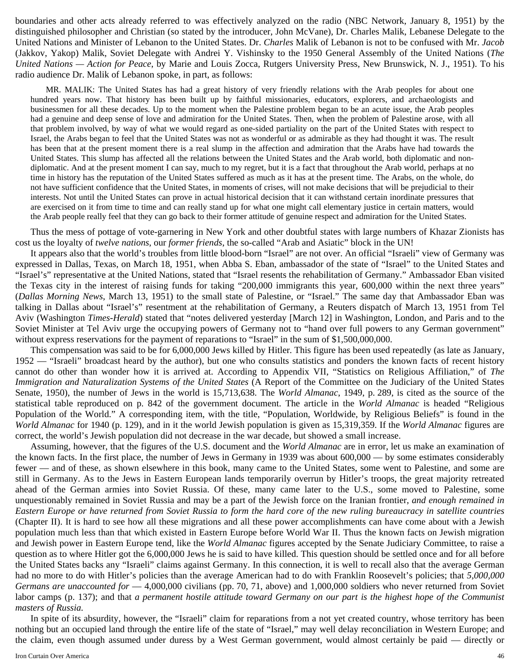boundaries and other acts already referred to was effectively analyzed on the radio (NBC Network, January 8, 1951) by the distinguished philosopher and Christian (so stated by the introducer, John McVane), Dr. Charles Malik, Lebanese Delegate to the United Nations and Minister of Lebanon to the United States. Dr. *Charles* Malik of Lebanon is not to be confused with Mr. *Jacob* (Jakkov, Yakop) Malik, Soviet Delegate with Andrei Y. Vishinsky to the 1950 General Assembly of the United Nations (*The United Nations — Action for Peace*, by Marie and Louis Zocca, Rutgers University Press, New Brunswick, N. J., 1951). To his radio audience Dr. Malik of Lebanon spoke, in part, as follows:

MR. MALIK: The United States has had a great history of very friendly relations with the Arab peoples for about one hundred years now. That history has been built up by faithful missionaries, educators, explorers, and archaeologists and businessmen for all these decades. Up to the moment when the Palestine problem began to be an acute issue, the Arab peoples had a genuine and deep sense of love and admiration for the United States. Then, when the problem of Palestine arose, with all that problem involved, by way of what we would regard as one-sided partiality on the part of the United States with respect to Israel, the Arabs began to feel that the United States was not as wonderful or as admirable as they had thought it was. The result has been that at the present moment there is a real slump in the affection and admiration that the Arabs have had towards the United States. This slump has affected all the relations between the United States and the Arab world, both diplomatic and nondiplomatic. And at the present moment I can say, much to my regret, but it is a fact that throughout the Arab world, perhaps at no time in history has the reputation of the United States suffered as much as it has at the present time. The Arabs, on the whole, do not have sufficient confidence that the United States, in moments of crises, will not make decisions that will be prejudicial to their interests. Not until the United States can prove in actual historical decision that it can withstand certain inordinate pressures that are exercised on it from time to time and can really stand up for what one might call elementary justice in certain matters, would the Arab people really feel that they can go back to their former attitude of genuine respect and admiration for the United States.

Thus the mess of pottage of vote-garnering in New York and other doubtful states with large numbers of Khazar Zionists has cost us the loyalty of *twelve nations*, our *former friends*, the so-called "Arab and Asiatic" block in the UN!

It appears also that the world's troubles from little blood-born "Israel" are not over. An official "Israeli" view of Germany was expressed in Dallas, Texas, on March 18, 1951, when Abba S. Eban, ambassador of the state of "Israel" to the United States and "Israel's" representative at the United Nations, stated that "Israel resents the rehabilitation of Germany." Ambassador Eban visited the Texas city in the interest of raising funds for taking "200,000 immigrants this year, 600,000 within the next three years" (*Dallas Morning News*, March 13, 1951) to the small state of Palestine, or "Israel." The same day that Ambassador Eban was talking in Dallas about "Israel's" resentment at the rehabilitation of Germany, a Reuters dispatch of March 13, 1951 from Tel Aviv (Washington *Times-Herald*) stated that "notes delivered yesterday [March 12] in Washington, London, and Paris and to the Soviet Minister at Tel Aviv urge the occupying powers of Germany not to "hand over full powers to any German government" without express reservations for the payment of reparations to "Israel" in the sum of \$1,500,000,000.

This compensation was said to be for 6,000,000 Jews killed by Hitler. This figure has been used repeatedly (as late as January, 1952 — "Israeli" broadcast heard by the author), but one who consults statistics and ponders the known facts of recent history cannot do other than wonder how it is arrived at. According to Appendix VII, "Statistics on Religious Affiliation," of *The Immigration and Naturalization Systems of the United States* (A Report of the Committee on the Judiciary of the United States Senate, 1950), the number of Jews in the world is 15,713,638. The *World Almanac*, 1949, p. 289, is cited as the source of the statistical table reproduced on p. 842 of the government document. The article in the *World Almanac* is headed "Religious Population of the World." A corresponding item, with the title, "Population, Worldwide, by Religious Beliefs" is found in the *World Almanac* for 1940 (p. 129), and in it the world Jewish population is given as 15,319,359. If the *World Almanac* figures are correct, the world's Jewish population did not decrease in the war decade, but showed a small increase.

Assuming, however, that the figures of the U.S. document and the *World Almanac* are in error, let us make an examination of the known facts. In the first place, the number of Jews in Germany in 1939 was about 600,000 — by some estimates considerably fewer — and of these, as shown elsewhere in this book, many came to the United States, some went to Palestine, and some are still in Germany. As to the Jews in Eastern European lands temporarily overrun by Hitler's troops, the great majority retreated ahead of the German armies into Soviet Russia. Of these, many came later to the U.S., some moved to Palestine, some unquestionably remained in Soviet Russia and may be a part of the Jewish force on the Iranian frontier, *and enough remained in Eastern Europe or have returned from Soviet Russia to form the hard core of the new ruling bureaucracy in satellite countries* (Chapter II). It is hard to see how all these migrations and all these power accomplishments can have come about with a Jewish population much less than that which existed in Eastern Europe before World War II. Thus the known facts on Jewish migration and Jewish power in Eastern Europe tend, like the *World Almanac* figures accepted by the Senate Judiciary Committee, to raise a question as to where Hitler got the 6,000,000 Jews he is said to have killed. This question should be settled once and for all before the United States backs any "Israeli" claims against Germany. In this connection, it is well to recall also that the average German had no more to do with Hitler's policies than the average American had to do with Franklin Roosevelt's policies; that *5,000,000 Germans are unaccounted for* — 4,000,000 civilians (pp. 70, 71, above) and 1,000,000 soldiers who never returned from Soviet labor camps (p. 137); and that *a permanent hostile attitude toward Germany on our part is the highest hope of the Communist masters of Russia.*

In spite of its absurdity, however, the "Israeli" claim for reparations from a not yet created country, whose territory has been nothing but an occupied land through the entire life of the state of "Israel," may well delay reconciliation in Western Europe; and the claim, even though assumed under duress by a West German government, would almost certainly be paid — directly or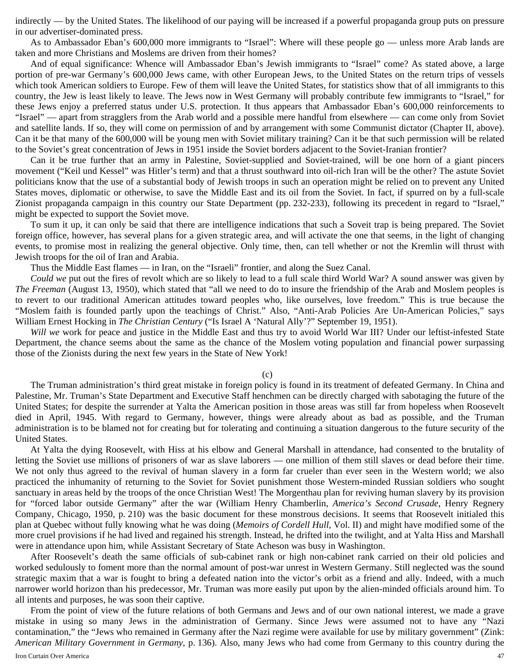indirectly — by the United States. The likelihood of our paying will be increased if a powerful propaganda group puts on pressure in our advertiser-dominated press.

As to Ambassador Eban's 600,000 more immigrants to "Israel": Where will these people go — unless more Arab lands are taken and more Christians and Moslems are driven from their homes?

And of equal significance: Whence will Ambassador Eban's Jewish immigrants to "Israel" come? As stated above, a large portion of pre-war Germany's 600,000 Jews came, with other European Jews, to the United States on the return trips of vessels which took American soldiers to Europe. Few of them will leave the United States, for statistics show that of all immigrants to this country, the Jew is least likely to leave. The Jews now in West Germany will probably contribute few immigrants to "Israel," for these Jews enjoy a preferred status under U.S. protection. It thus appears that Ambassador Eban's 600,000 reinforcements to "Israel" — apart from stragglers from the Arab world and a possible mere handful from elsewhere — can come only from Soviet and satellite lands. If so, they will come on permission of and by arrangement with some Communist dictator (Chapter II, above). Can it be that many of the 600,000 will be young men with Soviet military training? Can it be that such permission will be related to the Soviet's great concentration of Jews in 1951 inside the Soviet borders adjacent to the Soviet-Iranian frontier?

Can it be true further that an army in Palestine, Soviet-supplied and Soviet-trained, will be one horn of a giant pincers movement ("Keil und Kessel" was Hitler's term) and that a thrust southward into oil-rich Iran will be the other? The astute Soviet politicians know that the use of a substantial body of Jewish troops in such an operation might be relied on to prevent any United States moves, diplomatic or otherwise, to save the Middle East and its oil from the Soviet. In fact, if spurred on by a full-scale Zionist propaganda campaign in this country our State Department (pp. 232-233), following its precedent in regard to "Israel," might be expected to support the Soviet move.

To sum it up, it can only be said that there are intelligence indications that such a Soveit trap is being prepared. The Soviet foreign office, however, has several plans for a given strategic area, and will activate the one that seems, in the light of changing events, to promise most in realizing the general objective. Only time, then, can tell whether or not the Kremlin will thrust with Jewish troops for the oil of Iran and Arabia.

Thus the Middle East flames — in Iran, on the "Israeli" frontier, and along the Suez Canal.

*Could we* put out the fires of revolt which are so likely to lead to a full scale third World War? A sound answer was given by *The Freeman* (August 13, 1950), which stated that "all we need to do to insure the friendship of the Arab and Moslem peoples is to revert to our traditional American attitudes toward peoples who, like ourselves, love freedom." This is true because the "Moslem faith is founded partly upon the teachings of Christ." Also, "Anti-Arab Policies Are Un-American Policies," says William Ernest Hocking in *The Christian Century* ("Is Israel A 'Natural Ally'?" September 19, 1951).

*Will we* work for peace and justice in the Middle East and thus try to avoid World War III? Under our leftist-infested State Department, the chance seems about the same as the chance of the Moslem voting population and financial power surpassing those of the Zionists during the next few years in the State of New York!

#### (c)

The Truman administration's third great mistake in foreign policy is found in its treatment of defeated Germany. In China and Palestine, Mr. Truman's State Department and Executive Staff henchmen can be directly charged with sabotaging the future of the United States; for despite the surrender at Yalta the American position in those areas was still far from hopeless when Roosevelt died in April, 1945. With regard to Germany, however, things were already about as bad as possible, and the Truman administration is to be blamed not for creating but for tolerating and continuing a situation dangerous to the future security of the United States.

At Yalta the dying Roosevelt, with Hiss at his elbow and General Marshall in attendance, had consented to the brutality of letting the Soviet use millions of prisoners of war as slave laborers — one million of them still slaves or dead before their time. We not only thus agreed to the revival of human slavery in a form far crueler than ever seen in the Western world; we also practiced the inhumanity of returning to the Soviet for Soviet punishment those Western-minded Russian soldiers who sought sanctuary in areas held by the troops of the once Christian West! The Morgenthau plan for reviving human slavery by its provision for "forced labor outside Germany" after the war (William Henry Chamberlin, *America's Second Crusade*, Henry Regnery Company, Chicago, 1950, p. 210) was the basic document for these monstrous decisions. It seems that Roosevelt initialed this plan at Quebec without fully knowing what he was doing (*Memoirs of Cordell Hull*, Vol. II) and might have modified some of the more cruel provisions if he had lived and regained his strength. Instead, he drifted into the twilight, and at Yalta Hiss and Marshall were in attendance upon him, while Assistant Secretary of State Acheson was busy in Washington.

After Roosevelt's death the same officials of sub-cabinet rank or high non-cabinet rank carried on their old policies and worked sedulously to foment more than the normal amount of post-war unrest in Western Germany. Still neglected was the sound strategic maxim that a war is fought to bring a defeated nation into the victor's orbit as a friend and ally. Indeed, with a much narrower world horizon than his predecessor, Mr. Truman was more easily put upon by the alien-minded officials around him. To all intents and purposes, he was soon their captive.

Iron Curtain Over America 47 From the point of view of the future relations of both Germans and Jews and of our own national interest, we made a grave mistake in using so many Jews in the administration of Germany. Since Jews were assumed not to have any "Nazi contamination," the "Jews who remained in Germany after the Nazi regime were available for use by military government" (Zink: *American Military Government in Germany*, p. 136). Also, many Jews who had come from Germany to this country during the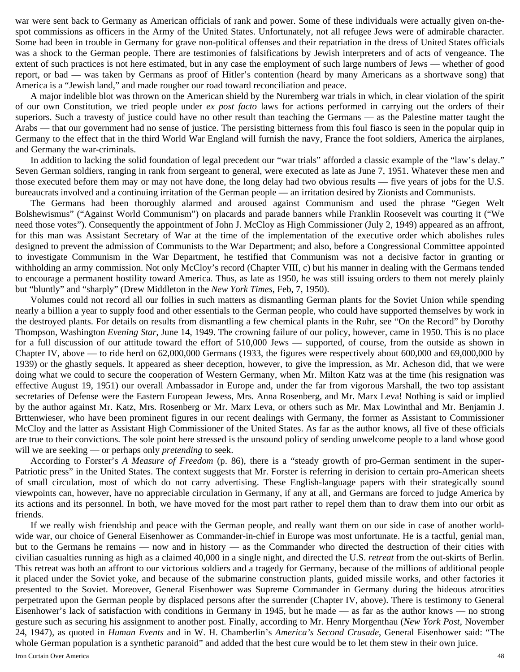war were sent back to Germany as American officials of rank and power. Some of these individuals were actually given on-thespot commissions as officers in the Army of the United States. Unfortunately, not all refugee Jews were of admirable character. Some had been in trouble in Germany for grave non-political offenses and their repatriation in the dress of United States officials was a shock to the German people. There are testimonies of falsifications by Jewish interpreters and of acts of vengeance. The extent of such practices is not here estimated, but in any case the employment of such large numbers of Jews — whether of good report, or bad — was taken by Germans as proof of Hitler's contention (heard by many Americans as a shortwave song) that America is a "Jewish land," and made rougher our road toward reconciliation and peace.

A major indelible blot was thrown on the American shield by the Nuremberg war trials in which, in clear violation of the spirit of our own Constitution, we tried people under *ex post facto* laws for actions performed in carrying out the orders of their superiors. Such a travesty of justice could have no other result than teaching the Germans — as the Palestine matter taught the Arabs — that our government had no sense of justice. The persisting bitterness from this foul fiasco is seen in the popular quip in Germany to the effect that in the third World War England will furnish the navy, France the foot soldiers, America the airplanes, and Germany the war-criminals.

In addition to lacking the solid foundation of legal precedent our "war trials" afforded a classic example of the "law's delay." Seven German soldiers, ranging in rank from sergeant to general, were executed as late as June 7, 1951. Whatever these men and those executed before them may or may not have done, the long delay had two obvious results — five years of jobs for the U.S. bureaucrats involved and a continuing irritation of the German people — an irritation desired by Zionists and Communists.

The Germans had been thoroughly alarmed and aroused against Communism and used the phrase "Gegen Welt Bolshewismus" ("Against World Communism") on placards and parade banners while Franklin Roosevelt was courting it ("We need those votes"). Consequently the appointment of John J. McCloy as High Commissioner (July 2, 1949) appeared as an affront, for this man was Assistant Secretary of War at the time of the implementation of the executive order which abolishes rules designed to prevent the admission of Communists to the War Department; and also, before a Congressional Committee appointed to investigate Communism in the War Department, he testified that Communism was not a decisive factor in granting or withholding an army commission. Not only McCloy's record (Chapter VIII, c) but his manner in dealing with the Germans tended to encourage a permanent hostility toward America. Thus, as late as 1950, he was still issuing orders to them not merely plainly but "bluntly" and "sharply" (Drew Middleton in the *New York Times*, Feb, 7, 1950).

Volumes could not record all our follies in such matters as dismantling German plants for the Soviet Union while spending nearly a billion a year to supply food and other essentials to the German people, who could have supported themselves by work in the destroyed plants. For details on results from dismantling a few chemical plants in the Ruhr, see "On the Record" by Dorothy Thompson, Washington *Evening Star*, June 14, 1949. The crowning failure of our policy, however, came in 1950. This is no place for a full discussion of our attitude toward the effort of 510,000 Jews — supported, of course, from the outside as shown in Chapter IV, above — to ride herd on  $62,000,000$  Germans (1933, the figures were respectively about  $600,000$  and  $69,000,000$  by 1939) or the ghastly sequels. It appeared as sheer deception, however, to give the impression, as Mr. Acheson did, that we were doing what we could to secure the cooperation of Western Germany, when Mr. Milton Katz was at the time (his resignation was effective August 19, 1951) our overall Ambassador in Europe and, under the far from vigorous Marshall, the two top assistant secretaries of Defense were the Eastern European Jewess, Mrs. Anna Rosenberg, and Mr. Marx Leva! Nothing is said or implied by the author against Mr. Katz, Mrs. Rosenberg or Mr. Marx Leva, or others such as Mr. Max Lowinthal and Mr. Benjamin J. Brttenwieser, who have been prominent figures in our recent dealings with Germany, the former as Assistant to Commissioner McCloy and the latter as Assistant High Commissioner of the United States. As far as the author knows, all five of these officials are true to their convictions. The sole point here stressed is the unsound policy of sending unwelcome people to a land whose good will we are seeking — or perhaps only *pretending* to seek.

According to Forster's *A Measure of Freedom* (p. 86), there is a "steady growth of pro-German sentiment in the super-Patriotic press" in the United States. The context suggests that Mr. Forster is referring in derision to certain pro-American sheets of small circulation, most of which do not carry advertising. These English-language papers with their strategically sound viewpoints can, however, have no appreciable circulation in Germany, if any at all, and Germans are forced to judge America by its actions and its personnel. In both, we have moved for the most part rather to repel them than to draw them into our orbit as friends.

Iron Curtain Over America 48 If we really wish friendship and peace with the German people, and really want them on our side in case of another worldwide war, our choice of General Eisenhower as Commander-in-chief in Europe was most unfortunate. He is a tactful, genial man, but to the Germans he remains — now and in history — as the Commander who directed the destruction of their cities with civilian casualties running as high as a claimed 40,000 in a single night, and directed the U.S. *retreat* from the out-skirts of Berlin. This retreat was both an affront to our victorious soldiers and a tragedy for Germany, because of the millions of additional people it placed under the Soviet yoke, and because of the submarine construction plants, guided missile works, and other factories it presented to the Soviet. Moreover, General Eisenhower was Supreme Commander in Germany during the hideous atrocities perpetrated upon the German people by displaced persons after the surrender (Chapter IV, above). There is testimony to General Eisenhower's lack of satisfaction with conditions in Germany in 1945, but he made — as far as the author knows — no strong gesture such as securing his assignment to another post. Finally, according to Mr. Henry Morgenthau (*New York Post*, November 24, 1947), as quoted in *Human Events* and in W. H. Chamberlin's *America's Second Crusade*, General Eisenhower said: "The whole German population is a synthetic paranoid" and added that the best cure would be to let them stew in their own juice.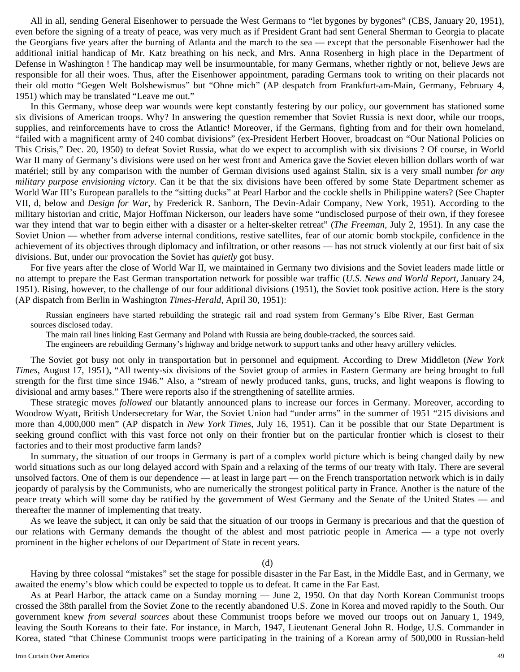All in all, sending General Eisenhower to persuade the West Germans to "let bygones by bygones" (CBS, January 20, 1951), even before the signing of a treaty of peace, was very much as if President Grant had sent General Sherman to Georgia to placate the Georgians five years after the burning of Atlanta and the march to the sea — except that the personable Eisenhower had the additional initial handicap of Mr. Katz breathing on his neck, and Mrs. Anna Rosenberg in high place in the Department of Defense in Washington ! The handicap may well be insurmountable, for many Germans, whether rightly or not, believe Jews are responsible for all their woes. Thus, after the Eisenhower appointment, parading Germans took to writing on their placards not their old motto "Gegen Welt Bolshewismus" but "Ohne mich" (AP despatch from Frankfurt-am-Main, Germany, February 4, 1951) which may be translated "Leave me out."

In this Germany, whose deep war wounds were kept constantly festering by our policy, our government has stationed some six divisions of American troops. Why? In answering the question remember that Soviet Russia is next door, while our troops, supplies, and reinforcements have to cross the Atlantic! Moreover, if the Germans, fighting from and for their own homeland, "failed with a magnificent army of 240 combat divisions" (ex-President Herbert Hoover, broadcast on "Our National Policies on This Crisis," Dec. 20, 1950) to defeat Soviet Russia, what do we expect to accomplish with six divisions ? Of course, in World War II many of Germany's divisions were used on her west front and America gave the Soviet eleven billion dollars worth of war matériel; still by any comparison with the number of German divisions used against Stalin, six is a very small number *for any military purpose envisioning victory*. Can it be that the six divisions have been offered by some State Department schemer as World War III's European parallels to the "sitting ducks" at Pearl Harbor and the cockle shells in Philippine waters? (See Chapter VII, d, below and *Design for War*, by Frederick R. Sanborn, The Devin-Adair Company, New York, 1951). According to the military historian and critic, Major Hoffman Nickerson, our leaders have some "undisclosed purpose of their own, if they foresee war they intend that war to begin either with a disaster or a helter-skelter retreat" (*The Freeman*, July 2, 1951). In any case the Soviet Union — whether from adverse internal conditions, restive satellites, fear of our atomic bomb stockpile, confidence in the achievement of its objectives through diplomacy and infiltration, or other reasons — has not struck violently at our first bait of six divisions. But, under our provocation the Soviet has *quietly* got busy.

For five years after the close of World War II, we maintained in Germany two divisions and the Soviet leaders made little or no attempt to prepare the East German transportation network for possible war traffic (*U.S. News and World Report*, January 24, 1951). Rising, however, to the challenge of our four additional divisions (1951), the Soviet took positive action. Here is the story (AP dispatch from Berlin in Washington *Times-Herald*, April 30, 1951):

Russian engineers have started rebuilding the strategic rail and road system from Germany's Elbe River, East German sources disclosed today.

The main rail lines linking East Germany and Poland with Russia are being double-tracked, the sources said.

The engineers are rebuilding Germany's highway and bridge network to support tanks and other heavy artillery vehicles.

The Soviet got busy not only in transportation but in personnel and equipment. According to Drew Middleton (*New York Times*, August 17, 1951), "All twenty-six divisions of the Soviet group of armies in Eastern Germany are being brought to full strength for the first time since 1946." Also, a "stream of newly produced tanks, guns, trucks, and light weapons is flowing to divisional and army bases." There were reports also if the strengthening of satellite armies.

These strategic moves *followed* our blatantly announced plans to increase our forces in Germany. Moreover, according to Woodrow Wyatt, British Undersecretary for War, the Soviet Union had "under arms" in the summer of 1951 "215 divisions and more than 4,000,000 men" (AP dispatch in *New York Times*, July 16, 1951). Can it be possible that our State Department is seeking ground conflict with this vast force not only on their frontier but on the particular frontier which is closest to their factories and to their most productive farm lands?

In summary, the situation of our troops in Germany is part of a complex world picture which is being changed daily by new world situations such as our long delayed accord with Spain and a relaxing of the terms of our treaty with Italy. There are several unsolved factors. One of them is our dependence — at least in large part — on the French transportation network which is in daily jeopardy of paralysis by the Communists, who are numerically the strongest political party in France. Another is the nature of the peace treaty which will some day be ratified by the government of West Germany and the Senate of the United States — and thereafter the manner of implementing that treaty.

As we leave the subject, it can only be said that the situation of our troops in Germany is precarious and that the question of our relations with Germany demands the thought of the ablest and most patriotic people in America — a type not overly prominent in the higher echelons of our Department of State in recent years.

### (d)

Having by three colossal "mistakes" set the stage for possible disaster in the Far East, in the Middle East, and in Germany, we awaited the enemy's blow which could be expected to topple us to defeat. It came in the Far East.

As at Pearl Harbor, the attack came on a Sunday morning — June 2, 1950. On that day North Korean Communist troops crossed the 38th parallel from the Soviet Zone to the recently abandoned U.S. Zone in Korea and moved rapidly to the South. Our government knew *from several sources* about these Communist troops before we moved our troops out on January 1, 1949, leaving the South Koreans to their fate. For instance, in March, 1947, Lieutenant General John R. Hodge, U.S. Commander in Korea, stated "that Chinese Communist troops were participating in the training of a Korean army of 500,000 in Russian-held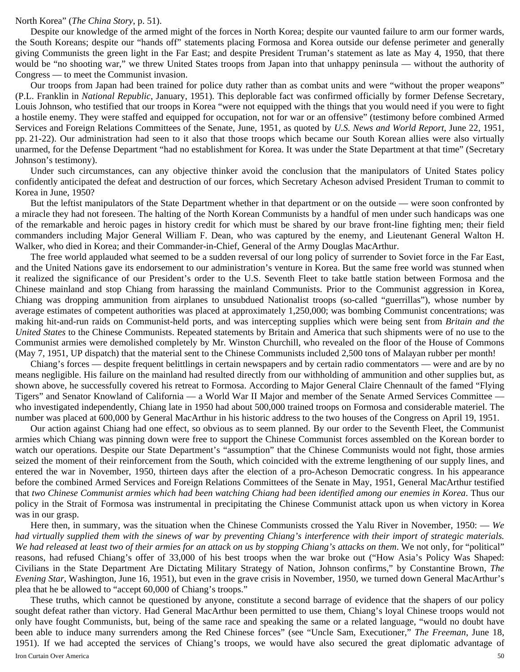### North Korea" (*The China Story*, p. 51).

Despite our knowledge of the armed might of the forces in North Korea; despite our vaunted failure to arm our former wards, the South Koreans; despite our "hands off" statements placing Formosa and Korea outside our defense perimeter and generally giving Communists the green light in the Far East; and despite President Truman's statement as late as May 4, 1950, that there would be "no shooting war," we threw United States troops from Japan into that unhappy peninsula — without the authority of Congress — to meet the Communist invasion.

Our troops from Japan had been trained for police duty rather than as combat units and were "without the proper weapons" (P.L. Franklin in *National Republic*, January, 1951). This deplorable fact was confirmed officially by former Defense Secretary, Louis Johnson, who testified that our troops in Korea "were not equipped with the things that you would need if you were to fight a hostile enemy. They were staffed and equipped for occupation, not for war or an offensive" (testimony before combined Armed Services and Foreign Relations Committees of the Senate, June, 1951, as quoted by *U.S. News and World Report*, June 22, 1951, pp. 21-22). Our administration had seen to it also that those troops which became our South Korean allies were also virtually unarmed, for the Defense Department "had no establishment for Korea. It was under the State Department at that time" (Secretary Johnson's testimony).

Under such circumstances, can any objective thinker avoid the conclusion that the manipulators of United States policy confidently anticipated the defeat and destruction of our forces, which Secretary Acheson advised President Truman to commit to Korea in June, 1950?

But the leftist manipulators of the State Department whether in that department or on the outside — were soon confronted by a miracle they had not foreseen. The halting of the North Korean Communists by a handful of men under such handicaps was one of the remarkable and heroic pages in history credit for which must be shared by our brave front-line fighting men; their field commanders including Major General William F. Dean, who was captured by the enemy, and Lieutenant General Walton H. Walker, who died in Korea; and their Commander-in-Chief, General of the Army Douglas MacArthur.

The free world applauded what seemed to be a sudden reversal of our long policy of surrender to Soviet force in the Far East, and the United Nations gave its endorsement to our administration's venture in Korea. But the same free world was stunned when it realized the significance of our President's order to the U.S. Seventh Fleet to take battle station between Formosa and the Chinese mainland and stop Chiang from harassing the mainland Communists. Prior to the Communist aggression in Korea, Chiang was dropping ammunition from airplanes to unsubdued Nationalist troops (so-called "guerrillas"), whose number by average estimates of competent authorities was placed at approximately 1,250,000; was bombing Communist concentrations; was making hit-and-run raids on Communist-held ports, and was intercepting supplies which were being sent from *Britain and the United States* to the Chinese Communists. Repeated statements by Britain and America that such shipments were of no use to the Communist armies were demolished completely by Mr. Winston Churchill, who revealed on the floor of the House of Commons (May 7, 1951, UP dispatch) that the material sent to the Chinese Communists included 2,500 tons of Malayan rubber per month!

Chiang's forces — despite frequent belittlings in certain newspapers and by certain radio commentators — were and are by no means negligible. His failure on the mainland had resulted directly from our withholding of ammunition and other supplies but, as shown above, he successfully covered his retreat to Formosa. According to Major General Claire Chennault of the famed "Flying Tigers" and Senator Knowland of California — a World War II Major and member of the Senate Armed Services Committee who investigated independently, Chiang late in 1950 had about 500,000 trained troops on Formosa and considerable materiel. The number was placed at 600,000 by General MacArthur in his historic address to the two houses of the Congress on April 19, 1951.

Our action against Chiang had one effect, so obvious as to seem planned. By our order to the Seventh Fleet, the Communist armies which Chiang was pinning down were free to support the Chinese Communist forces assembled on the Korean border to watch our operations. Despite our State Department's "assumption" that the Chinese Communists would not fight, those armies seized the moment of their reinforcement from the South, which coincided with the extreme lengthening of our supply lines, and entered the war in November, 1950, thirteen days after the election of a pro-Acheson Democratic congress. In his appearance before the combined Armed Services and Foreign Relations Committees of the Senate in May, 1951, General MacArthur testified that *two Chinese Communist armies which had been watching Chiang had been identified among our enemies in Korea*. Thus our policy in the Strait of Formosa was instrumental in precipitating the Chinese Communist attack upon us when victory in Korea was in our grasp.

Here then, in summary, was the situation when the Chinese Communists crossed the Yalu River in November, 1950: — *We had virtually supplied them with the sinews of war by preventing Chiang's interference with their import of strategic materials. We had released at least two of their armies for an attack on us by stopping Chiang's attacks on them*. We not only, for "political" reasons, had refused Chiang's offer of 33,000 of his best troops when the war broke out ("How Asia's Policy Was Shaped: Civilians in the State Department Are Dictating Military Strategy of Nation, Johnson confirms," by Constantine Brown, *The Evening Star*, Washington, June 16, 1951), but even in the grave crisis in November, 1950, we turned down General MacArthur's plea that he be allowed to "accept 60,000 of Chiang's troops."

Iron Curtain Over America 50 These truths, which cannot be questioned by anyone, constitute a second barrage of evidence that the shapers of our policy sought defeat rather than victory. Had General MacArthur been permitted to use them, Chiang's loyal Chinese troops would not only have fought Communists, but, being of the same race and speaking the same or a related language, "would no doubt have been able to induce many surrenders among the Red Chinese forces" (see "Uncle Sam, Executioner," *The Freeman*, June 18, 1951). If we had accepted the services of Chiang's troops, we would have also secured the great diplomatic advantage of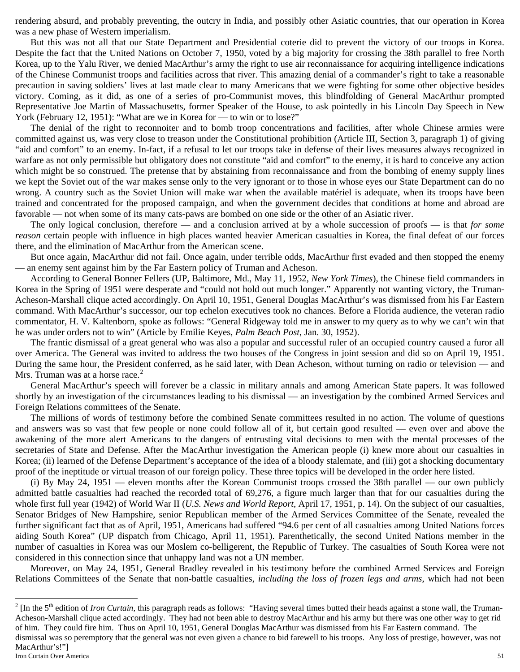rendering absurd, and probably preventing, the outcry in India, and possibly other Asiatic countries, that our operation in Korea was a new phase of Western imperialism.

But this was not all that our State Department and Presidential coterie did to prevent the victory of our troops in Korea. Despite the fact that the United Nations on October 7, 1950, voted by a big majority for crossing the 38th parallel to free North Korea, up to the Yalu River, we denied MacArthur's army the right to use air reconnaissance for acquiring intelligence indications of the Chinese Communist troops and facilities across that river. This amazing denial of a commander's right to take a reasonable precaution in saving soldiers' lives at last made clear to many Americans that we were fighting for some other objective besides victory. Coming, as it did, as one of a series of pro-Communist moves, this blindfolding of General MacArthur prompted Representative Joe Martin of Massachusetts, former Speaker of the House, to ask pointedly in his Lincoln Day Speech in New York (February 12, 1951): "What are we in Korea for — to win or to lose?"

The denial of the right to reconnoiter and to bomb troop concentrations and facilities, after whole Chinese armies were committed against us, was very close to treason under the Constitutional prohibition (Article III, Section 3, paragraph 1) of giving "aid and comfort" to an enemy. In-fact, if a refusal to let our troops take in defense of their lives measures always recognized in warfare as not only permissible but obligatory does not constitute "aid and comfort" to the enemy, it is hard to conceive any action which might be so construed. The pretense that by abstaining from reconnaissance and from the bombing of enemy supply lines we kept the Soviet out of the war makes sense only to the very ignorant or to those in whose eyes our State Department can do no wrong. A country such as the Soviet Union will make war when the available matériel is adequate, when its troops have been trained and concentrated for the proposed campaign, and when the government decides that conditions at home and abroad are favorable — not when some of its many cats-paws are bombed on one side or the other of an Asiatic river.

The only logical conclusion, therefore — and a conclusion arrived at by a whole succession of proofs — is that *for some reason* certain people with influence in high places wanted heavier American casualties in Korea, the final defeat of our forces there, and the elimination of MacArthur from the American scene.

But once again, MacArthur did not fail. Once again, under terrible odds, MacArthur first evaded and then stopped the enemy — an enemy sent against him by the Far Eastern policy of Truman and Acheson.

According to General Bonner Fellers (UP, Baltimore, Md., May 11, 1952, *New York Times*), the Chinese field commanders in Korea in the Spring of 1951 were desperate and "could not hold out much longer." Apparently not wanting victory, the Truman-Acheson-Marshall clique acted accordingly. On April 10, 1951, General Douglas MacArthur's was dismissed from his Far Eastern command. With MacArthur's successor, our top echelon executives took no chances. Before a Florida audience, the veteran radio commentator, H. V. Kaltenborn, spoke as follows: "General Ridgeway told me in answer to my query as to why we can't win that he was under orders not to win" (Article by Emilie Keyes, *Palm Beach Post*, Jan. 30, 1952).

The frantic dismissal of a great general who was also a popular and successful ruler of an occupied country caused a furor all over America. The General was invited to address the two houses of the Congress in joint session and did so on April 19, 1951. During the same hour, the President conferred, as he said later, with Dean Acheson, without turning on radio or television — and Mrs. Truman was at a horse race. $<sup>2</sup>$  $<sup>2</sup>$  $<sup>2</sup>$ </sup>

General MacArthur's speech will forever be a classic in military annals and among American State papers. It was followed shortly by an investigation of the circumstances leading to his dismissal — an investigation by the combined Armed Services and Foreign Relations committees of the Senate.

The millions of words of testimony before the combined Senate committees resulted in no action. The volume of questions and answers was so vast that few people or none could follow all of it, but certain good resulted — even over and above the awakening of the more alert Americans to the dangers of entrusting vital decisions to men with the mental processes of the secretaries of State and Defense. After the MacArthur investigation the American people (i) knew more about our casualties in Korea; (ii) learned of the Defense Department's acceptance of the idea of a bloody stalemate, and (iii) got a shocking documentary proof of the ineptitude or virtual treason of our foreign policy. These three topics will be developed in the order here listed.

(i) By May 24, 1951 — eleven months after the Korean Communist troops crossed the 38th parallel — our own publicly admitted battle casualties had reached the recorded total of 69,276, a figure much larger than that for our casualties during the whole first full year (1942) of World War II (*U.S. News and World Report*, April 17, 1951, p. 14). On the subject of our casualties, Senator Bridges of New Hampshire, senior Republican member of the Armed Services Committee of the Senate, revealed the further significant fact that as of April, 1951, Americans had suffered "94.6 per cent of all casualties among United Nations forces aiding South Korea" (UP dispatch from Chicago, April 11, 1951). Parenthetically, the second United Nations member in the number of casualties in Korea was our Moslem co-belligerent, the Republic of Turkey. The casualties of South Korea were not considered in this connection since that unhappy land was not a UN member.

Moreover, on May 24, 1951, General Bradley revealed in his testimony before the combined Armed Services and Foreign Relations Committees of the Senate that non-battle casualties, *including the loss of frozen legs and arms*, which had not been

<span id="page-50-0"></span><sup>&</sup>lt;sup>2</sup> [In the 5<sup>th</sup> edition of *Iron Curtain*, this paragraph reads as follows: "Having several times butted their heads against a stone wall, the Truman-Acheson-Marshall clique acted accordingly. They had not been able to destroy MacArthur and his army but there was one other way to get rid of him. They could fire him. Thus on April 10, 1951, General Douglas MacArthur was dismissed from his Far Eastern command. The dismissal was so peremptory that the general was not even given a chance to bid farewell to his troops. Any loss of prestige, however, was not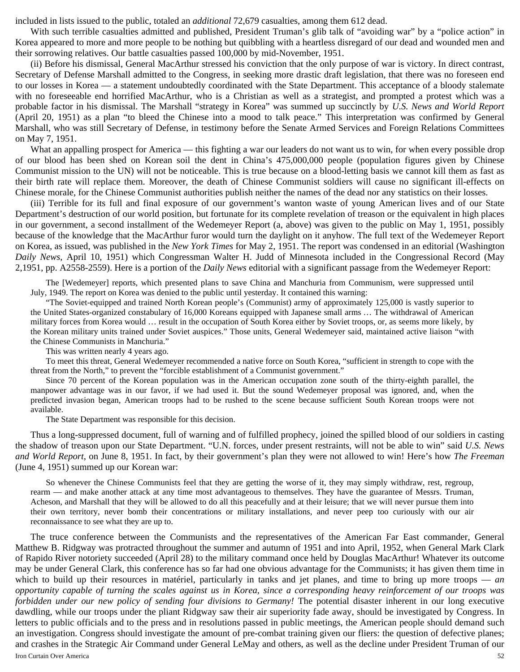included in lists issued to the public, totaled an *additional* 72,679 casualties, among them 612 dead.

With such terrible casualties admitted and published, President Truman's glib talk of "avoiding war" by a "police action" in Korea appeared to more and more people to be nothing but quibbling with a heartless disregard of our dead and wounded men and their sorrowing relatives. Our battle casualties passed 100,000 by mid-November, 1951.

(ii) Before his dismissal, General MacArthur stressed his conviction that the only purpose of war is victory. In direct contrast, Secretary of Defense Marshall admitted to the Congress, in seeking more drastic draft legislation, that there was no foreseen end to our losses in Korea — a statement undoubtedly coordinated with the State Department. This acceptance of a bloody stalemate with no foreseeable end horrified MacArthur, who is a Christian as well as a strategist, and prompted a protest which was a probable factor in his dismissal. The Marshall "strategy in Korea" was summed up succinctly by *U.S. News and World Report* (April 20, 1951) as a plan "to bleed the Chinese into a mood to talk peace." This interpretation was confirmed by General Marshall, who was still Secretary of Defense, in testimony before the Senate Armed Services and Foreign Relations Committees on May 7, 1951.

What an appalling prospect for America — this fighting a war our leaders do not want us to win, for when every possible drop of our blood has been shed on Korean soil the dent in China's 475,000,000 people (population figures given by Chinese Communist mission to the UN) will not be noticeable. This is true because on a blood-letting basis we cannot kill them as fast as their birth rate will replace them. Moreover, the death of Chinese Communist soldiers will cause no significant ill-effects on Chinese morale, for the Chinese Communist authorities publish neither the names of the dead nor any statistics on their losses.

(iii) Terrible for its full and final exposure of our government's wanton waste of young American lives and of our State Department's destruction of our world position, but fortunate for its complete revelation of treason or the equivalent in high places in our government, a second installment of the Wedemeyer Report (a, above) was given to the public on May 1, 1951, possibly because of the knowledge that the MacArthur furor would turn the daylight on it anyhow. The full text of the Wedemeyer Report on Korea, as issued, was published in the *New York Times* for May 2, 1951. The report was condensed in an editorial (Washington *Daily News*, April 10, 1951) which Congressman Walter H. Judd of Minnesota included in the Congressional Record (May 2,1951, pp. A2558-2559). Here is a portion of the *Daily News* editorial with a significant passage from the Wedemeyer Report:

The [Wedemeyer] reports, which presented plans to save China and Manchuria from Communism, were suppressed until July, 1949. The report on Korea was denied to the public until yesterday. It contained this warning:

"The Soviet-equipped and trained North Korean people's (Communist) army of approximately 125,000 is vastly superior to the United States-organized constabulary of 16,000 Koreans equipped with Japanese small arms … The withdrawal of American military forces from Korea would … result in the occupation of South Korea either by Soviet troops, or, as seems more likely, by the Korean military units trained under Soviet auspices." Those units, General Wedemeyer said, maintained active liaison "with the Chinese Communists in Manchuria."

This was written nearly 4 years ago.

To meet this threat, General Wedemeyer recommended a native force on South Korea, "sufficient in strength to cope with the threat from the North," to prevent the "forcible establishment of a Communist government."

Since 70 percent of the Korean population was in the American occupation zone south of the thirty-eighth parallel, the manpower advantage was in our favor, if we had used it. But the sound Wedemeyer proposal was ignored, and, when the predicted invasion began, American troops had to be rushed to the scene because sufficient South Korean troops were not available.

The State Department was responsible for this decision.

Thus a long-suppressed document, full of warning and of fulfilled prophecy, joined the spilled blood of our soldiers in casting the shadow of treason upon our State Department. "U.N. forces, under present restraints, will not be able to win" said *U.S. News and World Report*, on June 8, 1951. In fact, by their government's plan they were not allowed to win! Here's how *The Freeman* (June 4, 1951) summed up our Korean war:

So whenever the Chinese Communists feel that they are getting the worse of it, they may simply withdraw, rest, regroup, rearm — and make another attack at any time most advantageous to themselves. They have the guarantee of Messrs. Truman, Acheson, and Marshall that they will be allowed to do all this peacefully and at their leisure; that we will never pursue them into their own territory, never bomb their concentrations or military installations, and never peep too curiously with our air reconnaissance to see what they are up to.

Iron Curtain Over America 52 The truce conference between the Communists and the representatives of the American Far East commander, General Matthew B. Ridgway was protracted throughout the summer and autumn of 1951 and into April, 1952, when General Mark Clark of Rapido River notoriety succeeded (April 28) to the military command once held by Douglas MacArthur! Whatever its outcome may be under General Clark, this conference has so far had one obvious advantage for the Communists; it has given them time in which to build up their resources in matériel, particularly in tanks and jet planes, and time to bring up more troops — *an opportunity capable of turning the scales against us in Korea, since a corresponding heavy reinforcement of our troops was forbidden under our new policy of sending four divisions to Germany!* The potential disaster inherent in our long executive dawdling, while our troops under the pliant Ridgway saw their air superiority fade away, should be investigated by Congress. In letters to public officials and to the press and in resolutions passed in public meetings, the American people should demand such an investigation. Congress should investigate the amount of pre-combat training given our fliers: the question of defective planes; and crashes in the Strategic Air Command under General LeMay and others, as well as the decline under President Truman of our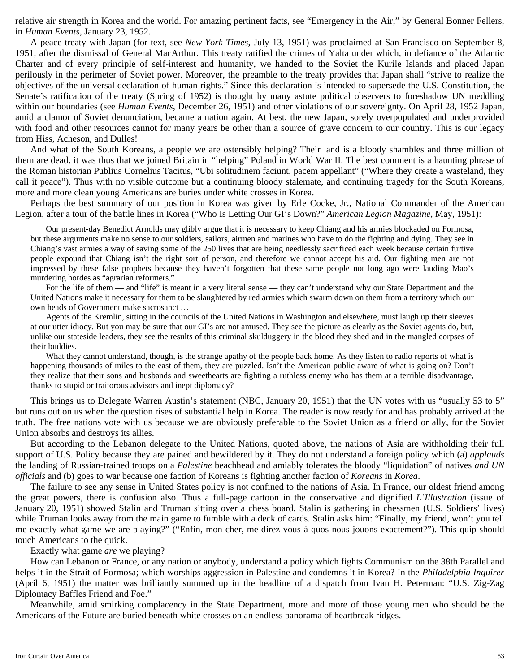relative air strength in Korea and the world. For amazing pertinent facts, see "Emergency in the Air," by General Bonner Fellers, in *Human Events*, January 23, 1952.

A peace treaty with Japan (for text, see *New York Times*, July 13, 1951) was proclaimed at San Francisco on September 8, 1951, after the dismissal of General MacArthur. This treaty ratified the crimes of Yalta under which, in defiance of the Atlantic Charter and of every principle of self-interest and humanity, we handed to the Soviet the Kurile Islands and placed Japan perilously in the perimeter of Soviet power. Moreover, the preamble to the treaty provides that Japan shall "strive to realize the objectives of the universal declaration of human rights." Since this declaration is intended to supersede the U.S. Constitution, the Senate's ratification of the treaty (Spring of 1952) is thought by many astute political observers to foreshadow UN meddling within our boundaries (see *Human Events*, December 26, 1951) and other violations of our sovereignty. On April 28, 1952 Japan, amid a clamor of Soviet denunciation, became a nation again. At best, the new Japan, sorely overpopulated and underprovided with food and other resources cannot for many years be other than a source of grave concern to our country. This is our legacy from Hiss, Acheson, and Dulles!

And what of the South Koreans, a people we are ostensibly helping? Their land is a bloody shambles and three million of them are dead. it was thus that we joined Britain in "helping" Poland in World War II. The best comment is a haunting phrase of the Roman historian Publius Cornelius Tacitus, "Ubi solitudinem faciunt, pacem appellant" ("Where they create a wasteland, they call it peace"). Thus with no visible outcome but a continuing bloody stalemate, and continuing tragedy for the South Koreans, more and more clean young Americans are buries under white crosses in Korea.

Perhaps the best summary of our position in Korea was given by Erle Cocke, Jr., National Commander of the American Legion, after a tour of the battle lines in Korea ("Who Is Letting Our GI's Down?" *American Legion Magazine*, May, 1951):

Our present-day Benedict Arnolds may glibly argue that it is necessary to keep Chiang and his armies blockaded on Formosa, but these arguments make no sense to our soldiers, sailors, airmen and marines who have to do the fighting and dying. They see in Chiang's vast armies a way of saving some of the 250 lives that are being needlessly sacrificed each week because certain furtive people expound that Chiang isn't the right sort of person, and therefore we cannot accept his aid. Our fighting men are not impressed by these false prophets because they haven't forgotten that these same people not long ago were lauding Mao's murdering hordes as "agrarian reformers."

For the life of them — and "life" is meant in a very literal sense — they can't understand why our State Department and the United Nations make it necessary for them to be slaughtered by red armies which swarm down on them from a territory which our own heads of Government make sacrosanct …

Agents of the Kremlin, sitting in the councils of the United Nations in Washington and elsewhere, must laugh up their sleeves at our utter idiocy. But you may be sure that our GI's are not amused. They see the picture as clearly as the Soviet agents do, but, unlike our stateside leaders, they see the results of this criminal skulduggery in the blood they shed and in the mangled corpses of their buddies.

What they cannot understand, though, is the strange apathy of the people back home. As they listen to radio reports of what is happening thousands of miles to the east of them, they are puzzled. Isn't the American public aware of what is going on? Don't they realize that their sons and husbands and sweethearts are fighting a ruthless enemy who has them at a terrible disadvantage, thanks to stupid or traitorous advisors and inept diplomacy?

This brings us to Delegate Warren Austin's statement (NBC, January 20, 1951) that the UN votes with us "usually 53 to 5" but runs out on us when the question rises of substantial help in Korea. The reader is now ready for and has probably arrived at the truth. The free nations vote with us because we are obviously preferable to the Soviet Union as a friend or ally, for the Soviet Union absorbs and destroys its allies.

But according to the Lebanon delegate to the United Nations, quoted above, the nations of Asia are withholding their full support of U.S. Policy because they are pained and bewildered by it. They do not understand a foreign policy which (a) *applauds* the landing of Russian-trained troops on a *Palestine* beachhead and amiably tolerates the bloody "liquidation" of natives *and UN officials* and (b) goes to war because one faction of Koreans is fighting another faction of *Koreans* in *Korea*.

The failure to see any sense in United States policy is not confined to the nations of Asia. In France, our oldest friend among the great powers, there is confusion also. Thus a full-page cartoon in the conservative and dignified *L'Illustration* (issue of January 20, 1951) showed Stalin and Truman sitting over a chess board. Stalin is gathering in chessmen (U.S. Soldiers' lives) while Truman looks away from the main game to fumble with a deck of cards. Stalin asks him: "Finally, my friend, won't you tell me exactly what game we are playing?" ("Enfin, mon cher, me direz-vous à quos nous jouons exactement?"). This quip should touch Americans to the quick.

Exactly what game *are* we playing?

How can Lebanon or France, or any nation or anybody, understand a policy which fights Communism on the 38th Parallel and helps it in the Strait of Formosa; which worships aggression in Palestine and condemns it in Korea? In the *Philadelphia Inquirer* (April 6, 1951) the matter was brilliantly summed up in the headline of a dispatch from Ivan H. Peterman: "U.S. Zig-Zag Diplomacy Baffles Friend and Foe."

Meanwhile, amid smirking complacency in the State Department, more and more of those young men who should be the Americans of the Future are buried beneath white crosses on an endless panorama of heartbreak ridges.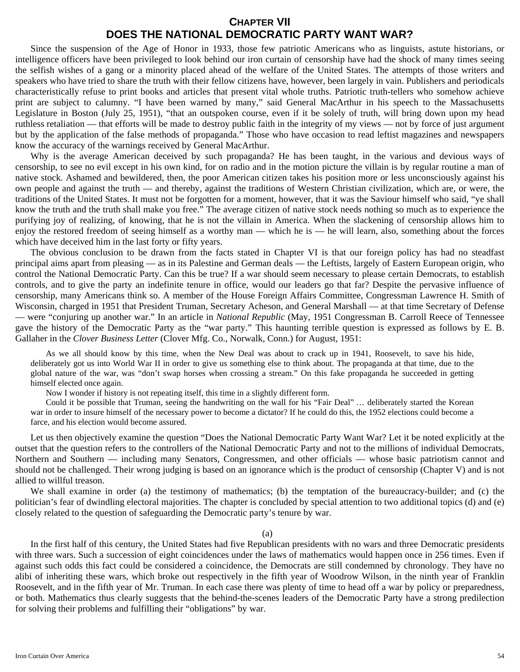## **CHAPTER VII DOES THE NATIONAL DEMOCRATIC PARTY WANT WAR?**

Since the suspension of the Age of Honor in 1933, those few patriotic Americans who as linguists, astute historians, or intelligence officers have been privileged to look behind our iron curtain of censorship have had the shock of many times seeing the selfish wishes of a gang or a minority placed ahead of the welfare of the United States. The attempts of those writers and speakers who have tried to share the truth with their fellow citizens have, however, been largely in vain. Publishers and periodicals characteristically refuse to print books and articles that present vital whole truths. Patriotic truth-tellers who somehow achieve print are subject to calumny. "I have been warned by many," said General MacArthur in his speech to the Massachusetts Legislature in Boston (July 25, 1951), "that an outspoken course, even if it be solely of truth, will bring down upon my head ruthless retaliation — that efforts will be made to destroy public faith in the integrity of my views — not by force of just argument but by the application of the false methods of propaganda." Those who have occasion to read leftist magazines and newspapers know the accuracy of the warnings received by General MacArthur.

Why is the average American deceived by such propaganda? He has been taught, in the various and devious ways of censorship, to see no evil except in his own kind, for on radio and in the motion picture the villain is by regular routine a man of native stock. Ashamed and bewildered, then, the poor American citizen takes his position more or less unconsciously against his own people and against the truth — and thereby, against the traditions of Western Christian civilization, which are, or were, the traditions of the United States. It must not be forgotten for a moment, however, that it was the Saviour himself who said, "ye shall know the truth and the truth shall make you free." The average citizen of native stock needs nothing so much as to experience the purifying joy of realizing, of knowing, that he is not the villain in America. When the slackening of censorship allows him to enjoy the restored freedom of seeing himself as a worthy man — which he is — he will learn, also, something about the forces which have deceived him in the last forty or fifty years.

The obvious conclusion to be drawn from the facts stated in Chapter VI is that our foreign policy has had no steadfast principal aims apart from pleasing — as in its Palestine and German deals — the Leftists, largely of Eastern European origin, who control the National Democratic Party. Can this be true? If a war should seem necessary to please certain Democrats, to establish controls, and to give the party an indefinite tenure in office, would our leaders go that far? Despite the pervasive influence of censorship, many Americans think so. A member of the House Foreign Affairs Committee, Congressman Lawrence H. Smith of Wisconsin, charged in 1951 that President Truman, Secretary Acheson, and General Marshall — at that time Secretary of Defense — were "conjuring up another war." In an article in *National Republic* (May, 1951 Congressman B. Carroll Reece of Tennessee gave the history of the Democratic Party as the "war party." This haunting terrible question is expressed as follows by E. B. Gallaher in the *Clover Business Letter* (Clover Mfg. Co., Norwalk, Conn.) for August, 1951:

As we all should know by this time, when the New Deal was about to crack up in 1941, Roosevelt, to save his hide, deliberately got us into World War II in order to give us something else to think about. The propaganda at that time, due to the global nature of the war, was "don't swap horses when crossing a stream." On this fake propaganda he succeeded in getting himself elected once again.

Now I wonder if history is not repeating itself, this time in a slightly different form.

Could it be possible that Truman, seeing the handwriting on the wall for his "Fair Deal" … deliberately started the Korean war in order to insure himself of the necessary power to become a dictator? If he could do this, the 1952 elections could become a farce, and his election would become assured.

Let us then objectively examine the question "Does the National Democratic Party Want War? Let it be noted explicitly at the outset that the question refers to the controllers of the National Democratic Party and not to the millions of individual Democrats, Northern and Southern — including many Senators, Congressmen, and other officials — whose basic patriotism cannot and should not be challenged. Their wrong judging is based on an ignorance which is the product of censorship (Chapter V) and is not allied to willful treason.

We shall examine in order (a) the testimony of mathematics; (b) the temptation of the bureaucracy-builder; and (c) the politician's fear of dwindling electoral majorities. The chapter is concluded by special attention to two additional topics (d) and (e) closely related to the question of safeguarding the Democratic party's tenure by war.

(a)

In the first half of this century, the United States had five Republican presidents with no wars and three Democratic presidents with three wars. Such a succession of eight coincidences under the laws of mathematics would happen once in 256 times. Even if against such odds this fact could be considered a coincidence, the Democrats are still condemned by chronology. They have no alibi of inheriting these wars, which broke out respectively in the fifth year of Woodrow Wilson, in the ninth year of Franklin Roosevelt, and in the fifth year of Mr. Truman. In each case there was plenty of time to head off a war by policy or preparedness, or both. Mathematics thus clearly suggests that the behind-the-scenes leaders of the Democratic Party have a strong predilection for solving their problems and fulfilling their "obligations" by war.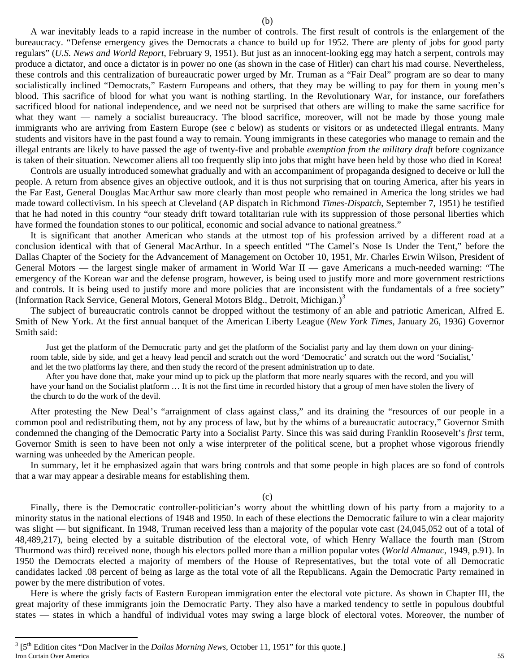A war inevitably leads to a rapid increase in the number of controls. The first result of controls is the enlargement of the bureaucracy. "Defense emergency gives the Democrats a chance to build up for 1952. There are plenty of jobs for good party regulars" (*U.S. News and World Report*, February 9, 1951). But just as an innocent-looking egg may hatch a serpent, controls may produce a dictator, and once a dictator is in power no one (as shown in the case of Hitler) can chart his mad course. Nevertheless, these controls and this centralization of bureaucratic power urged by Mr. Truman as a "Fair Deal" program are so dear to many socialistically inclined "Democrats," Eastern Europeans and others, that they may be willing to pay for them in young men's blood. This sacrifice of blood for what you want is nothing startling. In the Revolutionary War, for instance, our forefathers sacrificed blood for national independence, and we need not be surprised that others are willing to make the same sacrifice for what they want — namely a socialist bureaucracy. The blood sacrifice, moreover, will not be made by those young male immigrants who are arriving from Eastern Europe (see c below) as students or visitors or as undetected illegal entrants. Many students and visitors have in the past found a way to remain. Young immigrants in these categories who manage to remain and the illegal entrants are likely to have passed the age of twenty-five and probable *exemption from the military draft* before cognizance is taken of their situation. Newcomer aliens all too frequently slip into jobs that might have been held by those who died in Korea!

Controls are usually introduced somewhat gradually and with an accompaniment of propaganda designed to deceive or lull the people. A return from absence gives an objective outlook, and it is thus not surprising that on touring America, after his years in the Far East, General Douglas MacArthur saw more clearly than most people who remained in America the long strides we had made toward collectivism. In his speech at Cleveland (AP dispatch in Richmond *Times-Dispatch*, September 7, 1951) he testified that he had noted in this country "our steady drift toward totalitarian rule with its suppression of those personal liberties which have formed the foundation stones to our political, economic and social advance to national greatness."

It is significant that another American who stands at the utmost top of his profession arrived by a different road at a conclusion identical with that of General MacArthur. In a speech entitled "The Camel's Nose Is Under the Tent," before the Dallas Chapter of the Society for the Advancement of Management on October 10, 1951, Mr. Charles Erwin Wilson, President of General Motors — the largest single maker of armament in World War II — gave Americans a much-needed warning: "The emergency of the Korean war and the defense program, however, is being used to justify more and more government restrictions and controls. It is being used to justify more and more policies that are inconsistent with the fundamentals of a free society" (Information Rack Service, General Motors, General Motors Bldg., Detroit, Michigan.)[3](#page-54-0)

The subject of bureaucratic controls cannot be dropped without the testimony of an able and patriotic American, Alfred E. Smith of New York. At the first annual banquet of the American Liberty League (*New York Times*, January 26, 1936) Governor Smith said:

Just get the platform of the Democratic party and get the platform of the Socialist party and lay them down on your diningroom table, side by side, and get a heavy lead pencil and scratch out the word 'Democratic' and scratch out the word 'Socialist,' and let the two platforms lay there, and then study the record of the present administration up to date.

After you have done that, make your mind up to pick up the platform that more nearly squares with the record, and you will have your hand on the Socialist platform … It is not the first time in recorded history that a group of men have stolen the livery of the church to do the work of the devil.

After protesting the New Deal's "arraignment of class against class," and its draining the "resources of our people in a common pool and redistributing them, not by any process of law, but by the whims of a bureaucratic autocracy," Governor Smith condemned the changing of the Democratic Party into a Socialist Party. Since this was said during Franklin Roosevelt's *first* term, Governor Smith is seen to have been not only a wise interpreter of the political scene, but a prophet whose vigorous friendly warning was unheeded by the American people.

In summary, let it be emphasized again that wars bring controls and that some people in high places are so fond of controls that a war may appear a desirable means for establishing them.

#### (c)

Finally, there is the Democratic controller-politician's worry about the whittling down of his party from a majority to a minority status in the national elections of 1948 and 1950. In each of these elections the Democratic failure to win a clear majority was slight — but significant. In 1948, Truman received less than a majority of the popular vote cast (24,045,052 out of a total of 48,489,217), being elected by a suitable distribution of the electoral vote, of which Henry Wallace the fourth man (Strom Thurmond was third) received none, though his electors polled more than a million popular votes (*World Almanac*, 1949, p.91). In 1950 the Democrats elected a majority of members of the House of Representatives, but the total vote of all Democratic candidates lacked .08 percent of being as large as the total vote of all the Republicans. Again the Democratic Party remained in power by the mere distribution of votes.

Here is where the grisly facts of Eastern European immigration enter the electoral vote picture. As shown in Chapter III, the great majority of these immigrants join the Democratic Party. They also have a marked tendency to settle in populous doubtful states — states in which a handful of individual votes may swing a large block of electoral votes. Moreover, the number of

<span id="page-54-0"></span>Iron Curtain Over America 55  $3 \left[ 5<sup>th</sup>$  Edition cites "Don MacIver in the *Dallas Morning News*, October 11, 1951" for this quote.]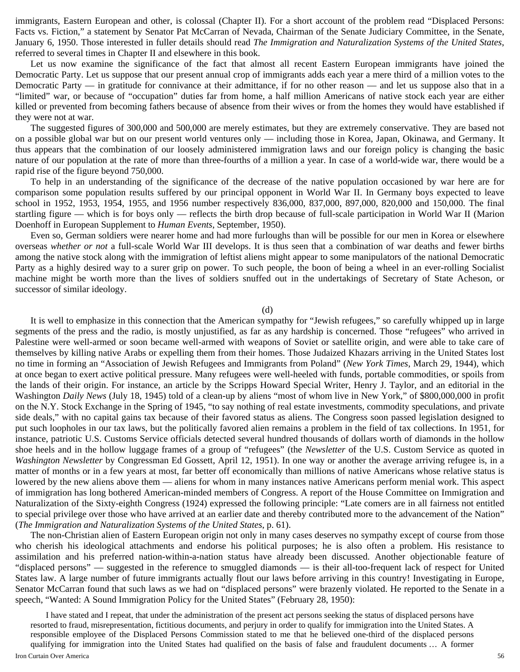immigrants, Eastern European and other, is colossal (Chapter II). For a short account of the problem read "Displaced Persons: Facts vs. Fiction," a statement by Senator Pat McCarran of Nevada, Chairman of the Senate Judiciary Committee, in the Senate, January 6, 1950. Those interested in fuller details should read *The Immigration and Naturalization Systems of the United States*, referred to several times in Chapter II and elsewhere in this book.

Let us now examine the significance of the fact that almost all recent Eastern European immigrants have joined the Democratic Party. Let us suppose that our present annual crop of immigrants adds each year a mere third of a million votes to the Democratic Party — in gratitude for connivance at their admittance, if for no other reason — and let us suppose also that in a "limited" war, or because of "occupation" duties far from home, a half million Americans of native stock each year are either killed or prevented from becoming fathers because of absence from their wives or from the homes they would have established if they were not at war.

The suggested figures of 300,000 and 500,000 are merely estimates, but they are extremely conservative. They are based not on a possible global war but on our present world ventures only — including those in Korea, Japan, Okinawa, and Germany. It thus appears that the combination of our loosely administered immigration laws and our foreign policy is changing the basic nature of our population at the rate of more than three-fourths of a million a year. In case of a world-wide war, there would be a rapid rise of the figure beyond 750,000.

To help in an understanding of the significance of the decrease of the native population occasioned by war here are for comparison some population results suffered by our principal opponent in World War II. In Germany boys expected to leave school in 1952, 1953, 1954, 1955, and 1956 number respectively 836,000, 837,000, 897,000, 820,000 and 150,000. The final startling figure — which is for boys only — reflects the birth drop because of full-scale participation in World War II (Marion Doenhoff in European Supplement to *Human Events*, September, 1950).

Even so, German soldiers were nearer home and had more furloughs than will be possible for our men in Korea or elsewhere overseas *whether or not* a full-scale World War III develops. It is thus seen that a combination of war deaths and fewer births among the native stock along with the immigration of leftist aliens might appear to some manipulators of the national Democratic Party as a highly desired way to a surer grip on power. To such people, the boon of being a wheel in an ever-rolling Socialist machine might be worth more than the lives of soldiers snuffed out in the undertakings of Secretary of State Acheson, or successor of similar ideology.

(d)

It is well to emphasize in this connection that the American sympathy for "Jewish refugees," so carefully whipped up in large segments of the press and the radio, is mostly unjustified, as far as any hardship is concerned. Those "refugees" who arrived in Palestine were well-armed or soon became well-armed with weapons of Soviet or satellite origin, and were able to take care of themselves by killing native Arabs or expelling them from their homes. Those Judaized Khazars arriving in the United States lost no time in forming an "Association of Jewish Refugees and Immigrants from Poland" (*New York Times*, March 29, 1944), which at once began to exert active political pressure. Many refugees were well-heeled with funds, portable commodities, or spoils from the lands of their origin. For instance, an article by the Scripps Howard Special Writer, Henry J. Taylor, and an editorial in the Washington *Daily News* (July 18, 1945) told of a clean-up by aliens "most of whom live in New York," of \$800,000,000 in profit on the N.Y. Stock Exchange in the Spring of 1945, "to say nothing of real estate investments, commodity speculations, and private side deals," with no capital gains tax because of their favored status as aliens. The Congress soon passed legislation designed to put such loopholes in our tax laws, but the politically favored alien remains a problem in the field of tax collections. In 1951, for instance, patriotic U.S. Customs Service officials detected several hundred thousands of dollars worth of diamonds in the hollow shoe heels and in the hollow luggage frames of a group of "refugees" (the *Newsletter* of the U.S. Custom Service as quoted in *Washington Newsletter* by Congressman Ed Gossett, April 12, 1951). In one way or another the average arriving refugee is, in a matter of months or in a few years at most, far better off economically than millions of native Americans whose relative status is lowered by the new aliens above them — aliens for whom in many instances native Americans perform menial work. This aspect of immigration has long bothered American-minded members of Congress. A report of the House Committee on Immigration and Naturalization of the Sixty-eighth Congress (1924) expressed the following principle: "Late comers are in all fairness not entitled to special privilege over those who have arrived at an earlier date and thereby contributed more to the advancement of the Nation" (*The Immigration and Naturalization Systems of the United States*, p. 61).

The non-Christian alien of Eastern European origin not only in many cases deserves no sympathy except of course from those who cherish his ideological attachments and endorse his political purposes; he is also often a problem. His resistance to assimilation and his preferred nation-within-a-nation status have already been discussed. Another objectionable feature of "displaced persons" — suggested in the reference to smuggled diamonds — is their all-too-frequent lack of respect for United States law. A large number of future immigrants actually flout our laws before arriving in this country! Investigating in Europe, Senator McCarran found that such laws as we had on "displaced persons" were brazenly violated. He reported to the Senate in a speech, "Wanted: A Sound Immigration Policy for the United States" (February 28, 1950):

Iron Curtain Over America 56 I have stated and I repeat, that under the administration of the present act persons seeking the status of displaced persons have resorted to fraud, misrepresentation, fictitious documents, and perjury in order to qualify for immigration into the United States. A responsible employee of the Displaced Persons Commission stated to me that he believed one-third of the displaced persons qualifying for immigration into the United States had qualified on the basis of false and fraudulent documents … A former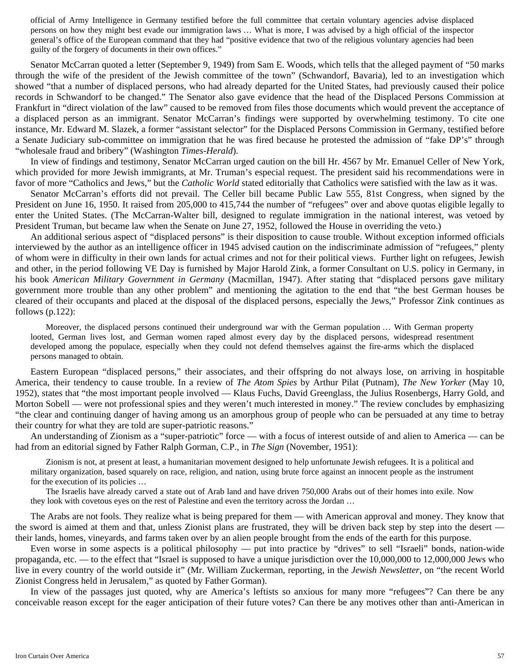official of Army Intelligence in Germany testified before the full committee that certain voluntary agencies advise displaced persons on how they might best evade our immigration laws … What is more, I was advised by a high official of the inspector general's office of the European command that they had "positive evidence that two of the religious voluntary agencies had been guilty of the forgery of documents in their own offices."

Senator McCarran quoted a letter (September 9, 1949) from Sam E. Woods, which tells that the alleged payment of "50 marks through the wife of the president of the Jewish committee of the town" (Schwandorf, Bavaria), led to an investigation which showed "that a number of displaced persons, who had already departed for the United States, had previously caused their police records in Schwandorf to be changed." The Senator also gave evidence that the head of the Displaced Persons Commission at Frankfurt in "direct violation of the law" caused to be removed from files those documents which would prevent the acceptance of a displaced person as an immigrant. Senator McCarran's findings were supported by overwhelming testimony. To cite one instance, Mr. Edward M. Slazek, a former "assistant selector" for the Displaced Persons Commission in Germany, testified before a Senate Judiciary sub-committee on immigration that he was fired because he protested the admission of "fake DP's" through "wholesale fraud and bribery" (Washington *Times-Herald*).

In view of findings and testimony, Senator McCarran urged caution on the bill Hr. 4567 by Mr. Emanuel Celler of New York, which provided for more Jewish immigrants, at Mr. Truman's especial request. The president said his recommendations were in favor of more "Catholics and Jews," but the *Catholic World* stated editorially that Catholics were satisfied with the law as it was.

Senator McCarran's efforts did not prevail. The Celler bill became Public Law 555, 81st Congress, when signed by the President on June 16, 1950. It raised from 205,000 to 415,744 the number of "refugees" over and above quotas eligible legally to enter the United States. (The McCarran-Walter bill, designed to regulate immigration in the national interest, was vetoed by President Truman, but became law when the Senate on June 27, 1952, followed the House in overriding the veto.)

An additional serious aspect of "displaced persons" is their disposition to cause trouble. Without exception informed officials interviewed by the author as an intelligence officer in 1945 advised caution on the indiscriminate admission of "refugees," plenty of whom were in difficulty in their own lands for actual crimes and not for their political views. Further light on refugees, Jewish and other, in the period following VE Day is furnished by Major Harold Zink, a former Consultant on U.S. policy in Germany, in his book *American Military Government in Germany* (Macmillan, 1947). After stating that "displaced persons gave military government more trouble than any other problem" and mentioning the agitation to the end that "the best German houses be cleared of their occupants and placed at the disposal of the displaced persons, especially the Jews," Professor Zink continues as follows (p.122):

Moreover, the displaced persons continued their underground war with the German population … With German property looted, German lives lost, and German women raped almost every day by the displaced persons, widespread resentment developed among the populace, especially when they could not defend themselves against the fire-arms which the displaced persons managed to obtain.

Eastern European "displaced persons," their associates, and their offspring do not always lose, on arriving in hospitable America, their tendency to cause trouble. In a review of *The Atom Spies* by Arthur Pilat (Putnam), *The New Yorker* (May 10, 1952), states that "the most important people involved — Klaus Fuchs, David Greenglass, the Julius Rosenbergs, Harry Gold, and Morton Sobell — were not professional spies and they weren't much interested in money." The review concludes by emphasizing "the clear and continuing danger of having among us an amorphous group of people who can be persuaded at any time to betray their country for what they are told are super-patriotic reasons."

An understanding of Zionism as a "super-patriotic" force — with a focus of interest outside of and alien to America — can be had from an editorial signed by Father Ralph Gorman, C.P., in *The Sign* (November, 1951):

Zionism is not, at present at least, a humanitarian movement designed to help unfortunate Jewish refugees. It is a political and military organization, based squarely on race, religion, and nation, using brute force against an innocent people as the instrument for the execution of its policies …

The Israelis have already carved a state out of Arab land and have driven 750,000 Arabs out of their homes into exile. Now they look with covetous eyes on the rest of Palestine and even the territory across the Jordan …

The Arabs are not fools. They realize what is being prepared for them — with American approval and money. They know that the sword is aimed at them and that, unless Zionist plans are frustrated, they will be driven back step by step into the desert their lands, homes, vineyards, and farms taken over by an alien people brought from the ends of the earth for this purpose.

Even worse in some aspects is a political philosophy — put into practice by "drives" to sell "Israeli" bonds, nation-wide propaganda, etc. — to the effect that "Israel is supposed to have a unique jurisdiction over the 10,000,000 to 12,000,000 Jews who live in every country of the world outside it" (Mr. William Zuckerman, reporting, in the *Jewish Newsletter*, on "the recent World Zionist Congress held in Jerusalem," as quoted by Father Gorman).

In view of the passages just quoted, why are America's leftists so anxious for many more "refugees"? Can there be any conceivable reason except for the eager anticipation of their future votes? Can there be any motives other than anti-American in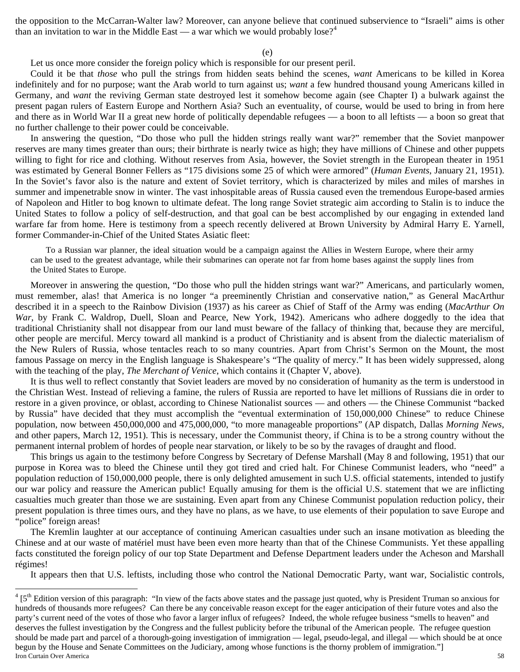the opposition to the McCarran-Walter law? Moreover, can anyone believe that continued subservience to "Israeli" aims is other than an invitation to war in the Middle East — a war which we would probably lose?<sup>[4](#page-57-0)</sup>

### (e)

Let us once more consider the foreign policy which is responsible for our present peril.

Could it be that *those* who pull the strings from hidden seats behind the scenes, *want* Americans to be killed in Korea indefinitely and for no purpose; want the Arab world to turn against us; *want* a few hundred thousand young Americans killed in Germany, and *want* the reviving German state destroyed lest it somehow become again (see Chapter I) a bulwark against the present pagan rulers of Eastern Europe and Northern Asia? Such an eventuality, of course, would be used to bring in from here and there as in World War II a great new horde of politically dependable refugees — a boon to all leftists — a boon so great that no further challenge to their power could be conceivable.

In answering the question, "Do those who pull the hidden strings really want war?" remember that the Soviet manpower reserves are many times greater than ours; their birthrate is nearly twice as high; they have millions of Chinese and other puppets willing to fight for rice and clothing. Without reserves from Asia, however, the Soviet strength in the European theater in 1951 was estimated by General Bonner Fellers as "175 divisions some 25 of which were armored" (*Human Events*, January 21, 1951). In the Soviet's favor also is the nature and extent of Soviet territory, which is characterized by miles and miles of marshes in summer and impenetrable snow in winter. The vast inhospitable areas of Russia caused even the tremendous Europe-based armies of Napoleon and Hitler to bog known to ultimate defeat. The long range Soviet strategic aim according to Stalin is to induce the United States to follow a policy of self-destruction, and that goal can be best accomplished by our engaging in extended land warfare far from home. Here is testimony from a speech recently delivered at Brown University by Admiral Harry E. Yarnell, former Commander-in-Chief of the United States Asiatic fleet:

To a Russian war planner, the ideal situation would be a campaign against the Allies in Western Europe, where their army can be used to the greatest advantage, while their submarines can operate not far from home bases against the supply lines from the United States to Europe.

Moreover in answering the question, "Do those who pull the hidden strings want war?" Americans, and particularly women, must remember, alas! that America is no longer "a preeminently Christian and conservative nation," as General MacArthur described it in a speech to the Rainbow Division (1937) as his career as Chief of Staff of the Army was ending (*MacArthur On War*, by Frank C. Waldrop, Duell, Sloan and Pearce, New York, 1942). Americans who adhere doggedly to the idea that traditional Christianity shall not disappear from our land must beware of the fallacy of thinking that, because they are merciful, other people are merciful. Mercy toward all mankind is a product of Christianity and is absent from the dialectic materialism of the New Rulers of Russia, whose tentacles reach to so many countries. Apart from Christ's Sermon on the Mount, the most famous Passage on mercy in the English language is Shakespeare's "The quality of mercy." It has been widely suppressed, along with the teaching of the play, *The Merchant of Venice*, which contains it (Chapter V, above).

It is thus well to reflect constantly that Soviet leaders are moved by no consideration of humanity as the term is understood in the Christian West. Instead of relieving a famine, the rulers of Russia are reported to have let millions of Russians die in order to restore in a given province, or oblast, according to Chinese Nationalist sources — and others — the Chinese Communist "backed by Russia" have decided that they must accomplish the "eventual extermination of 150,000,000 Chinese" to reduce Chinese population, now between 450,000,000 and 475,000,000, "to more manageable proportions" (AP dispatch, Dallas *Morning News*, and other papers, March 12, 1951). This is necessary, under the Communist theory, if China is to be a strong country without the permanent internal problem of hordes of people near starvation, or likely to be so by the ravages of draught and flood.

This brings us again to the testimony before Congress by Secretary of Defense Marshall (May 8 and following, 1951) that our purpose in Korea was to bleed the Chinese until they got tired and cried halt. For Chinese Communist leaders, who "need" a population reduction of 150,000,000 people, there is only delighted amusement in such U.S. official statements, intended to justify our war policy and reassure the American public! Equally amusing for them is the official U.S. statement that we are inflicting casualties much greater than those we are sustaining. Even apart from any Chinese Communist population reduction policy, their present population is three times ours, and they have no plans, as we have, to use elements of their population to save Europe and "police" foreign areas!

The Kremlin laughter at our acceptance of continuing American casualties under such an insane motivation as bleeding the Chinese and at our waste of matériel must have been even more hearty than that of the Chinese Communists. Yet these appalling facts constituted the foreign policy of our top State Department and Defense Department leaders under the Acheson and Marshall régimes!

It appears then that U.S. leftists, including those who control the National Democratic Party, want war, Socialistic controls,

<span id="page-57-0"></span>Iron Curtain Over America 58  $4 \times 15^{th}$  Edition version of this paragraph: "In view of the facts above states and the passage just quoted, why is President Truman so anxious for hundreds of thousands more refugees? Can there be any conceivable reason except for the eager anticipation of their future votes and also the party's current need of the votes of those who favor a larger influx of refugees? Indeed, the whole refugee business "smells to heaven" and deserves the fullest investigation by the Congress and the fullest publicity before the tribunal of the American people. The refugee question should be made part and parcel of a thorough-going investigation of immigration — legal, pseudo-legal, and illegal — which should be at once begun by the House and Senate Committees on the Judiciary, among whose functions is the thorny problem of immigration."]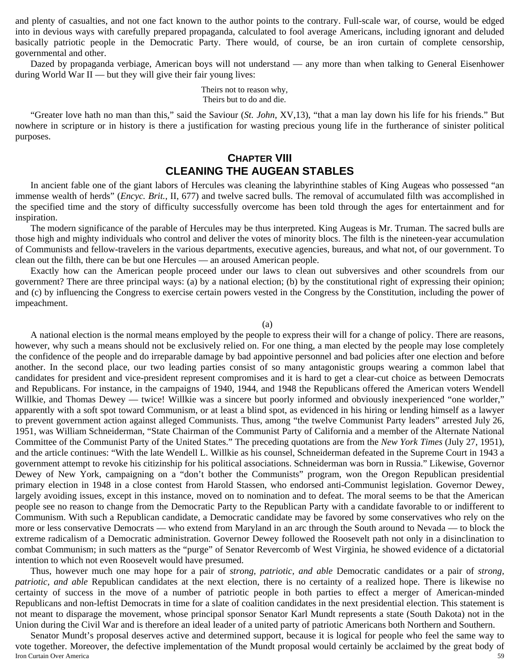and plenty of casualties, and not one fact known to the author points to the contrary. Full-scale war, of course, would be edged into in devious ways with carefully prepared propaganda, calculated to fool average Americans, including ignorant and deluded basically patriotic people in the Democratic Party. There would, of course, be an iron curtain of complete censorship, governmental and other.

Dazed by propaganda verbiage, American boys will not understand — any more than when talking to General Eisenhower during World War II — but they will give their fair young lives:

> Theirs not to reason why, Theirs but to do and die.

"Greater love hath no man than this," said the Saviour (*St. John*, XV,13), "that a man lay down his life for his friends." But nowhere in scripture or in history is there a justification for wasting precious young life in the furtherance of sinister political purposes.

# **CHAPTER VIII CLEANING THE AUGEAN STABLES**

In ancient fable one of the giant labors of Hercules was cleaning the labyrinthine stables of King Augeas who possessed "an immense wealth of herds" (*Encyc. Brit.*, II, 677) and twelve sacred bulls. The removal of accumulated filth was accomplished in the specified time and the story of difficulty successfully overcome has been told through the ages for entertainment and for inspiration.

The modern significance of the parable of Hercules may be thus interpreted. King Augeas is Mr. Truman. The sacred bulls are those high and mighty individuals who control and deliver the votes of minority blocs. The filth is the nineteen-year accumulation of Communists and fellow-travelers in the various departments, executive agencies, bureaus, and what not, of our government. To clean out the filth, there can be but one Hercules — an aroused American people.

Exactly how can the American people proceed under our laws to clean out subversives and other scoundrels from our government? There are three principal ways: (a) by a national election; (b) by the constitutional right of expressing their opinion; and (c) by influencing the Congress to exercise certain powers vested in the Congress by the Constitution, including the power of impeachment.

(a)

A national election is the normal means employed by the people to express their will for a change of policy. There are reasons, however, why such a means should not be exclusively relied on. For one thing, a man elected by the people may lose completely the confidence of the people and do irreparable damage by bad appointive personnel and bad policies after one election and before another. In the second place, our two leading parties consist of so many antagonistic groups wearing a common label that candidates for president and vice-president represent compromises and it is hard to get a clear-cut choice as between Democrats and Republicans. For instance, in the campaigns of 1940, 1944, and 1948 the Republicans offered the American voters Wendell Willkie, and Thomas Dewey — twice! Willkie was a sincere but poorly informed and obviously inexperienced "one worlder," apparently with a soft spot toward Communism, or at least a blind spot, as evidenced in his hiring or lending himself as a lawyer to prevent government action against alleged Communists. Thus, among "the twelve Communist Party leaders" arrested July 26, 1951, was William Schneiderman, "State Chairman of the Communist Party of California and a member of the Alternate National Committee of the Communist Party of the United States." The preceding quotations are from the *New York Times* (July 27, 1951), and the article continues: "With the late Wendell L. Willkie as his counsel, Schneiderman defeated in the Supreme Court in 1943 a government attempt to revoke his citizinship for his political associations. Schneiderman was born in Russia." Likewise, Governor Dewey of New York, campaigning on a "don't bother the Communists" program, won the Oregon Republican presidential primary election in 1948 in a close contest from Harold Stassen, who endorsed anti-Communist legislation. Governor Dewey, largely avoiding issues, except in this instance, moved on to nomination and to defeat. The moral seems to be that the American people see no reason to change from the Democratic Party to the Republican Party with a candidate favorable to or indifferent to Communism. With such a Republican candidate, a Democratic candidate may be favored by some conservatives who rely on the more or less conservative Democrats — who extend from Maryland in an arc through the South around to Nevada — to block the extreme radicalism of a Democratic administration. Governor Dewey followed the Roosevelt path not only in a disinclination to combat Communism; in such matters as the "purge" of Senator Revercomb of West Virginia, he showed evidence of a dictatorial intention to which not even Roosevelt would have presumed.

Thus, however much one may hope for a pair of *strong, patriotic, and able* Democratic candidates or a pair of *strong, patriotic, and able* Republican candidates at the next election, there is no certainty of a realized hope. There is likewise no certainty of success in the move of a number of patriotic people in both parties to effect a merger of American-minded Republicans and non-leftist Democrats in time for a slate of coalition candidates in the next presidential election. This statement is not meant to disparage the movement, whose principal sponsor Senator Karl Mundt represents a state (South Dakota) not in the Union during the Civil War and is therefore an ideal leader of a united party of patriotic Americans both Northern and Southern.

Iron Curtain Over America 59 Senator Mundt's proposal deserves active and determined support, because it is logical for people who feel the same way to vote together. Moreover, the defective implementation of the Mundt proposal would certainly be acclaimed by the great body of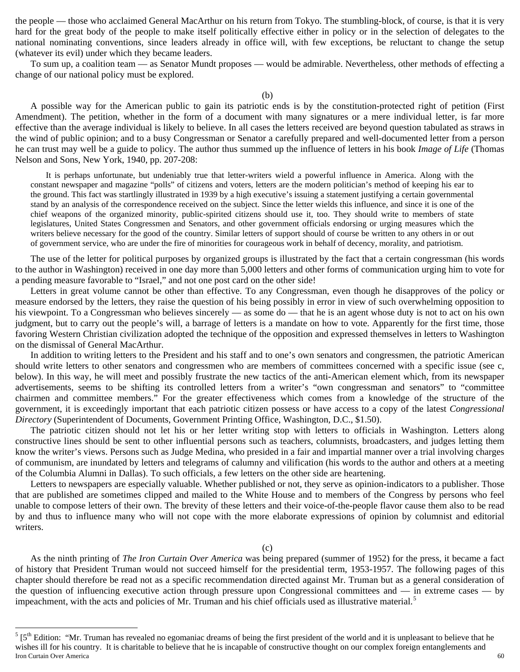the people — those who acclaimed General MacArthur on his return from Tokyo. The stumbling-block, of course, is that it is very hard for the great body of the people to make itself politically effective either in policy or in the selection of delegates to the national nominating conventions, since leaders already in office will, with few exceptions, be reluctant to change the setup (whatever its evil) under which they became leaders.

To sum up, a coalition team — as Senator Mundt proposes — would be admirable. Nevertheless, other methods of effecting a change of our national policy must be explored.

A possible way for the American public to gain its patriotic ends is by the constitution-protected right of petition (First Amendment). The petition, whether in the form of a document with many signatures or a mere individual letter, is far more effective than the average individual is likely to believe. In all cases the letters received are beyond question tabulated as straws in the wind of public opinion; and to a busy Congressman or Senator a carefully prepared and well-documented letter from a person he can trust may well be a guide to policy. The author thus summed up the influence of letters in his book *Image of Life* (Thomas Nelson and Sons, New York, 1940, pp. 207-208:

It is perhaps unfortunate, but undeniably true that letter-writers wield a powerful influence in America. Along with the constant newspaper and magazine "polls" of citizens and voters, letters are the modern politician's method of keeping his ear to the ground. This fact was startlingly illustrated in 1939 by a high executive's issuing a statement justifying a certain governmental stand by an analysis of the correspondence received on the subject. Since the letter wields this influence, and since it is one of the chief weapons of the organized minority, public-spirited citizens should use it, too. They should write to members of state legislatures, United States Congressmen and Senators, and other government officials endorsing or urging measures which the writers believe necessary for the good of the country. Similar letters of support should of course be written to any others in or out of government service, who are under the fire of minorities for courageous work in behalf of decency, morality, and patriotism.

The use of the letter for political purposes by organized groups is illustrated by the fact that a certain congressman (his words to the author in Washington) received in one day more than 5,000 letters and other forms of communication urging him to vote for a pending measure favorable to "Israel," and not one post card on the other side!

Letters in great volume cannot be other than effective. To any Congressman, even though he disapproves of the policy or measure endorsed by the letters, they raise the question of his being possibly in error in view of such overwhelming opposition to his viewpoint. To a Congressman who believes sincerely — as some do — that he is an agent whose duty is not to act on his own judgment, but to carry out the people's will, a barrage of letters is a mandate on how to vote. Apparently for the first time, those favoring Western Christian civilization adopted the technique of the opposition and expressed themselves in letters to Washington on the dismissal of General MacArthur.

In addition to writing letters to the President and his staff and to one's own senators and congressmen, the patriotic American should write letters to other senators and congressmen who are members of committees concerned with a specific issue (see c, below). In this way, he will meet and possibly frustrate the new tactics of the anti-American element which, from its newspaper advertisements, seems to be shifting its controlled letters from a writer's "own congressman and senators" to "committee chairmen and committee members." For the greater effectiveness which comes from a knowledge of the structure of the government, it is exceedingly important that each patriotic citizen possess or have access to a copy of the latest *Congressional Directory* (Superintendent of Documents, Government Printing Office, Washington, D.C., \$1.50).

The patriotic citizen should not let his or her letter writing stop with letters to officials in Washington. Letters along constructive lines should be sent to other influential persons such as teachers, columnists, broadcasters, and judges letting them know the writer's views. Persons such as Judge Medina, who presided in a fair and impartial manner over a trial involving charges of communism, are inundated by letters and telegrams of calumny and vilification (his words to the author and others at a meeting of the Columbia Alumni in Dallas). To such officials, a few letters on the other side are heartening.

Letters to newspapers are especially valuable. Whether published or not, they serve as opinion-indicators to a publisher. Those that are published are sometimes clipped and mailed to the White House and to members of the Congress by persons who feel unable to compose letters of their own. The brevity of these letters and their voice-of-the-people flavor cause them also to be read by and thus to influence many who will not cope with the more elaborate expressions of opinion by columnist and editorial writers.

(c)

As the ninth printing of *The Iron Curtain Over America* was being prepared (summer of 1952) for the press, it became a fact of history that President Truman would not succeed himself for the presidential term, 1953-1957. The following pages of this chapter should therefore be read not as a specific recommendation directed against Mr. Truman but as a general consideration of the question of influencing executive action through pressure upon Congressional committees and — in extreme cases — by impeachment, with the acts and policies of Mr. Truman and his chief officials used as illustrative material.<sup>[5](#page-59-0)</sup>

<span id="page-59-0"></span>Iron Curtain Over America 60  $<sup>5</sup>$  [5<sup>th</sup> Edition: "Mr. Truman has revealed no egomaniac dreams of being the first president of the world and it is unpleasant to believe that he</sup> wishes ill for his country. It is charitable to believe that he is incapable of constructive thought on our complex foreign entanglements and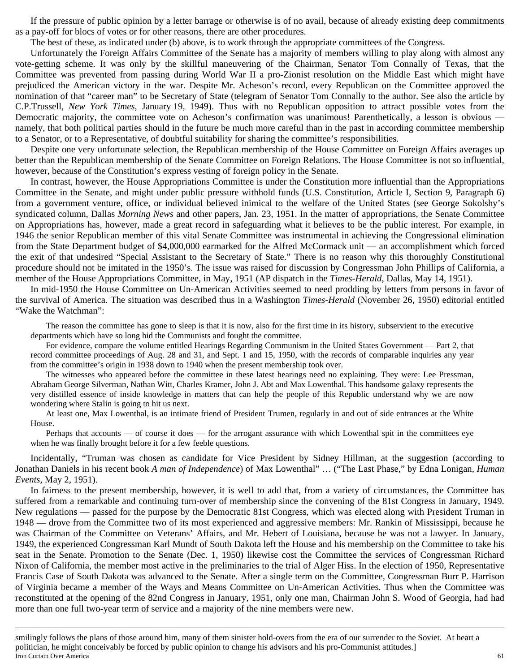If the pressure of public opinion by a letter barrage or otherwise is of no avail, because of already existing deep commitments as a pay-off for blocs of votes or for other reasons, there are other procedures.

The best of these, as indicated under (b) above, is to work through the appropriate committees of the Congress.

Unfortunately the Foreign Affairs Committee of the Senate has a majority of members willing to play along with almost any vote-getting scheme. It was only by the skillful maneuvering of the Chairman, Senator Tom Connally of Texas, that the Committee was prevented from passing during World War II a pro-Zionist resolution on the Middle East which might have prejudiced the American victory in the war. Despite Mr. Acheson's record, every Republican on the Committee approved the nomination of that "career man" to be Secretary of State (telegram of Senator Tom Connally to the author. See also the article by C.P.Trussell, *New York Times*, January 19, 1949). Thus with no Republican opposition to attract possible votes from the Democratic majority, the committee vote on Acheson's confirmation was unanimous! Parenthetically, a lesson is obvious namely, that both political parties should in the future be much more careful than in the past in according committee membership to a Senator, or to a Representative, of doubtful suitability for sharing the committee's responsibilities.

Despite one very unfortunate selection, the Republican membership of the House Committee on Foreign Affairs averages up better than the Republican membership of the Senate Committee on Foreign Relations. The House Committee is not so influential, however, because of the Constitution's express vesting of foreign policy in the Senate.

In contrast, however, the House Appropriations Committee is under the Constitution more influential than the Appropriations Committee in the Senate, and might under public pressure withhold funds (U.S. Constitution, Article I, Section 9, Paragraph 6) from a government venture, office, or individual believed inimical to the welfare of the United States (see George Sokolshy's syndicated column, Dallas *Morning News* and other papers, Jan. 23, 1951. In the matter of appropriations, the Senate Committee on Appropriations has, however, made a great record in safeguarding what it believes to be the public interest. For example, in 1946 the senior Republican member of this vital Senate Committee was instrumental in achieving the Congressional elimination from the State Department budget of \$4,000,000 earmarked for the Alfred McCormack unit — an accomplishment which forced the exit of that undesired "Special Assistant to the Secretary of State." There is no reason why this thoroughly Constitutional procedure should not be imitated in the 1950's. The issue was raised for discussion by Congressman John Phillips of California, a member of the House Appropriations Committee, in May, 1951 (AP dispatch in the *Times-Herald*, Dallas, May 14, 1951).

In mid-1950 the House Committee on Un-American Activities seemed to need prodding by letters from persons in favor of the survival of America. The situation was described thus in a Washington *Times-Herald* (November 26, 1950) editorial entitled "Wake the Watchman":

The reason the committee has gone to sleep is that it is now, also for the first time in its history, subservient to the executive departments which have so long hid the Communists and fought the committee.

For evidence, compare the volume entitled Hearings Regarding Communism in the United States Government — Part 2, that record committee proceedings of Aug. 28 and 31, and Sept. 1 and 15, 1950, with the records of comparable inquiries any year from the committee's origin in 1938 down to 1940 when the present membership took over.

The witnesses who appeared before the committee in these latest hearings need no explaining. They were: Lee Pressman, Abraham George Silverman, Nathan Witt, Charles Kramer, John J. Abt and Max Lowenthal. This handsome galaxy represents the very distilled essence of inside knowledge in matters that can help the people of this Republic understand why we are now wondering where Stalin is going to hit us next.

At least one, Max Lowenthal, is an intimate friend of President Trumen, regularly in and out of side entrances at the White House.

Perhaps that accounts — of course it does — for the arrogant assurance with which Lowenthal spit in the committees eye when he was finally brought before it for a few feeble questions.

Incidentally, "Truman was chosen as candidate for Vice President by Sidney Hillman, at the suggestion (according to Jonathan Daniels in his recent book *A man of Independence*) of Max Lowenthal" … ("The Last Phase," by Edna Lonigan, *Human Events*, May 2, 1951).

In fairness to the present membership, however, it is well to add that, from a variety of circumstances, the Committee has suffered from a remarkable and continuing turn-over of membership since the convening of the 81st Congress in January, 1949. New regulations — passed for the purpose by the Democratic 81st Congress, which was elected along with President Truman in 1948 — drove from the Committee two of its most experienced and aggressive members: Mr. Rankin of Mississippi, because he was Chairman of the Committee on Veterans' Affairs, and Mr. Hebert of Louisiana, because he was not a lawyer. In January, 1949, the experienced Congressman Karl Mundt of South Dakota left the House and his membership on the Committee to take his seat in the Senate. Promotion to the Senate (Dec. 1, 1950) likewise cost the Committee the services of Congressman Richard Nixon of California, the member most active in the preliminaries to the trial of Alger Hiss. In the election of 1950, Representative Francis Case of South Dakota was advanced to the Senate. After a single term on the Committee, Congressman Burr P. Harrison of Virginia became a member of the Ways and Means Committee on Un-American Activities. Thus when the Committee was reconstituted at the opening of the 82nd Congress in January, 1951, only one man, Chairman John S. Wood of Georgia, had had more than one full two-year term of service and a majority of the nine members were new.

Iron Curtain Over America 61 smilingly follows the plans of those around him, many of them sinister hold-overs from the era of our surrender to the Soviet. At heart a politician, he might conceivably be forced by public opinion to change his advisors and his pro-Communist attitudes.]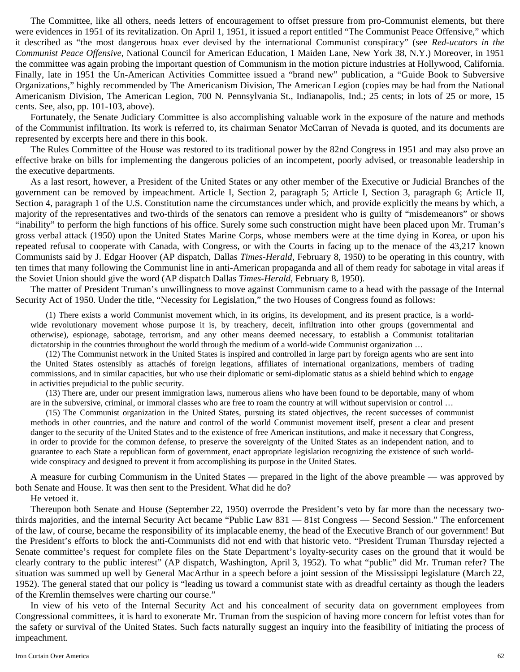The Committee, like all others, needs letters of encouragement to offset pressure from pro-Communist elements, but there were evidences in 1951 of its revitalization. On April 1, 1951, it issued a report entitled "The Communist Peace Offensive," which it described as "the most dangerous hoax ever devised by the international Communist conspiracy" (see *Red-ucators in the Communist Peace Offensive*, National Council for American Education, 1 Maiden Lane, New York 38, N.Y.) Moreover, in 1951 the committee was again probing the important question of Communism in the motion picture industries at Hollywood, California. Finally, late in 1951 the Un-American Activities Committee issued a "brand new" publication, a "Guide Book to Subversive Organizations," highly recommended by The Americanism Division, The American Legion (copies may be had from the National Americanism Division, The American Legion, 700 N. Pennsylvania St., Indianapolis, Ind.; 25 cents; in lots of 25 or more, 15 cents. See, also, pp. 101-103, above).

Fortunately, the Senate Judiciary Committee is also accomplishing valuable work in the exposure of the nature and methods of the Communist infiltration. Its work is referred to, its chairman Senator McCarran of Nevada is quoted, and its documents are represented by excerpts here and there in this book.

The Rules Committee of the House was restored to its traditional power by the 82nd Congress in 1951 and may also prove an effective brake on bills for implementing the dangerous policies of an incompetent, poorly advised, or treasonable leadership in the executive departments.

As a last resort, however, a President of the United States or any other member of the Executive or Judicial Branches of the government can be removed by impeachment. Article I, Section 2, paragraph 5; Article I, Section 3, paragraph 6; Article II, Section 4, paragraph 1 of the U.S. Constitution name the circumstances under which, and provide explicitly the means by which, a majority of the representatives and two-thirds of the senators can remove a president who is guilty of "misdemeanors" or shows "inability" to perform the high functions of his office. Surely some such construction might have been placed upon Mr. Truman's gross verbal attack (1950) upon the United States Marine Corps, whose members were at the time dying in Korea, or upon his repeated refusal to cooperate with Canada, with Congress, or with the Courts in facing up to the menace of the 43,217 known Communists said by J. Edgar Hoover (AP dispatch, Dallas *Times-Herald*, February 8, 1950) to be operating in this country, with ten times that many following the Communist line in anti-American propaganda and all of them ready for sabotage in vital areas if the Soviet Union should give the word (AP dispatch Dallas *Times-Herald*, February 8, 1950).

The matter of President Truman's unwillingness to move against Communism came to a head with the passage of the Internal Security Act of 1950. Under the title, "Necessity for Legislation," the two Houses of Congress found as follows:

(1) There exists a world Communist movement which, in its origins, its development, and its present practice, is a worldwide revolutionary movement whose purpose it is, by treachery, deceit, infiltration into other groups (governmental and otherwise), espionage, sabotage, terrorism, and any other means deemed necessary, to establish a Communist totalitarian dictatorship in the countries throughout the world through the medium of a world-wide Communist organization ...

(12) The Communist network in the United States is inspired and controlled in large part by foreign agents who are sent into the United States ostensibly as attachés of foreign legations, affiliates of international organizations, members of trading commissions, and in similar capacities, but who use their diplomatic or semi-diplomatic status as a shield behind which to engage in activities prejudicial to the public security.

(13) There are, under our present immigration laws, numerous aliens who have been found to be deportable, many of whom are in the subversive, criminal, or immoral classes who are free to roam the country at will without supervision or control …

(15) The Communist organization in the United States, pursuing its stated objectives, the recent successes of communist methods in other countries, and the nature and control of the world Communist movement itself, present a clear and present danger to the security of the United States and to the existence of free American institutions, and make it necessary that Congress, in order to provide for the common defense, to preserve the sovereignty of the United States as an independent nation, and to guarantee to each State a republican form of government, enact appropriate legislation recognizing the existence of such worldwide conspiracy and designed to prevent it from accomplishing its purpose in the United States.

A measure for curbing Communism in the United States — prepared in the light of the above preamble — was approved by both Senate and House. It was then sent to the President. What did he do?

He vetoed it.

Thereupon both Senate and House (September 22, 1950) overrode the President's veto by far more than the necessary twothirds majorities, and the internal Security Act became "Public Law 831 — 81st Congress — Second Session." The enforcement of the law, of course, became the responsibility of its implacable enemy, the head of the Executive Branch of our government! But the President's efforts to block the anti-Communists did not end with that historic veto. "President Truman Thursday rejected a Senate committee's request for complete files on the State Department's loyalty-security cases on the ground that it would be clearly contrary to the public interest" (AP dispatch, Washington, April 3, 1952). To what "public" did Mr. Truman refer? The situation was summed up well by General MacArthur in a speech before a joint session of the Mississippi legislature (March 22, 1952). The general stated that our policy is "leading us toward a communist state with as dreadful certainty as though the leaders of the Kremlin themselves were charting our course."

In view of his veto of the Internal Security Act and his concealment of security data on government employees from Congressional committees, it is hard to exonerate Mr. Truman from the suspicion of having more concern for leftist votes than for the safety or survival of the United States. Such facts naturally suggest an inquiry into the feasibility of initiating the process of impeachment.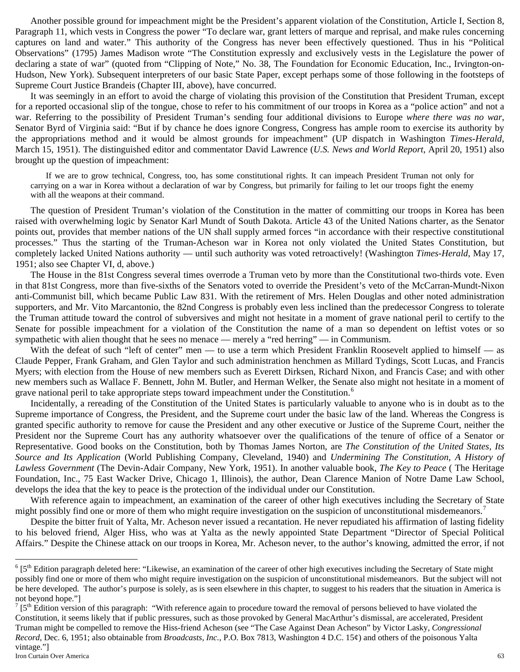Another possible ground for impeachment might be the President's apparent violation of the Constitution, Article I, Section 8, Paragraph 11, which vests in Congress the power "To declare war, grant letters of marque and reprisal, and make rules concerning captures on land and water." This authority of the Congress has never been effectively questioned. Thus in his "Political Observations" (1795) James Madison wrote "The Constitution expressly and exclusively vests in the Legislature the power of declaring a state of war" (quoted from "Clipping of Note," No. 38, The Foundation for Economic Education, Inc., Irvington-on-Hudson, New York). Subsequent interpreters of our basic State Paper, except perhaps some of those following in the footsteps of Supreme Court Justice Brandeis (Chapter III, above), have concurred.

It was seemingly in an effort to avoid the charge of violating this provision of the Constitution that President Truman, except for a reported occasional slip of the tongue, chose to refer to his commitment of our troops in Korea as a "police action" and not a war. Referring to the possibility of President Truman's sending four additional divisions to Europe *where there was no war*, Senator Byrd of Virginia said: "But if by chance he does ignore Congress, Congress has ample room to exercise its authority by the appropriations method and it would be almost grounds for impeachment" (UP dispatch in Washington *Times-Herald*, March 15, 1951). The distinguished editor and commentator David Lawrence (*U.S. News and World Report*, April 20, 1951) also brought up the question of impeachment:

If we are to grow technical, Congress, too, has some constitutional rights. It can impeach President Truman not only for carrying on a war in Korea without a declaration of war by Congress, but primarily for failing to let our troops fight the enemy with all the weapons at their command.

The question of President Truman's violation of the Constitution in the matter of committing our troops in Korea has been raised with overwhelming logic by Senator Karl Mundt of South Dakota. Article 43 of the United Nations charter, as the Senator points out, provides that member nations of the UN shall supply armed forces "in accordance with their respective constitutional processes." Thus the starting of the Truman-Acheson war in Korea not only violated the United States Constitution, but completely lacked United Nations authority — until such authority was voted retroactively! (Washington *Times-Herald*, May 17, 1951; also see Chapter VI, d, above.)

The House in the 81st Congress several times overrode a Truman veto by more than the Constitutional two-thirds vote. Even in that 81st Congress, more than five-sixths of the Senators voted to override the President's veto of the McCarran-Mundt-Nixon anti-Communist bill, which became Public Law 831. With the retirement of Mrs. Helen Douglas and other noted administration supporters, and Mr. Vito Marcantonio, the 82nd Congress is probably even less inclined than the predecessor Congress to tolerate the Truman attitude toward the control of subversives and might not hesitate in a moment of grave national peril to certify to the Senate for possible impeachment for a violation of the Constitution the name of a man so dependent on leftist votes or so sympathetic with alien thought that he sees no menace — merely a "red herring" — in Communism.

With the defeat of such "left of center" men — to use a term which President Franklin Roosevelt applied to himself — as Claude Pepper, Frank Graham, and Glen Taylor and such administration henchmen as Millard Tydings, Scott Lucas, and Francis Myers; with election from the House of new members such as Everett Dirksen, Richard Nixon, and Francis Case; and with other new members such as Wallace F. Bennett, John M. Butler, and Herman Welker, the Senate also might not hesitate in a moment of grave national peril to take appropriate steps toward impeachment under the Constitution.<sup>[6](#page-62-0)</sup>

Incidentally, a rereading of the Constitution of the United States is particularly valuable to anyone who is in doubt as to the Supreme importance of Congress, the President, and the Supreme court under the basic law of the land. Whereas the Congress is granted specific authority to remove for cause the President and any other executive or Justice of the Supreme Court, neither the President nor the Supreme Court has any authority whatsoever over the qualifications of the tenure of office of a Senator or Representative. Good books on the Constitution, both by Thomas James Norton, are *The Constitution of the United States, Its Source and Its Application* (World Publishing Company, Cleveland, 1940) and *Undermining The Constitution, A History of Lawless Government* (The Devin-Adair Company, New York, 1951). In another valuable book, *The Key to Peace* ( The Heritage Foundation, Inc., 75 East Wacker Drive, Chicago 1, Illinois), the author, Dean Clarence Manion of Notre Dame Law School, develops the idea that the key to peace is the protection of the individual under our Constitution.

With reference again to impeachment, an examination of the career of other high executives including the Secretary of State might possibly find one or more of them who might require investigation on the suspicion of unconstitutional misdemeanors.

Despite the bitter fruit of Yalta, Mr. Acheson never issued a recantation. He never repudiated his affirmation of lasting fidelity to his beloved friend, Alger Hiss, who was at Yalta as the newly appointed State Department "Director of Special Political Affairs." Despite the Chinese attack on our troops in Korea, Mr. Acheson never, to the author's knowing, admitted the error, if not

<span id="page-62-0"></span> $6 \times 5<sup>th</sup>$  Edition paragraph deleted here: "Likewise, an examination of the career of other high executives including the Secretary of State might possibly find one or more of them who might require investigation on the suspicion of unconstitutional misdemeanors. But the subject will not be here developed. The author's purpose is solely, as is seen elsewhere in this chapter, to suggest to his readers that the situation in America is not beyond hope."]

<span id="page-62-1"></span> $7 \text{ [5}^{\text{th}}$  Edition version of this paragraph: "With reference again to procedure toward the removal of persons believed to have violated the Constitution, it seems likely that if public pressures, such as those provoked by General MacArthur's dismissal, are accelerated, President Truman might be compelled to remove the Hiss-friend Acheson (see "The Case Against Dean Acheson" by Victor Lasky, *Congressional Record*, Dec. 6, 1951; also obtainable from *Broadcasts, Inc.*, P.O. Box 7813, Washington 4 D.C. 15¢) and others of the poisonous Yalta vintage."]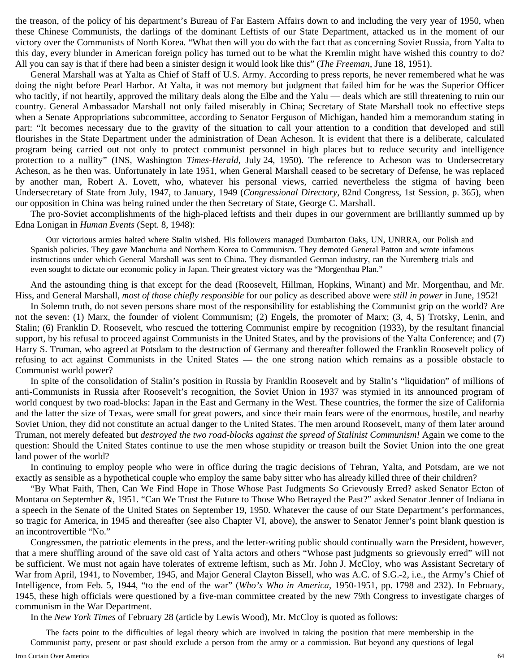the treason, of the policy of his department's Bureau of Far Eastern Affairs down to and including the very year of 1950, when these Chinese Communists, the darlings of the dominant Leftists of our State Department, attacked us in the moment of our victory over the Communists of North Korea. "What then will you do with the fact that as concerning Soviet Russia, from Yalta to this day, every blunder in American foreign policy has turned out to be what the Kremlin might have wished this country to do? All you can say is that if there had been a sinister design it would look like this" (*The Freeman*, June 18, 1951).

General Marshall was at Yalta as Chief of Staff of U.S. Army. According to press reports, he never remembered what he was doing the night before Pearl Harbor. At Yalta, it was not memory but judgment that failed him for he was the Superior Officer who tacitly, if not heartily, approved the military deals along the Elbe and the Yalu — deals which are still threatening to ruin our country. General Ambassador Marshall not only failed miserably in China; Secretary of State Marshall took no effective steps when a Senate Appropriations subcommittee, according to Senator Ferguson of Michigan, handed him a memorandum stating in part: "It becomes necessary due to the gravity of the situation to call your attention to a condition that developed and still flourishes in the State Department under the administration of Dean Acheson. It is evident that there is a deliberate, calculated program being carried out not only to protect communist personnel in high places but to reduce security and intelligence protection to a nullity" (INS, Washington *Times-Herald*, July 24, 1950). The reference to Acheson was to Undersecretary Acheson, as he then was. Unfortunately in late 1951, when General Marshall ceased to be secretary of Defense, he was replaced by another man, Robert A. Lovett, who, whatever his personal views, carried nevertheless the stigma of having been Undersecretary of State from July, 1947, to January, 1949 (*Congressional Directory*, 82nd Congress, 1st Session, p. 365), when our opposition in China was being ruined under the then Secretary of State, George C. Marshall.

The pro-Soviet accomplishments of the high-placed leftists and their dupes in our government are brilliantly summed up by Edna Lonigan in *Human Events* (Sept. 8, 1948):

Our victorious armies halted where Stalin wished. His followers managed Dumbarton Oaks, UN, UNRRA, our Polish and Spanish policies. They gave Manchuria and Northern Korea to Communism. They demoted General Patton and wrote infamous instructions under which General Marshall was sent to China. They dismantled German industry, ran the Nuremberg trials and even sought to dictate our economic policy in Japan. Their greatest victory was the "Morgenthau Plan."

And the astounding thing is that except for the dead (Roosevelt, Hillman, Hopkins, Winant) and Mr. Morgenthau, and Mr. Hiss, and General Marshall, *most of those chiefly responsible* for our policy as described above were *still in power* in June, 1952!

In Solemn truth, do not seven persons share most of the responsibility for establishing the Communist grip on the world? Are not the seven: (1) Marx, the founder of violent Communism; (2) Engels, the promoter of Marx; (3, 4, 5) Trotsky, Lenin, and Stalin; (6) Franklin D. Roosevelt, who rescued the tottering Communist empire by recognition (1933), by the resultant financial support, by his refusal to proceed against Communists in the United States, and by the provisions of the Yalta Conference; and (7) Harry S. Truman, who agreed at Potsdam to the destruction of Germany and thereafter followed the Franklin Roosevelt policy of refusing to act against Communists in the United States — the one strong nation which remains as a possible obstacle to Communist world power?

In spite of the consolidation of Stalin's position in Russia by Franklin Roosevelt and by Stalin's "liquidation" of millions of anti-Communists in Russia after Roosevelt's recognition, the Soviet Union in 1937 was stymied in its announced program of world conquest by two road-blocks: Japan in the East and Germany in the West. These countries, the former the size of California and the latter the size of Texas, were small for great powers, and since their main fears were of the enormous, hostile, and nearby Soviet Union, they did not constitute an actual danger to the United States. The men around Roosevelt, many of them later around Truman, not merely defeated but *destroyed the two road-blocks against the spread of Stalinist Communism!* Again we come to the question: Should the United States continue to use the men whose stupidity or treason built the Soviet Union into the one great land power of the world?

In continuing to employ people who were in office during the tragic decisions of Tehran, Yalta, and Potsdam, are we not exactly as sensible as a hypothetical couple who employ the same baby sitter who has already killed three of their children?

"By What Faith, Then, Can We Find Hope in Those Whose Past Judgments So Grievously Erred? asked Senator Ecton of Montana on September &, 1951. "Can We Trust the Future to Those Who Betrayed the Past?" asked Senator Jenner of Indiana in a speech in the Senate of the United States on September 19, 1950. Whatever the cause of our State Department's performances, so tragic for America, in 1945 and thereafter (see also Chapter VI, above), the answer to Senator Jenner's point blank question is an incontrovertible "No."

Congressmen, the patriotic elements in the press, and the letter-writing public should continually warn the President, however, that a mere shuffling around of the save old cast of Yalta actors and others "Whose past judgments so grievously erred" will not be sufficient. We must not again have tolerates of extreme leftism, such as Mr. John J. McCloy, who was Assistant Secretary of War from April, 1941, to November, 1945, and Major General Clayton Bissell, who was A.C. of S.G.-2, i.e., the Army's Chief of Intelligence, from Feb. 5, 1944, "to the end of the war" (*Who's Who in America*, 1950-1951, pp. 1798 and 232). In February, 1945, these high officials were questioned by a five-man committee created by the new 79th Congress to investigate charges of communism in the War Department.

In the *New York Times* of February 28 (article by Lewis Wood), Mr. McCloy is quoted as follows:

The facts point to the difficulties of legal theory which are involved in taking the position that mere membership in the Communist party, present or past should exclude a person from the army or a commission. But beyond any questions of legal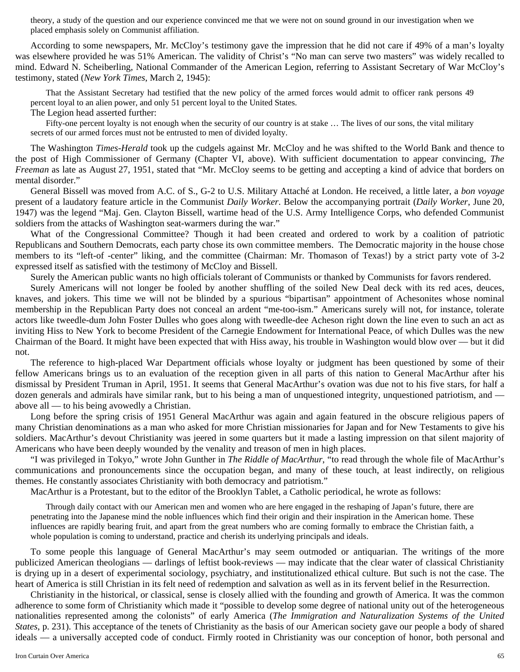theory, a study of the question and our experience convinced me that we were not on sound ground in our investigation when we placed emphasis solely on Communist affiliation.

According to some newspapers, Mr. McCloy's testimony gave the impression that he did not care if 49% of a man's loyalty was elsewhere provided he was 51% American. The validity of Christ's "No man can serve two masters" was widely recalled to mind. Edward N. Scheiberling, National Commander of the American Legion, referring to Assistant Secretary of War McCloy's testimony, stated (*New York Times*, March 2, 1945):

That the Assistant Secretary had testified that the new policy of the armed forces would admit to officer rank persons 49 percent loyal to an alien power, and only 51 percent loyal to the United States.

The Legion head asserted further:

Fifty-one percent loyalty is not enough when the security of our country is at stake … The lives of our sons, the vital military secrets of our armed forces must not be entrusted to men of divided loyalty.

The Washington *Times-Herald* took up the cudgels against Mr. McCloy and he was shifted to the World Bank and thence to the post of High Commissioner of Germany (Chapter VI, above). With sufficient documentation to appear convincing, *The Freeman* as late as August 27, 1951, stated that "Mr. McCloy seems to be getting and accepting a kind of advice that borders on mental disorder."

General Bissell was moved from A.C. of S., G-2 to U.S. Military Attaché at London. He received, a little later, a *bon voyage* present of a laudatory feature article in the Communist *Daily Worker*. Below the accompanying portrait (*Daily Worker*, June 20, 1947) was the legend "Maj. Gen. Clayton Bissell, wartime head of the U.S. Army Intelligence Corps, who defended Communist soldiers from the attacks of Washington seat-warmers during the war."

What of the Congressional Committee? Though it had been created and ordered to work by a coalition of patriotic Republicans and Southern Democrats, each party chose its own committee members. The Democratic majority in the house chose members to its "left-of -center" liking, and the committee (Chairman: Mr. Thomason of Texas!) by a strict party vote of 3-2 expressed itself as satisfied with the testimony of McCloy and Bissell.

Surely the American public wants no high officials tolerant of Communists or thanked by Communists for favors rendered.

Surely Americans will not longer be fooled by another shuffling of the soiled New Deal deck with its red aces, deuces, knaves, and jokers. This time we will not be blinded by a spurious "bipartisan" appointment of Achesonites whose nominal membership in the Republican Party does not conceal an ardent "me-too-ism." Americans surely will not, for instance, tolerate actors like tweedle-dum John Foster Dulles who goes along with tweedle-dee Acheson right down the line even to such an act as inviting Hiss to New York to become President of the Carnegie Endowment for International Peace, of which Dulles was the new Chairman of the Board. It might have been expected that with Hiss away, his trouble in Washington would blow over — but it did not.

The reference to high-placed War Department officials whose loyalty or judgment has been questioned by some of their fellow Americans brings us to an evaluation of the reception given in all parts of this nation to General MacArthur after his dismissal by President Truman in April, 1951. It seems that General MacArthur's ovation was due not to his five stars, for half a dozen generals and admirals have similar rank, but to his being a man of unquestioned integrity, unquestioned patriotism, and above all — to his being avowedly a Christian.

Long before the spring crisis of 1951 General MacArthur was again and again featured in the obscure religious papers of many Christian denominations as a man who asked for more Christian missionaries for Japan and for New Testaments to give his soldiers. MacArthur's devout Christianity was jeered in some quarters but it made a lasting impression on that silent majority of Americans who have been deeply wounded by the venality and treason of men in high places.

"I was privileged in Tokyo," wrote John Gunther in *The Riddle of MacArthur*, "to read through the whole file of MacArthur's communications and pronouncements since the occupation began, and many of these touch, at least indirectly, on religious themes. He constantly associates Christianity with both democracy and patriotism."

MacArthur is a Protestant, but to the editor of the Brooklyn Tablet, a Catholic periodical, he wrote as follows:

Through daily contact with our American men and women who are here engaged in the reshaping of Japan's future, there are penetrating into the Japanese mind the noble influences which find their origin and their inspiration in the American home. These influences are rapidly bearing fruit, and apart from the great numbers who are coming formally to embrace the Christian faith, a whole population is coming to understand, practice and cherish its underlying principals and ideals.

To some people this language of General MacArthur's may seem outmoded or antiquarian. The writings of the more publicized American theologians — darlings of leftist book-reviews — may indicate that the clear water of classical Christianity is drying up in a desert of experimental sociology, psychiatry, and institutionalized ethical culture. But such is not the case. The heart of America is still Christian in its felt need of redemption and salvation as well as in its fervent belief in the Resurrection.

Christianity in the historical, or classical, sense is closely allied with the founding and growth of America. It was the common adherence to some form of Christianity which made it "possible to develop some degree of national unity out of the heterogeneous nationalities represented among the colonists" of early America (*The Immigration and Naturalization Systems of the United States*, p. 231). This acceptance of the tenets of Christianity as the basis of our American society gave our people a body of shared ideals — a universally accepted code of conduct. Firmly rooted in Christianity was our conception of honor, both personal and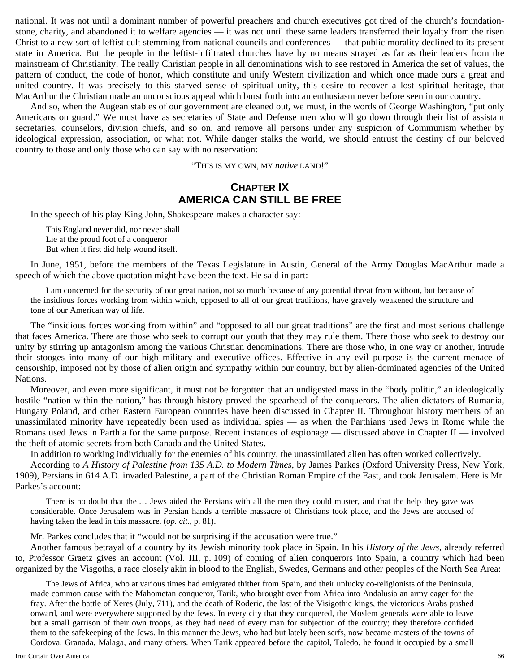national. It was not until a dominant number of powerful preachers and church executives got tired of the church's foundationstone, charity, and abandoned it to welfare agencies — it was not until these same leaders transferred their loyalty from the risen Christ to a new sort of leftist cult stemming from national councils and conferences — that public morality declined to its present state in America. But the people in the leftist-infiltrated churches have by no means strayed as far as their leaders from the mainstream of Christianity. The really Christian people in all denominations wish to see restored in America the set of values, the pattern of conduct, the code of honor, which constitute and unify Western civilization and which once made ours a great and united country. It was precisely to this starved sense of spiritual unity, this desire to recover a lost spiritual heritage, that MacArthur the Christian made an unconscious appeal which burst forth into an enthusiasm never before seen in our country.

And so, when the Augean stables of our government are cleaned out, we must, in the words of George Washington, "put only Americans on guard." We must have as secretaries of State and Defense men who will go down through their list of assistant secretaries, counselors, division chiefs, and so on, and remove all persons under any suspicion of Communism whether by ideological expression, association, or what not. While danger stalks the world, we should entrust the destiny of our beloved country to those and only those who can say with no reservation:

"THIS IS MY OWN, MY *native* LAND!"

## **CHAPTER IX AMERICA CAN STILL BE FREE**

In the speech of his play King John, Shakespeare makes a character say:

This England never did, nor never shall Lie at the proud foot of a conqueror But when it first did help wound itself.

In June, 1951, before the members of the Texas Legislature in Austin, General of the Army Douglas MacArthur made a speech of which the above quotation might have been the text. He said in part:

I am concerned for the security of our great nation, not so much because of any potential threat from without, but because of the insidious forces working from within which, opposed to all of our great traditions, have gravely weakened the structure and tone of our American way of life.

The "insidious forces working from within" and "opposed to all our great traditions" are the first and most serious challenge that faces America. There are those who seek to corrupt our youth that they may rule them. There those who seek to destroy our unity by stirring up antagonism among the various Christian denominations. There are those who, in one way or another, intrude their stooges into many of our high military and executive offices. Effective in any evil purpose is the current menace of censorship, imposed not by those of alien origin and sympathy within our country, but by alien-dominated agencies of the United Nations.

Moreover, and even more significant, it must not be forgotten that an undigested mass in the "body politic," an ideologically hostile "nation within the nation," has through history proved the spearhead of the conquerors. The alien dictators of Rumania, Hungary Poland, and other Eastern European countries have been discussed in Chapter II. Throughout history members of an unassimilated minority have repeatedly been used as individual spies — as when the Parthians used Jews in Rome while the Romans used Jews in Parthia for the same purpose. Recent instances of espionage — discussed above in Chapter II — involved the theft of atomic secrets from both Canada and the United States.

In addition to working individually for the enemies of his country, the unassimilated alien has often worked collectively.

According to *A History of Palestine from 135 A.D. to Modern Times*, by James Parkes (Oxford University Press, New York, 1909), Persians in 614 A.D. invaded Palestine, a part of the Christian Roman Empire of the East, and took Jerusalem. Here is Mr. Parkes's account:

There is no doubt that the … Jews aided the Persians with all the men they could muster, and that the help they gave was considerable. Once Jerusalem was in Persian hands a terrible massacre of Christians took place, and the Jews are accused of having taken the lead in this massacre. (*op. cit.*, p. 81).

Mr. Parkes concludes that it "would not be surprising if the accusation were true."

Another famous betrayal of a country by its Jewish minority took place in Spain. In his *History of the Jews*, already referred to, Professor Graetz gives an account (Vol. III, p. 109) of coming of alien conquerors into Spain, a country which had been organized by the Visgoths, a race closely akin in blood to the English, Swedes, Germans and other peoples of the North Sea Area:

The Jews of Africa, who at various times had emigrated thither from Spain, and their unlucky co-religionists of the Peninsula, made common cause with the Mahometan conqueror, Tarik, who brought over from Africa into Andalusia an army eager for the fray. After the battle of Xeres (July, 711), and the death of Roderic, the last of the Visigothic kings, the victorious Arabs pushed onward, and were everywhere supported by the Jews. In every city that they conquered, the Moslem generals were able to leave but a small garrison of their own troops, as they had need of every man for subjection of the country; they therefore confided them to the safekeeping of the Jews. In this manner the Jews, who had but lately been serfs, now became masters of the towns of Cordova, Granada, Malaga, and many others. When Tarik appeared before the capitol, Toledo, he found it occupied by a small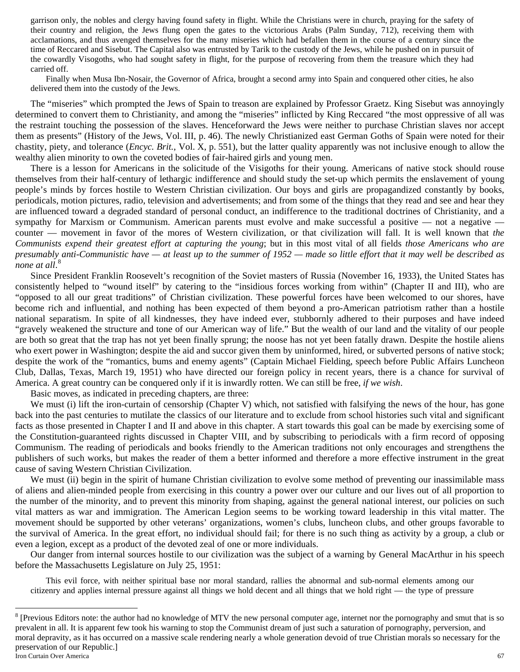garrison only, the nobles and clergy having found safety in flight. While the Christians were in church, praying for the safety of their country and religion, the Jews flung open the gates to the victorious Arabs (Palm Sunday, 712), receiving them with acclamations, and thus avenged themselves for the many miseries which had befallen them in the course of a century since the time of Reccared and Sisebut. The Capital also was entrusted by Tarik to the custody of the Jews, while he pushed on in pursuit of the cowardly Visogoths, who had sought safety in flight, for the purpose of recovering from them the treasure which they had carried off.

Finally when Musa Ibn-Nosair, the Governor of Africa, brought a second army into Spain and conquered other cities, he also delivered them into the custody of the Jews.

The "miseries" which prompted the Jews of Spain to treason are explained by Professor Graetz. King Sisebut was annoyingly determined to convert them to Christianity, and among the "miseries" inflicted by King Reccared "the most oppressive of all was the restraint touching the possession of the slaves. Henceforward the Jews were neither to purchase Christian slaves nor accept them as presents" (History of the Jews, Vol. III, p. 46). The newly Christianized east German Goths of Spain were noted for their chastity, piety, and tolerance (*Encyc. Brit.*, Vol. X, p. 551), but the latter quality apparently was not inclusive enough to allow the wealthy alien minority to own the coveted bodies of fair-haired girls and young men.

There is a lesson for Americans in the solicitude of the Visigoths for their young. Americans of native stock should rouse themselves from their half-century of lethargic indifference and should study the set-up which permits the enslavement of young people's minds by forces hostile to Western Christian civilization. Our boys and girls are propagandized constantly by books, periodicals, motion pictures, radio, television and advertisements; and from some of the things that they read and see and hear they are influenced toward a degraded standard of personal conduct, an indifference to the traditional doctrines of Christianity, and a sympathy for Marxism or Communism. American parents must evolve and make successful a positive — not a negative counter — movement in favor of the mores of Western civilization, or that civilization will fall. It is well known that *the Communists expend their greatest effort at capturing the young*; but in this most vital of all fields *those Americans who are presumably anti-Communistic have — at least up to the summer of 1952 — made so little effort that it may well be described as none at all*. [8](#page-66-0)

Since President Franklin Roosevelt's recognition of the Soviet masters of Russia (November 16, 1933), the United States has consistently helped to "wound itself" by catering to the "insidious forces working from within" (Chapter II and III), who are "opposed to all our great traditions" of Christian civilization. These powerful forces have been welcomed to our shores, have become rich and influential, and nothing has been expected of them beyond a pro-American patriotism rather than a hostile national separatism. In spite of all kindnesses, they have indeed ever, stubbornly adhered to their purposes and have indeed "gravely weakened the structure and tone of our American way of life." But the wealth of our land and the vitality of our people are both so great that the trap has not yet been finally sprung; the noose has not yet been fatally drawn. Despite the hostile aliens who exert power in Washington; despite the aid and succor given them by uninformed, hired, or subverted persons of native stock; despite the work of the "romantics, bums and enemy agents" (Captain Michael Fielding, speech before Public Affairs Luncheon Club, Dallas, Texas, March 19, 1951) who have directed our foreign policy in recent years, there is a chance for survival of America. A great country can be conquered only if it is inwardly rotten. We can still be free, *if we wish*.

Basic moves, as indicated in preceding chapters, are three:

We must (i) lift the iron-curtain of censorship (Chapter V) which, not satisfied with falsifying the news of the hour, has gone back into the past centuries to mutilate the classics of our literature and to exclude from school histories such vital and significant facts as those presented in Chapter I and II and above in this chapter. A start towards this goal can be made by exercising some of the Constitution-guaranteed rights discussed in Chapter VIII, and by subscribing to periodicals with a firm record of opposing Communism. The reading of periodicals and books friendly to the American traditions not only encourages and strengthens the publishers of such works, but makes the reader of them a better informed and therefore a more effective instrument in the great cause of saving Western Christian Civilization.

We must (ii) begin in the spirit of humane Christian civilization to evolve some method of preventing our inassimilable mass of aliens and alien-minded people from exercising in this country a power over our culture and our lives out of all proportion to the number of the minority, and to prevent this minority from shaping, against the general national interest, our policies on such vital matters as war and immigration. The American Legion seems to be working toward leadership in this vital matter. The movement should be supported by other veterans' organizations, women's clubs, luncheon clubs, and other groups favorable to the survival of America. In the great effort, no individual should fail; for there is no such thing as activity by a group, a club or even a legion, except as a product of the devoted zeal of one or more individuals.

Our danger from internal sources hostile to our civilization was the subject of a warning by General MacArthur in his speech before the Massachusetts Legislature on July 25, 1951:

This evil force, with neither spiritual base nor moral standard, rallies the abnormal and sub-normal elements among our citizenry and applies internal pressure against all things we hold decent and all things that we hold right — the type of pressure

<span id="page-66-0"></span>Iron Curtain Over America 67  $8$  [Previous Editors note: the author had no knowledge of MTV the new personal computer age, internet nor the pornography and smut that is so prevalent in all. It is apparent few took his warning to stop the Communist dream of just such a saturation of pornography, perversion, and moral depravity, as it has occurred on a massive scale rendering nearly a whole generation devoid of true Christian morals so necessary for the preservation of our Republic.]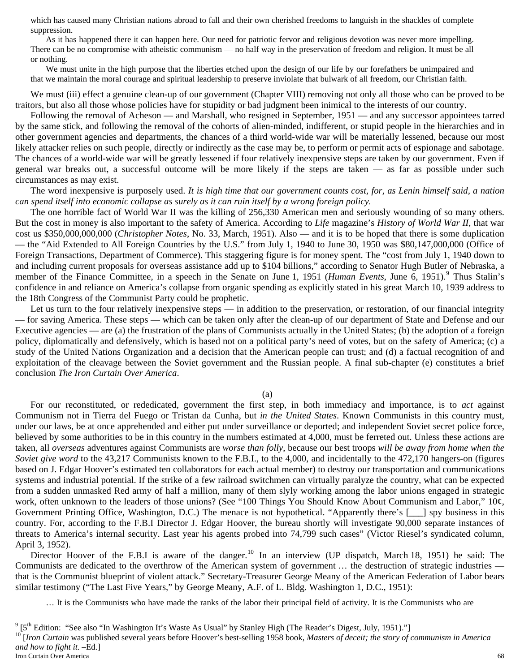which has caused many Christian nations abroad to fall and their own cherished freedoms to languish in the shackles of complete suppression.

As it has happened there it can happen here. Our need for patriotic fervor and religious devotion was never more impelling. There can be no compromise with atheistic communism — no half way in the preservation of freedom and religion. It must be all or nothing.

We must unite in the high purpose that the liberties etched upon the design of our life by our forefathers be unimpaired and that we maintain the moral courage and spiritual leadership to preserve inviolate that bulwark of all freedom, our Christian faith.

We must (iii) effect a genuine clean-up of our government (Chapter VIII) removing not only all those who can be proved to be traitors, but also all those whose policies have for stupidity or bad judgment been inimical to the interests of our country.

Following the removal of Acheson — and Marshall, who resigned in September, 1951 — and any successor appointees tarred by the same stick, and following the removal of the cohorts of alien-minded, indifferent, or stupid people in the hierarchies and in other government agencies and departments, the chances of a third world-wide war will be materially lessened, because our most likely attacker relies on such people, directly or indirectly as the case may be, to perform or permit acts of espionage and sabotage. The chances of a world-wide war will be greatly lessened if four relatively inexpensive steps are taken by our government. Even if general war breaks out, a successful outcome will be more likely if the steps are taken — as far as possible under such circumstances as may exist.

The word inexpensive is purposely used. *It is high time that our government counts cost, for, as Lenin himself said, a nation can spend itself into economic collapse as surely as it can ruin itself by a wrong foreign policy.*

The one horrible fact of World War II was the killing of 256,330 American men and seriously wounding of so many others. But the cost in money is also important to the safety of America. According to *Life* magazine's *History of World War II*, that war cost us \$350,000,000,000 (*Christopher Notes*, No. 33, March, 1951). Also — and it is to be hoped that there is some duplication — the "Aid Extended to All Foreign Countries by the U.S." from July 1, 1940 to June 30, 1950 was \$80,147,000,000 (Office of Foreign Transactions, Department of Commerce). This staggering figure is for money spent. The "cost from July 1, 1940 down to and including current proposals for overseas assistance add up to \$104 billions," according to Senator Hugh Butler of Nebraska, a member of the Finance Committee, in a speech in the Senate on June 1, 1[9](#page-67-0)51 (*Human Events*, June 6, 1951).<sup>9</sup> Thus Stalin's confidence in and reliance on America's collapse from organic spending as explicitly stated in his great March 10, 1939 address to the 18th Congress of the Communist Party could be prophetic.

Let us turn to the four relatively inexpensive steps — in addition to the preservation, or restoration, of our financial integrity — for saving America. These steps — which can be taken only after the clean-up of our department of State and Defense and our Executive agencies — are (a) the frustration of the plans of Communists actually in the United States; (b) the adoption of a foreign policy, diplomatically and defensively, which is based not on a political party's need of votes, but on the safety of America; (c) a study of the United Nations Organization and a decision that the American people can trust; and (d) a factual recognition of and exploitation of the cleavage between the Soviet government and the Russian people. A final sub-chapter (e) constitutes a brief conclusion *The Iron Curtain Over America*.

(a)

For our reconstituted, or rededicated, government the first step, in both immediacy and importance, is to *act* against Communism not in Tierra del Fuego or Tristan da Cunha, but *in the United States*. Known Communists in this country must, under our laws, be at once apprehended and either put under surveillance or deported; and independent Soviet secret police force, believed by some authorities to be in this country in the numbers estimated at 4,000, must be ferreted out. Unless these actions are taken, all *overseas* adventures against Communists are *worse than folly*, because our best troops *will be away from home when the Soviet give word* to the 43,217 Communists known to the F.B.I., to the 4,000, and incidentally to the 472,170 hangers-on (figures based on J. Edgar Hoover's estimated ten collaborators for each actual member) to destroy our transportation and communications systems and industrial potential. If the strike of a few railroad switchmen can virtually paralyze the country, what can be expected from a sudden unmasked Red army of half a million, many of them slyly working among the labor unions engaged in strategic work, often unknown to the leaders of those unions? (See "100 Things You Should Know About Communism and Labor," 10¢, Government Printing Office, Washington, D.C.) The menace is not hypothetical. "Apparently there's [\_\_\_] spy business in this country. For, according to the F.B.I Director J. Edgar Hoover, the bureau shortly will investigate 90,000 separate instances of threats to America's internal security. Last year his agents probed into 74,799 such cases" (Victor Riesel's syndicated column, April 3, 1952).

Director Hoover of the F.B.I is aware of the danger.<sup>[10](#page-67-1)</sup> In an interview (UP dispatch, March 18, 1951) he said: The Communists are dedicated to the overthrow of the American system of government … the destruction of strategic industries that is the Communist blueprint of violent attack." Secretary-Treasurer George Meany of the American Federation of Labor bears similar testimony ("The Last Five Years," by George Meany, A.F. of L. Bldg. Washington 1, D.C., 1951):

… It is the Communists who have made the ranks of the labor their principal field of activity. It is the Communists who are

<span id="page-67-0"></span><sup>&</sup>lt;sup>9</sup> [5<sup>th</sup> Edition: "See also "In Washington It's Waste As Usual" by Stanley High (The Reader's Digest, July, 1951)."]

<span id="page-67-1"></span><sup>&</sup>lt;sup>10</sup> [Iron Curtain was published several years before Hoover's best-selling 1958 book, Masters of deceit; the story of communism in America *and how to fight it*. –Ed.]

Iron Curtain Over America 68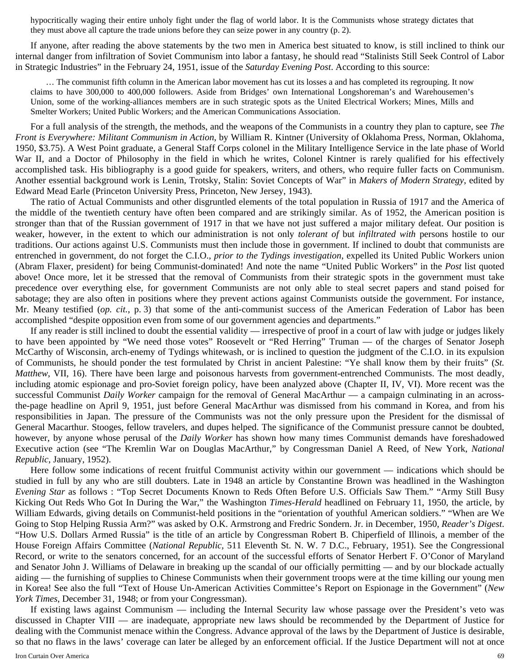hypocritically waging their entire unholy fight under the flag of world labor. It is the Communists whose strategy dictates that they must above all capture the trade unions before they can seize power in any country (p. 2).

If anyone, after reading the above statements by the two men in America best situated to know, is still inclined to think our internal danger from infiltration of Soviet Communism into labor a fantasy, he should read "Stalinists Still Seek Control of Labor in Strategic Industries" in the February 24, 1951, issue of the *Saturday Evening Post*. According to this source:

… The communist fifth column in the American labor movement has cut its losses a and has completed its regrouping. It now claims to have 300,000 to 400,000 followers. Aside from Bridges' own International Longshoreman's and Warehousemen's Union, some of the working-alliances members are in such strategic spots as the United Electrical Workers; Mines, Mills and Smelter Workers; United Public Workers; and the American Communications Association.

For a full analysis of the strength, the methods, and the weapons of the Communists in a country they plan to capture, see *The Front is Everywhere: Militant Communism in Action*, by William R. Kintner (University of Oklahoma Press, Norman, Oklahoma, 1950, \$3.75). A West Point graduate, a General Staff Corps colonel in the Military Intelligence Service in the late phase of World War II, and a Doctor of Philosophy in the field in which he writes, Colonel Kintner is rarely qualified for his effectively accomplished task. His bibliography is a good guide for speakers, writers, and others, who require fuller facts on Communism. Another essential background work is Lenin, Trotsky, Stalin: Soviet Concepts of War" in *Makers of Modern Strategy*, edited by Edward Mead Earle (Princeton University Press, Princeton, New Jersey, 1943).

The ratio of Actual Communists and other disgruntled elements of the total population in Russia of 1917 and the America of the middle of the twentieth century have often been compared and are strikingly similar. As of 1952, the American position is stronger than that of the Russian government of 1917 in that we have not just suffered a major military defeat. Our position is weaker, however, in the extent to which our administration is not only *tolerant of* but *infiltrated with* persons hostile to our traditions. Our actions against U.S. Communists must then include those in government. If inclined to doubt that communists are entrenched in government, do not forget the C.I.O., *prior to the Tydings investigation*, expelled its United Public Workers union (Abram Flaxer, president) for being Communist-dominated! And note the name "United Public Workers" in the *Post* list quoted above! Once more, let it be stressed that the removal of Communists from their strategic spots in the government must take precedence over everything else, for government Communists are not only able to steal secret papers and stand poised for sabotage; they are also often in positions where they prevent actions against Communists outside the government. For instance, Mr. Meany testified (*op. cit.*, p. 3) that some of the anti-communist success of the American Federation of Labor has been accomplished "despite opposition even from some of our government agencies and departments."

If any reader is still inclined to doubt the essential validity — irrespective of proof in a court of law with judge or judges likely to have been appointed by "We need those votes" Roosevelt or "Red Herring" Truman — of the charges of Senator Joseph McCarthy of Wisconsin, arch-enemy of Tydings whitewash, or is inclined to question the judgment of the C.I.O. in its expulsion of Communists, he should ponder the test formulated by Christ in ancient Palestine: "Ye shall know them by their fruits" (*St. Matthew*, VII, 16). There have been large and poisonous harvests from government-entrenched Communists. The most deadly, including atomic espionage and pro-Soviet foreign policy, have been analyzed above (Chapter II, IV, VI). More recent was the successful Communist *Daily Worker* campaign for the removal of General MacArthur — a campaign culminating in an acrossthe-page headline on April 9, 1951, just before General MacArthur was dismissed from his command in Korea, and from his responsibilities in Japan. The pressure of the Communists was not the only pressure upon the President for the dismissal of General Macarthur. Stooges, fellow travelers, and dupes helped. The significance of the Communist pressure cannot be doubted, however, by anyone whose perusal of the *Daily Worker* has shown how many times Communist demands have foreshadowed Executive action (see "The Kremlin War on Douglas MacArthur," by Congressman Daniel A Reed, of New York, *National Republic*, January, 1952).

Here follow some indications of recent fruitful Communist activity within our government — indications which should be studied in full by any who are still doubters. Late in 1948 an article by Constantine Brown was headlined in the Washington *Evening Star* as follows : "Top Secret Documents Known to Reds Often Before U.S. Officials Saw Them." "Army Still Busy Kicking Out Reds Who Got In During the War," the Washington *Times-Herald* headlined on February 11, 1950, the article, by William Edwards, giving details on Communist-held positions in the "orientation of youthful American soldiers." "When are We Going to Stop Helping Russia Arm?" was asked by O.K. Armstrong and Fredric Sondern. Jr. in December, 1950, *Reader's Digest*. "How U.S. Dollars Armed Russia" is the title of an article by Congressman Robert B. Chiperfield of Illinois, a member of the House Foreign Affairs Committee (*National Republic*, 511 Eleventh St. N. W. 7 D.C., February, 1951). See the Congressional Record, or write to the senators concerned, for an account of the successful efforts of Senator Herbert F. O'Conor of Maryland and Senator John J. Williams of Delaware in breaking up the scandal of our officially permitting — and by our blockade actually aiding — the furnishing of supplies to Chinese Communists when their government troops were at the time killing our young men in Korea! See also the full "Text of House Un-American Activities Committee's Report on Espionage in the Government" (*New York Times*, December 31, 1948; or from your Congressman).

If existing laws against Communism — including the Internal Security law whose passage over the President's veto was discussed in Chapter VIII — are inadequate, appropriate new laws should be recommended by the Department of Justice for dealing with the Communist menace within the Congress. Advance approval of the laws by the Department of Justice is desirable, so that no flaws in the laws' coverage can later be alleged by an enforcement official. If the Justice Department will not at once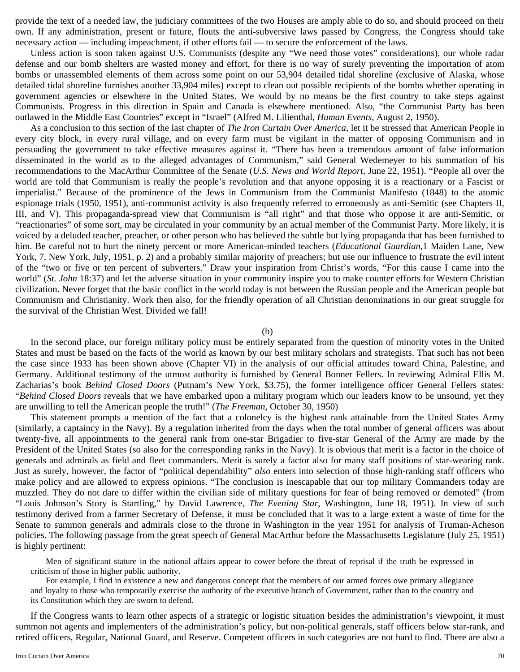provide the text of a needed law, the judiciary committees of the two Houses are amply able to do so, and should proceed on their own. If any administration, present or future, flouts the anti-subversive laws passed by Congress, the Congress should take necessary action — including impeachment, if other efforts fail — to secure the enforcement of the laws.

Unless action is soon taken against U.S. Communists (despite any "We need those votes" considerations), our whole radar defense and our bomb shelters are wasted money and effort, for there is no way of surely preventing the importation of atom bombs or unassembled elements of them across some point on our 53,904 detailed tidal shoreline (exclusive of Alaska, whose detailed tidal shoreline furnishes another 33,904 miles) except to clean out possible recipients of the bombs whether operating in government agencies or elsewhere in the United States. We would by no means be the first country to take steps against Communists. Progress in this direction in Spain and Canada is elsewhere mentioned. Also, "the Communist Party has been outlawed in the Middle East Countries" except in "Israel" (Alfred M. Lilienthal, *Human Events*, August 2, 1950).

As a conclusion to this section of the last chapter of *The Iron Curtain Over America*, let it be stressed that American People in every city block, in every rural village, and on every farm must be vigilant in the matter of opposing Communism and in persuading the government to take effective measures against it. "There has been a tremendous amount of false information disseminated in the world as to the alleged advantages of Communism," said General Wedemeyer to his summation of his recommendations to the MacArthur Committee of the Senate (*U.S. News and World Report*, June 22, 1951). "People all over the world are told that Communism is really the people's revolution and that anyone opposing it is a reactionary or a Fascist or imperialist." Because of the prominence of the Jews in Communism from the Communist Manifesto (1848) to the atomic espionage trials (1950, 1951), anti-communist activity is also frequently referred to erroneously as anti-Semitic (see Chapters II, III, and V). This propaganda-spread view that Communism is "all right" and that those who oppose it are anti-Semitic, or "reactionaries" of some sort, may be circulated in your community by an actual member of the Communist Party. More likely, it is voiced by a deluded teacher, preacher, or other person who has believed the subtle but lying propaganda that has been furnished to him. Be careful not to hurt the ninety percent or more American-minded teachers (*Educational Guardian*,1 Maiden Lane, New York, 7, New York, July, 1951, p. 2) and a probably similar majority of preachers; but use our influence to frustrate the evil intent of the "two or five or ten percent of subverters." Draw your inspiration from Christ's words, "For this cause I came into the world" (*St. John* 18:37) and let the adverse situation in your community inspire you to make counter efforts for Western Christian civilization. Never forget that the basic conflict in the world today is not between the Russian people and the American people but Communism and Christianity. Work then also, for the friendly operation of all Christian denominations in our great struggle for the survival of the Christian West. Divided we fall!

(b)

In the second place, our foreign military policy must be entirely separated from the question of minority votes in the United States and must be based on the facts of the world as known by our best military scholars and strategists. That such has not been the case since 1933 has been shown above (Chapter VI) in the analysis of our official attitudes toward China, Palestine, and Germany. Additional testimony of the utmost authority is furnished by General Bonner Fellers. In reviewing Admiral Ellis M. Zacharias's book *Behind Closed Doors* (Putnam's New York, \$3.75), the former intelligence officer General Fellers states: "*Behind Closed Doors* reveals that we have embarked upon a military program which our leaders know to be unsound, yet they are unwilling to tell the American people the truth!" (*The Freeman*, October 30, 1950)

This statement prompts a mention of the fact that a colonelcy is the highest rank attainable from the United States Army (similarly, a captaincy in the Navy). By a regulation inherited from the days when the total number of general officers was about twenty-five, all appointments to the general rank from one-star Brigadier to five-star General of the Army are made by the President of the United States (so also for the corresponding ranks in the Navy). It is obvious that merit is a factor in the choice of generals and admirals as field and fleet commanders. Merit is surely a factor also for many staff positions of star-wearing rank. Just as surely, however, the factor of "political dependability" *also* enters into selection of those high-ranking staff officers who make policy and are allowed to express opinions. "The conclusion is inescapable that our top military Commanders today are muzzled. They do not dare to differ within the civilian side of military questions for fear of being removed or demoted" (from "Louis Johnson's Story is Startling," by David Lawrence, *The Evening Star*, Washington, June 18, 1951). In view of such testimony derived from a farmer Secretary of Defense, it must be concluded that it was to a large extent a waste of time for the Senate to summon generals and admirals close to the throne in Washington in the year 1951 for analysis of Truman-Acheson policies. The following passage from the great speech of General MacArthur before the Massachusetts Legislature (July 25, 1951) is highly pertinent:

Men of significant stature in the national affairs appear to cower before the threat of reprisal if the truth be expressed in criticism of those in higher public authority.

For example, I find in existence a new and dangerous concept that the members of our armed forces owe primary allegiance and loyalty to those who temporarily exercise the authority of the executive branch of Government, rather than to the country and its Constitution which they are sworn to defend.

If the Congress wants to learn other aspects of a strategic or logistic situation besides the administration's viewpoint, it must summon not agents and implementers of the administration's policy, but non-political generals, staff officers below star-rank, and retired officers, Regular, National Guard, and Reserve. Competent officers in such categories are not hard to find. There are also a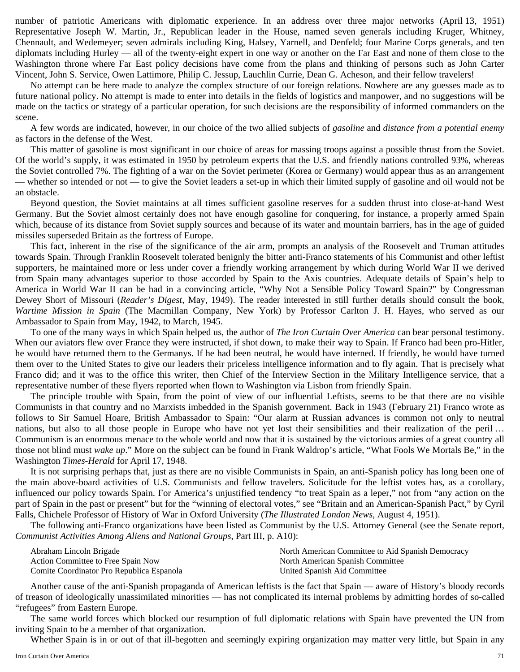number of patriotic Americans with diplomatic experience. In an address over three major networks (April 13, 1951) Representative Joseph W. Martin, Jr., Republican leader in the House, named seven generals including Kruger, Whitney, Chennault, and Wedemeyer; seven admirals including King, Halsey, Yarnell, and Denfeld; four Marine Corps generals, and ten diplomats including Hurley — all of the twenty-eight expert in one way or another on the Far East and none of them close to the Washington throne where Far East policy decisions have come from the plans and thinking of persons such as John Carter Vincent, John S. Service, Owen Lattimore, Philip C. Jessup, Lauchlin Currie, Dean G. Acheson, and their fellow travelers!

No attempt can be here made to analyze the complex structure of our foreign relations. Nowhere are any guesses made as to future national policy. No attempt is made to enter into details in the fields of logistics and manpower, and no suggestions will be made on the tactics or strategy of a particular operation, for such decisions are the responsibility of informed commanders on the scene.

A few words are indicated, however, in our choice of the two allied subjects of *gasoline* and *distance from a potential enemy* as factors in the defense of the West.

This matter of gasoline is most significant in our choice of areas for massing troops against a possible thrust from the Soviet. Of the world's supply, it was estimated in 1950 by petroleum experts that the U.S. and friendly nations controlled 93%, whereas the Soviet controlled 7%. The fighting of a war on the Soviet perimeter (Korea or Germany) would appear thus as an arrangement — whether so intended or not — to give the Soviet leaders a set-up in which their limited supply of gasoline and oil would not be an obstacle.

Beyond question, the Soviet maintains at all times sufficient gasoline reserves for a sudden thrust into close-at-hand West Germany. But the Soviet almost certainly does not have enough gasoline for conquering, for instance, a properly armed Spain which, because of its distance from Soviet supply sources and because of its water and mountain barriers, has in the age of guided missiles superseded Britain as the fortress of Europe.

This fact, inherent in the rise of the significance of the air arm, prompts an analysis of the Roosevelt and Truman attitudes towards Spain. Through Franklin Roosevelt tolerated benignly the bitter anti-Franco statements of his Communist and other leftist supporters, he maintained more or less under cover a friendly working arrangement by which during World War II we derived from Spain many advantages superior to those accorded by Spain to the Axis countries. Adequate details of Spain's help to America in World War II can be had in a convincing article, "Why Not a Sensible Policy Toward Spain?" by Congressman Dewey Short of Missouri (*Reader's Digest*, May, 1949). The reader interested in still further details should consult the book, *Wartime Mission in Spain* (The Macmillan Company, New York) by Professor Carlton J. H. Hayes, who served as our Ambassador to Spain from May, 1942, to March, 1945.

To one of the many ways in which Spain helped us, the author of *The Iron Curtain Over America* can bear personal testimony. When our aviators flew over France they were instructed, if shot down, to make their way to Spain. If Franco had been pro-Hitler, he would have returned them to the Germanys. If he had been neutral, he would have interned. If friendly, he would have turned them over to the United States to give our leaders their priceless intelligence information and to fly again. That is precisely what Franco did; and it was to the office this writer, then Chief of the Interview Section in the Military Intelligence service, that a representative number of these flyers reported when flown to Washington via Lisbon from friendly Spain.

The principle trouble with Spain, from the point of view of our influential Leftists, seems to be that there are no visible Communists in that country and no Marxists imbedded in the Spanish government. Back in 1943 (February 21) Franco wrote as follows to Sir Samuel Hoare, British Ambassador to Spain: "Our alarm at Russian advances is common not only to neutral nations, but also to all those people in Europe who have not yet lost their sensibilities and their realization of the peril … Communism is an enormous menace to the whole world and now that it is sustained by the victorious armies of a great country all those not blind must *wake up*." More on the subject can be found in Frank Waldrop's article, "What Fools We Mortals Be," in the Washington *Times-Herald* for April 17, 1948.

It is not surprising perhaps that, just as there are no visible Communists in Spain, an anti-Spanish policy has long been one of the main above-board activities of U.S. Communists and fellow travelers. Solicitude for the leftist votes has, as a corollary, influenced our policy towards Spain. For America's unjustified tendency "to treat Spain as a leper," not from "any action on the part of Spain in the past or present" but for the "winning of electoral votes," see "Britain and an American-Spanish Pact," by Cyril Falls, Chichele Professor of History of War in Oxford University (*The Illustrated London News*, August 4, 1951).

The following anti-Franco organizations have been listed as Communist by the U.S. Attorney General (see the Senate report, *Communist Activities Among Aliens and National Groups*, Part III, p. A10):

| Abraham Lincoln Brigade                   | North American Committee to Aid Spanish Democracy |
|-------------------------------------------|---------------------------------------------------|
| Action Committee to Free Spain Now        | North American Spanish Committee                  |
| Comite Coordinator Pro Republica Espanola | United Spanish Aid Committee                      |

Another cause of the anti-Spanish propaganda of American leftists is the fact that Spain — aware of History's bloody records of treason of ideologically unassimilated minorities — has not complicated its internal problems by admitting hordes of so-called "refugees" from Eastern Europe.

The same world forces which blocked our resumption of full diplomatic relations with Spain have prevented the UN from inviting Spain to be a member of that organization.

Whether Spain is in or out of that ill-begotten and seemingly expiring organization may matter very little, but Spain in any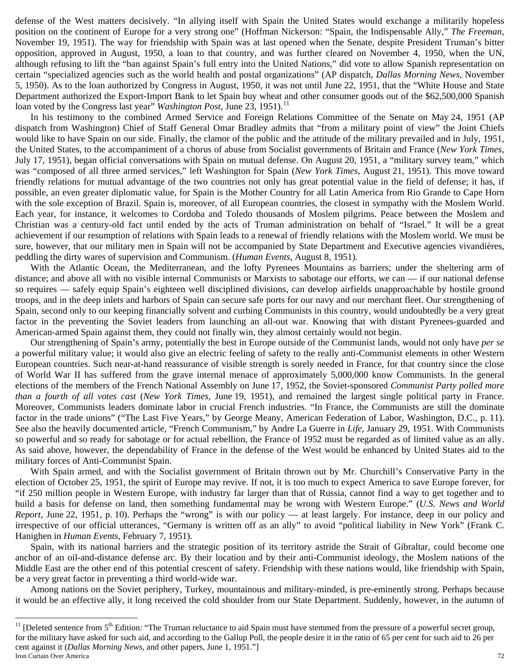defense of the West matters decisively. "In allying itself with Spain the United States would exchange a militarily hopeless position on the continent of Europe for a very strong one" (Hoffman Nickerson: "Spain, the Indispensable Ally," *The Freeman*, November 19, 1951). The way for friendship with Spain was at last opened when the Senate, despite President Truman's bitter opposition, approved in August, 1950, a loan to that country, and was further cleared on November 4, 1950, when the UN, although refusing to lift the "ban against Spain's full entry into the United Nations," did vote to allow Spanish representation on certain "specialized agencies such as the world health and postal organizations" (AP dispatch, *Dallas Morning News*, November 5, 1950). As to the loan authorized by Congress in August, 1950, it was not until June 22, 1951, that the "White House and State Department authorized the Export-Import Bank to let Spain buy wheat and other consumer goods out of the \$62,500,000 Spanish loan voted by the Congress last year" *Washington Post*, June 23, 1951).<sup>[11](#page-71-0)</sup>

In his testimony to the combined Armed Service and Foreign Relations Committee of the Senate on May 24, 1951 (AP dispatch from Washington) Chief of Staff General Omar Bradley admits that "from a military point of view" the Joint Chiefs would like to have Spain on our side. Finally, the clamor of the public and the attitude of the military prevailed and in July, 1951, the United States, to the accompaniment of a chorus of abuse from Socialist governments of Britain and France (*New York Times*, July 17, 1951), began official conversations with Spain on mutual defense. On August 20, 1951, a "military survey team," which was "composed of all three armed services," left Washington for Spain (*New York Times*, August 21, 1951). This move toward friendly relations for mutual advantage of the two countries not only has great potential value in the field of defense; it has, if possible, an even greater diplomatic value, for Spain is the Mother Country for all Latin America from Rio Grande to Cape Horn with the sole exception of Brazil. Spain is, moreover, of all European countries, the closest in sympathy with the Moslem World. Each year, for instance, it welcomes to Cordoba and Toledo thousands of Moslem pilgrims. Peace between the Moslem and Christian was a century-old fact until ended by the acts of Truman administration on behalf of "Israel." It will be a great achievement if our resumption of relations with Spain leads to a renewal of friendly relations with the Moslem world. We must be sure, however, that our military men in Spain will not be accompanied by State Department and Executive agencies vivandières, peddling the dirty wares of supervision and Communism. (*Human Events*, August 8, 1951).

With the Atlantic Ocean, the Mediterranean, and the lofty Pyrenees Mountains as barriers; under the sheltering arm of distance; and above all with no visible internal Communists or Marxists to sabotage our efforts, we can — if our national defense so requires — safely equip Spain's eighteen well disciplined divisions, can develop airfields unapproachable by hostile ground troops, and in the deep inlets and harbors of Spain can secure safe ports for our navy and our merchant fleet. Our strengthening of Spain, second only to our keeping financially solvent and curbing Communists in this country, would undoubtedly be a very great factor in the preventing the Soviet leaders from launching an all-out war. Knowing that with distant Pyrenees-guarded and American-armed Spain against them, they could not finally win, they almost certainly would not begin.

Our strengthening of Spain's army, potentially the best in Europe outside of the Communist lands, would not only have *per se* a powerful military value; it would also give an electric feeling of safety to the really anti-Communist elements in other Western European countries. Such near-at-hand reassurance of visible strength is sorely needed in France, for that country since the close of World War II has suffered from the grave internal menace of approximately 5,000,000 know Communists. In the general elections of the members of the French National Assembly on June 17, 1952, the Soviet-sponsored *Communist Party polled more than a fourth of all votes cast* (*New York Times*, June 19, 1951), and remained the largest single political party in France. Moreover, Communists leaders dominate labor in crucial French industries. "In France, the Communists are still the dominate factor in the trade unions" ("The Last Five Years," by George Meany, American Federation of Labor, Washington, D.C., p. 11). See also the heavily documented article, "French Communism," by Andre La Guerre in *Life*, January 29, 1951. With Communists so powerful and so ready for sabotage or for actual rebellion, the France of 1952 must be regarded as of limited value as an ally. As said above, however, the dependability of France in the defense of the West would be enhanced by United States aid to the military forces of Anti-Communist Spain.

With Spain armed, and with the Socialist government of Britain thrown out by Mr. Churchill's Conservative Party in the election of October 25, 1951, the spirit of Europe may revive. If not, it is too much to expect America to save Europe forever, for "if 250 million people in Western Europe, with industry far larger than that of Russia, cannot find a way to get together and to build a basis for defense on land, then something fundamental may be wrong with Western Europe." (*U.S. News and World Report*, June 22, 1951, p. 10). Perhaps the "wrong" is with our policy — at least largely. For instance, deep in our policy and irrespective of our official utterances, "Germany is written off as an ally" to avoid "political liability in New York" (Frank C. Hanighen in *Human Events*, February 7, 1951).

Spain, with its national barriers and the strategic position of its territory astride the Strait of Gibraltar, could become one anchor of an oil-and-distance defense arc. By their location and by their anti-Communist ideology, the Moslem nations of the Middle East are the other end of this potential crescent of safety. Friendship with these nations would, like friendship with Spain, be a very great factor in preventing a third world-wide war.

Among nations on the Soviet periphery, Turkey, mountainous and military-minded, is pre-eminently strong. Perhaps because it would be an effective ally, it long received the cold shoulder from our State Department. Suddenly, however, in the autumn of

<span id="page-71-0"></span>Iron Curtain Over America 72 <sup>11</sup> [Deleted sentence from  $5<sup>th</sup>$  Edition: "The Truman reluctance to aid Spain must have stemmed from the pressure of a powerful secret group, for the military have asked for such aid, and according to the Gallup Poll, the people desire it in the ratio of 65 per cent for such aid to 26 per cent against it (*Dallas Morning News*, and other papers, June 1, 1951."]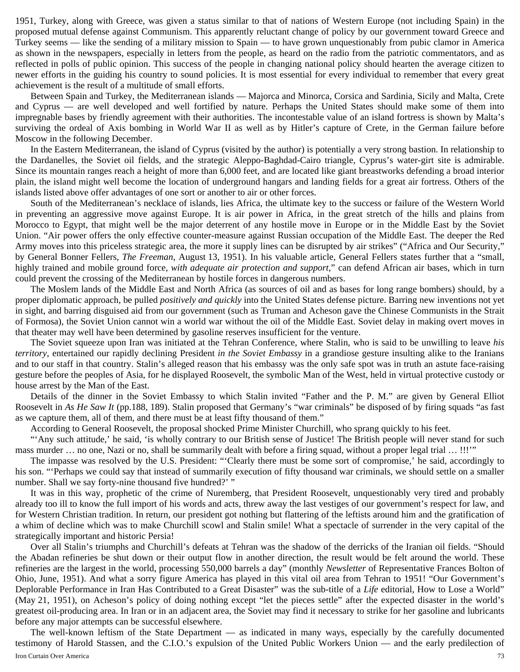1951, Turkey, along with Greece, was given a status similar to that of nations of Western Europe (not including Spain) in the proposed mutual defense against Communism. This apparently reluctant change of policy by our government toward Greece and Turkey seems — like the sending of a military mission to Spain — to have grown unquestionably from pubic clamor in America as shown in the newspapers, especially in letters from the people, as heard on the radio from the patriotic commentators, and as reflected in polls of public opinion. This success of the people in changing national policy should hearten the average citizen to newer efforts in the guiding his country to sound policies. It is most essential for every individual to remember that every great achievement is the result of a multitude of small efforts.

Between Spain and Turkey, the Mediterranean islands — Majorca and Minorca, Corsica and Sardinia, Sicily and Malta, Crete and Cyprus — are well developed and well fortified by nature. Perhaps the United States should make some of them into impregnable bases by friendly agreement with their authorities. The incontestable value of an island fortress is shown by Malta's surviving the ordeal of Axis bombing in World War II as well as by Hitler's capture of Crete, in the German failure before Moscow in the following December.

In the Eastern Mediterranean, the island of Cyprus (visited by the author) is potentially a very strong bastion. In relationship to the Dardanelles, the Soviet oil fields, and the strategic Aleppo-Baghdad-Cairo triangle, Cyprus's water-girt site is admirable. Since its mountain ranges reach a height of more than 6,000 feet, and are located like giant breastworks defending a broad interior plain, the island might well become the location of underground hangars and landing fields for a great air fortress. Others of the islands listed above offer advantages of one sort or another to air or other forces.

South of the Mediterranean's necklace of islands, lies Africa, the ultimate key to the success or failure of the Western World in preventing an aggressive move against Europe. It is air power in Africa, in the great stretch of the hills and plains from Morocco to Egypt, that might well be the major deterrent of any hostile move in Europe or in the Middle East by the Soviet Union. "Air power offers the only effective counter-measure against Russian occupation of the Middle East. The deeper the Red Army moves into this priceless strategic area, the more it supply lines can be disrupted by air strikes" ("Africa and Our Security," by General Bonner Fellers, *The Freeman*, August 13, 1951). In his valuable article, General Fellers states further that a "small, highly trained and mobile ground force, *with adequate air protection and support*," can defend African air bases, which in turn could prevent the crossing of the Mediterranean by hostile forces in dangerous numbers.

The Moslem lands of the Middle East and North Africa (as sources of oil and as bases for long range bombers) should, by a proper diplomatic approach, be pulled *positively and quickly* into the United States defense picture. Barring new inventions not yet in sight, and barring disguised aid from our government (such as Truman and Acheson gave the Chinese Communists in the Strait of Formosa), the Soviet Union cannot win a world war without the oil of the Middle East. Soviet delay in making overt moves in that theater may well have been determined by gasoline reserves insufficient for the venture.

The Soviet squeeze upon Iran was initiated at the Tehran Conference, where Stalin, who is said to be unwilling to leave *his territory*, entertained our rapidly declining President *in the Soviet Embassy* in a grandiose gesture insulting alike to the Iranians and to our staff in that country. Stalin's alleged reason that his embassy was the only safe spot was in truth an astute face-raising gesture before the peoples of Asia, for he displayed Roosevelt, the symbolic Man of the West, held in virtual protective custody or house arrest by the Man of the East.

Details of the dinner in the Soviet Embassy to which Stalin invited "Father and the P. M." are given by General Elliot Roosevelt in *As He Saw It* (pp.188, 189). Stalin proposed that Germany's "war criminals" be disposed of by firing squads "as fast as we capture them, all of them, and there must be at least fifty thousand of them."

According to General Roosevelt, the proposal shocked Prime Minister Churchill, who sprang quickly to his feet.

"'Any such attitude,' he said, 'is wholly contrary to our British sense of Justice! The British people will never stand for such mass murder … no one, Nazi or no, shall be summarily dealt with before a firing squad, without a proper legal trial … !!!'"

The impasse was resolved by the U.S. President: "'Clearly there must be some sort of compromise,' he said, accordingly to his son. "'Perhaps we could say that instead of summarily execution of fifty thousand war criminals, we should settle on a smaller number. Shall we say forty-nine thousand five hundred?' "

It was in this way, prophetic of the crime of Nuremberg, that President Roosevelt, unquestionably very tired and probably already too ill to know the full import of his words and acts, threw away the last vestiges of our government's respect for law, and for Western Christian tradition. In return, our president got nothing but flattering of the leftists around him and the gratification of a whim of decline which was to make Churchill scowl and Stalin smile! What a spectacle of surrender in the very capital of the strategically important and historic Persia!

Over all Stalin's triumphs and Churchill's defeats at Tehran was the shadow of the derricks of the Iranian oil fields. "Should the Abadan refineries be shut down or their output flow in another direction, the result would be felt around the world. These refineries are the largest in the world, processing 550,000 barrels a day" (monthly *Newsletter* of Representative Frances Bolton of Ohio, June, 1951). And what a sorry figure America has played in this vital oil area from Tehran to 1951! "Our Government's Deplorable Performance in Iran Has Contributed to a Great Disaster" was the sub-title of a *Life* editorial, How to Lose a World" (May 21, 1951), on Acheson's policy of doing nothing except "let the pieces settle" after the expected disaster in the world's greatest oil-producing area. In Iran or in an adjacent area, the Soviet may find it necessary to strike for her gasoline and lubricants before any major attempts can be successful elsewhere.

Iron Curtain Over America 73 The well-known leftism of the State Department — as indicated in many ways, especially by the carefully documented testimony of Harold Stassen, and the C.I.O.'s expulsion of the United Public Workers Union — and the early predilection of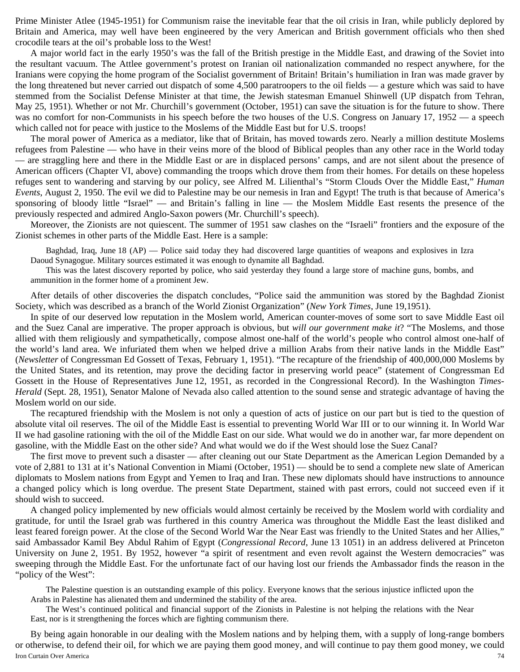Prime Minister Atlee (1945-1951) for Communism raise the inevitable fear that the oil crisis in Iran, while publicly deplored by Britain and America, may well have been engineered by the very American and British government officials who then shed crocodile tears at the oil's probable loss to the West!

A major world fact in the early 1950's was the fall of the British prestige in the Middle East, and drawing of the Soviet into the resultant vacuum. The Attlee government's protest on Iranian oil nationalization commanded no respect anywhere, for the Iranians were copying the home program of the Socialist government of Britain! Britain's humiliation in Iran was made graver by the long threatened but never carried out dispatch of some 4,500 paratroopers to the oil fields — a gesture which was said to have stemmed from the Socialist Defense Minister at that time, the Jewish statesman Emanuel Shinwell (UP dispatch from Tehran, May 25, 1951). Whether or not Mr. Churchill's government (October, 1951) can save the situation is for the future to show. There was no comfort for non-Communists in his speech before the two houses of the U.S. Congress on January 17, 1952 — a speech which called not for peace with justice to the Moslems of the Middle East but for U.S. troops!

The moral power of America as a mediator, like that of Britain, has moved towards zero. Nearly a million destitute Moslems refugees from Palestine — who have in their veins more of the blood of Biblical peoples than any other race in the World today — are straggling here and there in the Middle East or are in displaced persons' camps, and are not silent about the presence of American officers (Chapter VI, above) commanding the troops which drove them from their homes. For details on these hopeless refuges sent to wandering and starving by our policy, see Alfred M. Lilienthal's "Storm Clouds Over the Middle East," *Human Events*, August 2, 1950. The evil we did to Palestine may be our nemesis in Iran and Egypt! The truth is that because of America's sponsoring of bloody little "Israel" — and Britain's falling in line — the Moslem Middle East resents the presence of the previously respected and admired Anglo-Saxon powers (Mr. Churchill's speech).

Moreover, the Zionists are not quiescent. The summer of 1951 saw clashes on the "Israeli" frontiers and the exposure of the Zionist schemes in other parts of the Middle East. Here is a sample:

Baghdad, Iraq, June 18 (AP) — Police said today they had discovered large quantities of weapons and explosives in Izra Daoud Synagogue. Military sources estimated it was enough to dynamite all Baghdad.

This was the latest discovery reported by police, who said yesterday they found a large store of machine guns, bombs, and ammunition in the former home of a prominent Jew.

After details of other discoveries the dispatch concludes, "Police said the ammunition was stored by the Baghdad Zionist Society, which was described as a branch of the World Zionist Organization" (*New York Times*, June 19,1951).

In spite of our deserved low reputation in the Moslem world, American counter-moves of some sort to save Middle East oil and the Suez Canal are imperative. The proper approach is obvious, but *will our government make it*? "The Moslems, and those allied with them religiously and sympathetically, compose almost one-half of the world's people who control almost one-half of the world's land area. We infuriated them when we helped drive a million Arabs from their native lands in the Middle East" (*Newsletter* of Congressman Ed Gossett of Texas, February 1, 1951). "The recapture of the friendship of 400,000,000 Moslems by the United States, and its retention, may prove the deciding factor in preserving world peace" (statement of Congressman Ed Gossett in the House of Representatives June 12, 1951, as recorded in the Congressional Record). In the Washington *Times-Herald* (Sept. 28, 1951), Senator Malone of Nevada also called attention to the sound sense and strategic advantage of having the Moslem world on our side.

The recaptured friendship with the Moslem is not only a question of acts of justice on our part but is tied to the question of absolute vital oil reserves. The oil of the Middle East is essential to preventing World War III or to our winning it. In World War II we had gasoline rationing with the oil of the Middle East on our side. What would we do in another war, far more dependent on gasoline, with the Middle East on the other side? And what would we do if the West should lose the Suez Canal?

The first move to prevent such a disaster — after cleaning out our State Department as the American Legion Demanded by a vote of 2,881 to 131 at it's National Convention in Miami (October, 1951) — should be to send a complete new slate of American diplomats to Moslem nations from Egypt and Yemen to Iraq and Iran. These new diplomats should have instructions to announce a changed policy which is long overdue. The present State Department, stained with past errors, could not succeed even if it should wish to succeed.

A changed policy implemented by new officials would almost certainly be received by the Moslem world with cordiality and gratitude, for until the Israel grab was furthered in this country America was throughout the Middle East the least disliked and least feared foreign power. At the close of the Second World War the Near East was friendly to the United States and her Allies," said Ambassador Kamil Bey Abdul Rahim of Egypt (*Congressional Record*, June 13 1051) in an address delivered at Princeton University on June 2, 1951. By 1952, however "a spirit of resentment and even revolt against the Western democracies" was sweeping through the Middle East. For the unfortunate fact of our having lost our friends the Ambassador finds the reason in the "policy of the West":

The Palestine question is an outstanding example of this policy. Everyone knows that the serious injustice inflicted upon the Arabs in Palestine has alienated them and undermined the stability of the area.

The West's continued political and financial support of the Zionists in Palestine is not helping the relations with the Near East, nor is it strengthening the forces which are fighting communism there.

Iron Curtain Over America 74 By being again honorable in our dealing with the Moslem nations and by helping them, with a supply of long-range bombers or otherwise, to defend their oil, for which we are paying them good money, and will continue to pay them good money, we could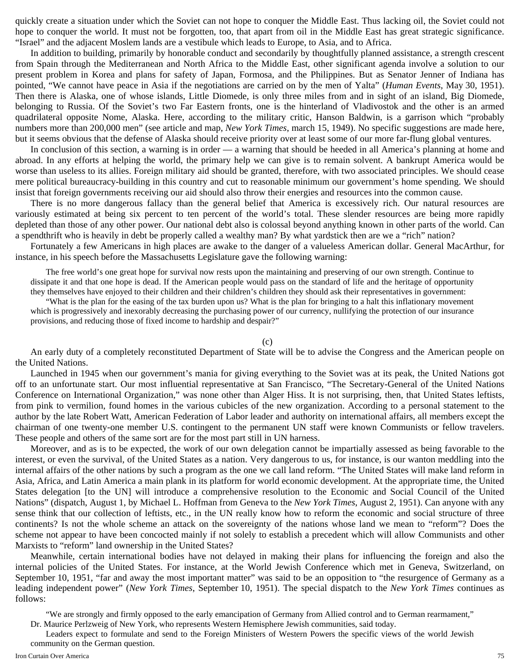quickly create a situation under which the Soviet can not hope to conquer the Middle East. Thus lacking oil, the Soviet could not hope to conquer the world. It must not be forgotten, too, that apart from oil in the Middle East has great strategic significance. "Israel" and the adjacent Moslem lands are a vestibule which leads to Europe, to Asia, and to Africa.

In addition to building, primarily by honorable conduct and secondarily by thoughtfully planned assistance, a strength crescent from Spain through the Mediterranean and North Africa to the Middle East, other significant agenda involve a solution to our present problem in Korea and plans for safety of Japan, Formosa, and the Philippines. But as Senator Jenner of Indiana has pointed, "We cannot have peace in Asia if the negotiations are carried on by the men of Yalta" (*Human Events*, May 30, 1951). Then there is Alaska, one of whose islands, Little Diomede, is only three miles from and in sight of an island, Big Diomede, belonging to Russia. Of the Soviet's two Far Eastern fronts, one is the hinterland of Vladivostok and the other is an armed quadrilateral opposite Nome, Alaska. Here, according to the military critic, Hanson Baldwin, is a garrison which "probably numbers more than 200,000 men" (see article and map, *New York Times*, march 15, 1949). No specific suggestions are made here, but it seems obvious that the defense of Alaska should receive priority over at least some of our more far-flung global ventures.

In conclusion of this section, a warning is in order — a warning that should be heeded in all America's planning at home and abroad. In any efforts at helping the world, the primary help we can give is to remain solvent. A bankrupt America would be worse than useless to its allies. Foreign military aid should be granted, therefore, with two associated principles. We should cease mere political bureaucracy-building in this country and cut to reasonable minimum our government's home spending. We should insist that foreign governments receiving our aid should also throw their energies and resources into the common cause.

There is no more dangerous fallacy than the general belief that America is excessively rich. Our natural resources are variously estimated at being six percent to ten percent of the world's total. These slender resources are being more rapidly depleted than those of any other power. Our national debt also is colossal beyond anything known in other parts of the world. Can a spendthrift who is heavily in debt be properly called a wealthy man? By what yardstick then are we a "rich" nation?

Fortunately a few Americans in high places are awake to the danger of a valueless American dollar. General MacArthur, for instance, in his speech before the Massachusetts Legislature gave the following warning:

The free world's one great hope for survival now rests upon the maintaining and preserving of our own strength. Continue to dissipate it and that one hope is dead. If the American people would pass on the standard of life and the heritage of opportunity they themselves have enjoyed to their children and their children's children they should ask their representatives in government:

"What is the plan for the easing of the tax burden upon us? What is the plan for bringing to a halt this inflationary movement which is progressively and inexorably decreasing the purchasing power of our currency, nullifying the protection of our insurance provisions, and reducing those of fixed income to hardship and despair?"

## (c)

An early duty of a completely reconstituted Department of State will be to advise the Congress and the American people on the United Nations.

Launched in 1945 when our government's mania for giving everything to the Soviet was at its peak, the United Nations got off to an unfortunate start. Our most influential representative at San Francisco, "The Secretary-General of the United Nations Conference on International Organization," was none other than Alger Hiss. It is not surprising, then, that United States leftists, from pink to vermilion, found homes in the various cubicles of the new organization. According to a personal statement to the author by the late Robert Watt, American Federation of Labor leader and authority on international affairs, all members except the chairman of one twenty-one member U.S. contingent to the permanent UN staff were known Communists or fellow travelers. These people and others of the same sort are for the most part still in UN harness.

Moreover, and as is to be expected, the work of our own delegation cannot be impartially assessed as being favorable to the interest, or even the survival, of the United States as a nation. Very dangerous to us, for instance, is our wanton meddling into the internal affairs of the other nations by such a program as the one we call land reform. "The United States will make land reform in Asia, Africa, and Latin America a main plank in its platform for world economic development. At the appropriate time, the United States delegation [to the UN] will introduce a comprehensive resolution to the Economic and Social Council of the United Nations" (dispatch, August 1, by Michael L. Hoffman from Geneva to the *New York Times*, August 2, 1951). Can anyone with any sense think that our collection of leftists, etc., in the UN really know how to reform the economic and social structure of three continents? Is not the whole scheme an attack on the sovereignty of the nations whose land we mean to "reform"? Does the scheme not appear to have been concocted mainly if not solely to establish a precedent which will allow Communists and other Marxists to "reform" land ownership in the United States?

Meanwhile, certain international bodies have not delayed in making their plans for influencing the foreign and also the internal policies of the United States. For instance, at the World Jewish Conference which met in Geneva, Switzerland, on September 10, 1951, "far and away the most important matter" was said to be an opposition to "the resurgence of Germany as a leading independent power" (*New York Times*, September 10, 1951). The special dispatch to the *New York Times* continues as follows:

"We are strongly and firmly opposed to the early emancipation of Germany from Allied control and to German rearmament,"

Dr. Maurice Perlzweig of New York, who represents Western Hemisphere Jewish communities, said today.

Leaders expect to formulate and send to the Foreign Ministers of Western Powers the specific views of the world Jewish community on the German question.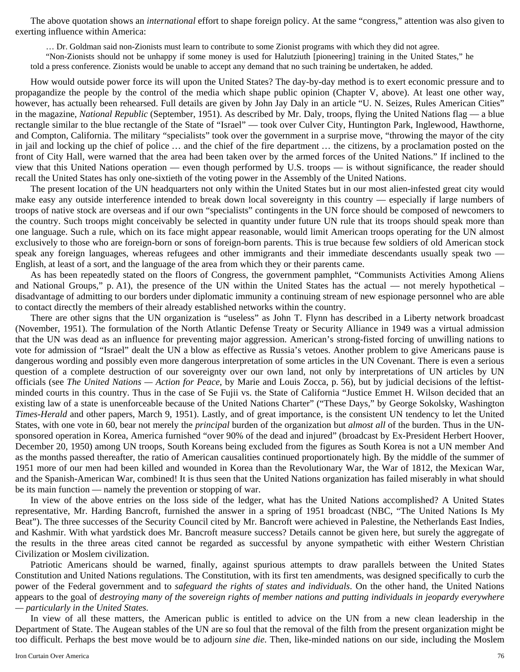The above quotation shows an *international* effort to shape foreign policy. At the same "congress," attention was also given to exerting influence within America:

… Dr. Goldman said non-Zionists must learn to contribute to some Zionist programs with which they did not agree.

"Non-Zionists should not be unhappy if some money is used for Halutziuth [pioneering] training in the United States," he told a press conference. Zionists would be unable to accept any demand that no such training be undertaken, he added.

How would outside power force its will upon the United States? The day-by-day method is to exert economic pressure and to propagandize the people by the control of the media which shape public opinion (Chapter V, above). At least one other way, however, has actually been rehearsed. Full details are given by John Jay Daly in an article "U. N. Seizes, Rules American Cities" in the magazine, *National Republic* (September, 1951). As described by Mr. Daly, troops, flying the United Nations flag — a blue rectangle similar to the blue rectangle of the State of "Israel" — took over Culver City, Huntington Park, Inglewood, Hawthorne, and Compton, California. The military "specialists" took over the government in a surprise move, "throwing the mayor of the city in jail and locking up the chief of police … and the chief of the fire department … the citizens, by a proclamation posted on the front of City Hall, were warned that the area had been taken over by the armed forces of the United Nations." If inclined to the view that this United Nations operation — even though performed by U.S. troops — is without significance, the reader should recall the United States has only one-sixtieth of the voting power in the Assembly of the United Nations.

The present location of the UN headquarters not only within the United States but in our most alien-infested great city would make easy any outside interference intended to break down local sovereignty in this country — especially if large numbers of troops of native stock are overseas and if our own "specialists" contingents in the UN force should be composed of newcomers to the country. Such troops might conceivably be selected in quantity under future UN rule that its troops should speak more than one language. Such a rule, which on its face might appear reasonable, would limit American troops operating for the UN almost exclusively to those who are foreign-born or sons of foreign-born parents. This is true because few soldiers of old American stock speak any foreign languages, whereas refugees and other immigrants and their immediate descendants usually speak two — English, at least of a sort, and the language of the area from which they or their parents came.

As has been repeatedly stated on the floors of Congress, the government pamphlet, "Communists Activities Among Aliens and National Groups," p. A1), the presence of the UN within the United States has the actual — not merely hypothetical – disadvantage of admitting to our borders under diplomatic immunity a continuing stream of new espionage personnel who are able to contact directly the members of their already established networks within the country.

There are other signs that the UN organization is "useless" as John T. Flynn has described in a Liberty network broadcast (November, 1951). The formulation of the North Atlantic Defense Treaty or Security Alliance in 1949 was a virtual admission that the UN was dead as an influence for preventing major aggression. American's strong-fisted forcing of unwilling nations to vote for admission of "Israel" dealt the UN a blow as effective as Russia's vetoes. Another problem to give Americans pause is dangerous wording and possibly even more dangerous interpretation of some articles in the UN Covenant. There is even a serious question of a complete destruction of our sovereignty over our own land, not only by interpretations of UN articles by UN officials (see *The United Nations — Action for Peace*, by Marie and Louis Zocca, p. 56), but by judicial decisions of the leftistminded courts in this country. Thus in the case of Se Fujii vs. the State of California "Justice Emmet H. Wilson decided that an existing law of a state is unenforceable because of the United Nations Charter" ("These Days," by George Sokolsky, Washington *Times-Herald* and other papers, March 9, 1951). Lastly, and of great importance, is the consistent UN tendency to let the United States, with one vote in 60, bear not merely the *principal* burden of the organization but *almost all* of the burden. Thus in the UNsponsored operation in Korea, America furnished "over 90% of the dead and injured" (broadcast by Ex-President Herbert Hoover, December 20, 1950) among UN troops, South Koreans being excluded from the figures as South Korea is not a UN member And as the months passed thereafter, the ratio of American causalities continued proportionately high. By the middle of the summer of 1951 more of our men had been killed and wounded in Korea than the Revolutionary War, the War of 1812, the Mexican War, and the Spanish-American War, combined! It is thus seen that the United Nations organization has failed miserably in what should be its main function — namely the prevention or stopping of war.

In view of the above entries on the loss side of the ledger, what has the United Nations accomplished? A United States representative, Mr. Harding Bancroft, furnished the answer in a spring of 1951 broadcast (NBC, "The United Nations Is My Beat"). The three successes of the Security Council cited by Mr. Bancroft were achieved in Palestine, the Netherlands East Indies, and Kashmir. With what yardstick does Mr. Bancroft measure success? Details cannot be given here, but surely the aggregate of the results in the three areas cited cannot be regarded as successful by anyone sympathetic with either Western Christian Civilization or Moslem civilization.

Patriotic Americans should be warned, finally, against spurious attempts to draw parallels between the United States Constitution and United Nations regulations. The Constitution, with its first ten amendments, was designed specifically to curb the power of the Federal government and to *safeguard the rights of states and individuals*. On the other hand, the United Nations appears to the goal of *destroying many of the sovereign rights of member nations and putting individuals in jeopardy everywhere — particularly in the United States.*

In view of all these matters, the American public is entitled to advice on the UN from a new clean leadership in the Department of State. The Augean stables of the UN are so foul that the removal of the filth from the present organization might be too difficult. Perhaps the best move would be to adjourn *sine die*. Then, like-minded nations on our side, including the Moslem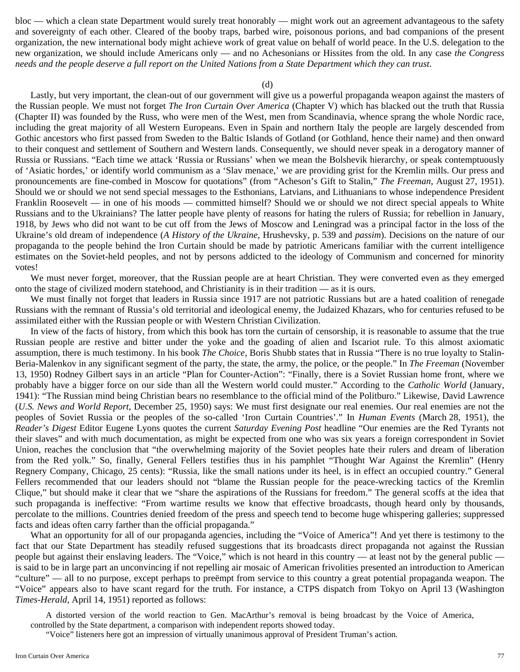bloc — which a clean state Department would surely treat honorably — might work out an agreement advantageous to the safety and sovereignty of each other. Cleared of the booby traps, barbed wire, poisonous porions, and bad companions of the present organization, the new international body might achieve work of great value on behalf of world peace. In the U.S. delegation to the new organization, we should include Americans only — and no Achesonians or Hissites from the old. In any case *the Congress needs and the people deserve a full report on the United Nations from a State Department which they can trust*.

(d)

Lastly, but very important, the clean-out of our government will give us a powerful propaganda weapon against the masters of the Russian people. We must not forget *The Iron Curtain Over America* (Chapter V) which has blacked out the truth that Russia (Chapter II) was founded by the Russ, who were men of the West, men from Scandinavia, whence sprang the whole Nordic race, including the great majority of all Western Europeans. Even in Spain and northern Italy the people are largely descended from Gothic ancestors who first passed from Sweden to the Baltic Islands of Gotland (or Gothland, hence their name) and then onward to their conquest and settlement of Southern and Western lands. Consequently, we should never speak in a derogatory manner of Russia or Russians. "Each time we attack 'Russia or Russians' when we mean the Bolshevik hierarchy, or speak contemptuously of 'Asiatic hordes,' or identify world communism as a 'Slav menace,' we are providing grist for the Kremlin mills. Our press and pronouncements are fine-combed in Moscow for quotations" (from "Acheson's Gift to Stalin," *The Freeman*, August 27, 1951). Should we or should we not send special messages to the Esthonians, Latvians, and Lithuanians to whose independence President Franklin Roosevelt — in one of his moods — committed himself? Should we or should we not direct special appeals to White Russians and to the Ukrainians? The latter people have plenty of reasons for hating the rulers of Russia; for rebellion in January, 1918, by Jews who did not want to be cut off from the Jews of Moscow and Leningrad was a principal factor in the loss of the Ukraine's old dream of independence (*A History of the Ukraine*, Hrushevsky, p. 539 and *passim*). Decisions on the nature of our propaganda to the people behind the Iron Curtain should be made by patriotic Americans familiar with the current intelligence estimates on the Soviet-held peoples, and not by persons addicted to the ideology of Communism and concerned for minority votes!

We must never forget, moreover, that the Russian people are at heart Christian. They were converted even as they emerged onto the stage of civilized modern statehood, and Christianity is in their tradition — as it is ours.

We must finally not forget that leaders in Russia since 1917 are not patriotic Russians but are a hated coalition of renegade Russians with the remnant of Russia's old territorial and ideological enemy, the Judaized Khazars, who for centuries refused to be assimilated either with the Russian people or with Western Christian Civilization.

In view of the facts of history, from which this book has torn the curtain of censorship, it is reasonable to assume that the true Russian people are restive and bitter under the yoke and the goading of alien and Iscariot rule. To this almost axiomatic assumption, there is much testimony. In his book *The Choice*, Boris Shubb states that in Russia "There is no true loyalty to Stalin-Beria-Malenkov in any significant segment of the party, the state, the army, the police, or the people." In *The Freeman* (November 13, 1950) Rodney Gilbert says in an article "Plan for Counter-Action": "Finally, there is a Soviet Russian home front, where we probably have a bigger force on our side than all the Western world could muster." According to the *Catholic World* (January, 1941): "The Russian mind being Christian bears no resemblance to the official mind of the Politburo." Likewise, David Lawrence (*U.S. News and World Report*, December 25, 1950) says: We must first designate our real enemies. Our real enemies are not the peoples of Soviet Russia or the peoples of the so-called 'Iron Curtain Countries'." In *Human Events* (March 28, 1951), the *Reader's Digest* Editor Eugene Lyons quotes the current *Saturday Evening Post* headline "Our enemies are the Red Tyrants not their slaves" and with much documentation, as might be expected from one who was six years a foreign correspondent in Soviet Union, reaches the conclusion that "the overwhelming majority of the Soviet peoples hate their rulers and dream of liberation from the Red yolk." So, finally, General Fellers testifies thus in his pamphlet "Thought War Against the Kremlin" (Henry Regnery Company, Chicago, 25 cents): "Russia, like the small nations under its heel, is in effect an occupied country." General Fellers recommended that our leaders should not "blame the Russian people for the peace-wrecking tactics of the Kremlin Clique," but should make it clear that we "share the aspirations of the Russians for freedom." The general scoffs at the idea that such propaganda is ineffective: "From wartime results we know that effective broadcasts, though heard only by thousands, percolate to the millions. Countries denied freedom of the press and speech tend to become huge whispering galleries; suppressed facts and ideas often carry farther than the official propaganda."

What an opportunity for all of our propaganda agencies, including the "Voice of America"! And yet there is testimony to the fact that our State Department has steadily refused suggestions that its broadcasts direct propaganda not against the Russian people but against their enslaving leaders. The "Voice," which is not heard in this country — at least not by the general public is said to be in large part an unconvincing if not repelling air mosaic of American frivolities presented an introduction to American "culture" — all to no purpose, except perhaps to preëmpt from service to this country a great potential propaganda weapon. The "Voice" appears also to have scant regard for the truth. For instance, a CTPS dispatch from Tokyo on April 13 (Washington *Times-Herald*, April 14, 1951) reported as follows:

A distorted version of the world reaction to Gen. MacArthur's removal is being broadcast by the Voice of America, controlled by the State department, a comparison with independent reports showed today.

"Voice" listeners here got an impression of virtually unanimous approval of President Truman's action.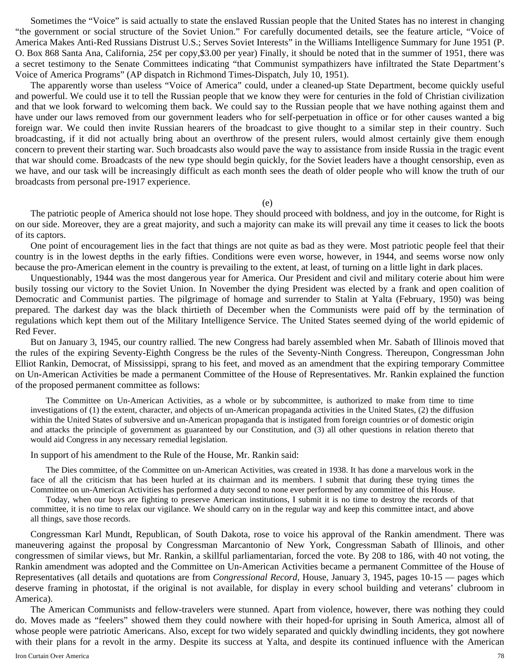Sometimes the "Voice" is said actually to state the enslaved Russian people that the United States has no interest in changing "the government or social structure of the Soviet Union." For carefully documented details, see the feature article, "Voice of America Makes Anti-Red Russians Distrust U.S.; Serves Soviet Interests" in the Williams Intelligence Summary for June 1951 (P. O. Box 868 Santa Ana, California,  $25¢$  per copy,\$3.00 per year) Finally, it should be noted that in the summer of 1951, there was a secret testimony to the Senate Committees indicating "that Communist sympathizers have infiltrated the State Department's Voice of America Programs" (AP dispatch in Richmond Times-Dispatch, July 10, 1951).

The apparently worse than useless "Voice of America" could, under a cleaned-up State Department, become quickly useful and powerful. We could use it to tell the Russian people that we know they were for centuries in the fold of Christian civilization and that we look forward to welcoming them back. We could say to the Russian people that we have nothing against them and have under our laws removed from our government leaders who for self-perpetuation in office or for other causes wanted a big foreign war. We could then invite Russian hearers of the broadcast to give thought to a similar step in their country. Such broadcasting, if it did not actually bring about an overthrow of the present rulers, would almost certainly give them enough concern to prevent their starting war. Such broadcasts also would pave the way to assistance from inside Russia in the tragic event that war should come. Broadcasts of the new type should begin quickly, for the Soviet leaders have a thought censorship, even as we have, and our task will be increasingly difficult as each month sees the death of older people who will know the truth of our broadcasts from personal pre-1917 experience.

(e)

The patriotic people of America should not lose hope. They should proceed with boldness, and joy in the outcome, for Right is on our side. Moreover, they are a great majority, and such a majority can make its will prevail any time it ceases to lick the boots of its captors.

One point of encouragement lies in the fact that things are not quite as bad as they were. Most patriotic people feel that their country is in the lowest depths in the early fifties. Conditions were even worse, however, in 1944, and seems worse now only because the pro-American element in the country is prevailing to the extent, at least, of turning on a little light in dark places.

Unquestionably, 1944 was the most dangerous year for America. Our President and civil and military coterie about him were busily tossing our victory to the Soviet Union. In November the dying President was elected by a frank and open coalition of Democratic and Communist parties. The pilgrimage of homage and surrender to Stalin at Yalta (February, 1950) was being prepared. The darkest day was the black thirtieth of December when the Communists were paid off by the termination of regulations which kept them out of the Military Intelligence Service. The United States seemed dying of the world epidemic of Red Fever.

But on January 3, 1945, our country rallied. The new Congress had barely assembled when Mr. Sabath of Illinois moved that the rules of the expiring Seventy-Eighth Congress be the rules of the Seventy-Ninth Congress. Thereupon, Congressman John Elliot Rankin, Democrat, of Mississippi, sprang to his feet, and moved as an amendment that the expiring temporary Committee on Un-American Activities be made a permanent Committee of the House of Representatives. Mr. Rankin explained the function of the proposed permanent committee as follows:

The Committee on Un-American Activities, as a whole or by subcommittee, is authorized to make from time to time investigations of (1) the extent, character, and objects of un-American propaganda activities in the United States, (2) the diffusion within the United States of subversive and un-American propaganda that is instigated from foreign countries or of domestic origin and attacks the principle of government as guaranteed by our Constitution, and (3) all other questions in relation thereto that would aid Congress in any necessary remedial legislation.

## In support of his amendment to the Rule of the House, Mr. Rankin said:

The Dies committee, of the Committee on un-American Activities, was created in 1938. It has done a marvelous work in the face of all the criticism that has been hurled at its chairman and its members. I submit that during these trying times the Committee on un-American Activities has performed a duty second to none ever performed by any committee of this House.

Today, when our boys are fighting to preserve American institutions, I submit it is no time to destroy the records of that committee, it is no time to relax our vigilance. We should carry on in the regular way and keep this committee intact, and above all things, save those records.

Congressman Karl Mundt, Republican, of South Dakota, rose to voice his approval of the Rankin amendment. There was maneuvering against the proposal by Congressman Marcantonio of New York, Congressman Sabath of Illinois, and other congressmen of similar views, but Mr. Rankin, a skillful parliamentarian, forced the vote. By 208 to 186, with 40 not voting, the Rankin amendment was adopted and the Committee on Un-American Activities became a permanent Committee of the House of Representatives (all details and quotations are from *Congressional Record*, House, January 3, 1945, pages 10-15 — pages which deserve framing in photostat, if the original is not available, for display in every school building and veterans' clubroom in America).

The American Communists and fellow-travelers were stunned. Apart from violence, however, there was nothing they could do. Moves made as "feelers" showed them they could nowhere with their hoped-for uprising in South America, almost all of whose people were patriotic Americans. Also, except for two widely separated and quickly dwindling incidents, they got nowhere with their plans for a revolt in the army. Despite its success at Yalta, and despite its continued influence with the American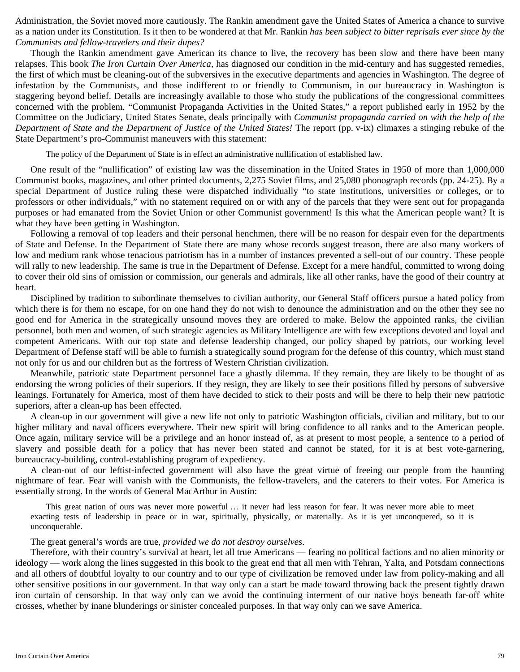Administration, the Soviet moved more cautiously. The Rankin amendment gave the United States of America a chance to survive as a nation under its Constitution. Is it then to be wondered at that Mr. Rankin *has been subject to bitter reprisals ever since by the Communists and fellow-travelers and their dupes?*

Though the Rankin amendment gave American its chance to live, the recovery has been slow and there have been many relapses. This book *The Iron Curtain Over America*, has diagnosed our condition in the mid-century and has suggested remedies, the first of which must be cleaning-out of the subversives in the executive departments and agencies in Washington. The degree of infestation by the Communists, and those indifferent to or friendly to Communism, in our bureaucracy in Washington is staggering beyond belief. Details are increasingly available to those who study the publications of the congressional committees concerned with the problem. "Communist Propaganda Activities in the United States," a report published early in 1952 by the Committee on the Judiciary, United States Senate, deals principally with *Communist propaganda carried on with the help of the Department of State and the Department of Justice of the United States!* The report (pp. v-ix) climaxes a stinging rebuke of the State Department's pro-Communist maneuvers with this statement:

The policy of the Department of State is in effect an administrative nullification of established law.

One result of the "nullification" of existing law was the dissemination in the United States in 1950 of more than 1,000,000 Communist books, magazines, and other printed documents, 2,275 Soviet films, and 25,080 phonograph records (pp. 24-25). By a special Department of Justice ruling these were dispatched individually "to state institutions, universities or colleges, or to professors or other individuals," with no statement required on or with any of the parcels that they were sent out for propaganda purposes or had emanated from the Soviet Union or other Communist government! Is this what the American people want? It is what they have been getting in Washington.

Following a removal of top leaders and their personal henchmen, there will be no reason for despair even for the departments of State and Defense. In the Department of State there are many whose records suggest treason, there are also many workers of low and medium rank whose tenacious patriotism has in a number of instances prevented a sell-out of our country. These people will rally to new leadership. The same is true in the Department of Defense. Except for a mere handful, committed to wrong doing to cover their old sins of omission or commission, our generals and admirals, like all other ranks, have the good of their country at heart.

Disciplined by tradition to subordinate themselves to civilian authority, our General Staff officers pursue a hated policy from which there is for them no escape, for on one hand they do not wish to denounce the administration and on the other they see no good end for America in the strategically unsound moves they are ordered to make. Below the appointed ranks, the civilian personnel, both men and women, of such strategic agencies as Military Intelligence are with few exceptions devoted and loyal and competent Americans. With our top state and defense leadership changed, our policy shaped by patriots, our working level Department of Defense staff will be able to furnish a strategically sound program for the defense of this country, which must stand not only for us and our children but as the fortress of Western Christian civilization.

Meanwhile, patriotic state Department personnel face a ghastly dilemma. If they remain, they are likely to be thought of as endorsing the wrong policies of their superiors. If they resign, they are likely to see their positions filled by persons of subversive leanings. Fortunately for America, most of them have decided to stick to their posts and will be there to help their new patriotic superiors, after a clean-up has been effected.

A clean-up in our government will give a new life not only to patriotic Washington officials, civilian and military, but to our higher military and naval officers everywhere. Their new spirit will bring confidence to all ranks and to the American people. Once again, military service will be a privilege and an honor instead of, as at present to most people, a sentence to a period of slavery and possible death for a policy that has never been stated and cannot be stated, for it is at best vote-garnering, bureaucracy-building, control-establishing program of expediency.

A clean-out of our leftist-infected government will also have the great virtue of freeing our people from the haunting nightmare of fear. Fear will vanish with the Communists, the fellow-travelers, and the caterers to their votes. For America is essentially strong. In the words of General MacArthur in Austin:

This great nation of ours was never more powerful … it never had less reason for fear. It was never more able to meet exacting tests of leadership in peace or in war, spiritually, physically, or materially. As it is yet unconquered, so it is unconquerable.

## The great general's words are true, *provided we do not destroy ourselves*.

Therefore, with their country's survival at heart, let all true Americans — fearing no political factions and no alien minority or ideology — work along the lines suggested in this book to the great end that all men with Tehran, Yalta, and Potsdam connections and all others of doubtful loyalty to our country and to our type of civilization be removed under law from policy-making and all other sensitive positions in our government. In that way only can a start be made toward throwing back the present tightly drawn iron curtain of censorship. In that way only can we avoid the continuing interment of our native boys beneath far-off white crosses, whether by inane blunderings or sinister concealed purposes. In that way only can we save America.